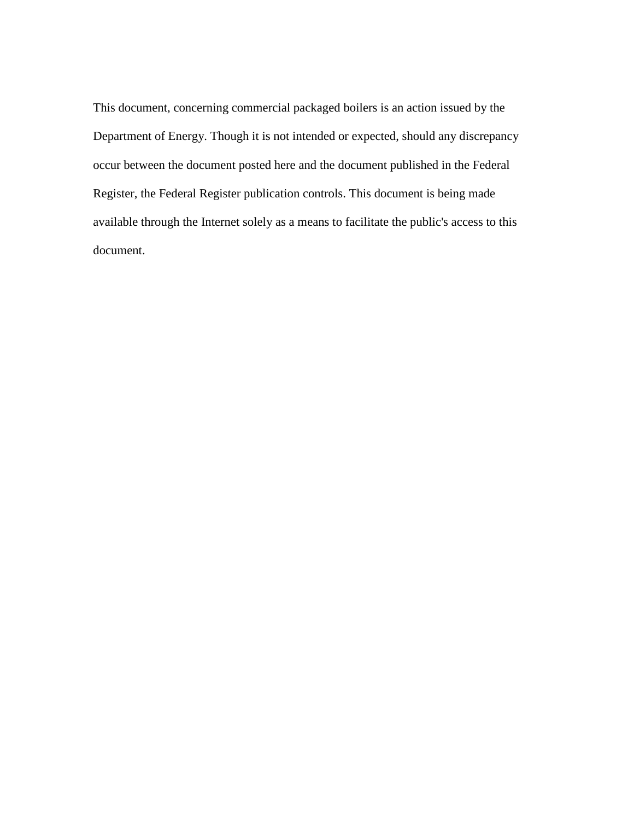This document, concerning commercial packaged boilers is an action issued by the Department of Energy. Though it is not intended or expected, should any discrepancy occur between the document posted here and the document published in the Federal Register, the Federal Register publication controls. This document is being made available through the Internet solely as a means to facilitate the public's access to this document.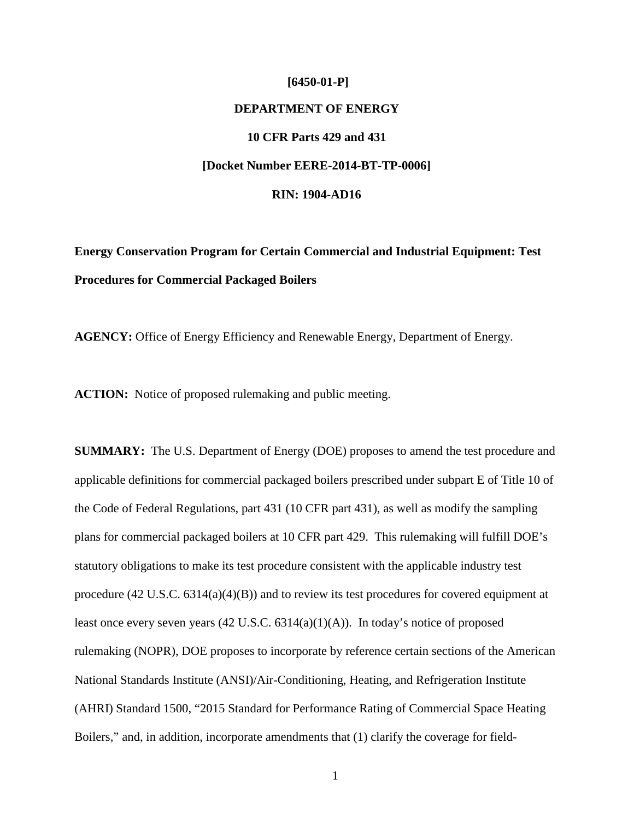#### **[6450-01-P]**

# **DEPARTMENT OF ENERGY**

# **10 CFR Parts 429 and 431**

## **[Docket Number EERE-2014-BT-TP-0006]**

## **RIN: 1904-AD16**

**Energy Conservation Program for Certain Commercial and Industrial Equipment: Test Procedures for Commercial Packaged Boilers**

**AGENCY:** Office of Energy Efficiency and Renewable Energy, Department of Energy.

**ACTION:** Notice of proposed rulemaking and public meeting.

**SUMMARY:** The U.S. Department of Energy (DOE) proposes to amend the test procedure and applicable definitions for commercial packaged boilers prescribed under subpart E of Title 10 of the Code of Federal Regulations, part 431 (10 CFR part 431), as well as modify the sampling plans for commercial packaged boilers at 10 CFR part 429. This rulemaking will fulfill DOE's statutory obligations to make its test procedure consistent with the applicable industry test procedure (42 U.S.C. 6314(a)(4)(B)) and to review its test procedures for covered equipment at least once every seven years (42 U.S.C. 6314(a)(1)(A)). In today's notice of proposed rulemaking (NOPR), DOE proposes to incorporate by reference certain sections of the American National Standards Institute (ANSI)/Air-Conditioning, Heating, and Refrigeration Institute (AHRI) Standard 1500, "2015 Standard for Performance Rating of Commercial Space Heating Boilers," and, in addition, incorporate amendments that (1) clarify the coverage for field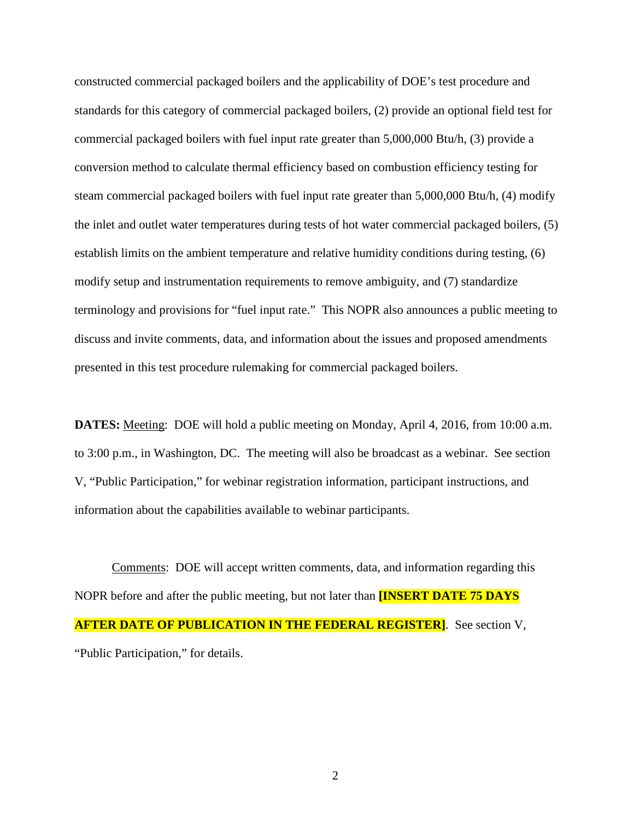constructed commercial packaged boilers and the applicability of DOE's test procedure and standards for this category of commercial packaged boilers, (2) provide an optional field test for commercial packaged boilers with fuel input rate greater than 5,000,000 Btu/h, (3) provide a conversion method to calculate thermal efficiency based on combustion efficiency testing for steam commercial packaged boilers with fuel input rate greater than 5,000,000 Btu/h, (4) modify the inlet and outlet water temperatures during tests of hot water commercial packaged boilers, (5) establish limits on the ambient temperature and relative humidity conditions during testing, (6) modify setup and instrumentation requirements to remove ambiguity, and (7) standardize terminology and provisions for "fuel input rate." This NOPR also announces a public meeting to discuss and invite comments, data, and information about the issues and proposed amendments presented in this test procedure rulemaking for commercial packaged boilers.

**DATES:** Meeting: DOE will hold a public meeting on Monday, April 4, 2016, from 10:00 a.m. to 3:00 p.m., in Washington, DC. The meeting will also be broadcast as a webinar. See section [V,](#page-91-0) "Public Participation," for webinar registration information, participant instructions, and information about the capabilities available to webinar participants.

Comments: DOE will accept written comments, data, and information regarding this NOPR before and after the public meeting, but not later than **[INSERT DATE 75 DAYS AFTER DATE OF PUBLICATION IN THE FEDERAL REGISTER]**. See section [V,](#page-91-0) "Public Participation," for details.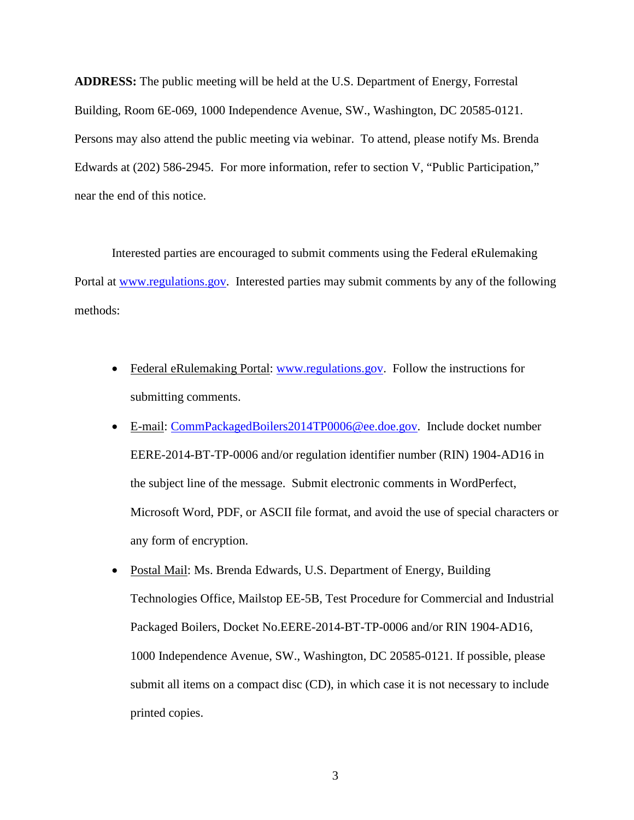**ADDRESS:** The public meeting will be held at the U.S. Department of Energy, Forrestal Building, Room 6E-069, 1000 Independence Avenue, SW., Washington, DC 20585-0121. Persons may also attend the public meeting via webinar. To attend, please notify Ms. Brenda Edwards at (202) 586-2945. For more information, refer to section [V,](#page-91-0) "Public Participation," near the end of this notice.

Interested parties are encouraged to submit comments using the Federal eRulemaking Portal at [www.regulations.gov.](http://www.regulations.gov/) Interested parties may submit comments by any of the following methods:

- Federal eRulemaking Portal: [www.regulations.gov.](http://www.regulations.gov/) Follow the instructions for submitting comments.
- E-mail: [CommPackagedBoilers2014TP0006@ee.doe.gov.](mailto:CommPackagedBoilers2014TP0006@ee.doe.gov) Include docket number EERE-2014-BT-TP-0006 and/or regulation identifier number (RIN) 1904-AD16 in the subject line of the message. Submit electronic comments in WordPerfect, Microsoft Word, PDF, or ASCII file format, and avoid the use of special characters or any form of encryption.
- Postal Mail: Ms. Brenda Edwards, U.S. Department of Energy, Building Technologies Office, Mailstop EE-5B, Test Procedure for Commercial and Industrial Packaged Boilers, Docket No.EERE-2014-BT-TP-0006 and/or RIN 1904-AD16, 1000 Independence Avenue, SW., Washington, DC 20585-0121. If possible, please submit all items on a compact disc (CD), in which case it is not necessary to include printed copies.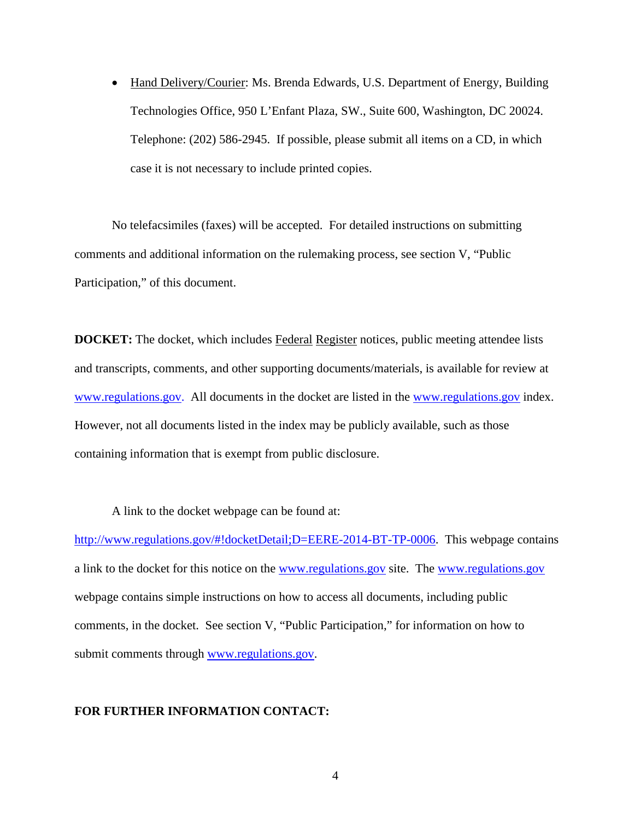• Hand Delivery/Courier: Ms. Brenda Edwards, U.S. Department of Energy, Building Technologies Office, 950 L'Enfant Plaza, SW., Suite 600, Washington, DC 20024. Telephone: (202) 586-2945. If possible, please submit all items on a CD, in which case it is not necessary to include printed copies.

No telefacsimiles (faxes) will be accepted. For detailed instructions on submitting comments and additional information on the rulemaking process, see section [V,](#page-91-0) "Public Participation," of this document.

**DOCKET:** The docket, which includes Federal Register notices, public meeting attendee lists and transcripts, comments, and other supporting documents/materials, is available for review at [www.regulations.gov.](http://www.regulations.gov/) All documents in the docket are listed in the [www.regulations.gov](http://www.regulations.gov/) index. However, not all documents listed in the index may be publicly available, such as those containing information that is exempt from public disclosure.

A link to the docket webpage can be found at:

[http://www.regulations.gov/#!docketDetail;D=EERE-2014-BT-TP-0006.](http://www.regulations.gov/#!docketDetail;D=EERE-2014-BT-TP-0006) This webpage contains a link to the docket for this notice on the [www.regulations.gov](http://www.regulations.gov/) site. The [www.regulations.gov](http://www.regulations.gov/) webpage contains simple instructions on how to access all documents, including public comments, in the docket. See section [V,](#page-91-0) "Public Participation," for information on how to submit comments through [www.regulations.gov.](http://www.regulations.gov/)

# **FOR FURTHER INFORMATION CONTACT:**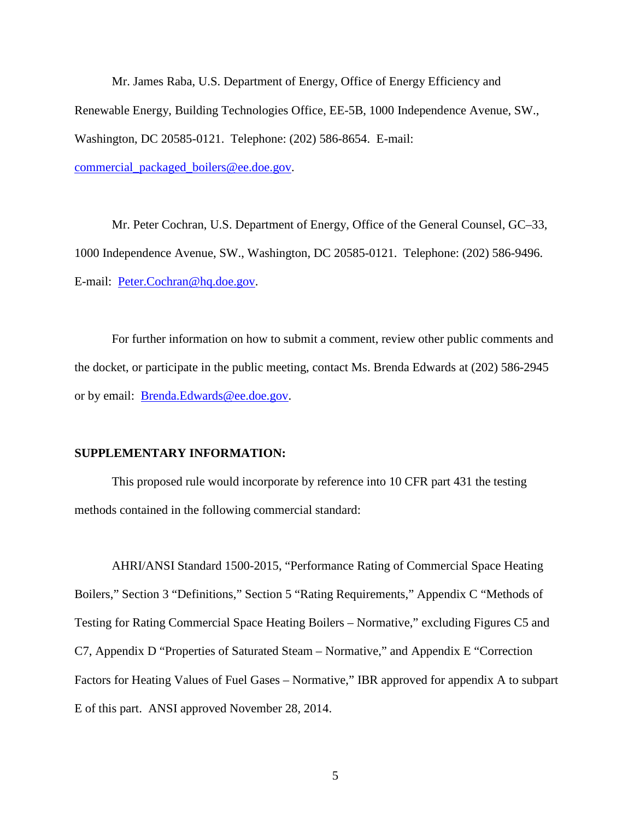Mr. James Raba, U.S. Department of Energy, Office of Energy Efficiency and Renewable Energy, Building Technologies Office, EE-5B, 1000 Independence Avenue, SW., Washington, DC 20585-0121. Telephone: (202) 586-8654. E-mail: [commercial\\_packaged\\_boilers@ee.doe.gov.](mailto:commercial_packaged_boilers@ee.doe.gov)

Mr. Peter Cochran, U.S. Department of Energy, Office of the General Counsel, GC–33, 1000 Independence Avenue, SW., Washington, DC 20585-0121. Telephone: (202) 586-9496. E-mail: [Peter.Cochran@hq.doe.gov.](mailto:Peter.Cochran@hq.doe.gov)

For further information on how to submit a comment, review other public comments and the docket, or participate in the public meeting, contact Ms. Brenda Edwards at (202) 586-2945 or by email: [Brenda.Edwards@ee.doe.gov.](mailto:Brenda.Edwards@ee.doe.gov)

## **SUPPLEMENTARY INFORMATION:**

This proposed rule would incorporate by reference into 10 CFR part 431 the testing methods contained in the following commercial standard:

AHRI/ANSI Standard 1500-2015, "Performance Rating of Commercial Space Heating Boilers," Section 3 "Definitions," Section 5 "Rating Requirements," Appendix C "Methods of Testing for Rating Commercial Space Heating Boilers – Normative," excluding Figures C5 and C7, Appendix D "Properties of Saturated Steam – Normative," and Appendix E "Correction Factors for Heating Values of Fuel Gases – Normative," IBR approved for appendix A to subpart E of this part. ANSI approved November 28, 2014.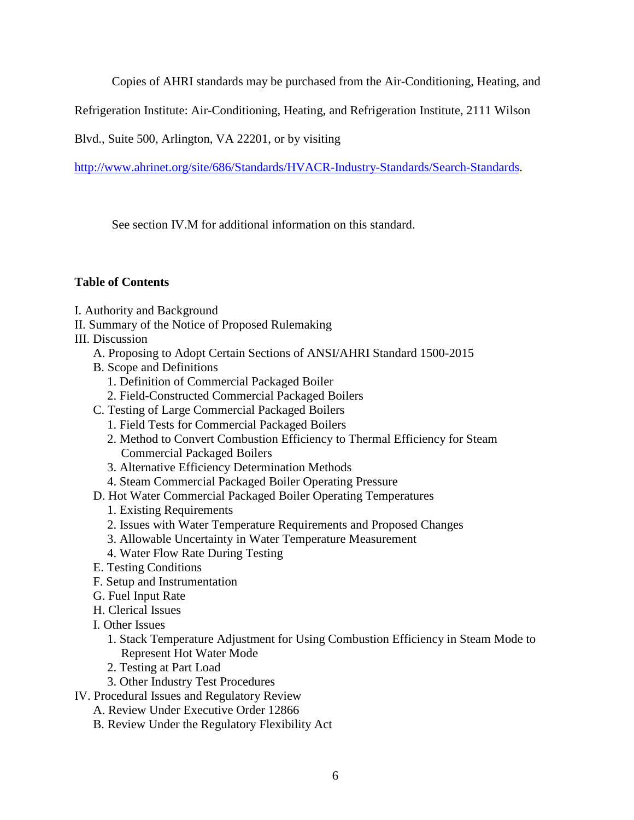Copies of AHRI standards may be purchased from the Air-Conditioning, Heating, and

Refrigeration Institute: Air-Conditioning, Heating, and Refrigeration Institute, 2111 Wilson

Blvd., Suite 500, Arlington, VA 22201, or by visiting

[http://www.ahrinet.org/site/686/Standards/HVACR-Industry-Standards/Search-Standards.](http://www.ahrinet.org/site/686/Standards/HVACR-Industry-Standards/Search-Standards)

See section [IV.M](#page-90-0) for additional information on this standard.

# **Table of Contents**

- [I. Authority and Background](#page-7-0)
- [II. Summary of the Notice of Proposed Rulemaking](#page-11-0)

[III. Discussion](#page-14-0)

- [A. Proposing to Adopt Certain Sections of ANSI/AHRI Standard 1500-2015](#page-14-1)
- [B. Scope and Definitions](#page-16-0)
	- [1. Definition of Commercial Packaged Boiler](#page-16-1)
	- [2. Field-Constructed Commercial Packaged Boilers](#page-18-0)
- [C. Testing of Large Commercial Packaged Boilers](#page-20-0)
	- [1. Field Tests for Commercial Packaged Boilers](#page-22-0)
	- [2. Method to Convert Combustion Efficiency to Thermal Efficiency for Steam](#page-26-0)  [Commercial Packaged Boilers](#page-26-0)
	- [3. Alternative Efficiency Determination Methods](#page-29-0)
	- [4. Steam Commercial Packaged Boiler Operating Pressure](#page-30-0)
- [D. Hot Water Commercial Packaged Boiler Operating Temperatures](#page-33-0)
	- [1. Existing Requirements](#page-34-0)
	- [2. Issues with Water Temperature Requirements and Proposed Changes](#page-37-0)
	- [3. Allowable Uncertainty in Water Temperature Measurement](#page-46-0)
	- [4. Water Flow Rate During Testing](#page-47-0)
- [E. Testing Conditions](#page-50-0)
- [F. Setup and Instrumentation](#page-53-0)
- [G. Fuel Input Rate](#page-60-0)
- [H. Clerical Issues](#page-64-0)
- [I. Other Issues](#page-68-0)
	- [1. Stack Temperature Adjustment for Using Combustion Efficiency in Steam Mode to](#page-69-0)  [Represent Hot Water Mode](#page-69-0)
	- [2. Testing at Part Load](#page-70-0)
	- [3. Other Industry Test Procedures](#page-73-0)
- [IV. Procedural Issues and Regulatory Review](#page-77-0)
	- [A. Review Under Executive Order 12866](#page-77-1)
	- [B. Review Under the Regulatory Flexibility Act](#page-78-0)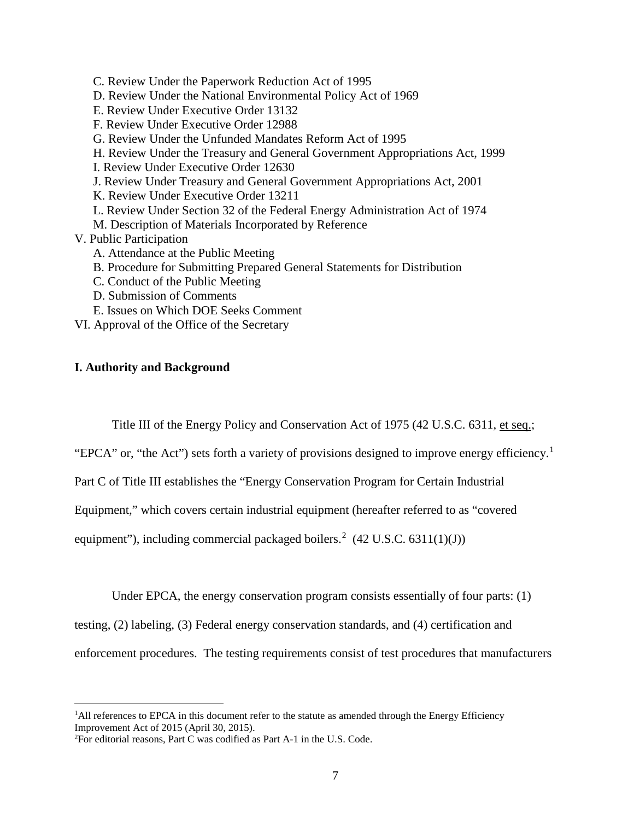[C. Review Under the Paperwork Reduction Act of 1995](#page-83-0) [D. Review Under the National Environmental Policy Act of 1969](#page-84-0) [E. Review Under Executive Order 13132](#page-85-0) [F. Review Under Executive Order 12988](#page-86-0) [G. Review Under the Unfunded Mandates Reform Act of 1995](#page-86-1) [H. Review Under the Treasury and General Government Appropriations Act, 1999](#page-87-0) [I. Review Under Executive Order 12630](#page-88-0) [J. Review Under Treasury and General Government Appropriations Act, 2001](#page-88-1) [K. Review Under Executive Order 13211](#page-88-2) [L. Review Under Section 32 of the Federal Energy Administration Act of 1974](#page-89-0) [M. Description of Materials Incorporated by Reference](#page-90-0) [V. Public Participation](#page-91-0) [A. Attendance at the Public Meeting](#page-91-1) [B. Procedure for Submitting Prepared General Statements for Distribution](#page-92-0) [C. Conduct of the Public Meeting](#page-93-0) [D. Submission of Comments](#page-94-0)

- [E. Issues on Which DOE Seeks Comment](#page-98-0)
- VI. Approval of the Office of the Secretary

# <span id="page-7-3"></span><span id="page-7-0"></span>**I. Authority and Background**

Title III of the Energy Policy and Conservation Act of 1975 (42 U.S.C. 6311, et seq.;

"EPCA" or, "the Act") sets forth a variety of provisions designed to improve energy efficiency.<sup>[1](#page-7-1)</sup>

Part C of Title III establishes the "Energy Conservation Program for Certain Industrial

Equipment," which covers certain industrial equipment (hereafter referred to as "covered

equipment"), including commercial packaged boilers.<sup>[2](#page-7-2)</sup> (42 U.S.C. 6311(1)(J))

Under EPCA, the energy conservation program consists essentially of four parts: (1)

testing, (2) labeling, (3) Federal energy conservation standards, and (4) certification and

enforcement procedures. The testing requirements consist of test procedures that manufacturers

<span id="page-7-1"></span> $\frac{1}{1}$ <sup>1</sup>All references to EPCA in this document refer to the statute as amended through the Energy Efficiency Improvement Act of 2015 (April 30, 2015).

<span id="page-7-2"></span><sup>2</sup> For editorial reasons, Part C was codified as Part A-1 in the U.S. Code.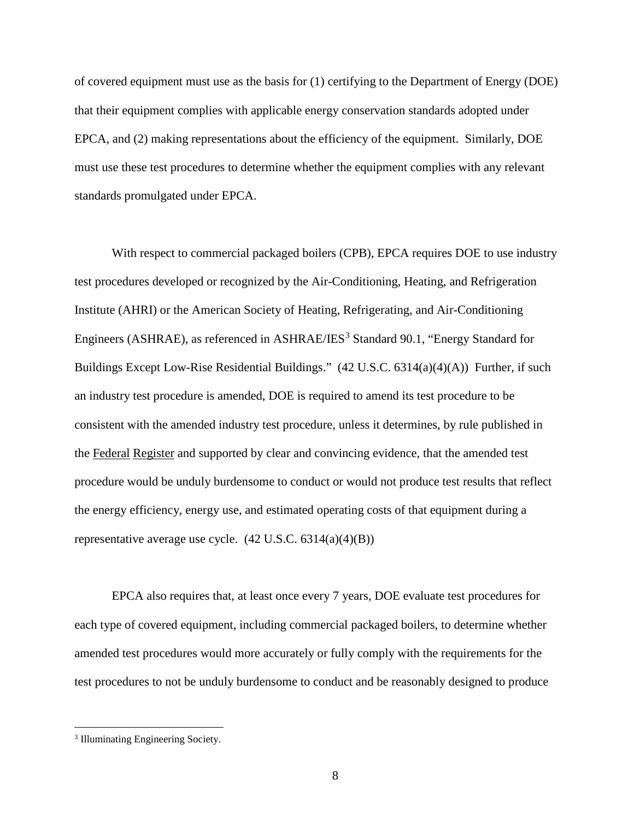of covered equipment must use as the basis for (1) certifying to the Department of Energy (DOE) that their equipment complies with applicable energy conservation standards adopted under EPCA, and (2) making representations about the efficiency of the equipment. Similarly, DOE must use these test procedures to determine whether the equipment complies with any relevant standards promulgated under EPCA.

With respect to commercial packaged boilers (CPB), EPCA requires DOE to use industry test procedures developed or recognized by the Air-Conditioning, Heating, and Refrigeration Institute (AHRI) or the American Society of Heating, Refrigerating, and Air-Conditioning Engineers (ASHRAE), as referenced in ASHRAE/IES<sup>[3](#page-8-0)</sup> Standard 90.1, "Energy Standard for Buildings Except Low-Rise Residential Buildings." (42 U.S.C. 6314(a)(4)(A)) Further, if such an industry test procedure is amended, DOE is required to amend its test procedure to be consistent with the amended industry test procedure, unless it determines, by rule published in the Federal Register and supported by clear and convincing evidence, that the amended test procedure would be unduly burdensome to conduct or would not produce test results that reflect the energy efficiency, energy use, and estimated operating costs of that equipment during a representative average use cycle.  $(42 \text{ U.S.C. } 6314(a)(4)(B))$ 

EPCA also requires that, at least once every 7 years, DOE evaluate test procedures for each type of covered equipment, including commercial packaged boilers, to determine whether amended test procedures would more accurately or fully comply with the requirements for the test procedures to not be unduly burdensome to conduct and be reasonably designed to produce

<span id="page-8-0"></span><sup>&</sup>lt;sup>3</sup> Illuminating Engineering Society.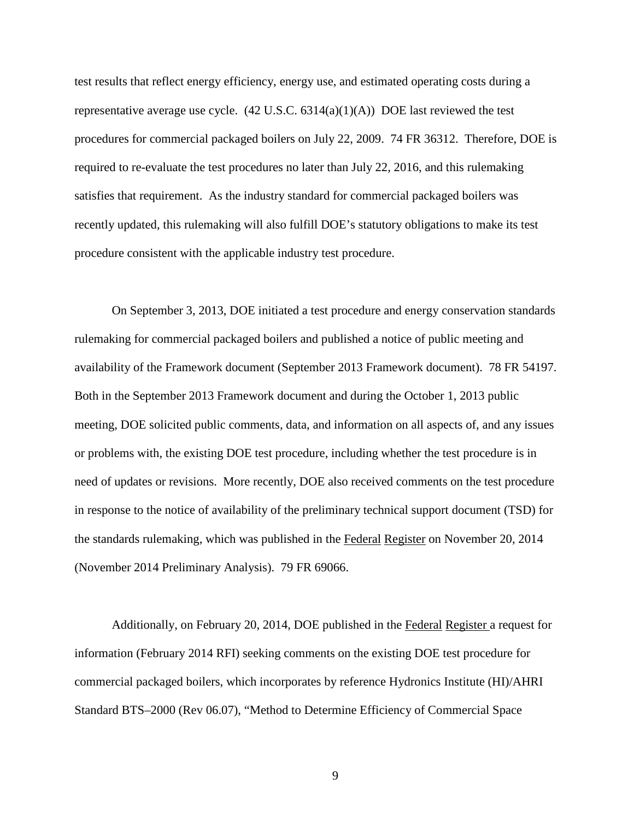test results that reflect energy efficiency, energy use, and estimated operating costs during a representative average use cycle.  $(42 \text{ U.S.C. } 6314(a)(1)(A))$  DOE last reviewed the test procedures for commercial packaged boilers on July 22, 2009. 74 FR 36312. Therefore, DOE is required to re-evaluate the test procedures no later than July 22, 2016, and this rulemaking satisfies that requirement. As the industry standard for commercial packaged boilers was recently updated, this rulemaking will also fulfill DOE's statutory obligations to make its test procedure consistent with the applicable industry test procedure.

On September 3, 2013, DOE initiated a test procedure and energy conservation standards rulemaking for commercial packaged boilers and published a notice of public meeting and availability of the Framework document (September 2013 Framework document). 78 FR 54197. Both in the September 2013 Framework document and during the October 1, 2013 public meeting, DOE solicited public comments, data, and information on all aspects of, and any issues or problems with, the existing DOE test procedure, including whether the test procedure is in need of updates or revisions. More recently, DOE also received comments on the test procedure in response to the notice of availability of the preliminary technical support document (TSD) for the standards rulemaking, which was published in the Federal Register on November 20, 2014 (November 2014 Preliminary Analysis). 79 FR 69066.

Additionally, on February 20, 2014, DOE published in the Federal Register a request for information (February 2014 RFI) seeking comments on the existing DOE test procedure for commercial packaged boilers, which incorporates by reference Hydronics Institute (HI)/AHRI Standard BTS–2000 (Rev 06.07), "Method to Determine Efficiency of Commercial Space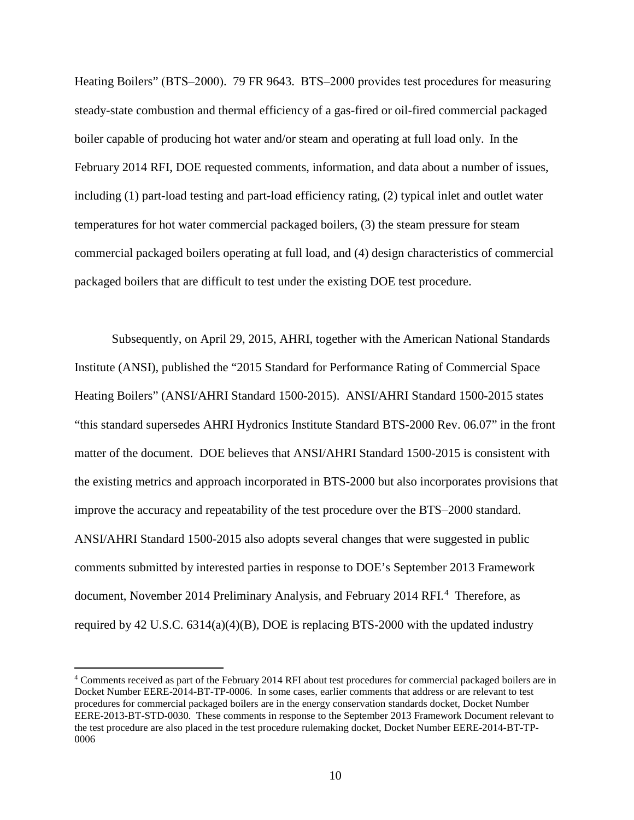Heating Boilers" (BTS–2000). 79 FR 9643. BTS–2000 provides test procedures for measuring steady-state combustion and thermal efficiency of a gas-fired or oil-fired commercial packaged boiler capable of producing hot water and/or steam and operating at full load only. In the February 2014 RFI, DOE requested comments, information, and data about a number of issues, including (1) part-load testing and part-load efficiency rating, (2) typical inlet and outlet water temperatures for hot water commercial packaged boilers, (3) the steam pressure for steam commercial packaged boilers operating at full load, and (4) design characteristics of commercial packaged boilers that are difficult to test under the existing DOE test procedure.

Subsequently, on April 29, 2015, AHRI, together with the American National Standards Institute (ANSI), published the "2015 Standard for Performance Rating of Commercial Space Heating Boilers" (ANSI/AHRI Standard 1500-2015). ANSI/AHRI Standard 1500-2015 states "this standard supersedes AHRI Hydronics Institute Standard BTS-2000 Rev. 06.07" in the front matter of the document. DOE believes that ANSI/AHRI Standard 1500-2015 is consistent with the existing metrics and approach incorporated in BTS-2000 but also incorporates provisions that improve the accuracy and repeatability of the test procedure over the BTS–2000 standard. ANSI/AHRI Standard 1500-2015 also adopts several changes that were suggested in public comments submitted by interested parties in response to DOE's September 2013 Framework document, November 201[4](#page-10-0) Preliminary Analysis, and February 2014 RFI.<sup>4</sup> Therefore, as required by 42 U.S.C. 6314(a)(4)(B), DOE is replacing BTS-2000 with the updated industry

<span id="page-10-0"></span> <sup>4</sup> Comments received as part of the February 2014 RFI about test procedures for commercial packaged boilers are in Docket Number EERE-2014-BT-TP-0006. In some cases, earlier comments that address or are relevant to test procedures for commercial packaged boilers are in the energy conservation standards docket, Docket Number EERE-2013-BT-STD-0030. These comments in response to the September 2013 Framework Document relevant to the test procedure are also placed in the test procedure rulemaking docket, Docket Number EERE-2014-BT-TP-0006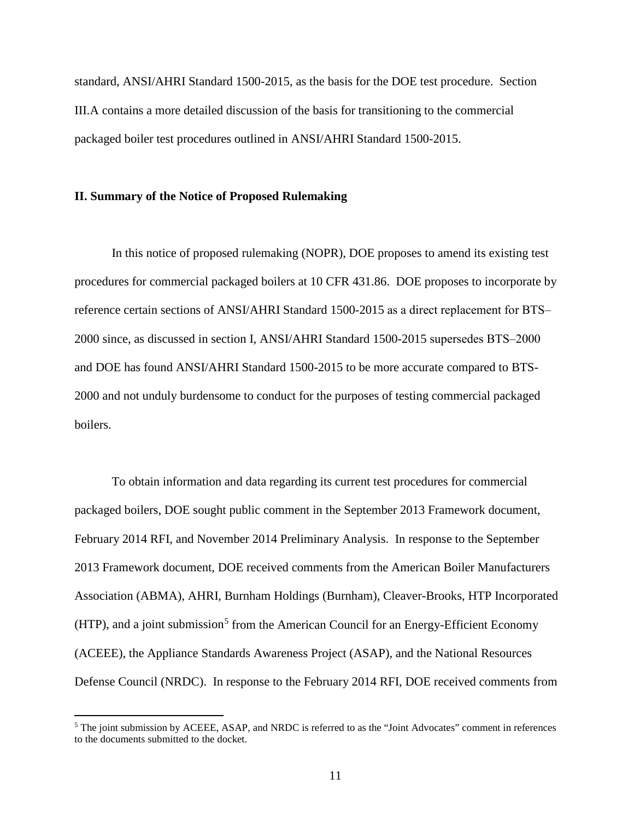standard, ANSI/AHRI Standard 1500-2015, as the basis for the DOE test procedure. Section III.A contains a more detailed discussion of the basis for transitioning to the commercial packaged boiler test procedures outlined in ANSI/AHRI Standard 1500-2015.

#### <span id="page-11-0"></span>**II. Summary of the Notice of Proposed Rulemaking**

In this notice of proposed rulemaking (NOPR), DOE proposes to amend its existing test procedures for commercial packaged boilers at 10 CFR 431.86. DOE proposes to incorporate by reference certain sections of ANSI/AHRI Standard 1500-2015 as a direct replacement for BTS– 2000 since, as discussed in section [I,](#page-7-3) ANSI/AHRI Standard 1500-2015 supersedes BTS–2000 and DOE has found ANSI/AHRI Standard 1500-2015 to be more accurate compared to BTS-2000 and not unduly burdensome to conduct for the purposes of testing commercial packaged boilers.

To obtain information and data regarding its current test procedures for commercial packaged boilers, DOE sought public comment in the September 2013 Framework document, February 2014 RFI, and November 2014 Preliminary Analysis. In response to the September 2013 Framework document, DOE received comments from the American Boiler Manufacturers Association (ABMA), AHRI, Burnham Holdings (Burnham), Cleaver-Brooks, HTP Incorporated  $(HTP)$ , and a joint submission<sup>[5](#page-11-1)</sup> from the American Council for an Energy-Efficient Economy (ACEEE), the Appliance Standards Awareness Project (ASAP), and the National Resources Defense Council (NRDC). In response to the February 2014 RFI, DOE received comments from

<span id="page-11-1"></span> <sup>5</sup> The joint submission by ACEEE, ASAP, and NRDC is referred to as the "Joint Advocates" comment in references to the documents submitted to the docket.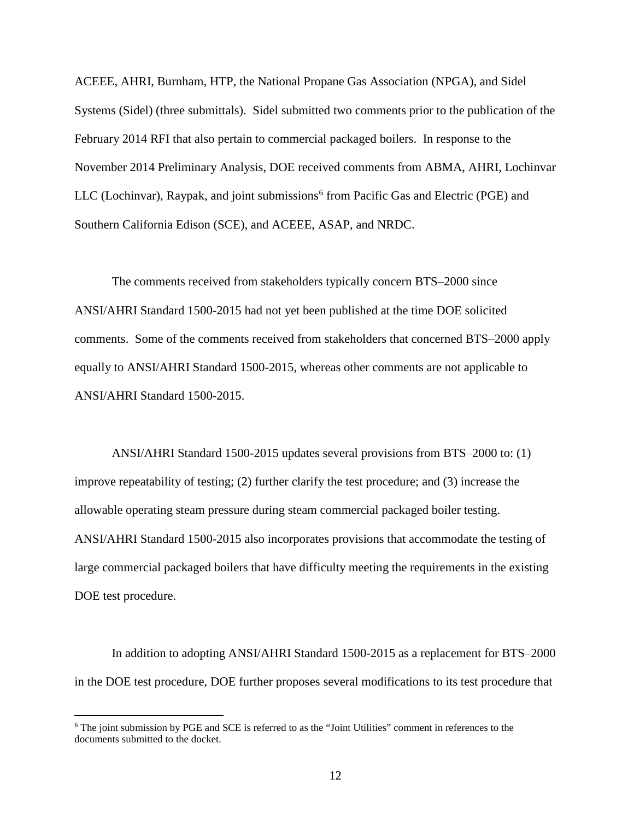ACEEE, AHRI, Burnham, HTP, the National Propane Gas Association (NPGA), and Sidel Systems (Sidel) (three submittals). Sidel submitted two comments prior to the publication of the February 2014 RFI that also pertain to commercial packaged boilers. In response to the November 2014 Preliminary Analysis, DOE received comments from ABMA, AHRI, Lochinvar LLC (Lochinvar), Raypak, and joint submissions $<sup>6</sup>$  $<sup>6</sup>$  $<sup>6</sup>$  from Pacific Gas and Electric (PGE) and</sup> Southern California Edison (SCE), and ACEEE, ASAP, and NRDC.

The comments received from stakeholders typically concern BTS–2000 since ANSI/AHRI Standard 1500-2015 had not yet been published at the time DOE solicited comments. Some of the comments received from stakeholders that concerned BTS–2000 apply equally to ANSI/AHRI Standard 1500-2015, whereas other comments are not applicable to ANSI/AHRI Standard 1500-2015.

ANSI/AHRI Standard 1500-2015 updates several provisions from BTS-2000 to: (1) improve repeatability of testing; (2) further clarify the test procedure; and (3) increase the allowable operating steam pressure during steam commercial packaged boiler testing. ANSI/AHRI Standard 1500-2015 also incorporates provisions that accommodate the testing of large commercial packaged boilers that have difficulty meeting the requirements in the existing DOE test procedure.

In addition to adopting ANSI/AHRI Standard 1500-2015 as a replacement for BTS–2000 in the DOE test procedure, DOE further proposes several modifications to its test procedure that

<span id="page-12-0"></span> <sup>6</sup> The joint submission by PGE and SCE is referred to as the "Joint Utilities" comment in references to the documents submitted to the docket.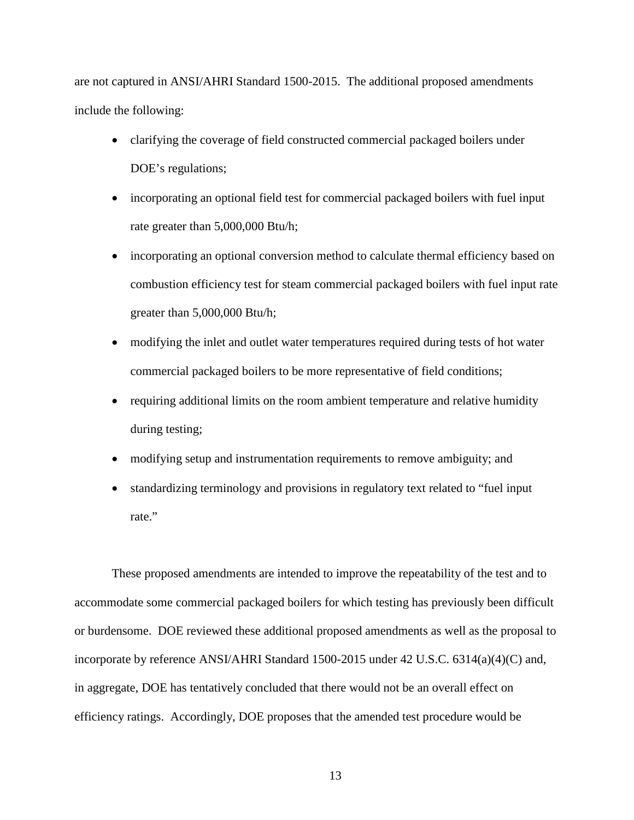are not captured in ANSI/AHRI Standard 1500-2015. The additional proposed amendments include the following:

- clarifying the coverage of field constructed commercial packaged boilers under DOE's regulations;
- incorporating an optional field test for commercial packaged boilers with fuel input rate greater than 5,000,000 Btu/h;
- incorporating an optional conversion method to calculate thermal efficiency based on combustion efficiency test for steam commercial packaged boilers with fuel input rate greater than 5,000,000 Btu/h;
- modifying the inlet and outlet water temperatures required during tests of hot water commercial packaged boilers to be more representative of field conditions;
- requiring additional limits on the room ambient temperature and relative humidity during testing;
- modifying setup and instrumentation requirements to remove ambiguity; and
- standardizing terminology and provisions in regulatory text related to "fuel input rate."

These proposed amendments are intended to improve the repeatability of the test and to accommodate some commercial packaged boilers for which testing has previously been difficult or burdensome. DOE reviewed these additional proposed amendments as well as the proposal to incorporate by reference ANSI/AHRI Standard 1500-2015 under 42 U.S.C. 6314(a)(4)(C) and, in aggregate, DOE has tentatively concluded that there would not be an overall effect on efficiency ratings. Accordingly, DOE proposes that the amended test procedure would be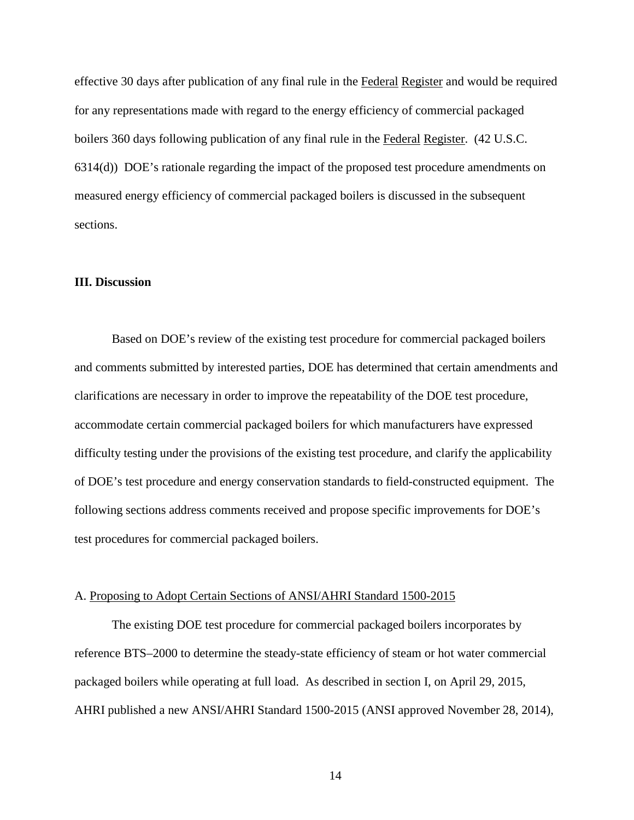effective 30 days after publication of any final rule in the Federal Register and would be required for any representations made with regard to the energy efficiency of commercial packaged boilers 360 days following publication of any final rule in the Federal Register. (42 U.S.C. 6314(d)) DOE's rationale regarding the impact of the proposed test procedure amendments on measured energy efficiency of commercial packaged boilers is discussed in the subsequent sections.

# <span id="page-14-0"></span>**III. Discussion**

Based on DOE's review of the existing test procedure for commercial packaged boilers and comments submitted by interested parties, DOE has determined that certain amendments and clarifications are necessary in order to improve the repeatability of the DOE test procedure, accommodate certain commercial packaged boilers for which manufacturers have expressed difficulty testing under the provisions of the existing test procedure, and clarify the applicability of DOE's test procedure and energy conservation standards to field-constructed equipment. The following sections address comments received and propose specific improvements for DOE's test procedures for commercial packaged boilers.

#### <span id="page-14-1"></span>A. Proposing to Adopt Certain Sections of ANSI/AHRI Standard 1500-2015

The existing DOE test procedure for commercial packaged boilers incorporates by reference BTS–2000 to determine the steady-state efficiency of steam or hot water commercial packaged boilers while operating at full load. As described in section [I,](#page-7-0) on April 29, 2015, AHRI published a new ANSI/AHRI Standard 1500-2015 (ANSI approved November 28, 2014),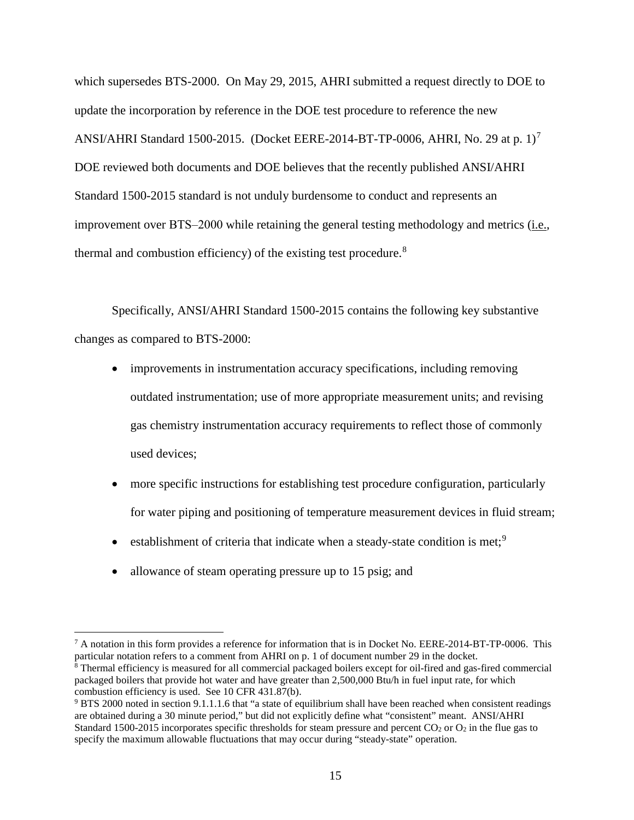which supersedes BTS-2000. On May 29, 2015, AHRI submitted a request directly to DOE to update the incorporation by reference in the DOE test procedure to reference the new ANSI/AHRI Standard 1500-2015. (Docket EERE-2014-BT-TP-0006, AHRI, No. 29 at p. 1)<sup>[7](#page-15-0)</sup> DOE reviewed both documents and DOE believes that the recently published ANSI/AHRI Standard 1500-2015 standard is not unduly burdensome to conduct and represents an improvement over BTS-2000 while retaining the general testing methodology and metrics (i.e., thermal and combustion efficiency) of the existing test procedure.[8](#page-15-1)

Specifically, ANSI/AHRI Standard 1500-2015 contains the following key substantive changes as compared to BTS-2000:

- improvements in instrumentation accuracy specifications, including removing outdated instrumentation; use of more appropriate measurement units; and revising gas chemistry instrumentation accuracy requirements to reflect those of commonly used devices;
- more specific instructions for establishing test procedure configuration, particularly for water piping and positioning of temperature measurement devices in fluid stream;
- establishment of criteria that indicate when a steady-state condition is met;<sup>[9](#page-15-2)</sup>
- allowance of steam operating pressure up to 15 psig; and

<span id="page-15-0"></span><sup>&</sup>lt;sup>7</sup> A notation in this form provides a reference for information that is in Docket No. EERE-2014-BT-TP-0006. This particular notation refers to a comment from AHRI on p. 1 of document number 29 in the docket.

<span id="page-15-1"></span> $8$  Thermal efficiency is measured for all commercial packaged boilers except for oil-fired and gas-fired commercial packaged boilers that provide hot water and have greater than 2,500,000 Btu/h in fuel input rate, for which combustion efficiency is used. See 10 CFR 431.87(b).

<span id="page-15-2"></span><sup>9</sup> BTS 2000 noted in section 9.1.1.1.6 that "a state of equilibrium shall have been reached when consistent readings are obtained during a 30 minute period," but did not explicitly define what "consistent" meant. ANSI/AHRI Standard 1500-2015 incorporates specific thresholds for steam pressure and percent  $CO<sub>2</sub>$  or  $O<sub>2</sub>$  in the flue gas to specify the maximum allowable fluctuations that may occur during "steady-state" operation.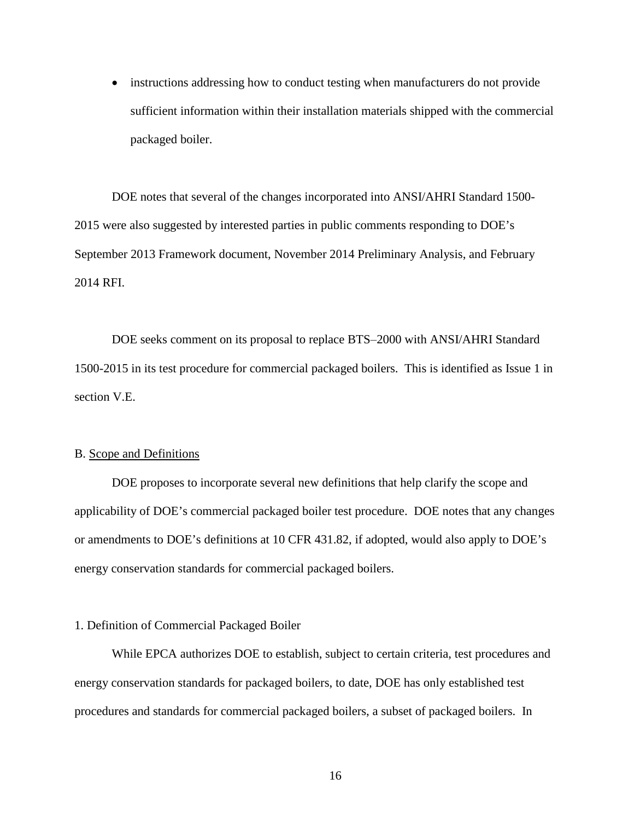• instructions addressing how to conduct testing when manufacturers do not provide sufficient information within their installation materials shipped with the commercial packaged boiler.

DOE notes that several of the changes incorporated into ANSI/AHRI Standard 1500- 2015 were also suggested by interested parties in public comments responding to DOE's September 2013 Framework document, November 2014 Preliminary Analysis, and February 2014 RFI.

DOE seeks comment on its proposal to replace BTS–2000 with ANSI/AHRI Standard 1500-2015 in its test procedure for commercial packaged boilers. This is identified as Issue [1](#page-98-1) in section [V.E.](#page-98-2)

#### <span id="page-16-0"></span>B. Scope and Definitions

DOE proposes to incorporate several new definitions that help clarify the scope and applicability of DOE's commercial packaged boiler test procedure. DOE notes that any changes or amendments to DOE's definitions at 10 CFR 431.82, if adopted, would also apply to DOE's energy conservation standards for commercial packaged boilers.

# <span id="page-16-1"></span>1. Definition of Commercial Packaged Boiler

While EPCA authorizes DOE to establish, subject to certain criteria, test procedures and energy conservation standards for packaged boilers, to date, DOE has only established test procedures and standards for commercial packaged boilers, a subset of packaged boilers. In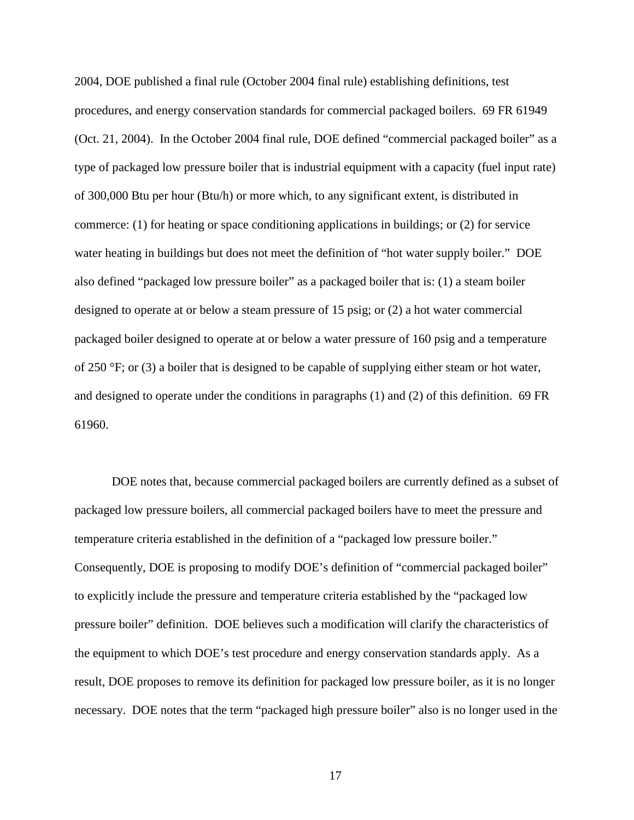2004, DOE published a final rule (October 2004 final rule) establishing definitions, test procedures, and energy conservation standards for commercial packaged boilers. 69 FR 61949 (Oct. 21, 2004). In the October 2004 final rule, DOE defined "commercial packaged boiler" as a type of packaged low pressure boiler that is industrial equipment with a capacity (fuel input rate) of 300,000 Btu per hour (Btu/h) or more which, to any significant extent, is distributed in commerce: (1) for heating or space conditioning applications in buildings; or (2) for service water heating in buildings but does not meet the definition of "hot water supply boiler." DOE also defined "packaged low pressure boiler" as a packaged boiler that is: (1) a steam boiler designed to operate at or below a steam pressure of 15 psig; or (2) a hot water commercial packaged boiler designed to operate at or below a water pressure of 160 psig and a temperature of 250 °F; or (3) a boiler that is designed to be capable of supplying either steam or hot water, and designed to operate under the conditions in paragraphs (1) and (2) of this definition. 69 FR 61960.

DOE notes that, because commercial packaged boilers are currently defined as a subset of packaged low pressure boilers, all commercial packaged boilers have to meet the pressure and temperature criteria established in the definition of a "packaged low pressure boiler." Consequently, DOE is proposing to modify DOE's definition of "commercial packaged boiler" to explicitly include the pressure and temperature criteria established by the "packaged low pressure boiler" definition. DOE believes such a modification will clarify the characteristics of the equipment to which DOE's test procedure and energy conservation standards apply. As a result, DOE proposes to remove its definition for packaged low pressure boiler, as it is no longer necessary. DOE notes that the term "packaged high pressure boiler" also is no longer used in the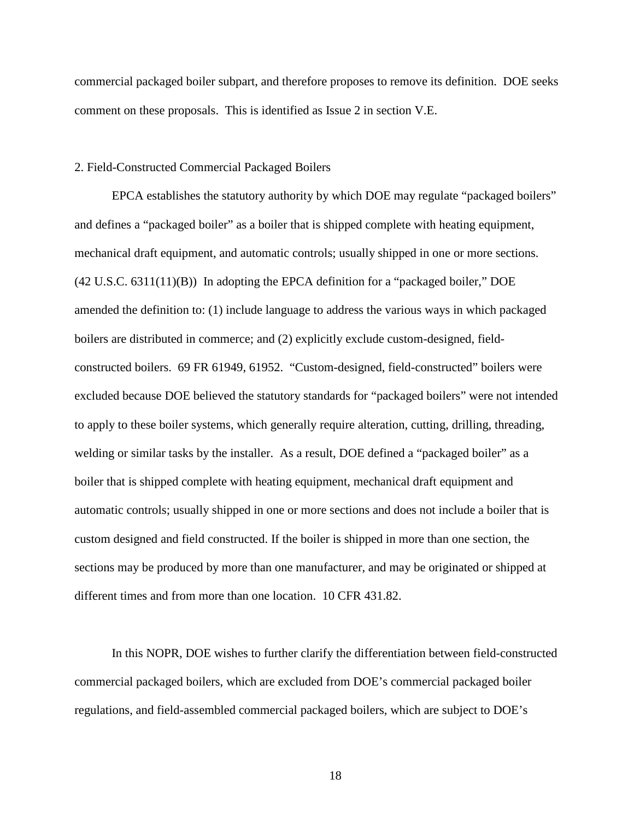commercial packaged boiler subpart, and therefore proposes to remove its definition. DOE seeks comment on these proposals. This is identified as Issue [2](#page-98-3) in section [V.E.](#page-98-0)

# <span id="page-18-0"></span>2. Field-Constructed Commercial Packaged Boilers

EPCA establishes the statutory authority by which DOE may regulate "packaged boilers" and defines a "packaged boiler" as a boiler that is shipped complete with heating equipment, mechanical draft equipment, and automatic controls; usually shipped in one or more sections. (42 U.S.C. 6311(11)(B)) In adopting the EPCA definition for a "packaged boiler," DOE amended the definition to: (1) include language to address the various ways in which packaged boilers are distributed in commerce; and (2) explicitly exclude custom-designed, fieldconstructed boilers. 69 FR 61949, 61952. "Custom-designed, field-constructed" boilers were excluded because DOE believed the statutory standards for "packaged boilers" were not intended to apply to these boiler systems, which generally require alteration, cutting, drilling, threading, welding or similar tasks by the installer. As a result, DOE defined a "packaged boiler" as a boiler that is shipped complete with heating equipment, mechanical draft equipment and automatic controls; usually shipped in one or more sections and does not include a boiler that is custom designed and field constructed. If the boiler is shipped in more than one section, the sections may be produced by more than one manufacturer, and may be originated or shipped at different times and from more than one location. 10 CFR 431.82.

In this NOPR, DOE wishes to further clarify the differentiation between field-constructed commercial packaged boilers, which are excluded from DOE's commercial packaged boiler regulations, and field-assembled commercial packaged boilers, which are subject to DOE's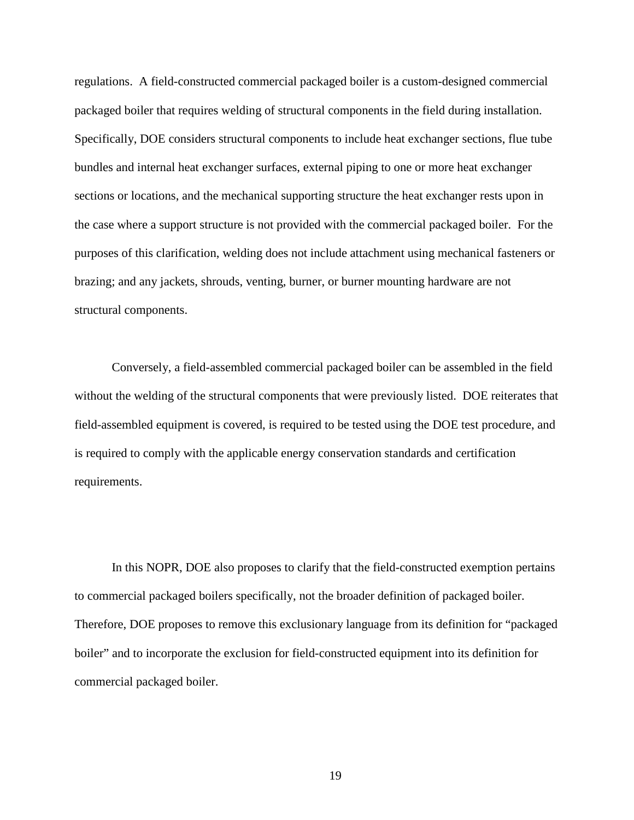regulations. A field-constructed commercial packaged boiler is a custom-designed commercial packaged boiler that requires welding of structural components in the field during installation. Specifically, DOE considers structural components to include heat exchanger sections, flue tube bundles and internal heat exchanger surfaces, external piping to one or more heat exchanger sections or locations, and the mechanical supporting structure the heat exchanger rests upon in the case where a support structure is not provided with the commercial packaged boiler. For the purposes of this clarification, welding does not include attachment using mechanical fasteners or brazing; and any jackets, shrouds, venting, burner, or burner mounting hardware are not structural components.

Conversely, a field-assembled commercial packaged boiler can be assembled in the field without the welding of the structural components that were previously listed. DOE reiterates that field-assembled equipment is covered, is required to be tested using the DOE test procedure, and is required to comply with the applicable energy conservation standards and certification requirements.

In this NOPR, DOE also proposes to clarify that the field-constructed exemption pertains to commercial packaged boilers specifically, not the broader definition of packaged boiler. Therefore, DOE proposes to remove this exclusionary language from its definition for "packaged boiler" and to incorporate the exclusion for field-constructed equipment into its definition for commercial packaged boiler.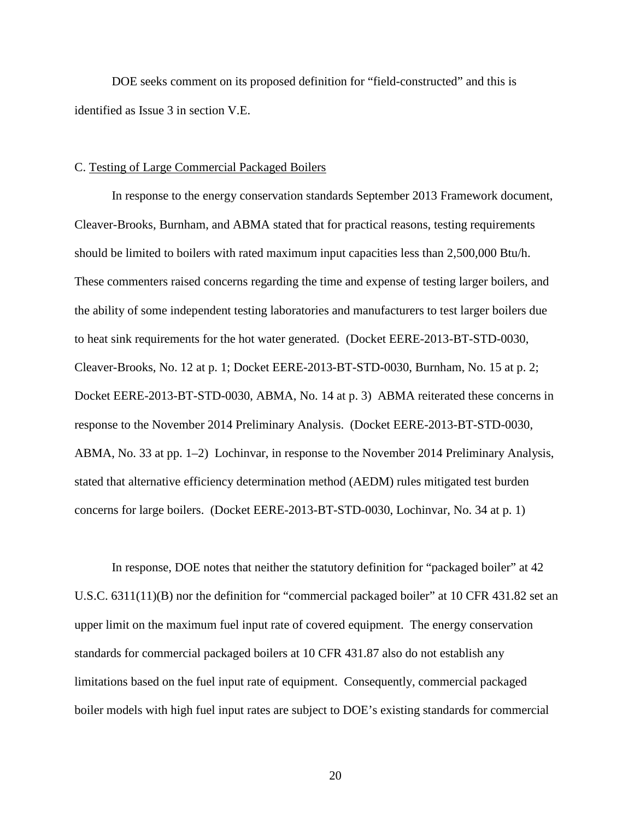DOE seeks comment on its proposed definition for "field-constructed" and this is identified as Issue [3](#page-98-4) in section [V.E.](#page-98-0)

## <span id="page-20-0"></span>C. Testing of Large Commercial Packaged Boilers

In response to the energy conservation standards September 2013 Framework document, Cleaver-Brooks, Burnham, and ABMA stated that for practical reasons, testing requirements should be limited to boilers with rated maximum input capacities less than 2,500,000 Btu/h. These commenters raised concerns regarding the time and expense of testing larger boilers, and the ability of some independent testing laboratories and manufacturers to test larger boilers due to heat sink requirements for the hot water generated. (Docket EERE-2013-BT-STD-0030, Cleaver-Brooks, No. 12 at p. 1; Docket EERE-2013-BT-STD-0030, Burnham, No. 15 at p. 2; Docket EERE-2013-BT-STD-0030, ABMA, No. 14 at p. 3) ABMA reiterated these concerns in response to the November 2014 Preliminary Analysis. (Docket EERE-2013-BT-STD-0030, ABMA, No. 33 at pp. 1–2) Lochinvar, in response to the November 2014 Preliminary Analysis, stated that alternative efficiency determination method (AEDM) rules mitigated test burden concerns for large boilers. (Docket EERE-2013-BT-STD-0030, Lochinvar, No. 34 at p. 1)

In response, DOE notes that neither the statutory definition for "packaged boiler" at 42 U.S.C. 6311(11)(B) nor the definition for "commercial packaged boiler" at 10 CFR 431.82 set an upper limit on the maximum fuel input rate of covered equipment. The energy conservation standards for commercial packaged boilers at 10 CFR 431.87 also do not establish any limitations based on the fuel input rate of equipment. Consequently, commercial packaged boiler models with high fuel input rates are subject to DOE's existing standards for commercial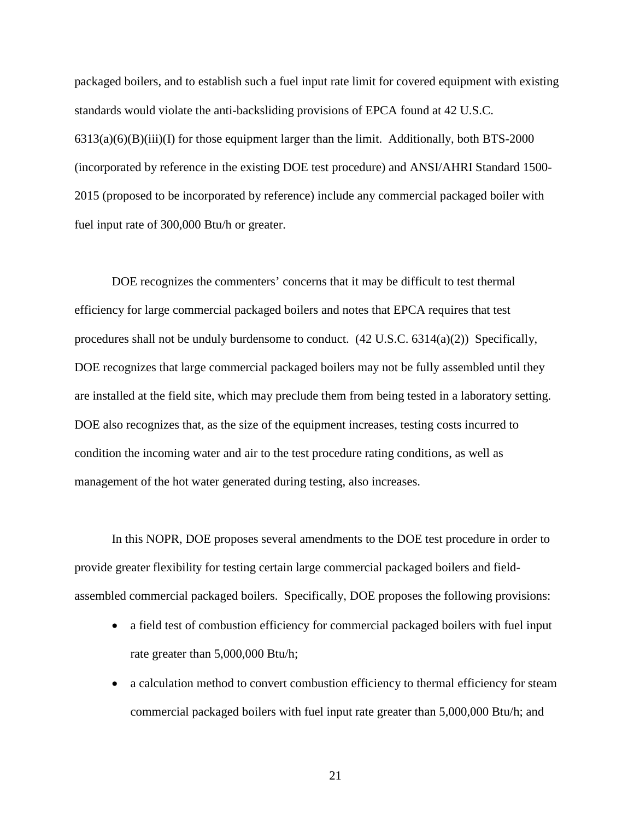packaged boilers, and to establish such a fuel input rate limit for covered equipment with existing standards would violate the anti-backsliding provisions of EPCA found at 42 U.S.C.  $6313(a)(6)(B)(iii)(I)$  for those equipment larger than the limit. Additionally, both BTS-2000 (incorporated by reference in the existing DOE test procedure) and ANSI/AHRI Standard 1500- 2015 (proposed to be incorporated by reference) include any commercial packaged boiler with fuel input rate of 300,000 Btu/h or greater.

DOE recognizes the commenters' concerns that it may be difficult to test thermal efficiency for large commercial packaged boilers and notes that EPCA requires that test procedures shall not be unduly burdensome to conduct. (42 U.S.C. 6314(a)(2)) Specifically, DOE recognizes that large commercial packaged boilers may not be fully assembled until they are installed at the field site, which may preclude them from being tested in a laboratory setting. DOE also recognizes that, as the size of the equipment increases, testing costs incurred to condition the incoming water and air to the test procedure rating conditions, as well as management of the hot water generated during testing, also increases.

In this NOPR, DOE proposes several amendments to the DOE test procedure in order to provide greater flexibility for testing certain large commercial packaged boilers and fieldassembled commercial packaged boilers. Specifically, DOE proposes the following provisions:

- a field test of combustion efficiency for commercial packaged boilers with fuel input rate greater than 5,000,000 Btu/h;
- a calculation method to convert combustion efficiency to thermal efficiency for steam commercial packaged boilers with fuel input rate greater than 5,000,000 Btu/h; and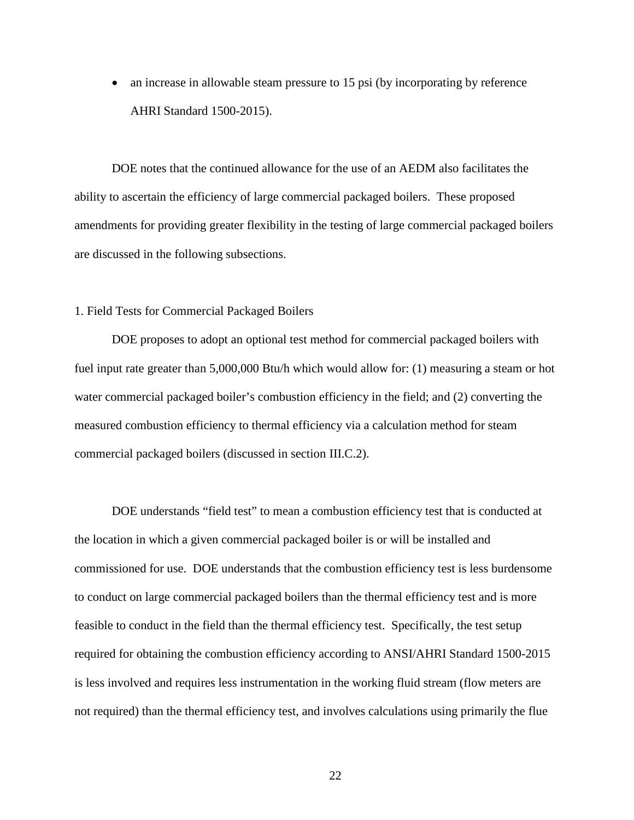• an increase in allowable steam pressure to 15 psi (by incorporating by reference AHRI Standard 1500-2015).

DOE notes that the continued allowance for the use of an AEDM also facilitates the ability to ascertain the efficiency of large commercial packaged boilers. These proposed amendments for providing greater flexibility in the testing of large commercial packaged boilers are discussed in the following subsections.

#### <span id="page-22-1"></span><span id="page-22-0"></span>1. Field Tests for Commercial Packaged Boilers

DOE proposes to adopt an optional test method for commercial packaged boilers with fuel input rate greater than 5,000,000 Btu/h which would allow for: (1) measuring a steam or hot water commercial packaged boiler's combustion efficiency in the field; and (2) converting the measured combustion efficiency to thermal efficiency via a calculation method for steam commercial packaged boilers (discussed in section [III.C.2\)](#page-26-0).

DOE understands "field test" to mean a combustion efficiency test that is conducted at the location in which a given commercial packaged boiler is or will be installed and commissioned for use. DOE understands that the combustion efficiency test is less burdensome to conduct on large commercial packaged boilers than the thermal efficiency test and is more feasible to conduct in the field than the thermal efficiency test. Specifically, the test setup required for obtaining the combustion efficiency according to ANSI/AHRI Standard 1500-2015 is less involved and requires less instrumentation in the working fluid stream (flow meters are not required) than the thermal efficiency test, and involves calculations using primarily the flue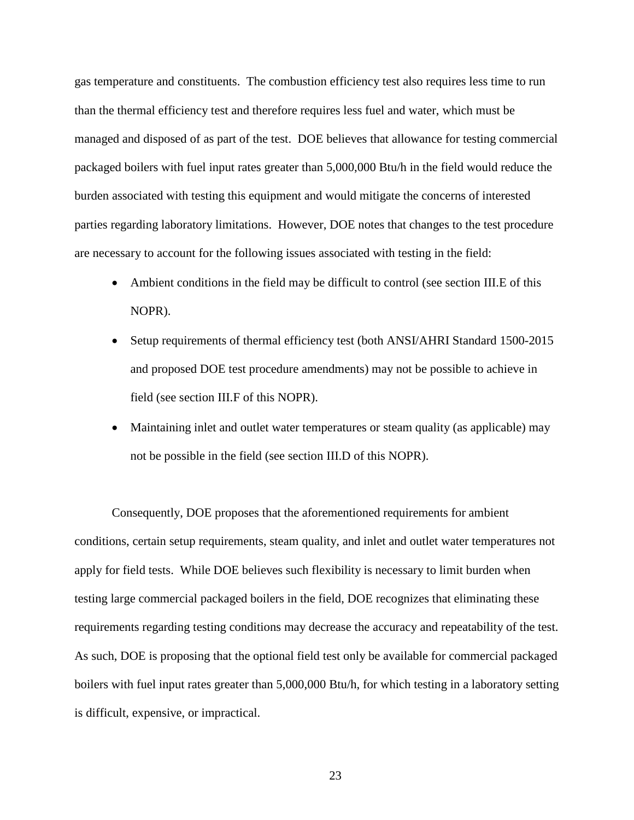gas temperature and constituents. The combustion efficiency test also requires less time to run than the thermal efficiency test and therefore requires less fuel and water, which must be managed and disposed of as part of the test. DOE believes that allowance for testing commercial packaged boilers with fuel input rates greater than 5,000,000 Btu/h in the field would reduce the burden associated with testing this equipment and would mitigate the concerns of interested parties regarding laboratory limitations. However, DOE notes that changes to the test procedure are necessary to account for the following issues associated with testing in the field:

- Ambient conditions in the field may be difficult to control (see section [III.E](#page-50-1) of this NOPR).
- Setup requirements of thermal efficiency test (both ANSI/AHRI Standard 1500-2015 and proposed DOE test procedure amendments) may not be possible to achieve in field (see section [III.F](#page-53-1) of this NOPR).
- Maintaining inlet and outlet water temperatures or steam quality (as applicable) may not be possible in the field (see section [III.D](#page-33-1) of this NOPR).

Consequently, DOE proposes that the aforementioned requirements for ambient conditions, certain setup requirements, steam quality, and inlet and outlet water temperatures not apply for field tests. While DOE believes such flexibility is necessary to limit burden when testing large commercial packaged boilers in the field, DOE recognizes that eliminating these requirements regarding testing conditions may decrease the accuracy and repeatability of the test. As such, DOE is proposing that the optional field test only be available for commercial packaged boilers with fuel input rates greater than 5,000,000 Btu/h, for which testing in a laboratory setting is difficult, expensive, or impractical.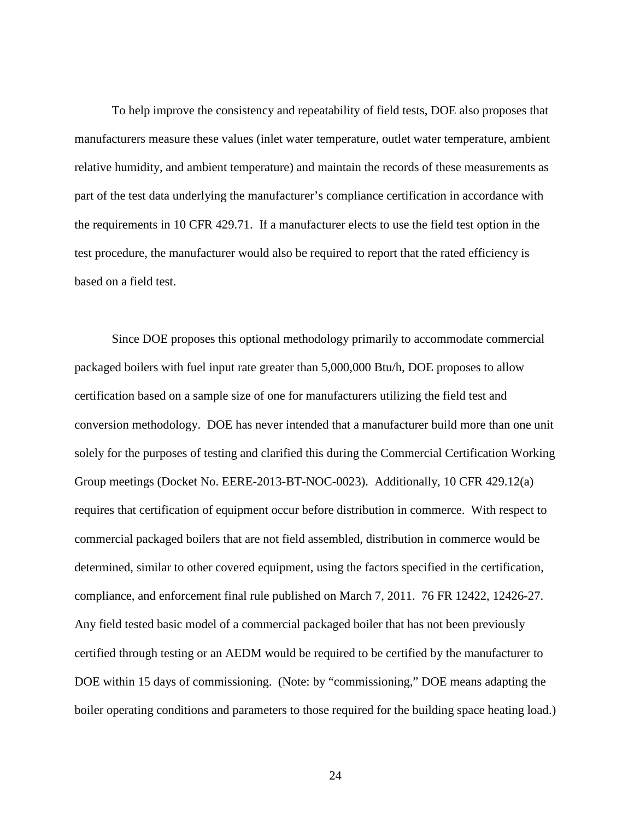To help improve the consistency and repeatability of field tests, DOE also proposes that manufacturers measure these values (inlet water temperature, outlet water temperature, ambient relative humidity, and ambient temperature) and maintain the records of these measurements as part of the test data underlying the manufacturer's compliance certification in accordance with the requirements in 10 CFR 429.71. If a manufacturer elects to use the field test option in the test procedure, the manufacturer would also be required to report that the rated efficiency is based on a field test.

Since DOE proposes this optional methodology primarily to accommodate commercial packaged boilers with fuel input rate greater than 5,000,000 Btu/h, DOE proposes to allow certification based on a sample size of one for manufacturers utilizing the field test and conversion methodology. DOE has never intended that a manufacturer build more than one unit solely for the purposes of testing and clarified this during the Commercial Certification Working Group meetings (Docket No. EERE-2013-BT-NOC-0023). Additionally, 10 CFR 429.12(a) requires that certification of equipment occur before distribution in commerce. With respect to commercial packaged boilers that are not field assembled, distribution in commerce would be determined, similar to other covered equipment, using the factors specified in the certification, compliance, and enforcement final rule published on March 7, 2011. 76 FR 12422, 12426-27. Any field tested basic model of a commercial packaged boiler that has not been previously certified through testing or an AEDM would be required to be certified by the manufacturer to DOE within 15 days of commissioning. (Note: by "commissioning," DOE means adapting the boiler operating conditions and parameters to those required for the building space heating load.)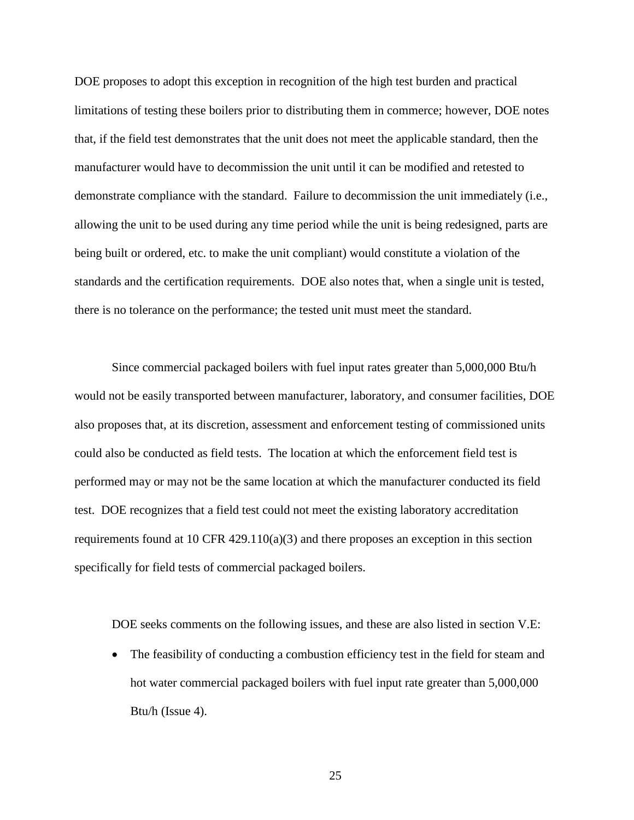DOE proposes to adopt this exception in recognition of the high test burden and practical limitations of testing these boilers prior to distributing them in commerce; however, DOE notes that, if the field test demonstrates that the unit does not meet the applicable standard, then the manufacturer would have to decommission the unit until it can be modified and retested to demonstrate compliance with the standard. Failure to decommission the unit immediately (i.e., allowing the unit to be used during any time period while the unit is being redesigned, parts are being built or ordered, etc. to make the unit compliant) would constitute a violation of the standards and the certification requirements. DOE also notes that, when a single unit is tested, there is no tolerance on the performance; the tested unit must meet the standard.

Since commercial packaged boilers with fuel input rates greater than 5,000,000 Btu/h would not be easily transported between manufacturer, laboratory, and consumer facilities, DOE also proposes that, at its discretion, assessment and enforcement testing of commissioned units could also be conducted as field tests. The location at which the enforcement field test is performed may or may not be the same location at which the manufacturer conducted its field test. DOE recognizes that a field test could not meet the existing laboratory accreditation requirements found at 10 CFR  $429.110(a)(3)$  and there proposes an exception in this section specifically for field tests of commercial packaged boilers.

DOE seeks comments on the following issues, and these are also listed in section [V.E:](#page-98-2)

• The feasibility of conducting a combustion efficiency test in the field for steam and hot water commercial packaged boilers with fuel input rate greater than 5,000,000 Btu/h (Issue [4\)](#page-98-5).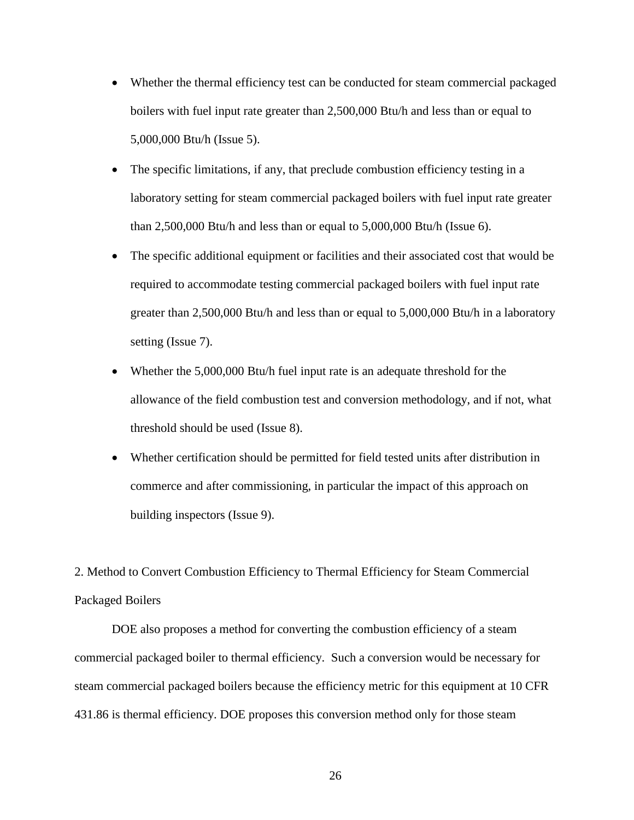- Whether the thermal efficiency test can be conducted for steam commercial packaged boilers with fuel input rate greater than 2,500,000 Btu/h and less than or equal to 5,000,000 Btu/h (Issue [5\)](#page-98-6).
- The specific limitations, if any, that preclude combustion efficiency testing in a laboratory setting for steam commercial packaged boilers with fuel input rate greater than 2,500,000 Btu/h and less than or equal to 5,000,000 Btu/h (Issue [6\)](#page-98-7).
- The specific additional equipment or facilities and their associated cost that would be required to accommodate testing commercial packaged boilers with fuel input rate greater than 2,500,000 Btu/h and less than or equal to 5,000,000 Btu/h in a laboratory setting (Issue [7\)](#page-98-8).
- Whether the 5,000,000 Btu/h fuel input rate is an adequate threshold for the allowance of the field combustion test and conversion methodology, and if not, what threshold should be used (Issue [8\)](#page-99-0).
- Whether certification should be permitted for field tested units after distribution in commerce and after commissioning, in particular the impact of this approach on building inspectors (Issue [9\)](#page-99-1).

<span id="page-26-0"></span>2. Method to Convert Combustion Efficiency to Thermal Efficiency for Steam Commercial Packaged Boilers

DOE also proposes a method for converting the combustion efficiency of a steam commercial packaged boiler to thermal efficiency. Such a conversion would be necessary for steam commercial packaged boilers because the efficiency metric for this equipment at 10 CFR 431.86 is thermal efficiency. DOE proposes this conversion method only for those steam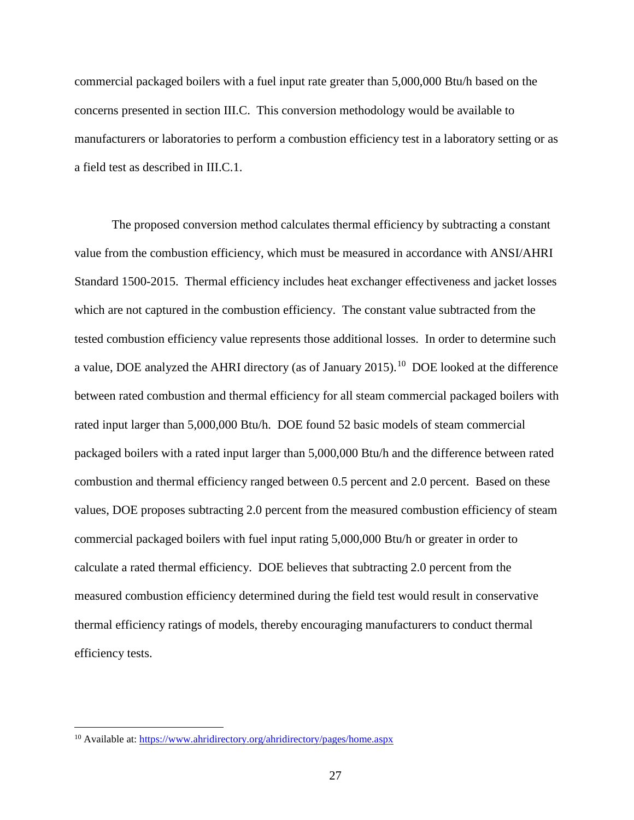commercial packaged boilers with a fuel input rate greater than 5,000,000 Btu/h based on the concerns presented in section [III.C.](#page-20-0) This conversion methodology would be available to manufacturers or laboratories to perform a combustion efficiency test in a laboratory setting or as a field test as described in [III.C.1.](#page-22-0)

The proposed conversion method calculates thermal efficiency by subtracting a constant value from the combustion efficiency, which must be measured in accordance with ANSI/AHRI Standard 1500-2015. Thermal efficiency includes heat exchanger effectiveness and jacket losses which are not captured in the combustion efficiency. The constant value subtracted from the tested combustion efficiency value represents those additional losses. In order to determine such a value, DOE analyzed the AHRI directory (as of January 2015).<sup>[10](#page-27-0)</sup> DOE looked at the difference between rated combustion and thermal efficiency for all steam commercial packaged boilers with rated input larger than 5,000,000 Btu/h. DOE found 52 basic models of steam commercial packaged boilers with a rated input larger than 5,000,000 Btu/h and the difference between rated combustion and thermal efficiency ranged between 0.5 percent and 2.0 percent. Based on these values, DOE proposes subtracting 2.0 percent from the measured combustion efficiency of steam commercial packaged boilers with fuel input rating 5,000,000 Btu/h or greater in order to calculate a rated thermal efficiency. DOE believes that subtracting 2.0 percent from the measured combustion efficiency determined during the field test would result in conservative thermal efficiency ratings of models, thereby encouraging manufacturers to conduct thermal efficiency tests.

<span id="page-27-0"></span><sup>&</sup>lt;sup>10</sup> Available at:<https://www.ahridirectory.org/ahridirectory/pages/home.aspx>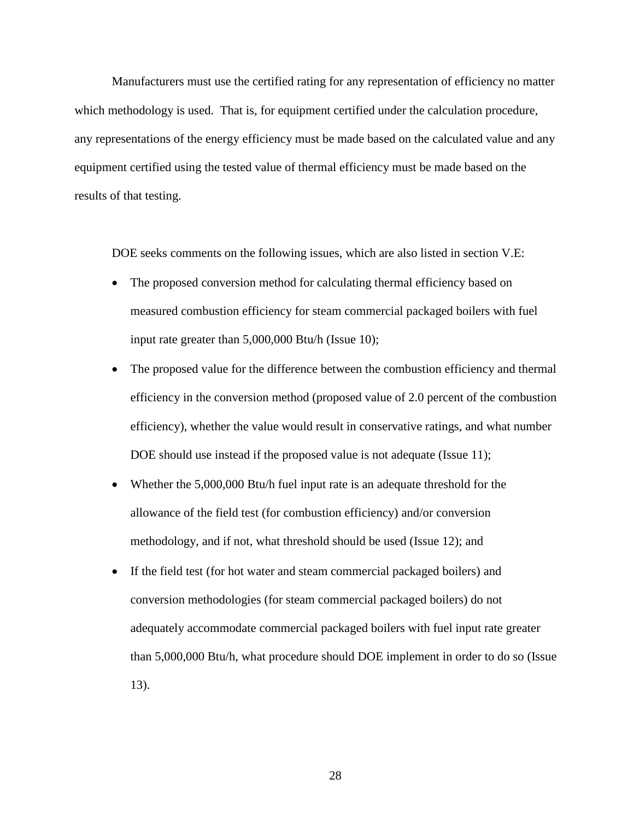Manufacturers must use the certified rating for any representation of efficiency no matter which methodology is used. That is, for equipment certified under the calculation procedure, any representations of the energy efficiency must be made based on the calculated value and any equipment certified using the tested value of thermal efficiency must be made based on the results of that testing.

DOE seeks comments on the following issues, which are also listed in section [V.E:](#page-98-2)

- The proposed conversion method for calculating thermal efficiency based on measured combustion efficiency for steam commercial packaged boilers with fuel input rate greater than 5,000,000 Btu/h (Issue [10\)](#page-99-2);
- The proposed value for the difference between the combustion efficiency and thermal efficiency in the conversion method (proposed value of 2.0 percent of the combustion efficiency), whether the value would result in conservative ratings, and what number DOE should use instead if the proposed value is not adequate (Issue [11\)](#page-99-3);
- Whether the 5,000,000 Btu/h fuel input rate is an adequate threshold for the allowance of the field test (for combustion efficiency) and/or conversion methodology, and if not, what threshold should be used (Issue [12\)](#page-99-4); and
- If the field test (for hot water and steam commercial packaged boilers) and conversion methodologies (for steam commercial packaged boilers) do not adequately accommodate commercial packaged boilers with fuel input rate greater than 5,000,000 Btu/h, what procedure should DOE implement in order to do so (Issue [13\)](#page-99-5).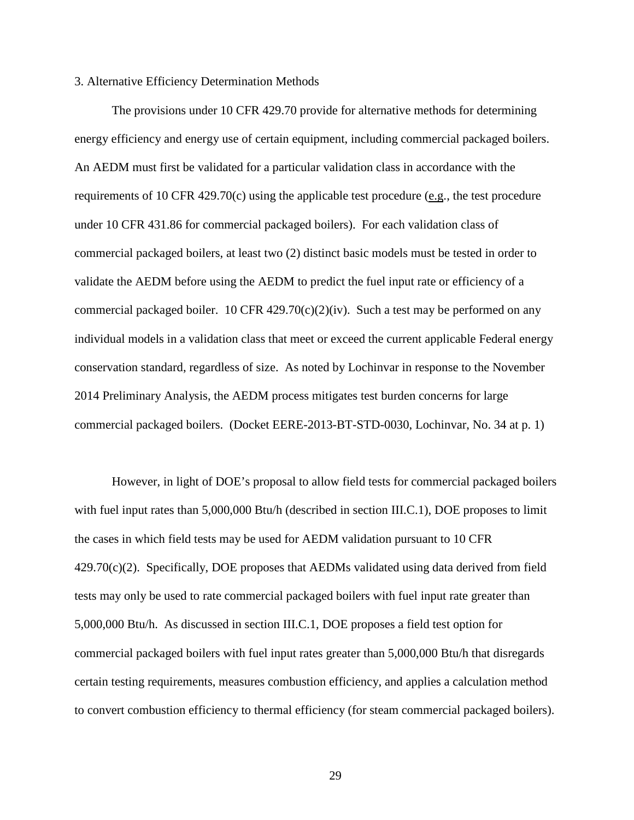#### <span id="page-29-0"></span>3. Alternative Efficiency Determination Methods

The provisions under 10 CFR 429.70 provide for alternative methods for determining energy efficiency and energy use of certain equipment, including commercial packaged boilers. An AEDM must first be validated for a particular validation class in accordance with the requirements of 10 CFR 429.70(c) using the applicable test procedure (e.g., the test procedure under 10 CFR 431.86 for commercial packaged boilers). For each validation class of commercial packaged boilers, at least two (2) distinct basic models must be tested in order to validate the AEDM before using the AEDM to predict the fuel input rate or efficiency of a commercial packaged boiler. 10 CFR  $429.70(c)(2)(iv)$ . Such a test may be performed on any individual models in a validation class that meet or exceed the current applicable Federal energy conservation standard, regardless of size. As noted by Lochinvar in response to the November 2014 Preliminary Analysis, the AEDM process mitigates test burden concerns for large commercial packaged boilers. (Docket EERE-2013-BT-STD-0030, Lochinvar, No. 34 at p. 1)

However, in light of DOE's proposal to allow field tests for commercial packaged boilers with fuel input rates than 5,000,000 Btu/h (described in section [III.C.1\)](#page-22-1), DOE proposes to limit the cases in which field tests may be used for AEDM validation pursuant to 10 CFR  $429.70(c)(2)$ . Specifically, DOE proposes that AEDMs validated using data derived from field tests may only be used to rate commercial packaged boilers with fuel input rate greater than 5,000,000 Btu/h. As discussed in section [III.C.1,](#page-22-1) DOE proposes a field test option for commercial packaged boilers with fuel input rates greater than 5,000,000 Btu/h that disregards certain testing requirements, measures combustion efficiency, and applies a calculation method to convert combustion efficiency to thermal efficiency (for steam commercial packaged boilers).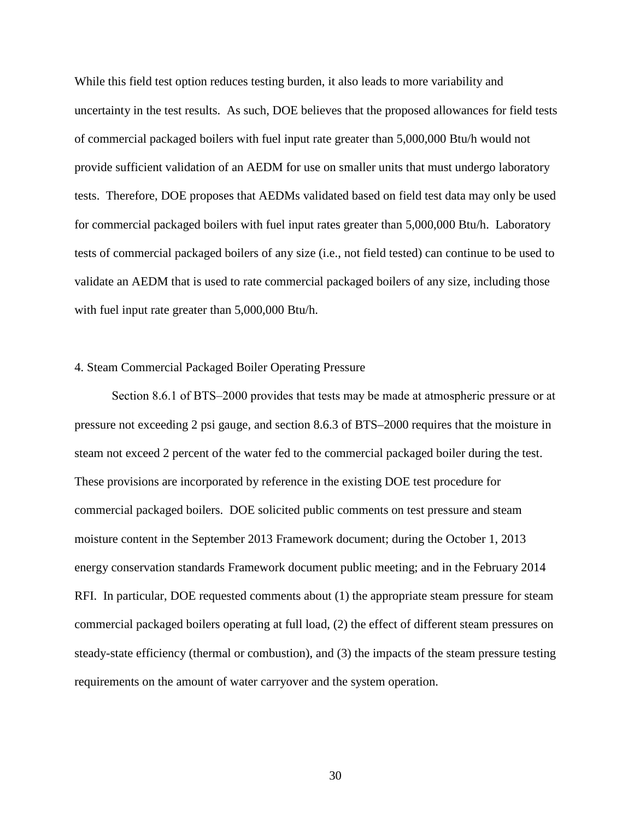While this field test option reduces testing burden, it also leads to more variability and uncertainty in the test results. As such, DOE believes that the proposed allowances for field tests of commercial packaged boilers with fuel input rate greater than 5,000,000 Btu/h would not provide sufficient validation of an AEDM for use on smaller units that must undergo laboratory tests. Therefore, DOE proposes that AEDMs validated based on field test data may only be used for commercial packaged boilers with fuel input rates greater than 5,000,000 Btu/h. Laboratory tests of commercial packaged boilers of any size (i.e., not field tested) can continue to be used to validate an AEDM that is used to rate commercial packaged boilers of any size, including those with fuel input rate greater than 5,000,000 Btu/h.

#### <span id="page-30-0"></span>4. Steam Commercial Packaged Boiler Operating Pressure

Section 8.6.1 of BTS–2000 provides that tests may be made at atmospheric pressure or at pressure not exceeding 2 psi gauge, and section 8.6.3 of BTS–2000 requires that the moisture in steam not exceed 2 percent of the water fed to the commercial packaged boiler during the test. These provisions are incorporated by reference in the existing DOE test procedure for commercial packaged boilers. DOE solicited public comments on test pressure and steam moisture content in the September 2013 Framework document; during the October 1, 2013 energy conservation standards Framework document public meeting; and in the February 2014 RFI. In particular, DOE requested comments about (1) the appropriate steam pressure for steam commercial packaged boilers operating at full load, (2) the effect of different steam pressures on steady-state efficiency (thermal or combustion), and (3) the impacts of the steam pressure testing requirements on the amount of water carryover and the system operation.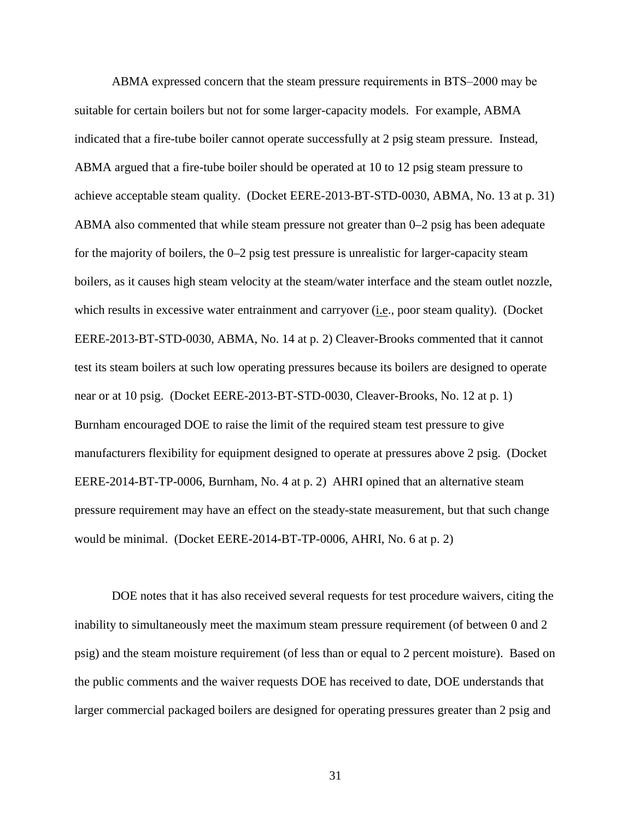ABMA expressed concern that the steam pressure requirements in BTS–2000 may be suitable for certain boilers but not for some larger-capacity models. For example, ABMA indicated that a fire-tube boiler cannot operate successfully at 2 psig steam pressure. Instead, ABMA argued that a fire-tube boiler should be operated at 10 to 12 psig steam pressure to achieve acceptable steam quality. (Docket EERE-2013-BT-STD-0030, ABMA, No. 13 at p. 31) ABMA also commented that while steam pressure not greater than 0–2 psig has been adequate for the majority of boilers, the 0–2 psig test pressure is unrealistic for larger-capacity steam boilers, as it causes high steam velocity at the steam/water interface and the steam outlet nozzle, which results in excessive water entrainment and carryover (*i.e.*, poor steam quality). (Docket EERE-2013-BT-STD-0030, ABMA, No. 14 at p. 2) Cleaver-Brooks commented that it cannot test its steam boilers at such low operating pressures because its boilers are designed to operate near or at 10 psig. (Docket EERE-2013-BT-STD-0030, Cleaver-Brooks, No. 12 at p. 1) Burnham encouraged DOE to raise the limit of the required steam test pressure to give manufacturers flexibility for equipment designed to operate at pressures above 2 psig. (Docket EERE-2014-BT-TP-0006, Burnham, No. 4 at p. 2) AHRI opined that an alternative steam pressure requirement may have an effect on the steady-state measurement, but that such change would be minimal. (Docket EERE-2014-BT-TP-0006, AHRI, No. 6 at p. 2)

DOE notes that it has also received several requests for test procedure waivers, citing the inability to simultaneously meet the maximum steam pressure requirement (of between 0 and 2 psig) and the steam moisture requirement (of less than or equal to 2 percent moisture). Based on the public comments and the waiver requests DOE has received to date, DOE understands that larger commercial packaged boilers are designed for operating pressures greater than 2 psig and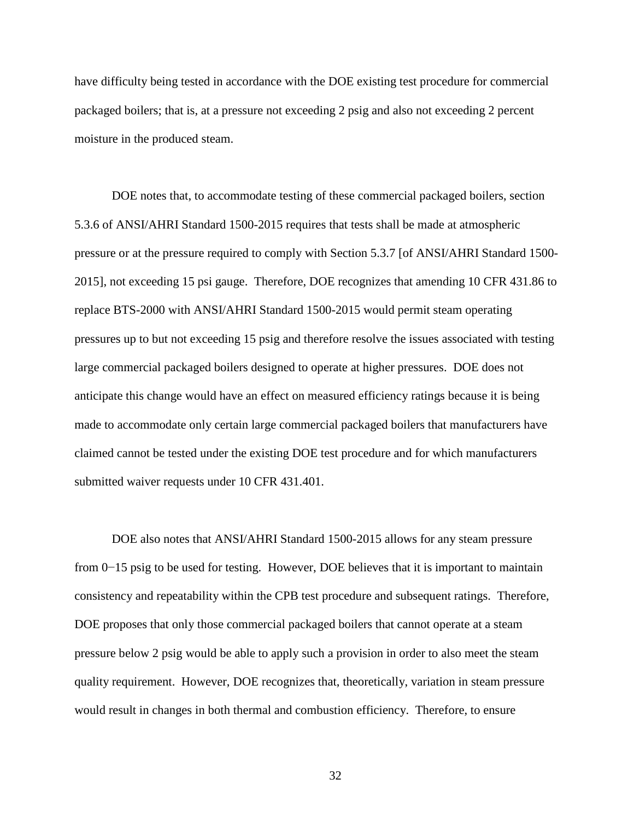have difficulty being tested in accordance with the DOE existing test procedure for commercial packaged boilers; that is, at a pressure not exceeding 2 psig and also not exceeding 2 percent moisture in the produced steam.

DOE notes that, to accommodate testing of these commercial packaged boilers, section 5.3.6 of ANSI/AHRI Standard 1500-2015 requires that tests shall be made at atmospheric pressure or at the pressure required to comply with Section 5.3.7 [of ANSI/AHRI Standard 1500- 2015], not exceeding 15 psi gauge. Therefore, DOE recognizes that amending 10 CFR 431.86 to replace BTS-2000 with ANSI/AHRI Standard 1500-2015 would permit steam operating pressures up to but not exceeding 15 psig and therefore resolve the issues associated with testing large commercial packaged boilers designed to operate at higher pressures. DOE does not anticipate this change would have an effect on measured efficiency ratings because it is being made to accommodate only certain large commercial packaged boilers that manufacturers have claimed cannot be tested under the existing DOE test procedure and for which manufacturers submitted waiver requests under 10 CFR 431.401.

DOE also notes that ANSI/AHRI Standard 1500-2015 allows for any steam pressure from 0−15 psig to be used for testing. However, DOE believes that it is important to maintain consistency and repeatability within the CPB test procedure and subsequent ratings. Therefore, DOE proposes that only those commercial packaged boilers that cannot operate at a steam pressure below 2 psig would be able to apply such a provision in order to also meet the steam quality requirement. However, DOE recognizes that, theoretically, variation in steam pressure would result in changes in both thermal and combustion efficiency. Therefore, to ensure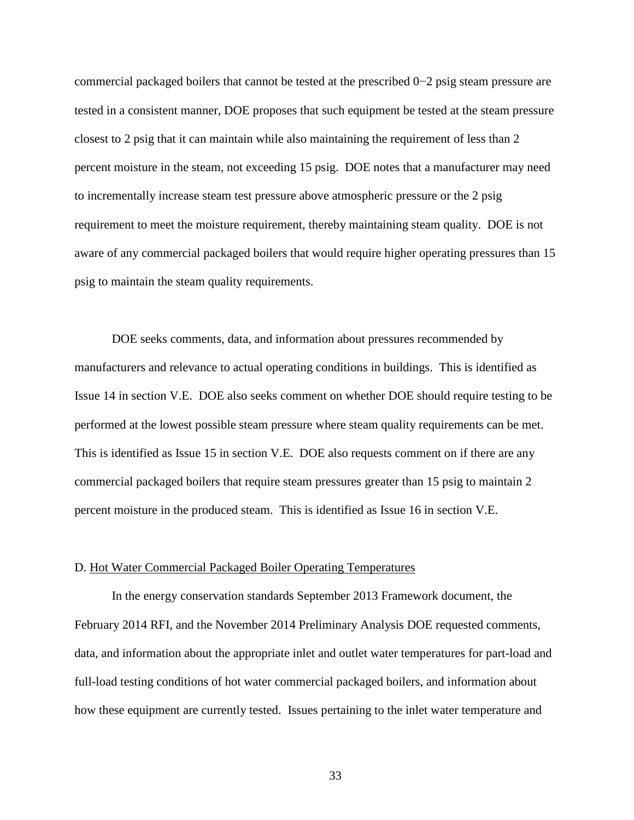commercial packaged boilers that cannot be tested at the prescribed 0−2 psig steam pressure are tested in a consistent manner, DOE proposes that such equipment be tested at the steam pressure closest to 2 psig that it can maintain while also maintaining the requirement of less than 2 percent moisture in the steam, not exceeding 15 psig. DOE notes that a manufacturer may need to incrementally increase steam test pressure above atmospheric pressure or the 2 psig requirement to meet the moisture requirement, thereby maintaining steam quality. DOE is not aware of any commercial packaged boilers that would require higher operating pressures than 15 psig to maintain the steam quality requirements.

DOE seeks comments, data, and information about pressures recommended by manufacturers and relevance to actual operating conditions in buildings. This is identified as Issue [14](#page-100-0) in section [V.E.](#page-98-2) DOE also seeks comment on whether DOE should require testing to be performed at the lowest possible steam pressure where steam quality requirements can be met. This is identified as Issue [15](#page-100-1) in section [V.E.](#page-98-2) DOE also requests comment on if there are any commercial packaged boilers that require steam pressures greater than 15 psig to maintain 2 percent moisture in the produced steam. This is identified as Issue [16](#page-100-2) in section [V.E.](#page-98-2)

#### <span id="page-33-1"></span><span id="page-33-0"></span>D. Hot Water Commercial Packaged Boiler Operating Temperatures

In the energy conservation standards September 2013 Framework document, the February 2014 RFI, and the November 2014 Preliminary Analysis DOE requested comments, data, and information about the appropriate inlet and outlet water temperatures for part-load and full-load testing conditions of hot water commercial packaged boilers, and information about how these equipment are currently tested. Issues pertaining to the inlet water temperature and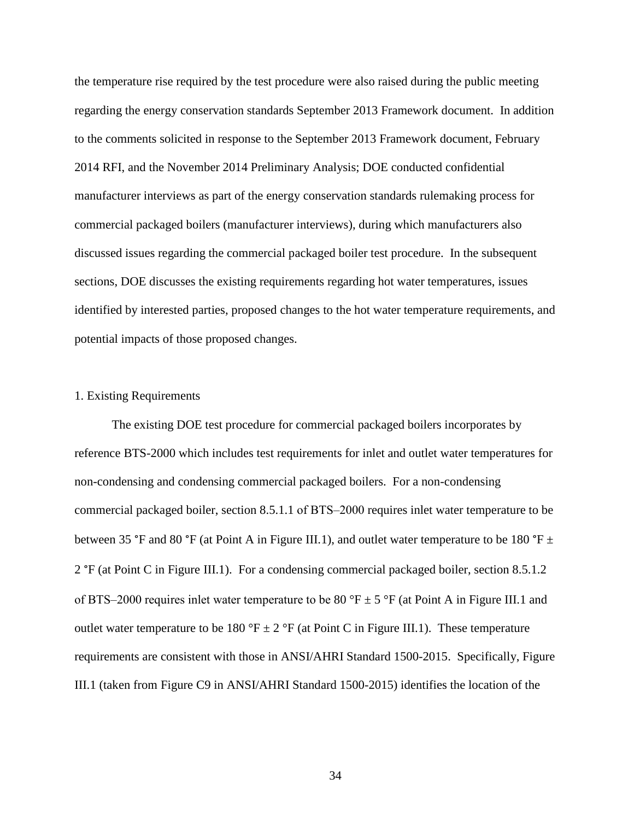the temperature rise required by the test procedure were also raised during the public meeting regarding the energy conservation standards September 2013 Framework document. In addition to the comments solicited in response to the September 2013 Framework document, February 2014 RFI, and the November 2014 Preliminary Analysis; DOE conducted confidential manufacturer interviews as part of the energy conservation standards rulemaking process for commercial packaged boilers (manufacturer interviews), during which manufacturers also discussed issues regarding the commercial packaged boiler test procedure. In the subsequent sections, DOE discusses the existing requirements regarding hot water temperatures, issues identified by interested parties, proposed changes to the hot water temperature requirements, and potential impacts of those proposed changes.

## <span id="page-34-0"></span>1. Existing Requirements

The existing DOE test procedure for commercial packaged boilers incorporates by reference BTS-2000 which includes test requirements for inlet and outlet water temperatures for non-condensing and condensing commercial packaged boilers. For a non-condensing commercial packaged boiler, section 8.5.1.1 of BTS–2000 requires inlet water temperature to be between 35 °F and 80 °F (at Point A in [Figure III.1\)](#page-35-0), and outlet water temperature to be 180 °F  $\pm$ 2 °F (at Point C in [Figure III.1\)](#page-35-0). For a condensing commercial packaged boiler, section 8.5.1.2 of BTS–2000 requires inlet water temperature to be 80 °F  $\pm$  5 °F (at Point A in [Figure III.1](#page-35-0) and outlet water temperature to be 180 °F  $\pm$  2 °F (at Point C in [Figure III.1\)](#page-35-0). These temperature requirements are consistent with those in ANSI/AHRI Standard 1500-2015. Specifically, [Figure](#page-35-0)  [III.1](#page-35-0) (taken from Figure C9 in ANSI/AHRI Standard 1500-2015) identifies the location of the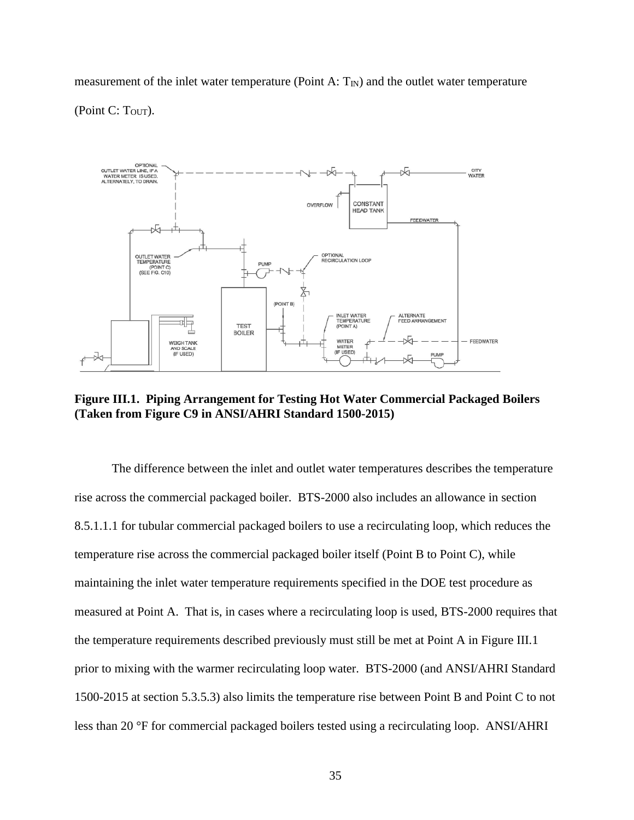measurement of the inlet water temperature (Point A:  $T<sub>IN</sub>$ ) and the outlet water temperature (Point C:  $T<sub>OUT</sub>$ ).



<span id="page-35-0"></span>**Figure III.1. Piping Arrangement for Testing Hot Water Commercial Packaged Boilers (Taken from Figure C9 in ANSI/AHRI Standard 1500-2015)**

The difference between the inlet and outlet water temperatures describes the temperature rise across the commercial packaged boiler. BTS-2000 also includes an allowance in section 8.5.1.1.1 for tubular commercial packaged boilers to use a recirculating loop, which reduces the temperature rise across the commercial packaged boiler itself (Point B to Point C), while maintaining the inlet water temperature requirements specified in the DOE test procedure as measured at Point A. That is, in cases where a recirculating loop is used, BTS-2000 requires that the temperature requirements described previously must still be met at Point A in [Figure III.1](#page-35-0) prior to mixing with the warmer recirculating loop water. BTS-2000 (and ANSI/AHRI Standard 1500-2015 at section 5.3.5.3) also limits the temperature rise between Point B and Point C to not less than 20 °F for commercial packaged boilers tested using a recirculating loop. ANSI/AHRI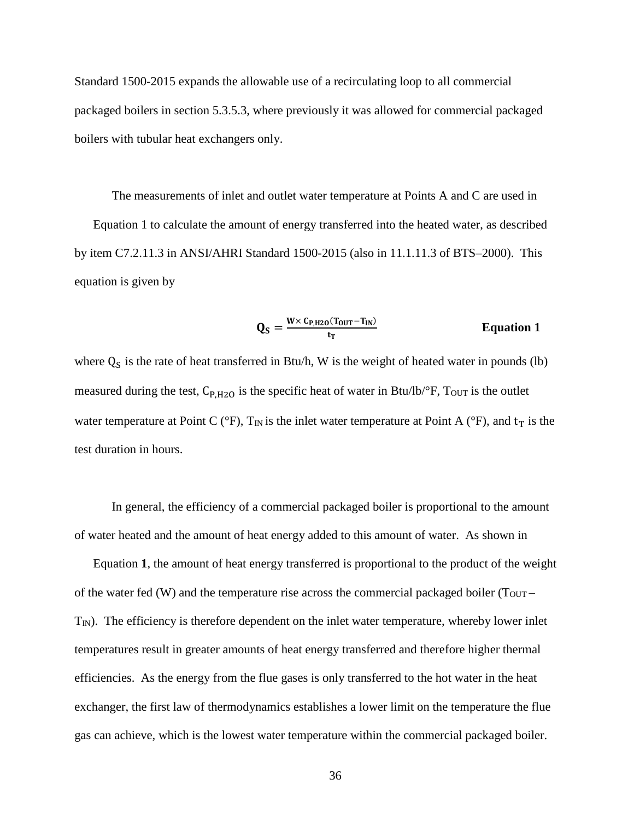Standard 1500-2015 expands the allowable use of a recirculating loop to all commercial packaged boilers in section 5.3.5.3, where previously it was allowed for commercial packaged boilers with tubular heat exchangers only.

The measurements of inlet and outlet water temperature at Points A and C are used in [Equation 1](#page-36-0) to calculate the amount of energy transferred into the heated water, as described by item C7.2.11.3 in ANSI/AHRI Standard 1500-2015 (also in 11.1.11.3 of BTS–2000). This equation is given by

<span id="page-36-0"></span>
$$
Q_S = \frac{W \times c_{P,H20}(T_{OUT} - T_{IN})}{t_T}
$$
 Equation 1

where  $Q<sub>S</sub>$  is the rate of heat transferred in Btu/h, W is the weight of heated water in pounds (lb) measured during the test,  $C_{P,H2O}$  is the specific heat of water in Btu/lb/ $\degree$ F, Tout is the outlet water temperature at Point C ( ${}^{\circ}$ F), T<sub>IN</sub> is the inlet water temperature at Point A ( ${}^{\circ}$ F), and t<sub>T</sub> is the test duration in hours.

In general, the efficiency of a commercial packaged boiler is proportional to the amount of water heated and the amount of heat energy added to this amount of water. As shown in

[Equation](#page-36-0) **1**, the amount of heat energy transferred is proportional to the product of the weight of the water fed (W) and the temperature rise across the commercial packaged boiler ( $T_{\text{OUT}} T_N$ ). The efficiency is therefore dependent on the inlet water temperature, whereby lower inlet temperatures result in greater amounts of heat energy transferred and therefore higher thermal efficiencies. As the energy from the flue gases is only transferred to the hot water in the heat exchanger, the first law of thermodynamics establishes a lower limit on the temperature the flue gas can achieve, which is the lowest water temperature within the commercial packaged boiler.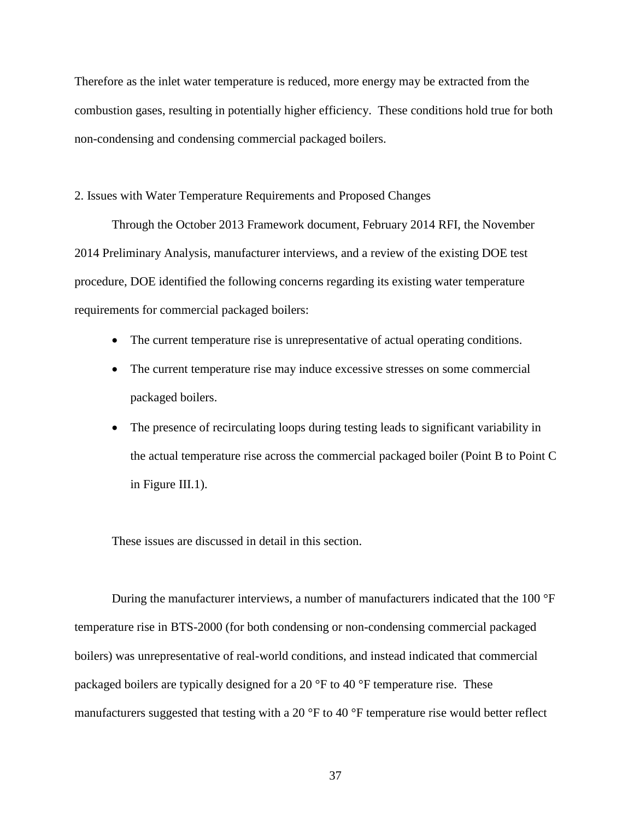Therefore as the inlet water temperature is reduced, more energy may be extracted from the combustion gases, resulting in potentially higher efficiency. These conditions hold true for both non-condensing and condensing commercial packaged boilers.

<span id="page-37-0"></span>2. Issues with Water Temperature Requirements and Proposed Changes

Through the October 2013 Framework document, February 2014 RFI, the November 2014 Preliminary Analysis, manufacturer interviews, and a review of the existing DOE test procedure, DOE identified the following concerns regarding its existing water temperature requirements for commercial packaged boilers:

- The current temperature rise is unrepresentative of actual operating conditions.
- The current temperature rise may induce excessive stresses on some commercial packaged boilers.
- The presence of recirculating loops during testing leads to significant variability in the actual temperature rise across the commercial packaged boiler (Point B to Point C in [Figure III.1\)](#page-35-0).

These issues are discussed in detail in this section.

During the manufacturer interviews, a number of manufacturers indicated that the 100 °F temperature rise in BTS-2000 (for both condensing or non-condensing commercial packaged boilers) was unrepresentative of real-world conditions, and instead indicated that commercial packaged boilers are typically designed for a 20 °F to 40 °F temperature rise. These manufacturers suggested that testing with a 20 °F to 40 °F temperature rise would better reflect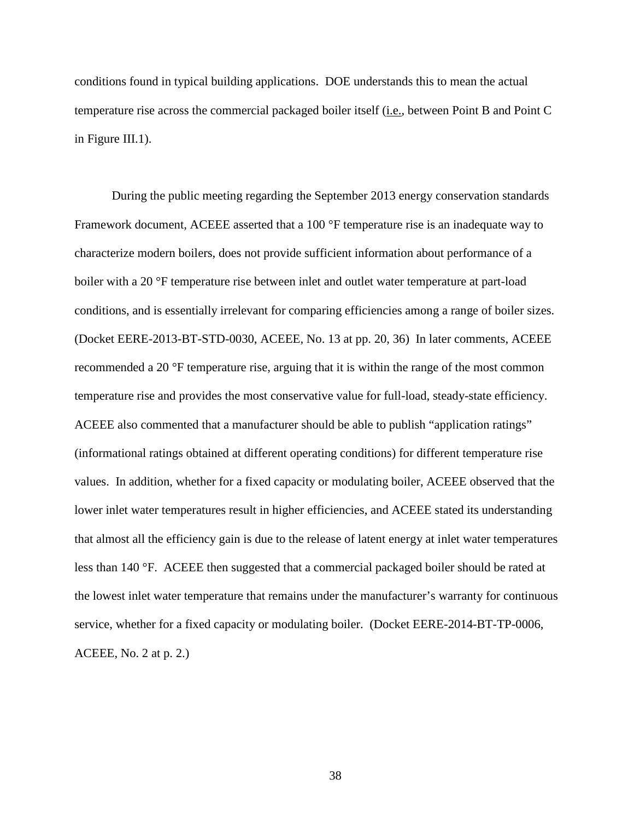conditions found in typical building applications. DOE understands this to mean the actual temperature rise across the commercial packaged boiler itself (i.e., between Point B and Point C in [Figure III.1\)](#page-35-0).

During the public meeting regarding the September 2013 energy conservation standards Framework document, ACEEE asserted that a 100 °F temperature rise is an inadequate way to characterize modern boilers, does not provide sufficient information about performance of a boiler with a 20 °F temperature rise between inlet and outlet water temperature at part-load conditions, and is essentially irrelevant for comparing efficiencies among a range of boiler sizes. (Docket EERE-2013-BT-STD-0030, ACEEE, No. 13 at pp. 20, 36) In later comments, ACEEE recommended a 20 °F temperature rise, arguing that it is within the range of the most common temperature rise and provides the most conservative value for full-load, steady-state efficiency. ACEEE also commented that a manufacturer should be able to publish "application ratings" (informational ratings obtained at different operating conditions) for different temperature rise values. In addition, whether for a fixed capacity or modulating boiler, ACEEE observed that the lower inlet water temperatures result in higher efficiencies, and ACEEE stated its understanding that almost all the efficiency gain is due to the release of latent energy at inlet water temperatures less than 140 °F. ACEEE then suggested that a commercial packaged boiler should be rated at the lowest inlet water temperature that remains under the manufacturer's warranty for continuous service, whether for a fixed capacity or modulating boiler. (Docket EERE-2014-BT-TP-0006, ACEEE, No. 2 at p. 2.)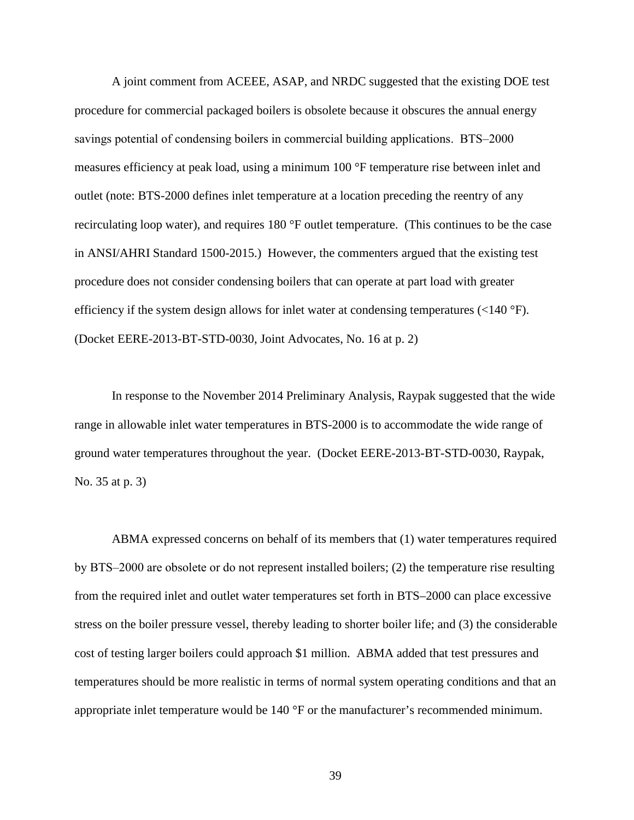A joint comment from ACEEE, ASAP, and NRDC suggested that the existing DOE test procedure for commercial packaged boilers is obsolete because it obscures the annual energy savings potential of condensing boilers in commercial building applications. BTS–2000 measures efficiency at peak load, using a minimum 100 °F temperature rise between inlet and outlet (note: BTS-2000 defines inlet temperature at a location preceding the reentry of any recirculating loop water), and requires 180 °F outlet temperature. (This continues to be the case in ANSI/AHRI Standard 1500-2015.) However, the commenters argued that the existing test procedure does not consider condensing boilers that can operate at part load with greater efficiency if the system design allows for inlet water at condensing temperatures (<140 °F). (Docket EERE-2013-BT-STD-0030, Joint Advocates, No. 16 at p. 2)

In response to the November 2014 Preliminary Analysis, Raypak suggested that the wide range in allowable inlet water temperatures in BTS-2000 is to accommodate the wide range of ground water temperatures throughout the year. (Docket EERE-2013-BT-STD-0030, Raypak, No. 35 at p. 3)

ABMA expressed concerns on behalf of its members that (1) water temperatures required by BTS‒2000 are obsolete or do not represent installed boilers; (2) the temperature rise resulting from the required inlet and outlet water temperatures set forth in BTS–2000 can place excessive stress on the boiler pressure vessel, thereby leading to shorter boiler life; and (3) the considerable cost of testing larger boilers could approach \$1 million. ABMA added that test pressures and temperatures should be more realistic in terms of normal system operating conditions and that an appropriate inlet temperature would be 140 °F or the manufacturer's recommended minimum.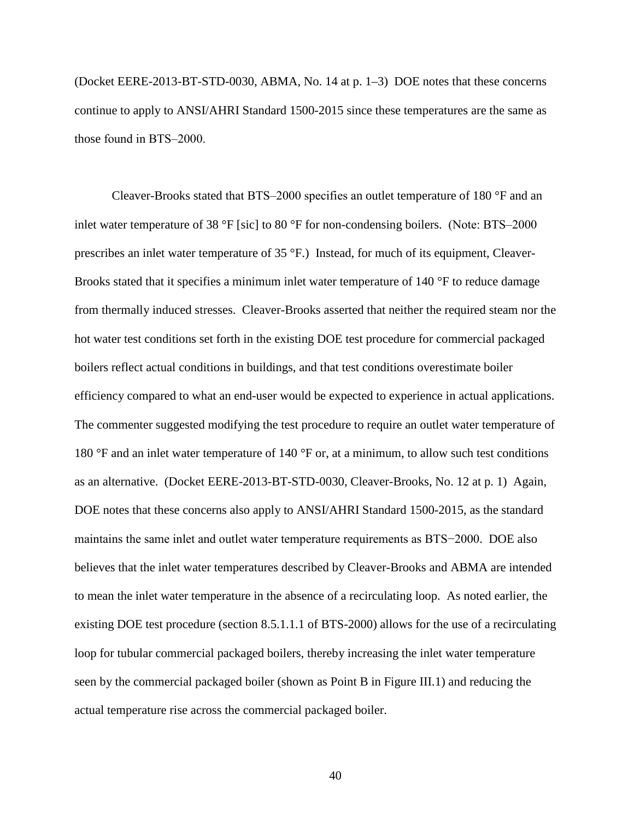(Docket EERE-2013-BT-STD-0030, ABMA, No. 14 at p. 1–3) DOE notes that these concerns continue to apply to ANSI/AHRI Standard 1500-2015 since these temperatures are the same as those found in BTS-2000.

Cleaver-Brooks stated that BTS-2000 specifies an outlet temperature of 180  $\degree$ F and an inlet water temperature of 38  $\degree$ F [sic] to 80  $\degree$ F for non-condensing boilers. (Note: BTS–2000 prescribes an inlet water temperature of 35 °F.) Instead, for much of its equipment, Cleaver-Brooks stated that it specifies a minimum inlet water temperature of 140 °F to reduce damage from thermally induced stresses. Cleaver-Brooks asserted that neither the required steam nor the hot water test conditions set forth in the existing DOE test procedure for commercial packaged boilers reflect actual conditions in buildings, and that test conditions overestimate boiler efficiency compared to what an end-user would be expected to experience in actual applications. The commenter suggested modifying the test procedure to require an outlet water temperature of 180 °F and an inlet water temperature of 140 °F or, at a minimum, to allow such test conditions as an alternative. (Docket EERE-2013-BT-STD-0030, Cleaver-Brooks, No. 12 at p. 1) Again, DOE notes that these concerns also apply to ANSI/AHRI Standard 1500-2015, as the standard maintains the same inlet and outlet water temperature requirements as BTS−2000. DOE also believes that the inlet water temperatures described by Cleaver-Brooks and ABMA are intended to mean the inlet water temperature in the absence of a recirculating loop. As noted earlier, the existing DOE test procedure (section 8.5.1.1.1 of BTS-2000) allows for the use of a recirculating loop for tubular commercial packaged boilers, thereby increasing the inlet water temperature seen by the commercial packaged boiler (shown as Point B in [Figure III.1\)](#page-35-0) and reducing the actual temperature rise across the commercial packaged boiler.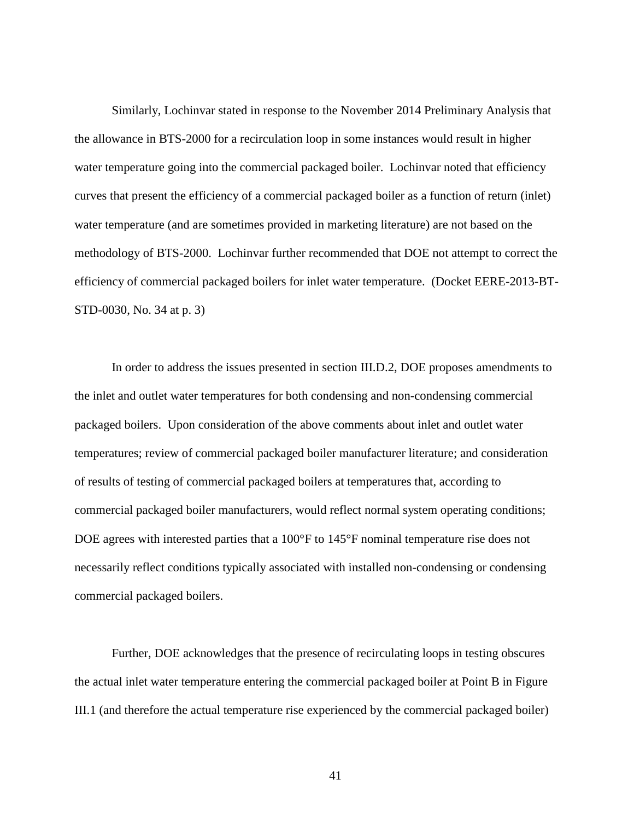Similarly, Lochinvar stated in response to the November 2014 Preliminary Analysis that the allowance in BTS-2000 for a recirculation loop in some instances would result in higher water temperature going into the commercial packaged boiler. Lochinvar noted that efficiency curves that present the efficiency of a commercial packaged boiler as a function of return (inlet) water temperature (and are sometimes provided in marketing literature) are not based on the methodology of BTS-2000. Lochinvar further recommended that DOE not attempt to correct the efficiency of commercial packaged boilers for inlet water temperature. (Docket EERE-2013-BT-STD-0030, No. 34 at p. 3)

In order to address the issues presented in section [III.D.2,](#page-37-0) DOE proposes amendments to the inlet and outlet water temperatures for both condensing and non-condensing commercial packaged boilers. Upon consideration of the above comments about inlet and outlet water temperatures; review of commercial packaged boiler manufacturer literature; and consideration of results of testing of commercial packaged boilers at temperatures that, according to commercial packaged boiler manufacturers, would reflect normal system operating conditions; DOE agrees with interested parties that a 100°F to 145°F nominal temperature rise does not necessarily reflect conditions typically associated with installed non-condensing or condensing commercial packaged boilers.

Further, DOE acknowledges that the presence of recirculating loops in testing obscures the actual inlet water temperature entering the commercial packaged boiler at Point B in [Figure](#page-35-0)  [III.1](#page-35-0) (and therefore the actual temperature rise experienced by the commercial packaged boiler)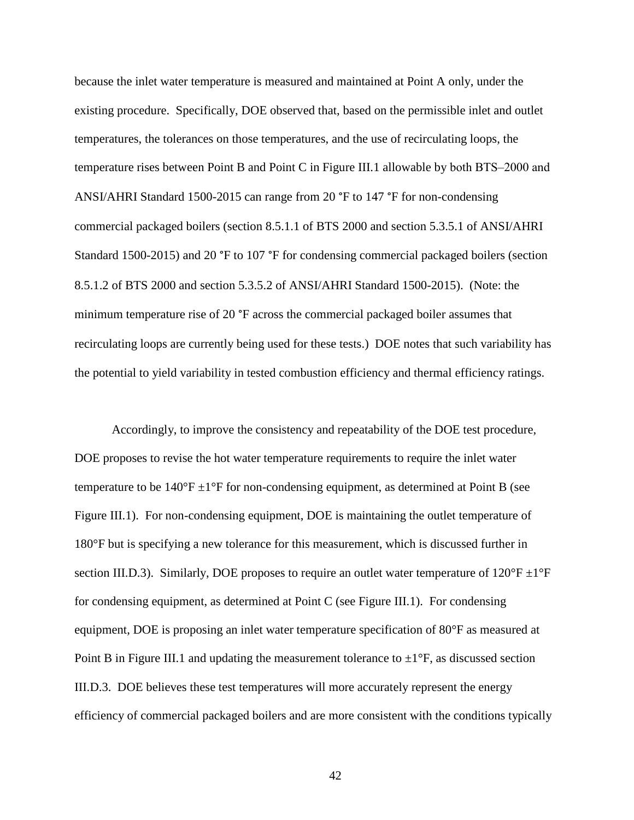because the inlet water temperature is measured and maintained at Point A only, under the existing procedure. Specifically, DOE observed that, based on the permissible inlet and outlet temperatures, the tolerances on those temperatures, and the use of recirculating loops, the temperature rises between Point B and Point C in [Figure III.1](#page-35-0) allowable by both BTS–2000 and ANSI/AHRI Standard 1500-2015 can range from 20 °F to 147 °F for non-condensing commercial packaged boilers (section 8.5.1.1 of BTS 2000 and section 5.3.5.1 of ANSI/AHRI Standard 1500-2015) and 20 °F to 107 °F for condensing commercial packaged boilers (section 8.5.1.2 of BTS 2000 and section 5.3.5.2 of ANSI/AHRI Standard 1500-2015). (Note: the minimum temperature rise of 20 °F across the commercial packaged boiler assumes that recirculating loops are currently being used for these tests.) DOE notes that such variability has the potential to yield variability in tested combustion efficiency and thermal efficiency ratings.

Accordingly, to improve the consistency and repeatability of the DOE test procedure, DOE proposes to revise the hot water temperature requirements to require the inlet water temperature to be  $140^{\circ}$ F  $\pm$ 1<sup>°</sup>F for non-condensing equipment, as determined at Point B (see [Figure III.1\)](#page-35-0). For non-condensing equipment, DOE is maintaining the outlet temperature of 180°F but is specifying a new tolerance for this measurement, which is discussed further in section [III.D.3\)](#page-46-0). Similarly, DOE proposes to require an outlet water temperature of  $120^{\circ}F \pm 1^{\circ}F$ for condensing equipment, as determined at Point C (see [Figure III.1\)](#page-35-0). For condensing equipment, DOE is proposing an inlet water temperature specification of 80°F as measured at Point B in [Figure III.1](#page-35-0) and updating the measurement tolerance to  $\pm 1^{\circ}F$ , as discussed section [III.D.3.](#page-46-0) DOE believes these test temperatures will more accurately represent the energy efficiency of commercial packaged boilers and are more consistent with the conditions typically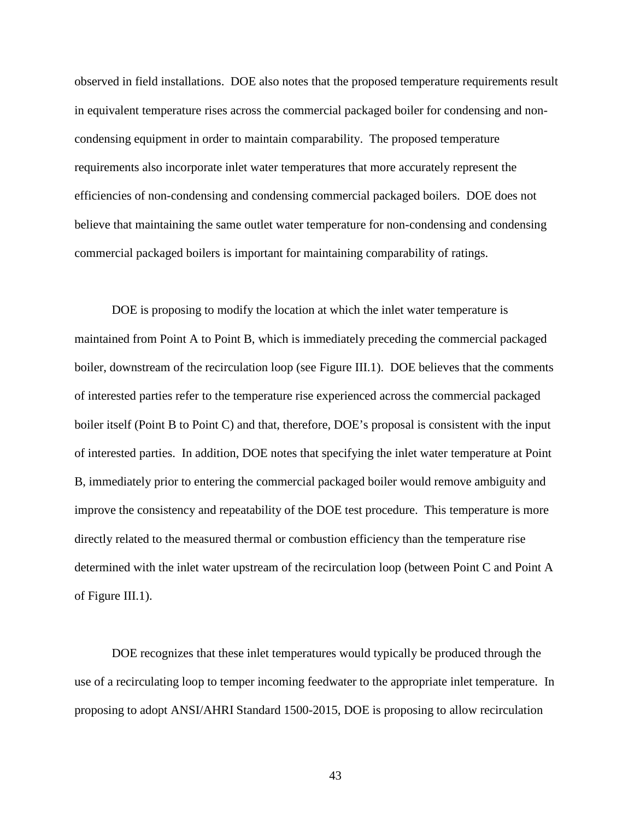observed in field installations. DOE also notes that the proposed temperature requirements result in equivalent temperature rises across the commercial packaged boiler for condensing and noncondensing equipment in order to maintain comparability. The proposed temperature requirements also incorporate inlet water temperatures that more accurately represent the efficiencies of non-condensing and condensing commercial packaged boilers. DOE does not believe that maintaining the same outlet water temperature for non-condensing and condensing commercial packaged boilers is important for maintaining comparability of ratings.

DOE is proposing to modify the location at which the inlet water temperature is maintained from Point A to Point B, which is immediately preceding the commercial packaged boiler, downstream of the recirculation loop (see [Figure III.1\)](#page-35-0). DOE believes that the comments of interested parties refer to the temperature rise experienced across the commercial packaged boiler itself (Point B to Point C) and that, therefore, DOE's proposal is consistent with the input of interested parties. In addition, DOE notes that specifying the inlet water temperature at Point B, immediately prior to entering the commercial packaged boiler would remove ambiguity and improve the consistency and repeatability of the DOE test procedure. This temperature is more directly related to the measured thermal or combustion efficiency than the temperature rise determined with the inlet water upstream of the recirculation loop (between Point C and Point A of [Figure III.1\)](#page-35-0).

DOE recognizes that these inlet temperatures would typically be produced through the use of a recirculating loop to temper incoming feedwater to the appropriate inlet temperature. In proposing to adopt ANSI/AHRI Standard 1500-2015, DOE is proposing to allow recirculation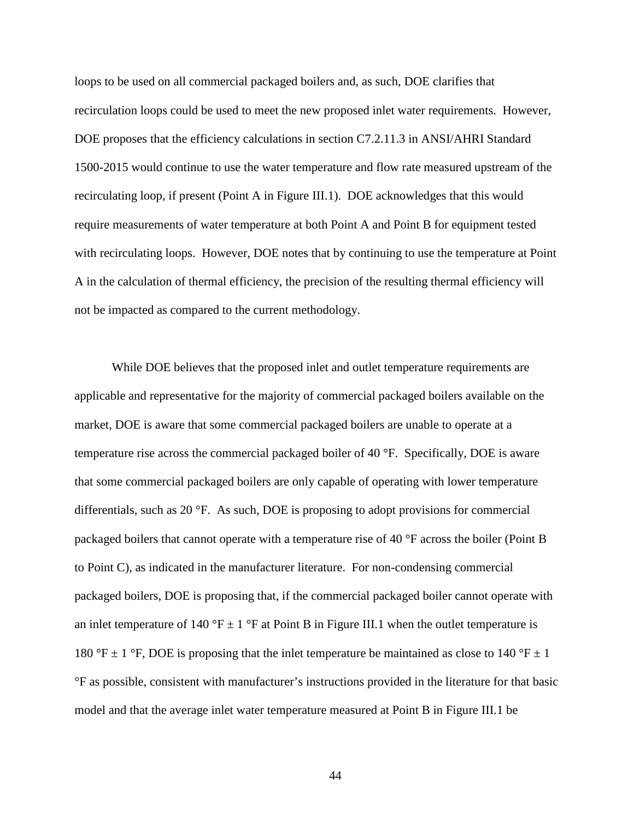loops to be used on all commercial packaged boilers and, as such, DOE clarifies that recirculation loops could be used to meet the new proposed inlet water requirements. However, DOE proposes that the efficiency calculations in section C7.2.11.3 in ANSI/AHRI Standard 1500-2015 would continue to use the water temperature and flow rate measured upstream of the recirculating loop, if present (Point A in [Figure III.1\)](#page-35-0). DOE acknowledges that this would require measurements of water temperature at both Point A and Point B for equipment tested with recirculating loops. However, DOE notes that by continuing to use the temperature at Point A in the calculation of thermal efficiency, the precision of the resulting thermal efficiency will not be impacted as compared to the current methodology.

While DOE believes that the proposed inlet and outlet temperature requirements are applicable and representative for the majority of commercial packaged boilers available on the market, DOE is aware that some commercial packaged boilers are unable to operate at a temperature rise across the commercial packaged boiler of 40 °F. Specifically, DOE is aware that some commercial packaged boilers are only capable of operating with lower temperature differentials, such as 20 °F. As such, DOE is proposing to adopt provisions for commercial packaged boilers that cannot operate with a temperature rise of 40 °F across the boiler (Point B to Point C), as indicated in the manufacturer literature. For non-condensing commercial packaged boilers, DOE is proposing that, if the commercial packaged boiler cannot operate with an inlet temperature of 140 °F  $\pm$  1 °F at Point B in [Figure III.1](#page-35-0) when the outlet temperature is 180 °F  $\pm$  1 °F, DOE is proposing that the inlet temperature be maintained as close to 140 °F  $\pm$  1 °F as possible, consistent with manufacturer's instructions provided in the literature for that basic model and that the average inlet water temperature measured at Point B in [Figure III.1](#page-35-0) be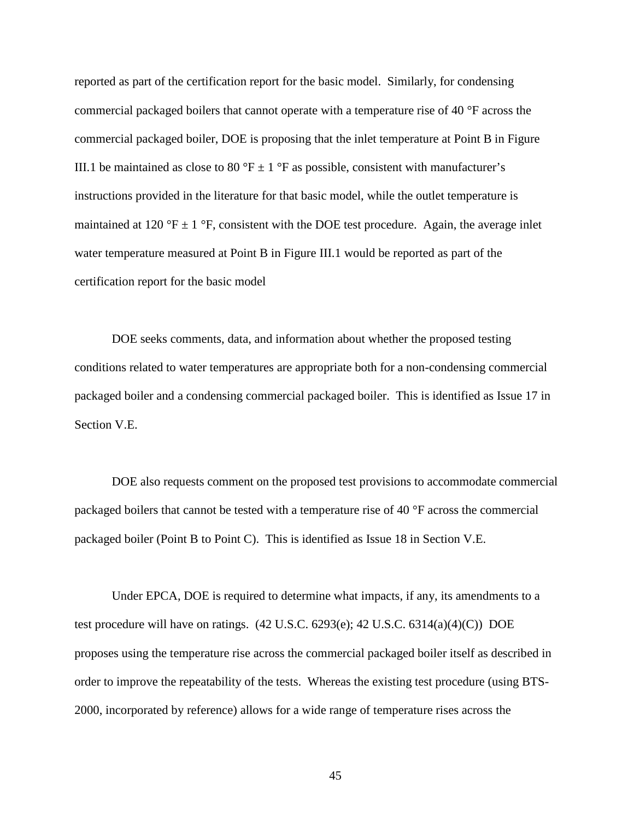reported as part of the certification report for the basic model. Similarly, for condensing commercial packaged boilers that cannot operate with a temperature rise of 40 °F across the commercial packaged boiler, DOE is proposing that the inlet temperature at Point B in [Figure](#page-35-0)  [III.1](#page-35-0) be maintained as close to 80 °F  $\pm$  1 °F as possible, consistent with manufacturer's instructions provided in the literature for that basic model, while the outlet temperature is maintained at 120 °F  $\pm$  1 °F, consistent with the DOE test procedure. Again, the average inlet water temperature measured at Point B in [Figure III.1](#page-35-0) would be reported as part of the certification report for the basic model

DOE seeks comments, data, and information about whether the proposed testing conditions related to water temperatures are appropriate both for a non-condensing commercial packaged boiler and a condensing commercial packaged boiler. This is identified as Issue [17](#page-100-0) in Section [V.E.](#page-98-0)

DOE also requests comment on the proposed test provisions to accommodate commercial packaged boilers that cannot be tested with a temperature rise of 40 °F across the commercial packaged boiler (Point B to Point C). This is identified as Issue [18](#page-100-1) in Section [V.E.](#page-98-0)

Under EPCA, DOE is required to determine what impacts, if any, its amendments to a test procedure will have on ratings. (42 U.S.C. 6293(e); 42 U.S.C. 6314(a)(4)(C)) DOE proposes using the temperature rise across the commercial packaged boiler itself as described in order to improve the repeatability of the tests. Whereas the existing test procedure (using BTS-2000, incorporated by reference) allows for a wide range of temperature rises across the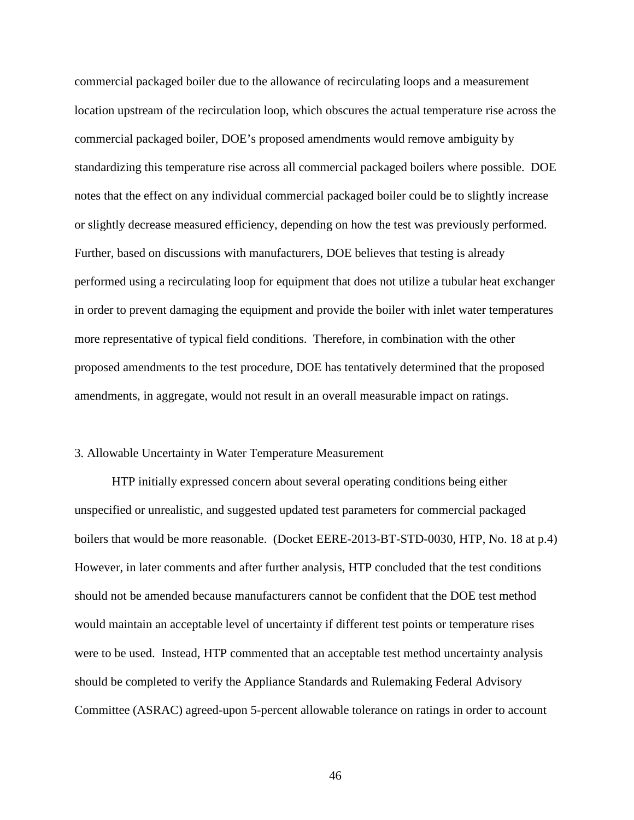commercial packaged boiler due to the allowance of recirculating loops and a measurement location upstream of the recirculation loop, which obscures the actual temperature rise across the commercial packaged boiler, DOE's proposed amendments would remove ambiguity by standardizing this temperature rise across all commercial packaged boilers where possible. DOE notes that the effect on any individual commercial packaged boiler could be to slightly increase or slightly decrease measured efficiency, depending on how the test was previously performed. Further, based on discussions with manufacturers, DOE believes that testing is already performed using a recirculating loop for equipment that does not utilize a tubular heat exchanger in order to prevent damaging the equipment and provide the boiler with inlet water temperatures more representative of typical field conditions. Therefore, in combination with the other proposed amendments to the test procedure, DOE has tentatively determined that the proposed amendments, in aggregate, would not result in an overall measurable impact on ratings.

#### <span id="page-46-0"></span>3. Allowable Uncertainty in Water Temperature Measurement

HTP initially expressed concern about several operating conditions being either unspecified or unrealistic, and suggested updated test parameters for commercial packaged boilers that would be more reasonable. (Docket EERE-2013-BT-STD-0030, HTP, No. 18 at p.4) However, in later comments and after further analysis, HTP concluded that the test conditions should not be amended because manufacturers cannot be confident that the DOE test method would maintain an acceptable level of uncertainty if different test points or temperature rises were to be used. Instead, HTP commented that an acceptable test method uncertainty analysis should be completed to verify the Appliance Standards and Rulemaking Federal Advisory Committee (ASRAC) agreed-upon 5-percent allowable tolerance on ratings in order to account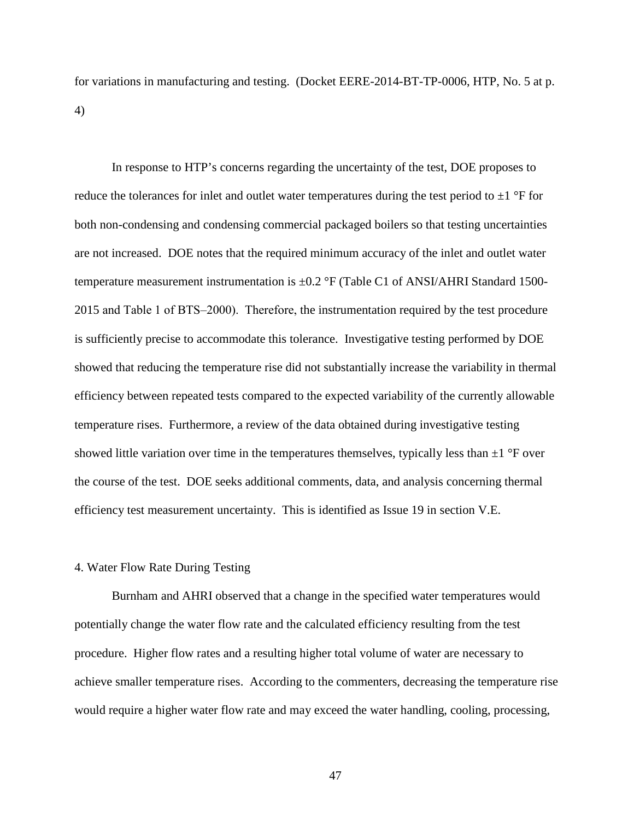for variations in manufacturing and testing. (Docket EERE-2014-BT-TP-0006, HTP, No. 5 at p. 4)

In response to HTP's concerns regarding the uncertainty of the test, DOE proposes to reduce the tolerances for inlet and outlet water temperatures during the test period to  $\pm 1$  °F for both non-condensing and condensing commercial packaged boilers so that testing uncertainties are not increased. DOE notes that the required minimum accuracy of the inlet and outlet water temperature measurement instrumentation is  $\pm 0.2$  °F (Table C1 of ANSI/AHRI Standard 1500-2015 and Table 1 of BTS‒2000). Therefore, the instrumentation required by the test procedure is sufficiently precise to accommodate this tolerance. Investigative testing performed by DOE showed that reducing the temperature rise did not substantially increase the variability in thermal efficiency between repeated tests compared to the expected variability of the currently allowable temperature rises. Furthermore, a review of the data obtained during investigative testing showed little variation over time in the temperatures themselves, typically less than  $\pm 1$  °F over the course of the test. DOE seeks additional comments, data, and analysis concerning thermal efficiency test measurement uncertainty. This is identified as Issue [19](#page-100-2) in section [V.E.](#page-98-0)

#### 4. Water Flow Rate During Testing

Burnham and AHRI observed that a change in the specified water temperatures would potentially change the water flow rate and the calculated efficiency resulting from the test procedure. Higher flow rates and a resulting higher total volume of water are necessary to achieve smaller temperature rises. According to the commenters, decreasing the temperature rise would require a higher water flow rate and may exceed the water handling, cooling, processing,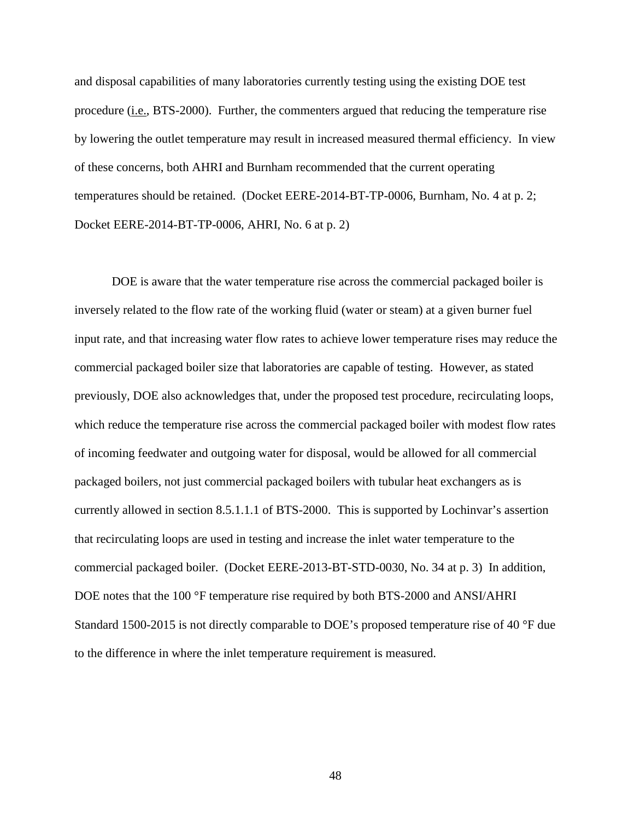and disposal capabilities of many laboratories currently testing using the existing DOE test procedure (i.e., BTS-2000). Further, the commenters argued that reducing the temperature rise by lowering the outlet temperature may result in increased measured thermal efficiency. In view of these concerns, both AHRI and Burnham recommended that the current operating temperatures should be retained. (Docket EERE-2014-BT-TP-0006, Burnham, No. 4 at p. 2; Docket EERE-2014-BT-TP-0006, AHRI, No. 6 at p. 2)

DOE is aware that the water temperature rise across the commercial packaged boiler is inversely related to the flow rate of the working fluid (water or steam) at a given burner fuel input rate, and that increasing water flow rates to achieve lower temperature rises may reduce the commercial packaged boiler size that laboratories are capable of testing. However, as stated previously, DOE also acknowledges that, under the proposed test procedure, recirculating loops, which reduce the temperature rise across the commercial packaged boiler with modest flow rates of incoming feedwater and outgoing water for disposal, would be allowed for all commercial packaged boilers, not just commercial packaged boilers with tubular heat exchangers as is currently allowed in section 8.5.1.1.1 of BTS-2000. This is supported by Lochinvar's assertion that recirculating loops are used in testing and increase the inlet water temperature to the commercial packaged boiler. (Docket EERE-2013-BT-STD-0030, No. 34 at p. 3) In addition, DOE notes that the 100 °F temperature rise required by both BTS-2000 and ANSI/AHRI Standard 1500-2015 is not directly comparable to DOE's proposed temperature rise of 40 °F due to the difference in where the inlet temperature requirement is measured.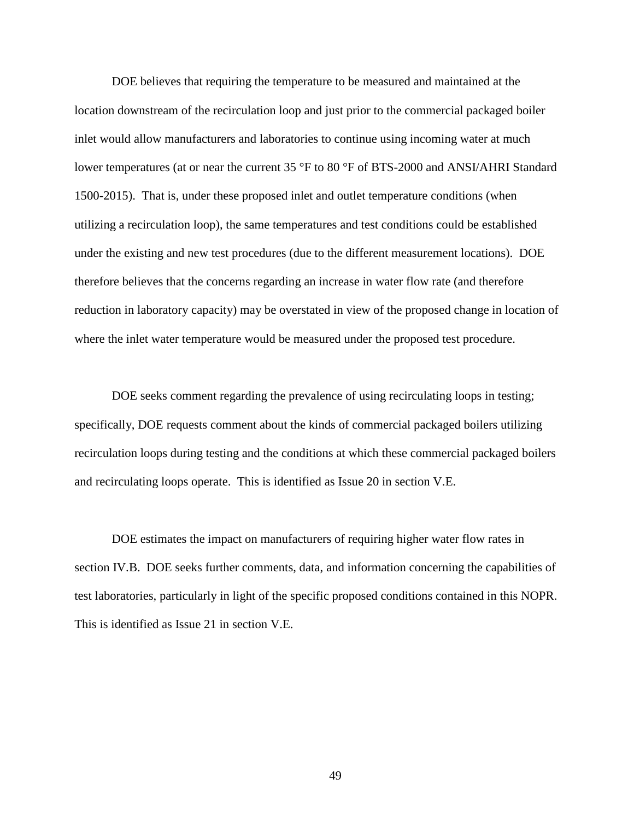DOE believes that requiring the temperature to be measured and maintained at the location downstream of the recirculation loop and just prior to the commercial packaged boiler inlet would allow manufacturers and laboratories to continue using incoming water at much lower temperatures (at or near the current 35 °F to 80 °F of BTS-2000 and ANSI/AHRI Standard 1500-2015). That is, under these proposed inlet and outlet temperature conditions (when utilizing a recirculation loop), the same temperatures and test conditions could be established under the existing and new test procedures (due to the different measurement locations). DOE therefore believes that the concerns regarding an increase in water flow rate (and therefore reduction in laboratory capacity) may be overstated in view of the proposed change in location of where the inlet water temperature would be measured under the proposed test procedure.

DOE seeks comment regarding the prevalence of using recirculating loops in testing; specifically, DOE requests comment about the kinds of commercial packaged boilers utilizing recirculation loops during testing and the conditions at which these commercial packaged boilers and recirculating loops operate. This is identified as Issue [20](#page-100-3) in section [V.E.](#page-98-0)

DOE estimates the impact on manufacturers of requiring higher water flow rates in section [IV.B.](#page-78-0) DOE seeks further comments, data, and information concerning the capabilities of test laboratories, particularly in light of the specific proposed conditions contained in this NOPR. This is identified as Issue [21](#page-101-0) in section [V.E.](#page-98-0)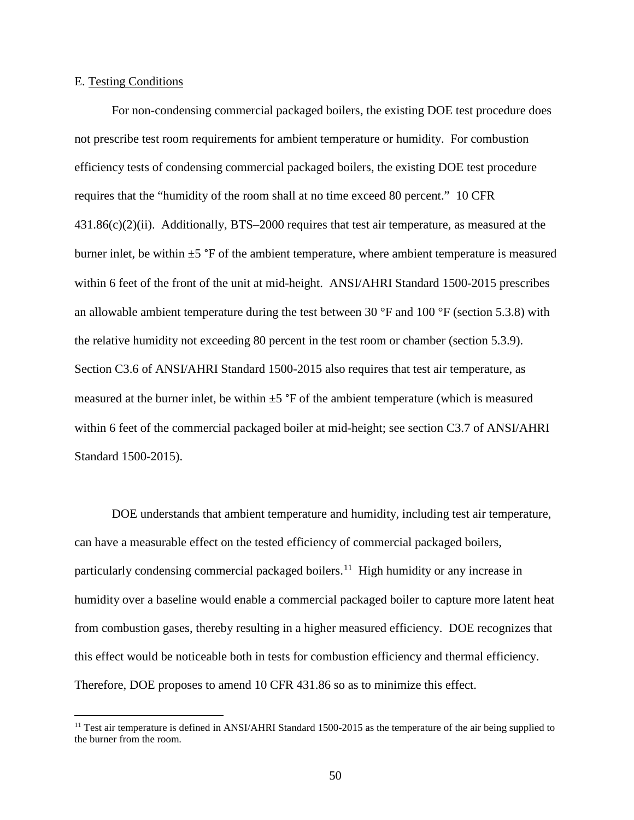# E. Testing Conditions

For non-condensing commercial packaged boilers, the existing DOE test procedure does not prescribe test room requirements for ambient temperature or humidity. For combustion efficiency tests of condensing commercial packaged boilers, the existing DOE test procedure requires that the "humidity of the room shall at no time exceed 80 percent." 10 CFR  $431.86(c)(2)(ii)$ . Additionally, BTS-2000 requires that test air temperature, as measured at the burner inlet, be within  $\pm 5$  °F of the ambient temperature, where ambient temperature is measured within 6 feet of the front of the unit at mid-height. ANSI/AHRI Standard 1500-2015 prescribes an allowable ambient temperature during the test between 30 °F and 100 °F (section 5.3.8) with the relative humidity not exceeding 80 percent in the test room or chamber (section 5.3.9). Section C3.6 of ANSI/AHRI Standard 1500-2015 also requires that test air temperature, as measured at the burner inlet, be within  $\pm 5$  °F of the ambient temperature (which is measured within 6 feet of the commercial packaged boiler at mid-height; see section C3.7 of ANSI/AHRI Standard 1500-2015).

DOE understands that ambient temperature and humidity, including test air temperature, can have a measurable effect on the tested efficiency of commercial packaged boilers, particularly condensing commercial packaged boilers.<sup>[11](#page-50-0)</sup> High humidity or any increase in humidity over a baseline would enable a commercial packaged boiler to capture more latent heat from combustion gases, thereby resulting in a higher measured efficiency. DOE recognizes that this effect would be noticeable both in tests for combustion efficiency and thermal efficiency. Therefore, DOE proposes to amend 10 CFR 431.86 so as to minimize this effect.

<span id="page-50-0"></span> $11$  Test air temperature is defined in ANSI/AHRI Standard 1500-2015 as the temperature of the air being supplied to the burner from the room.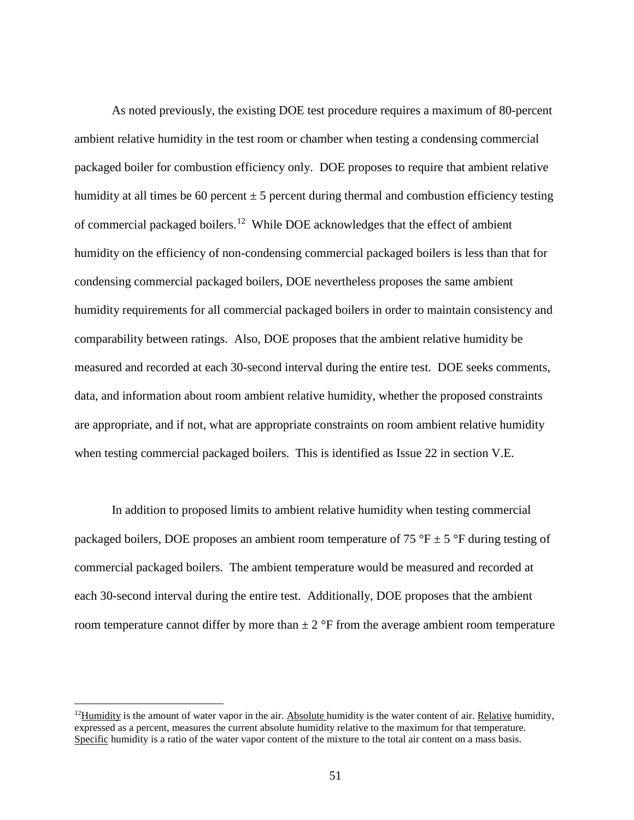As noted previously, the existing DOE test procedure requires a maximum of 80-percent ambient relative humidity in the test room or chamber when testing a condensing commercial packaged boiler for combustion efficiency only. DOE proposes to require that ambient relative humidity at all times be 60 percent  $\pm 5$  percent during thermal and combustion efficiency testing of commercial packaged boilers.<sup>[12](#page-51-0)</sup> While DOE acknowledges that the effect of ambient humidity on the efficiency of non-condensing commercial packaged boilers is less than that for condensing commercial packaged boilers, DOE nevertheless proposes the same ambient humidity requirements for all commercial packaged boilers in order to maintain consistency and comparability between ratings. Also, DOE proposes that the ambient relative humidity be measured and recorded at each 30-second interval during the entire test. DOE seeks comments, data, and information about room ambient relative humidity, whether the proposed constraints are appropriate, and if not, what are appropriate constraints on room ambient relative humidity when testing commercial packaged boilers. This is identified as Issue [22](#page-101-1) in section [V.E.](#page-98-0)

In addition to proposed limits to ambient relative humidity when testing commercial packaged boilers, DOE proposes an ambient room temperature of 75 °F  $\pm$  5 °F during testing of commercial packaged boilers. The ambient temperature would be measured and recorded at each 30-second interval during the entire test. Additionally, DOE proposes that the ambient room temperature cannot differ by more than  $\pm 2$  °F from the average ambient room temperature

<span id="page-51-0"></span> $12$ Humidity is the amount of water vapor in the air. Absolute humidity is the water content of air. Relative humidity, expressed as a percent, measures the current absolute humidity relative to the maximum for that temperature. Specific humidity is a ratio of the water vapor content of the mixture to the total air content on a mass basis.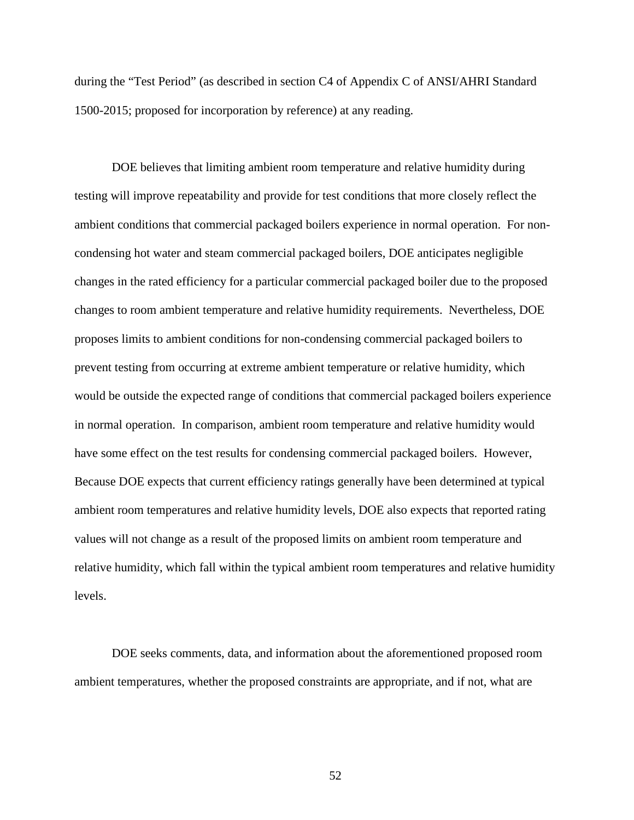during the "Test Period" (as described in section C4 of Appendix C of ANSI/AHRI Standard 1500-2015; proposed for incorporation by reference) at any reading.

DOE believes that limiting ambient room temperature and relative humidity during testing will improve repeatability and provide for test conditions that more closely reflect the ambient conditions that commercial packaged boilers experience in normal operation. For noncondensing hot water and steam commercial packaged boilers, DOE anticipates negligible changes in the rated efficiency for a particular commercial packaged boiler due to the proposed changes to room ambient temperature and relative humidity requirements. Nevertheless, DOE proposes limits to ambient conditions for non-condensing commercial packaged boilers to prevent testing from occurring at extreme ambient temperature or relative humidity, which would be outside the expected range of conditions that commercial packaged boilers experience in normal operation. In comparison, ambient room temperature and relative humidity would have some effect on the test results for condensing commercial packaged boilers. However, Because DOE expects that current efficiency ratings generally have been determined at typical ambient room temperatures and relative humidity levels, DOE also expects that reported rating values will not change as a result of the proposed limits on ambient room temperature and relative humidity, which fall within the typical ambient room temperatures and relative humidity levels.

DOE seeks comments, data, and information about the aforementioned proposed room ambient temperatures, whether the proposed constraints are appropriate, and if not, what are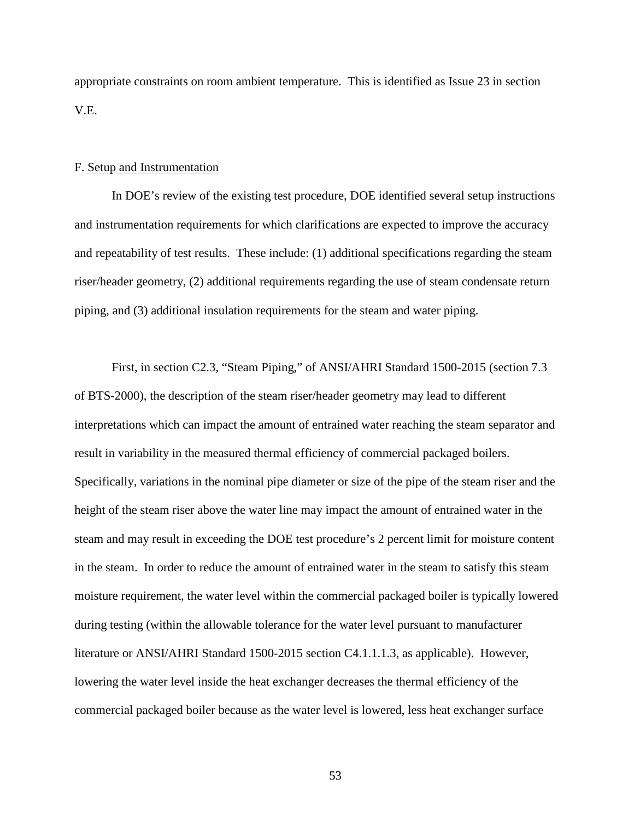appropriate constraints on room ambient temperature. This is identified as Issue [23](#page-101-2) in section [V.E.](#page-98-0)

### F. Setup and Instrumentation

In DOE's review of the existing test procedure, DOE identified several setup instructions and instrumentation requirements for which clarifications are expected to improve the accuracy and repeatability of test results. These include: (1) additional specifications regarding the steam riser/header geometry, (2) additional requirements regarding the use of steam condensate return piping, and (3) additional insulation requirements for the steam and water piping.

First, in section C2.3, "Steam Piping," of ANSI/AHRI Standard 1500-2015 (section 7.3 of BTS-2000), the description of the steam riser/header geometry may lead to different interpretations which can impact the amount of entrained water reaching the steam separator and result in variability in the measured thermal efficiency of commercial packaged boilers. Specifically, variations in the nominal pipe diameter or size of the pipe of the steam riser and the height of the steam riser above the water line may impact the amount of entrained water in the steam and may result in exceeding the DOE test procedure's 2 percent limit for moisture content in the steam. In order to reduce the amount of entrained water in the steam to satisfy this steam moisture requirement, the water level within the commercial packaged boiler is typically lowered during testing (within the allowable tolerance for the water level pursuant to manufacturer literature or ANSI/AHRI Standard 1500-2015 section C4.1.1.1.3, as applicable). However, lowering the water level inside the heat exchanger decreases the thermal efficiency of the commercial packaged boiler because as the water level is lowered, less heat exchanger surface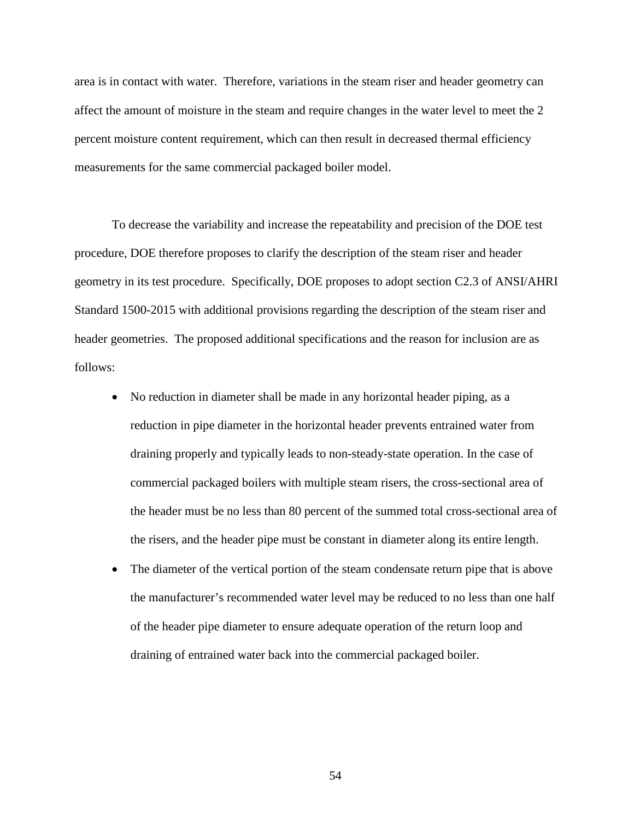area is in contact with water. Therefore, variations in the steam riser and header geometry can affect the amount of moisture in the steam and require changes in the water level to meet the 2 percent moisture content requirement, which can then result in decreased thermal efficiency measurements for the same commercial packaged boiler model.

To decrease the variability and increase the repeatability and precision of the DOE test procedure, DOE therefore proposes to clarify the description of the steam riser and header geometry in its test procedure. Specifically, DOE proposes to adopt section C2.3 of ANSI/AHRI Standard 1500-2015 with additional provisions regarding the description of the steam riser and header geometries. The proposed additional specifications and the reason for inclusion are as follows:

- No reduction in diameter shall be made in any horizontal header piping, as a reduction in pipe diameter in the horizontal header prevents entrained water from draining properly and typically leads to non-steady-state operation. In the case of commercial packaged boilers with multiple steam risers, the cross-sectional area of the header must be no less than 80 percent of the summed total cross-sectional area of the risers, and the header pipe must be constant in diameter along its entire length.
- The diameter of the vertical portion of the steam condensate return pipe that is above the manufacturer's recommended water level may be reduced to no less than one half of the header pipe diameter to ensure adequate operation of the return loop and draining of entrained water back into the commercial packaged boiler.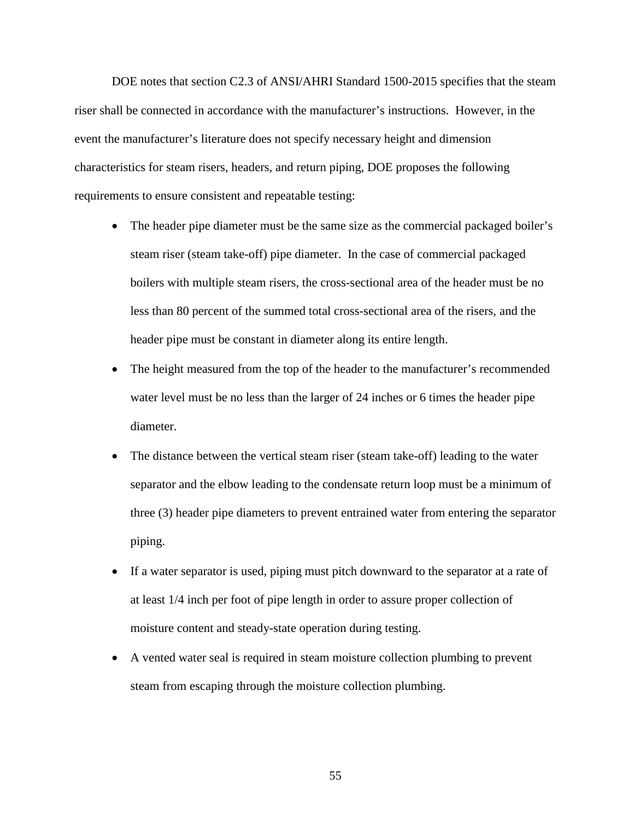DOE notes that section C2.3 of ANSI/AHRI Standard 1500-2015 specifies that the steam riser shall be connected in accordance with the manufacturer's instructions. However, in the event the manufacturer's literature does not specify necessary height and dimension characteristics for steam risers, headers, and return piping, DOE proposes the following requirements to ensure consistent and repeatable testing:

- The header pipe diameter must be the same size as the commercial packaged boiler's steam riser (steam take-off) pipe diameter. In the case of commercial packaged boilers with multiple steam risers, the cross-sectional area of the header must be no less than 80 percent of the summed total cross-sectional area of the risers, and the header pipe must be constant in diameter along its entire length.
- The height measured from the top of the header to the manufacturer's recommended water level must be no less than the larger of 24 inches or 6 times the header pipe diameter.
- The distance between the vertical steam riser (steam take-off) leading to the water separator and the elbow leading to the condensate return loop must be a minimum of three (3) header pipe diameters to prevent entrained water from entering the separator piping.
- If a water separator is used, piping must pitch downward to the separator at a rate of at least 1/4 inch per foot of pipe length in order to assure proper collection of moisture content and steady-state operation during testing.
- A vented water seal is required in steam moisture collection plumbing to prevent steam from escaping through the moisture collection plumbing.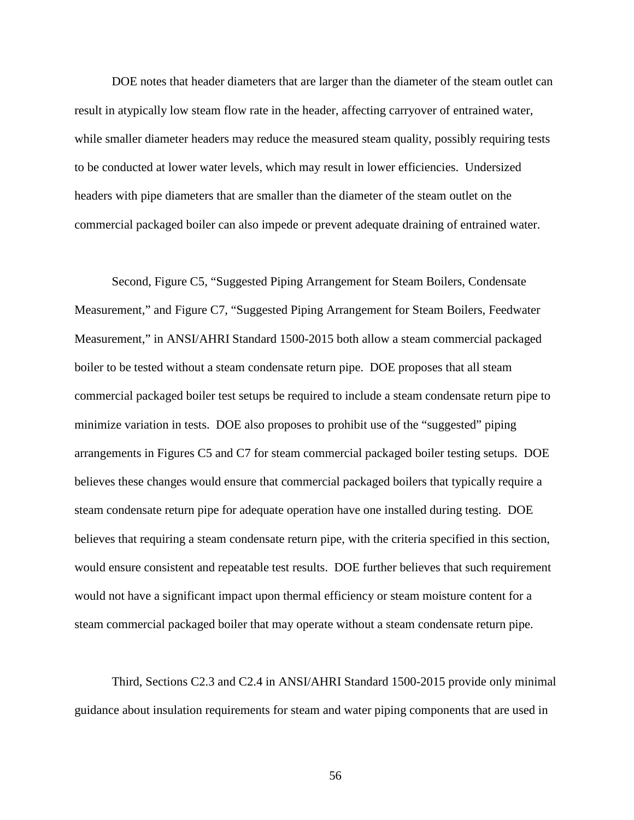DOE notes that header diameters that are larger than the diameter of the steam outlet can result in atypically low steam flow rate in the header, affecting carryover of entrained water, while smaller diameter headers may reduce the measured steam quality, possibly requiring tests to be conducted at lower water levels, which may result in lower efficiencies. Undersized headers with pipe diameters that are smaller than the diameter of the steam outlet on the commercial packaged boiler can also impede or prevent adequate draining of entrained water.

Second, Figure C5, "Suggested Piping Arrangement for Steam Boilers, Condensate Measurement," and Figure C7, "Suggested Piping Arrangement for Steam Boilers, Feedwater Measurement," in ANSI/AHRI Standard 1500-2015 both allow a steam commercial packaged boiler to be tested without a steam condensate return pipe. DOE proposes that all steam commercial packaged boiler test setups be required to include a steam condensate return pipe to minimize variation in tests. DOE also proposes to prohibit use of the "suggested" piping arrangements in Figures C5 and C7 for steam commercial packaged boiler testing setups. DOE believes these changes would ensure that commercial packaged boilers that typically require a steam condensate return pipe for adequate operation have one installed during testing. DOE believes that requiring a steam condensate return pipe, with the criteria specified in this section, would ensure consistent and repeatable test results. DOE further believes that such requirement would not have a significant impact upon thermal efficiency or steam moisture content for a steam commercial packaged boiler that may operate without a steam condensate return pipe.

Third, Sections C2.3 and C2.4 in ANSI/AHRI Standard 1500-2015 provide only minimal guidance about insulation requirements for steam and water piping components that are used in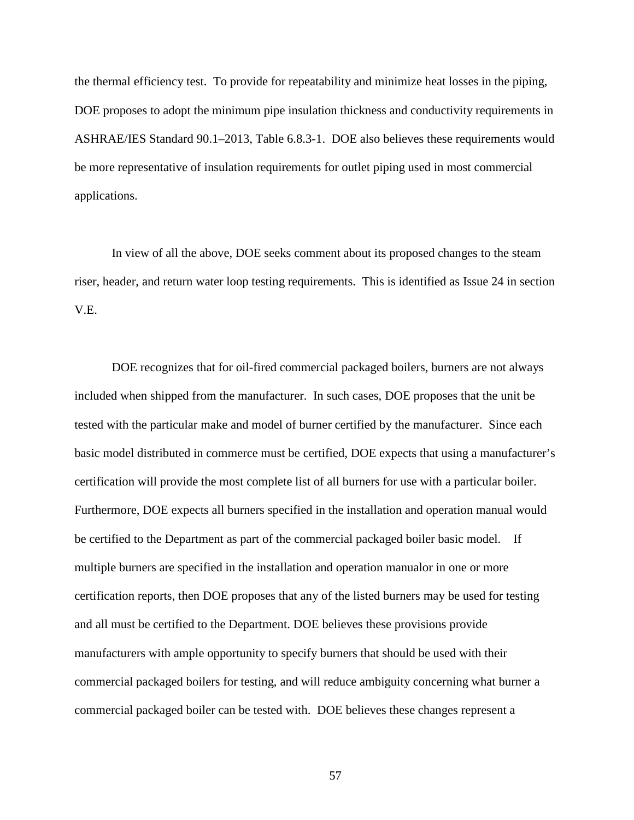the thermal efficiency test. To provide for repeatability and minimize heat losses in the piping, DOE proposes to adopt the minimum pipe insulation thickness and conductivity requirements in ASHRAE/IES Standard 90.1–2013, Table 6.8.3-1. DOE also believes these requirements would be more representative of insulation requirements for outlet piping used in most commercial applications.

In view of all the above, DOE seeks comment about its proposed changes to the steam riser, header, and return water loop testing requirements. This is identified as Issue [24](#page-101-3) in section [V.E.](#page-98-0)

DOE recognizes that for oil-fired commercial packaged boilers, burners are not always included when shipped from the manufacturer. In such cases, DOE proposes that the unit be tested with the particular make and model of burner certified by the manufacturer. Since each basic model distributed in commerce must be certified, DOE expects that using a manufacturer's certification will provide the most complete list of all burners for use with a particular boiler. Furthermore, DOE expects all burners specified in the installation and operation manual would be certified to the Department as part of the commercial packaged boiler basic model. If multiple burners are specified in the installation and operation manualor in one or more certification reports, then DOE proposes that any of the listed burners may be used for testing and all must be certified to the Department. DOE believes these provisions provide manufacturers with ample opportunity to specify burners that should be used with their commercial packaged boilers for testing, and will reduce ambiguity concerning what burner a commercial packaged boiler can be tested with. DOE believes these changes represent a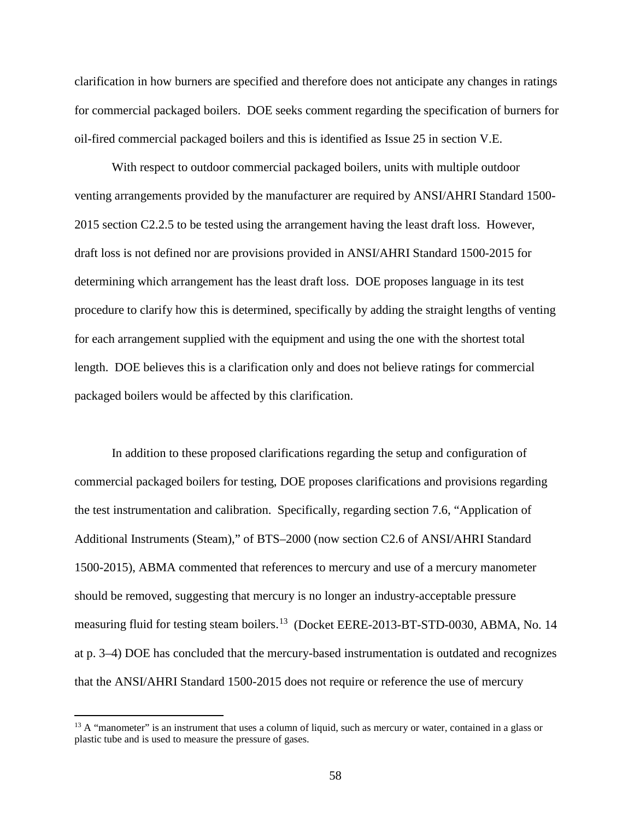clarification in how burners are specified and therefore does not anticipate any changes in ratings for commercial packaged boilers. DOE seeks comment regarding the specification of burners for oil-fired commercial packaged boilers and this is identified as Issue [25](#page-101-4) in section [V.E.](#page-98-1)

With respect to outdoor commercial packaged boilers, units with multiple outdoor venting arrangements provided by the manufacturer are required by ANSI/AHRI Standard 1500- 2015 section C2.2.5 to be tested using the arrangement having the least draft loss. However, draft loss is not defined nor are provisions provided in ANSI/AHRI Standard 1500-2015 for determining which arrangement has the least draft loss. DOE proposes language in its test procedure to clarify how this is determined, specifically by adding the straight lengths of venting for each arrangement supplied with the equipment and using the one with the shortest total length. DOE believes this is a clarification only and does not believe ratings for commercial packaged boilers would be affected by this clarification.

In addition to these proposed clarifications regarding the setup and configuration of commercial packaged boilers for testing, DOE proposes clarifications and provisions regarding the test instrumentation and calibration. Specifically, regarding section 7.6, "Application of Additional Instruments (Steam)," of BTS–2000 (now section C2.6 of ANSI/AHRI Standard 1500-2015), ABMA commented that references to mercury and use of a mercury manometer should be removed, suggesting that mercury is no longer an industry-acceptable pressure measuring fluid for testing steam boilers.<sup>[13](#page-58-0)</sup> (Docket EERE-2013-BT-STD-0030, ABMA, No. 14 at p. 3–4) DOE has concluded that the mercury-based instrumentation is outdated and recognizes that the ANSI/AHRI Standard 1500-2015 does not require or reference the use of mercury

<span id="page-58-0"></span> $13$  A "manometer" is an instrument that uses a column of liquid, such as mercury or water, contained in a glass or plastic tube and is used to measure the pressure of gases.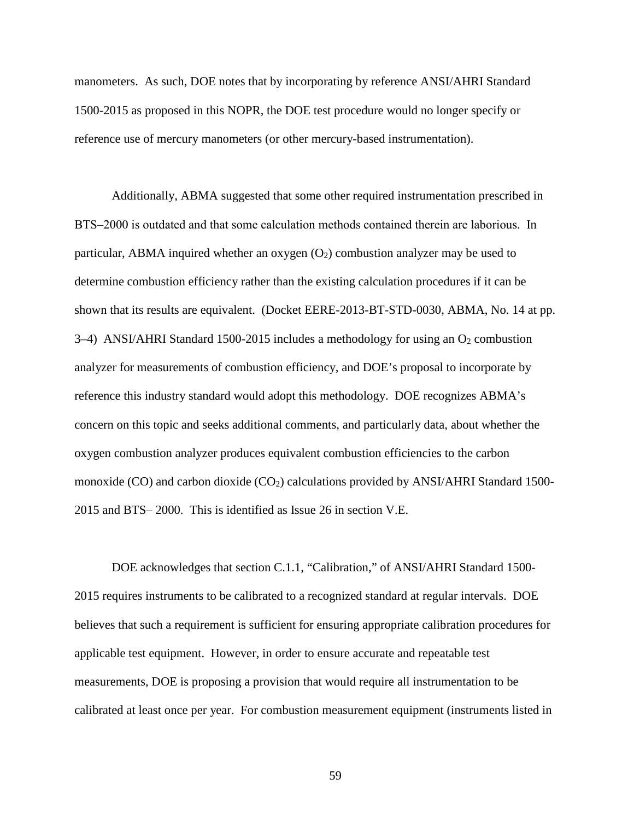manometers. As such, DOE notes that by incorporating by reference ANSI/AHRI Standard 1500-2015 as proposed in this NOPR, the DOE test procedure would no longer specify or reference use of mercury manometers (or other mercury-based instrumentation).

Additionally, ABMA suggested that some other required instrumentation prescribed in BTS–2000 is outdated and that some calculation methods contained therein are laborious. In particular, ABMA inquired whether an oxygen  $(O_2)$  combustion analyzer may be used to determine combustion efficiency rather than the existing calculation procedures if it can be shown that its results are equivalent. (Docket EERE-2013-BT-STD-0030, ABMA, No. 14 at pp. 3–4) ANSI/AHRI Standard 1500-2015 includes a methodology for using an  $O_2$  combustion analyzer for measurements of combustion efficiency, and DOE's proposal to incorporate by reference this industry standard would adopt this methodology. DOE recognizes ABMA's concern on this topic and seeks additional comments, and particularly data, about whether the oxygen combustion analyzer produces equivalent combustion efficiencies to the carbon monoxide (CO) and carbon dioxide  $(CO_2)$  calculations provided by ANSI/AHRI Standard 1500-2015 and BTS‒ 2000. This is identified as Issue [26](#page-101-5) in section [V.E.](#page-98-0)

DOE acknowledges that section C.1.1, "Calibration," of ANSI/AHRI Standard 1500- 2015 requires instruments to be calibrated to a recognized standard at regular intervals. DOE believes that such a requirement is sufficient for ensuring appropriate calibration procedures for applicable test equipment. However, in order to ensure accurate and repeatable test measurements, DOE is proposing a provision that would require all instrumentation to be calibrated at least once per year. For combustion measurement equipment (instruments listed in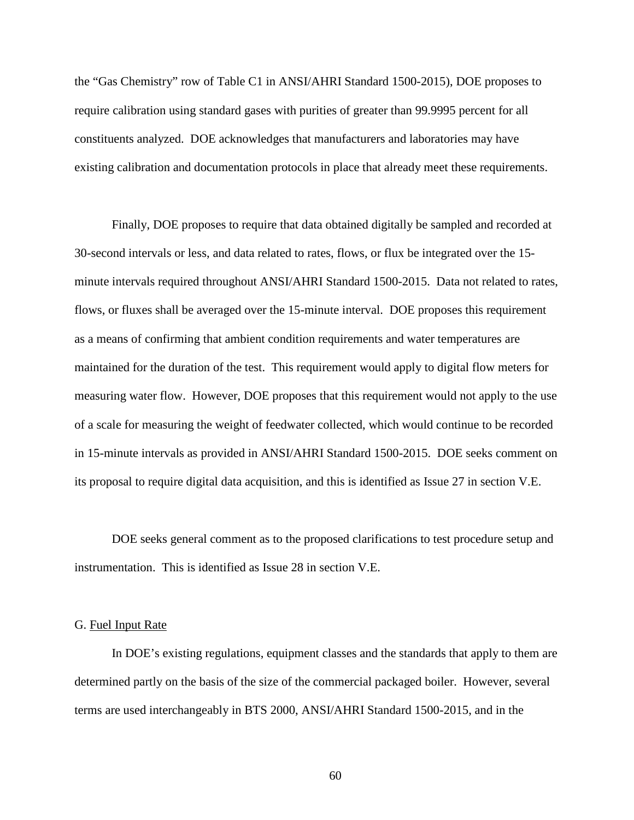the "Gas Chemistry" row of Table C1 in ANSI/AHRI Standard 1500-2015), DOE proposes to require calibration using standard gases with purities of greater than 99.9995 percent for all constituents analyzed. DOE acknowledges that manufacturers and laboratories may have existing calibration and documentation protocols in place that already meet these requirements.

Finally, DOE proposes to require that data obtained digitally be sampled and recorded at 30-second intervals or less, and data related to rates, flows, or flux be integrated over the 15 minute intervals required throughout ANSI/AHRI Standard 1500-2015. Data not related to rates, flows, or fluxes shall be averaged over the 15-minute interval. DOE proposes this requirement as a means of confirming that ambient condition requirements and water temperatures are maintained for the duration of the test. This requirement would apply to digital flow meters for measuring water flow. However, DOE proposes that this requirement would not apply to the use of a scale for measuring the weight of feedwater collected, which would continue to be recorded in 15-minute intervals as provided in ANSI/AHRI Standard 1500-2015. DOE seeks comment on its proposal to require digital data acquisition, and this is identified as Issue [27](#page-101-6) in section [V.E.](#page-98-0)

DOE seeks general comment as to the proposed clarifications to test procedure setup and instrumentation. This is identified as Issue [28](#page-101-7) in section [V.E.](#page-98-0)

## <span id="page-60-0"></span>G. Fuel Input Rate

In DOE's existing regulations, equipment classes and the standards that apply to them are determined partly on the basis of the size of the commercial packaged boiler. However, several terms are used interchangeably in BTS 2000, ANSI/AHRI Standard 1500-2015, and in the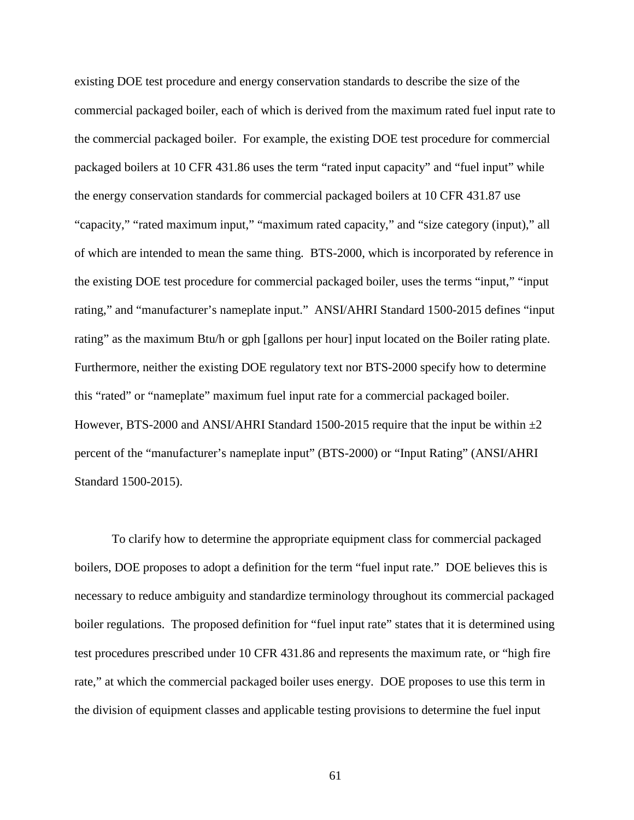existing DOE test procedure and energy conservation standards to describe the size of the commercial packaged boiler, each of which is derived from the maximum rated fuel input rate to the commercial packaged boiler. For example, the existing DOE test procedure for commercial packaged boilers at 10 CFR 431.86 uses the term "rated input capacity" and "fuel input" while the energy conservation standards for commercial packaged boilers at 10 CFR 431.87 use "capacity," "rated maximum input," "maximum rated capacity," and "size category (input)," all of which are intended to mean the same thing. BTS-2000, which is incorporated by reference in the existing DOE test procedure for commercial packaged boiler, uses the terms "input," "input rating," and "manufacturer's nameplate input." ANSI/AHRI Standard 1500-2015 defines "input rating" as the maximum Btu/h or gph [gallons per hour] input located on the Boiler rating plate. Furthermore, neither the existing DOE regulatory text nor BTS-2000 specify how to determine this "rated" or "nameplate" maximum fuel input rate for a commercial packaged boiler. However, BTS-2000 and ANSI/AHRI Standard 1500-2015 require that the input be within  $\pm 2$ percent of the "manufacturer's nameplate input" (BTS-2000) or "Input Rating" (ANSI/AHRI Standard 1500-2015).

To clarify how to determine the appropriate equipment class for commercial packaged boilers, DOE proposes to adopt a definition for the term "fuel input rate." DOE believes this is necessary to reduce ambiguity and standardize terminology throughout its commercial packaged boiler regulations. The proposed definition for "fuel input rate" states that it is determined using test procedures prescribed under 10 CFR 431.86 and represents the maximum rate, or "high fire rate," at which the commercial packaged boiler uses energy. DOE proposes to use this term in the division of equipment classes and applicable testing provisions to determine the fuel input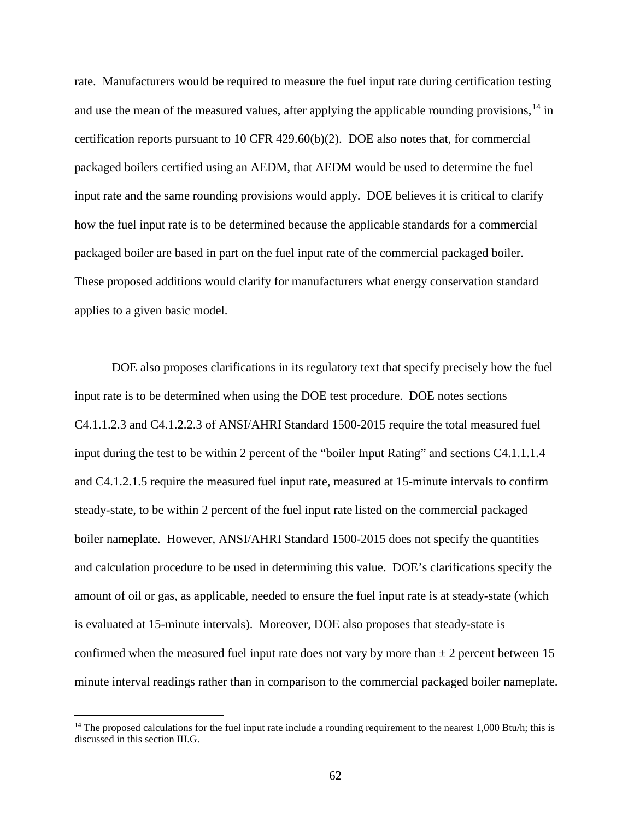rate. Manufacturers would be required to measure the fuel input rate during certification testing and use the mean of the measured values, after applying the applicable rounding provisions,  $^{14}$  $^{14}$  $^{14}$  in certification reports pursuant to 10 CFR 429.60(b)(2). DOE also notes that, for commercial packaged boilers certified using an AEDM, that AEDM would be used to determine the fuel input rate and the same rounding provisions would apply. DOE believes it is critical to clarify how the fuel input rate is to be determined because the applicable standards for a commercial packaged boiler are based in part on the fuel input rate of the commercial packaged boiler. These proposed additions would clarify for manufacturers what energy conservation standard applies to a given basic model.

DOE also proposes clarifications in its regulatory text that specify precisely how the fuel input rate is to be determined when using the DOE test procedure. DOE notes sections C4.1.1.2.3 and C4.1.2.2.3 of ANSI/AHRI Standard 1500-2015 require the total measured fuel input during the test to be within 2 percent of the "boiler Input Rating" and sections C4.1.1.1.4 and C4.1.2.1.5 require the measured fuel input rate, measured at 15-minute intervals to confirm steady-state, to be within 2 percent of the fuel input rate listed on the commercial packaged boiler nameplate. However, ANSI/AHRI Standard 1500-2015 does not specify the quantities and calculation procedure to be used in determining this value. DOE's clarifications specify the amount of oil or gas, as applicable, needed to ensure the fuel input rate is at steady-state (which is evaluated at 15-minute intervals). Moreover, DOE also proposes that steady-state is confirmed when the measured fuel input rate does not vary by more than  $\pm 2$  percent between 15 minute interval readings rather than in comparison to the commercial packaged boiler nameplate.

<span id="page-62-0"></span><sup>&</sup>lt;sup>14</sup> The proposed calculations for the fuel input rate include a rounding requirement to the nearest 1,000 Btu/h; this is discussed in this section [III.G.](#page-60-0)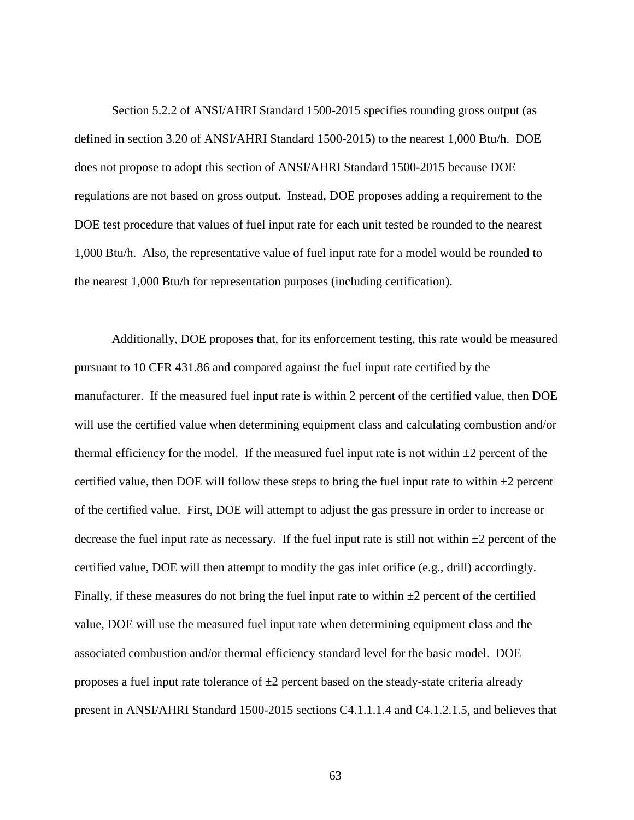Section 5.2.2 of ANSI/AHRI Standard 1500-2015 specifies rounding gross output (as defined in section 3.20 of ANSI/AHRI Standard 1500-2015) to the nearest 1,000 Btu/h. DOE does not propose to adopt this section of ANSI/AHRI Standard 1500-2015 because DOE regulations are not based on gross output. Instead, DOE proposes adding a requirement to the DOE test procedure that values of fuel input rate for each unit tested be rounded to the nearest 1,000 Btu/h. Also, the representative value of fuel input rate for a model would be rounded to the nearest 1,000 Btu/h for representation purposes (including certification).

Additionally, DOE proposes that, for its enforcement testing, this rate would be measured pursuant to 10 CFR 431.86 and compared against the fuel input rate certified by the manufacturer. If the measured fuel input rate is within 2 percent of the certified value, then DOE will use the certified value when determining equipment class and calculating combustion and/or thermal efficiency for the model. If the measured fuel input rate is not within  $\pm 2$  percent of the certified value, then DOE will follow these steps to bring the fuel input rate to within  $\pm 2$  percent of the certified value. First, DOE will attempt to adjust the gas pressure in order to increase or decrease the fuel input rate as necessary. If the fuel input rate is still not within  $\pm 2$  percent of the certified value, DOE will then attempt to modify the gas inlet orifice (e.g., drill) accordingly. Finally, if these measures do not bring the fuel input rate to within  $\pm 2$  percent of the certified value, DOE will use the measured fuel input rate when determining equipment class and the associated combustion and/or thermal efficiency standard level for the basic model. DOE proposes a fuel input rate tolerance of  $\pm 2$  percent based on the steady-state criteria already present in ANSI/AHRI Standard 1500-2015 sections C4.1.1.1.4 and C4.1.2.1.5, and believes that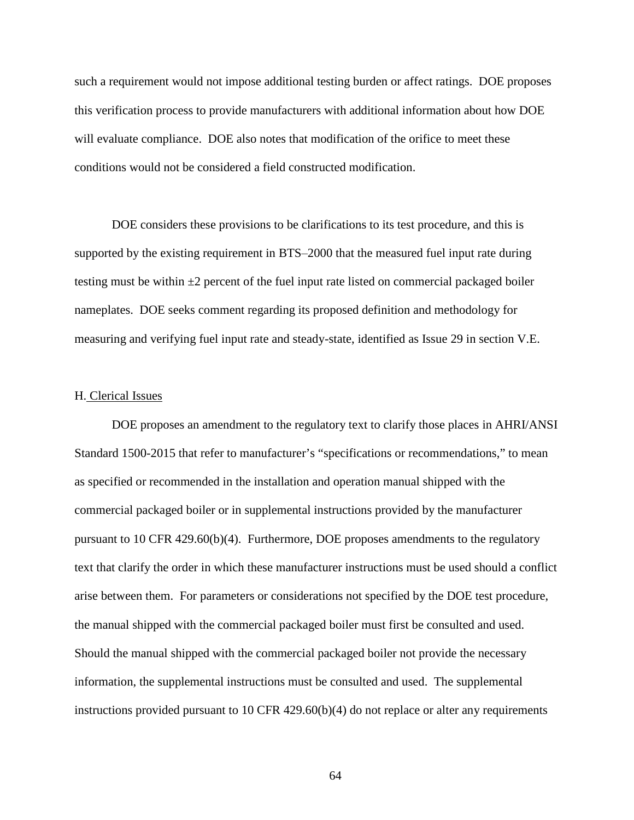such a requirement would not impose additional testing burden or affect ratings. DOE proposes this verification process to provide manufacturers with additional information about how DOE will evaluate compliance. DOE also notes that modification of the orifice to meet these conditions would not be considered a field constructed modification.

DOE considers these provisions to be clarifications to its test procedure, and this is supported by the existing requirement in BTS–2000 that the measured fuel input rate during testing must be within  $\pm 2$  percent of the fuel input rate listed on commercial packaged boiler nameplates. DOE seeks comment regarding its proposed definition and methodology for measuring and verifying fuel input rate and steady-state, identified as Issue [29](#page-102-0) in section [V.E.](#page-98-0)

#### H. Clerical Issues

DOE proposes an amendment to the regulatory text to clarify those places in AHRI/ANSI Standard 1500-2015 that refer to manufacturer's "specifications or recommendations," to mean as specified or recommended in the installation and operation manual shipped with the commercial packaged boiler or in supplemental instructions provided by the manufacturer pursuant to 10 CFR 429.60(b)(4). Furthermore, DOE proposes amendments to the regulatory text that clarify the order in which these manufacturer instructions must be used should a conflict arise between them. For parameters or considerations not specified by the DOE test procedure, the manual shipped with the commercial packaged boiler must first be consulted and used. Should the manual shipped with the commercial packaged boiler not provide the necessary information, the supplemental instructions must be consulted and used. The supplemental instructions provided pursuant to 10 CFR  $429.60(b)(4)$  do not replace or alter any requirements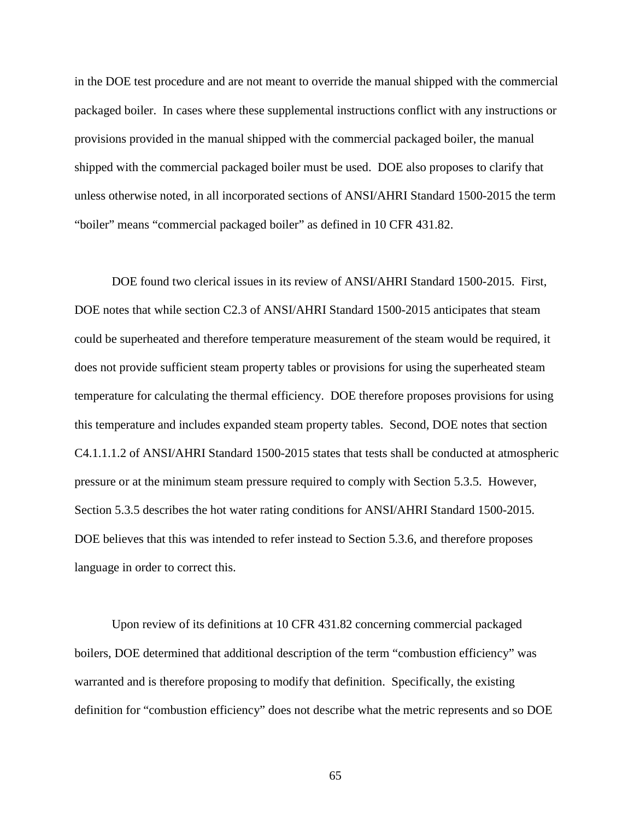in the DOE test procedure and are not meant to override the manual shipped with the commercial packaged boiler. In cases where these supplemental instructions conflict with any instructions or provisions provided in the manual shipped with the commercial packaged boiler, the manual shipped with the commercial packaged boiler must be used. DOE also proposes to clarify that unless otherwise noted, in all incorporated sections of ANSI/AHRI Standard 1500-2015 the term "boiler" means "commercial packaged boiler" as defined in 10 CFR 431.82.

DOE found two clerical issues in its review of ANSI/AHRI Standard 1500-2015. First, DOE notes that while section C2.3 of ANSI/AHRI Standard 1500-2015 anticipates that steam could be superheated and therefore temperature measurement of the steam would be required, it does not provide sufficient steam property tables or provisions for using the superheated steam temperature for calculating the thermal efficiency. DOE therefore proposes provisions for using this temperature and includes expanded steam property tables. Second, DOE notes that section C4.1.1.1.2 of ANSI/AHRI Standard 1500-2015 states that tests shall be conducted at atmospheric pressure or at the minimum steam pressure required to comply with Section 5.3.5. However, Section 5.3.5 describes the hot water rating conditions for ANSI/AHRI Standard 1500-2015. DOE believes that this was intended to refer instead to Section 5.3.6, and therefore proposes language in order to correct this.

Upon review of its definitions at 10 CFR 431.82 concerning commercial packaged boilers, DOE determined that additional description of the term "combustion efficiency" was warranted and is therefore proposing to modify that definition. Specifically, the existing definition for "combustion efficiency" does not describe what the metric represents and so DOE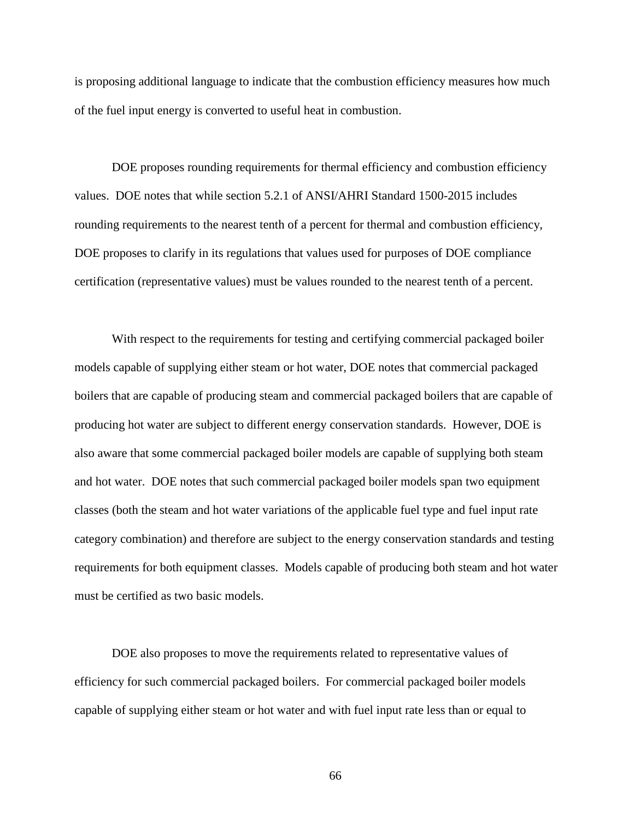is proposing additional language to indicate that the combustion efficiency measures how much of the fuel input energy is converted to useful heat in combustion.

DOE proposes rounding requirements for thermal efficiency and combustion efficiency values. DOE notes that while section 5.2.1 of ANSI/AHRI Standard 1500-2015 includes rounding requirements to the nearest tenth of a percent for thermal and combustion efficiency, DOE proposes to clarify in its regulations that values used for purposes of DOE compliance certification (representative values) must be values rounded to the nearest tenth of a percent.

With respect to the requirements for testing and certifying commercial packaged boiler models capable of supplying either steam or hot water, DOE notes that commercial packaged boilers that are capable of producing steam and commercial packaged boilers that are capable of producing hot water are subject to different energy conservation standards. However, DOE is also aware that some commercial packaged boiler models are capable of supplying both steam and hot water. DOE notes that such commercial packaged boiler models span two equipment classes (both the steam and hot water variations of the applicable fuel type and fuel input rate category combination) and therefore are subject to the energy conservation standards and testing requirements for both equipment classes. Models capable of producing both steam and hot water must be certified as two basic models.

DOE also proposes to move the requirements related to representative values of efficiency for such commercial packaged boilers. For commercial packaged boiler models capable of supplying either steam or hot water and with fuel input rate less than or equal to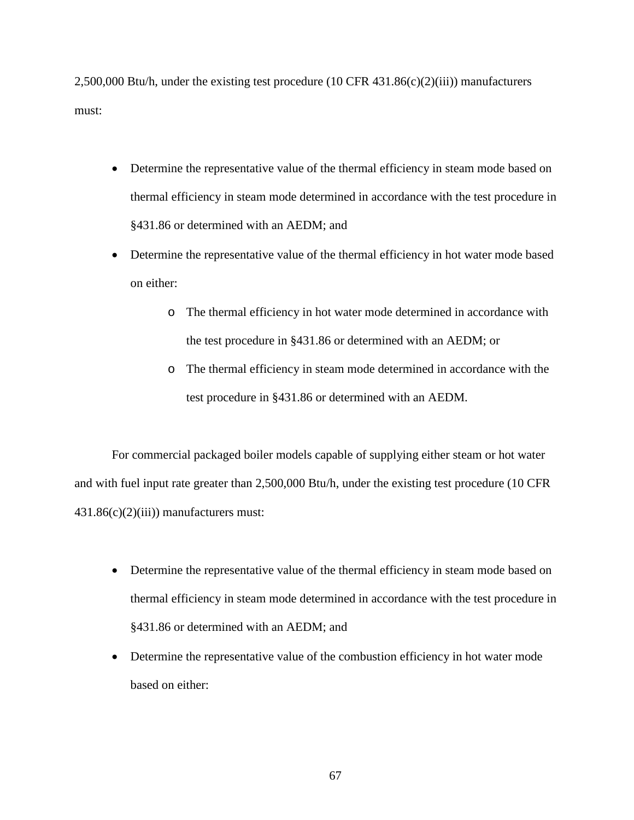2,500,000 Btu/h, under the existing test procedure (10 CFR 431.86(c)(2)(iii)) manufacturers must:

- Determine the representative value of the thermal efficiency in steam mode based on thermal efficiency in steam mode determined in accordance with the test procedure in §431.86 or determined with an AEDM; and
- Determine the representative value of the thermal efficiency in hot water mode based on either:
	- o The thermal efficiency in hot water mode determined in accordance with the test procedure in §431.86 or determined with an AEDM; or
	- o The thermal efficiency in steam mode determined in accordance with the test procedure in §431.86 or determined with an AEDM.

For commercial packaged boiler models capable of supplying either steam or hot water and with fuel input rate greater than 2,500,000 Btu/h, under the existing test procedure (10 CFR 431.86(c)(2)(iii)) manufacturers must:

- Determine the representative value of the thermal efficiency in steam mode based on thermal efficiency in steam mode determined in accordance with the test procedure in §431.86 or determined with an AEDM; and
- Determine the representative value of the combustion efficiency in hot water mode based on either: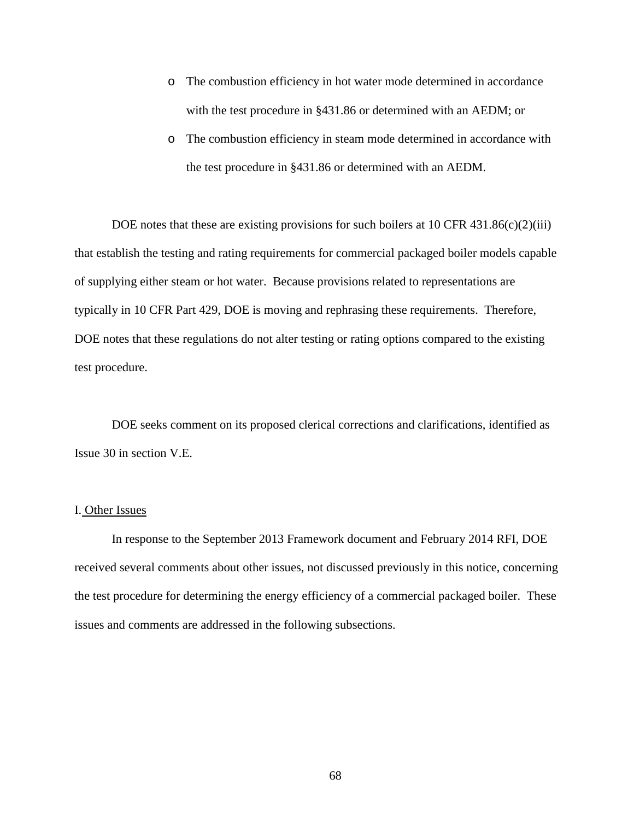- o The combustion efficiency in hot water mode determined in accordance with the test procedure in §431.86 or determined with an AEDM; or
- o The combustion efficiency in steam mode determined in accordance with the test procedure in §431.86 or determined with an AEDM.

DOE notes that these are existing provisions for such boilers at 10 CFR 431.86(c)(2)(iii) that establish the testing and rating requirements for commercial packaged boiler models capable of supplying either steam or hot water. Because provisions related to representations are typically in 10 CFR Part 429, DOE is moving and rephrasing these requirements. Therefore, DOE notes that these regulations do not alter testing or rating options compared to the existing test procedure.

DOE seeks comment on its proposed clerical corrections and clarifications, identified as Issue [30](#page-102-1) in section [V.E.](#page-98-0)

## I. Other Issues

In response to the September 2013 Framework document and February 2014 RFI, DOE received several comments about other issues, not discussed previously in this notice, concerning the test procedure for determining the energy efficiency of a commercial packaged boiler. These issues and comments are addressed in the following subsections.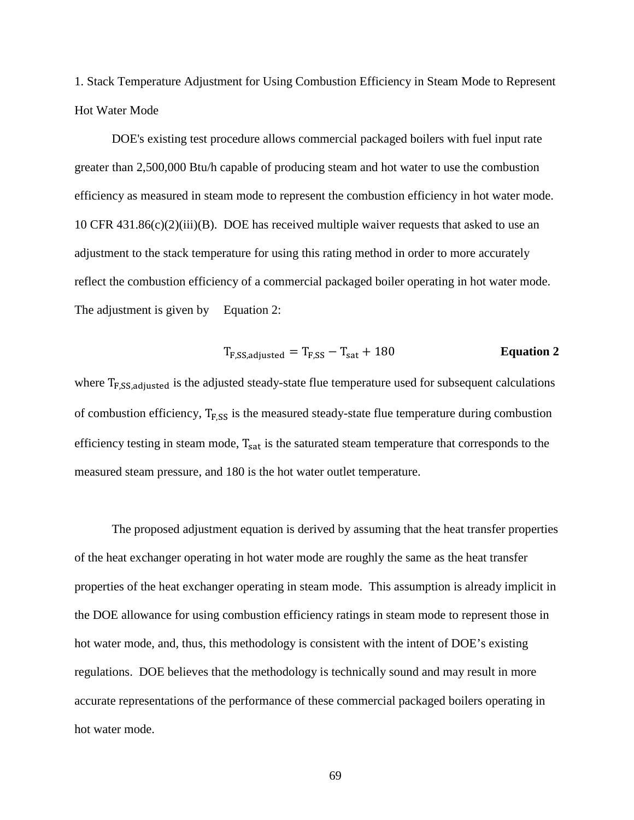1. Stack Temperature Adjustment for Using Combustion Efficiency in Steam Mode to Represent Hot Water Mode

DOE's existing test procedure allows commercial packaged boilers with fuel input rate greater than 2,500,000 Btu/h capable of producing steam and hot water to use the combustion efficiency as measured in steam mode to represent the combustion efficiency in hot water mode. 10 CFR 431.86(c)(2)(iii)(B). DOE has received multiple waiver requests that asked to use an adjustment to the stack temperature for using this rating method in order to more accurately reflect the combustion efficiency of a commercial packaged boiler operating in hot water mode. The adjustment is given by [Equation](#page-69-0) 2:

<span id="page-69-0"></span>
$$
T_{F,SS, adjusted} = T_{F,SS} - T_{sat} + 180
$$
 **Equation 2**

where  $T_{F,SS, adjusted}$  is the adjusted steady-state flue temperature used for subsequent calculations of combustion efficiency,  $T_{F,SS}$  is the measured steady-state flue temperature during combustion efficiency testing in steam mode,  $T_{sat}$  is the saturated steam temperature that corresponds to the measured steam pressure, and 180 is the hot water outlet temperature.

The proposed adjustment equation is derived by assuming that the heat transfer properties of the heat exchanger operating in hot water mode are roughly the same as the heat transfer properties of the heat exchanger operating in steam mode. This assumption is already implicit in the DOE allowance for using combustion efficiency ratings in steam mode to represent those in hot water mode, and, thus, this methodology is consistent with the intent of DOE's existing regulations. DOE believes that the methodology is technically sound and may result in more accurate representations of the performance of these commercial packaged boilers operating in hot water mode.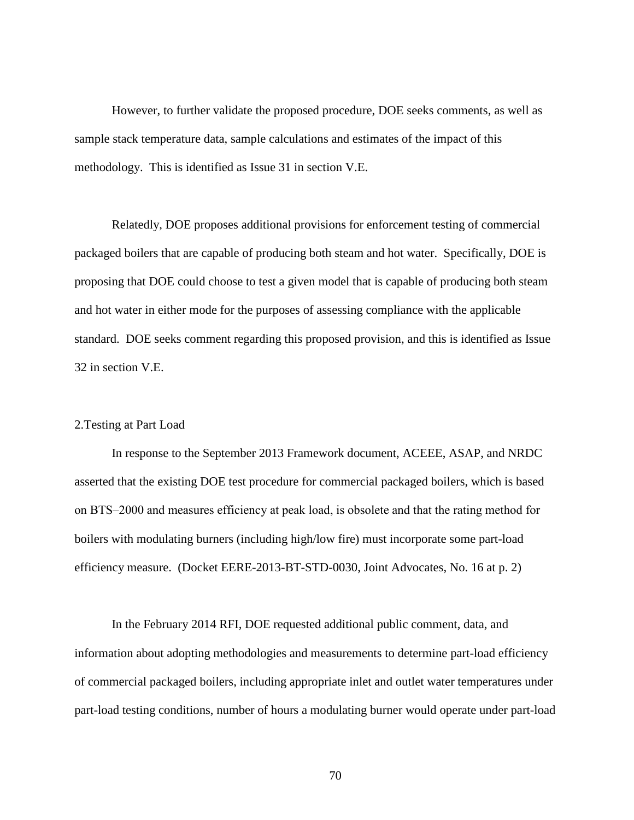However, to further validate the proposed procedure, DOE seeks comments, as well as sample stack temperature data, sample calculations and estimates of the impact of this methodology. This is identified as Issue [31](#page-102-2) in section [V.E.](#page-98-1)

Relatedly, DOE proposes additional provisions for enforcement testing of commercial packaged boilers that are capable of producing both steam and hot water. Specifically, DOE is proposing that DOE could choose to test a given model that is capable of producing both steam and hot water in either mode for the purposes of assessing compliance with the applicable standard. DOE seeks comment regarding this proposed provision, and this is identified as Issue [32](#page-102-3) in section [V.E.](#page-98-1)

# 2.Testing at Part Load

In response to the September 2013 Framework document, ACEEE, ASAP, and NRDC asserted that the existing DOE test procedure for commercial packaged boilers, which is based on BTS‒2000 and measures efficiency at peak load, is obsolete and that the rating method for boilers with modulating burners (including high/low fire) must incorporate some part-load efficiency measure. (Docket EERE-2013-BT-STD-0030, Joint Advocates, No. 16 at p. 2)

In the February 2014 RFI, DOE requested additional public comment, data, and information about adopting methodologies and measurements to determine part-load efficiency of commercial packaged boilers, including appropriate inlet and outlet water temperatures under part-load testing conditions, number of hours a modulating burner would operate under part-load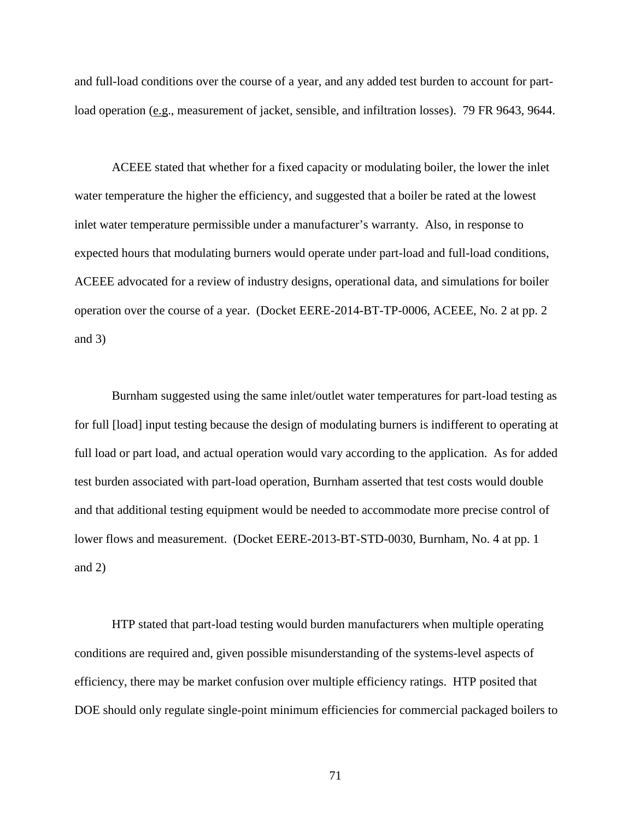and full-load conditions over the course of a year, and any added test burden to account for partload operation (e.g., measurement of jacket, sensible, and infiltration losses). 79 FR 9643, 9644.

ACEEE stated that whether for a fixed capacity or modulating boiler, the lower the inlet water temperature the higher the efficiency, and suggested that a boiler be rated at the lowest inlet water temperature permissible under a manufacturer's warranty. Also, in response to expected hours that modulating burners would operate under part-load and full-load conditions, ACEEE advocated for a review of industry designs, operational data, and simulations for boiler operation over the course of a year. (Docket EERE-2014-BT-TP-0006, ACEEE, No. 2 at pp. 2 and 3)

Burnham suggested using the same inlet/outlet water temperatures for part-load testing as for full [load] input testing because the design of modulating burners is indifferent to operating at full load or part load, and actual operation would vary according to the application. As for added test burden associated with part-load operation, Burnham asserted that test costs would double and that additional testing equipment would be needed to accommodate more precise control of lower flows and measurement. (Docket EERE-2013-BT-STD-0030, Burnham, No. 4 at pp. 1 and 2)

HTP stated that part-load testing would burden manufacturers when multiple operating conditions are required and, given possible misunderstanding of the systems-level aspects of efficiency, there may be market confusion over multiple efficiency ratings. HTP posited that DOE should only regulate single-point minimum efficiencies for commercial packaged boilers to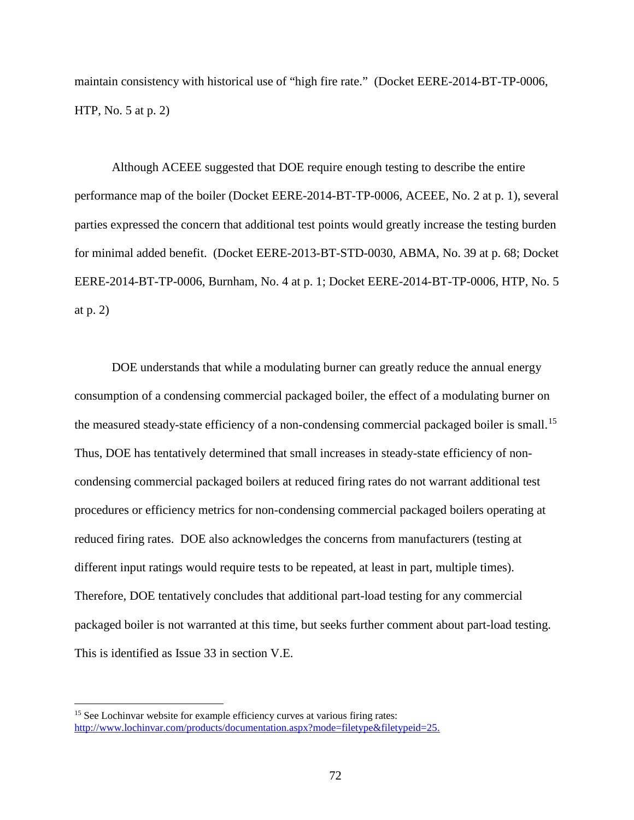maintain consistency with historical use of "high fire rate." (Docket EERE-2014-BT-TP-0006, HTP, No. 5 at p. 2)

Although ACEEE suggested that DOE require enough testing to describe the entire performance map of the boiler (Docket EERE-2014-BT-TP-0006, ACEEE, No. 2 at p. 1), several parties expressed the concern that additional test points would greatly increase the testing burden for minimal added benefit. (Docket EERE-2013-BT-STD-0030, ABMA, No. 39 at p. 68; Docket EERE-2014-BT-TP-0006, Burnham, No. 4 at p. 1; Docket EERE-2014-BT-TP-0006, HTP, No. 5 at p. 2)

DOE understands that while a modulating burner can greatly reduce the annual energy consumption of a condensing commercial packaged boiler, the effect of a modulating burner on the measured steady-state efficiency of a non-condensing commercial packaged boiler is small.<sup>[15](#page-72-0)</sup> Thus, DOE has tentatively determined that small increases in steady-state efficiency of noncondensing commercial packaged boilers at reduced firing rates do not warrant additional test procedures or efficiency metrics for non-condensing commercial packaged boilers operating at reduced firing rates. DOE also acknowledges the concerns from manufacturers (testing at different input ratings would require tests to be repeated, at least in part, multiple times). Therefore, DOE tentatively concludes that additional part-load testing for any commercial packaged boiler is not warranted at this time, but seeks further comment about part-load testing. This is identified as Issue [33](#page-102-0) in section [V.E.](#page-98-0)

<span id="page-72-0"></span><sup>&</sup>lt;sup>15</sup> See Lochinvar website for example efficiency curves at various firing rates: [http://www.lochinvar.com/products/documentation.aspx?mode=filetype&filetypeid=25.](http://www.lochinvar.com/products/documentation.aspx?mode=filetype&filetypeid=25)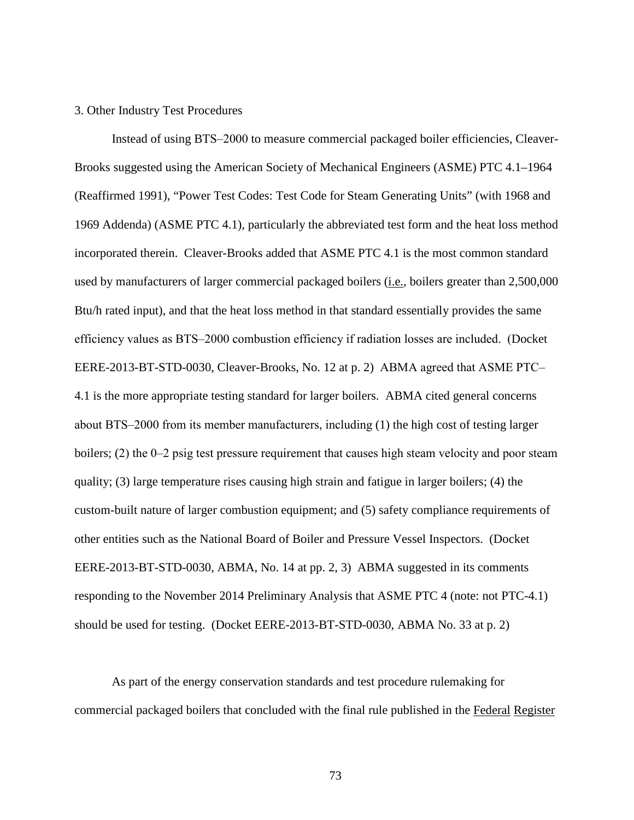## 3. Other Industry Test Procedures

Instead of using BTS‒2000 to measure commercial packaged boiler efficiencies, Cleaver-Brooks suggested using the American Society of Mechanical Engineers (ASME) PTC 4.1–1964 (Reaffirmed 1991), "Power Test Codes: Test Code for Steam Generating Units" (with 1968 and 1969 Addenda) (ASME PTC 4.1), particularly the abbreviated test form and the heat loss method incorporated therein. Cleaver-Brooks added that ASME PTC 4.1 is the most common standard used by manufacturers of larger commercial packaged boilers (*i.e.*, boilers greater than 2,500,000 Btu/h rated input), and that the heat loss method in that standard essentially provides the same efficiency values as BTS‒2000 combustion efficiency if radiation losses are included. (Docket EERE-2013-BT-STD-0030, Cleaver-Brooks, No. 12 at p. 2) ABMA agreed that ASME PTC-4.1 is the more appropriate testing standard for larger boilers. ABMA cited general concerns about BTS‒2000 from its member manufacturers, including (1) the high cost of testing larger boilers; (2) the 0‒2 psig test pressure requirement that causes high steam velocity and poor steam quality; (3) large temperature rises causing high strain and fatigue in larger boilers; (4) the custom-built nature of larger combustion equipment; and (5) safety compliance requirements of other entities such as the National Board of Boiler and Pressure Vessel Inspectors. (Docket EERE-2013-BT-STD-0030, ABMA, No. 14 at pp. 2, 3) ABMA suggested in its comments responding to the November 2014 Preliminary Analysis that ASME PTC 4 (note: not PTC-4.1) should be used for testing. (Docket EERE-2013-BT-STD-0030, ABMA No. 33 at p. 2)

As part of the energy conservation standards and test procedure rulemaking for commercial packaged boilers that concluded with the final rule published in the Federal Register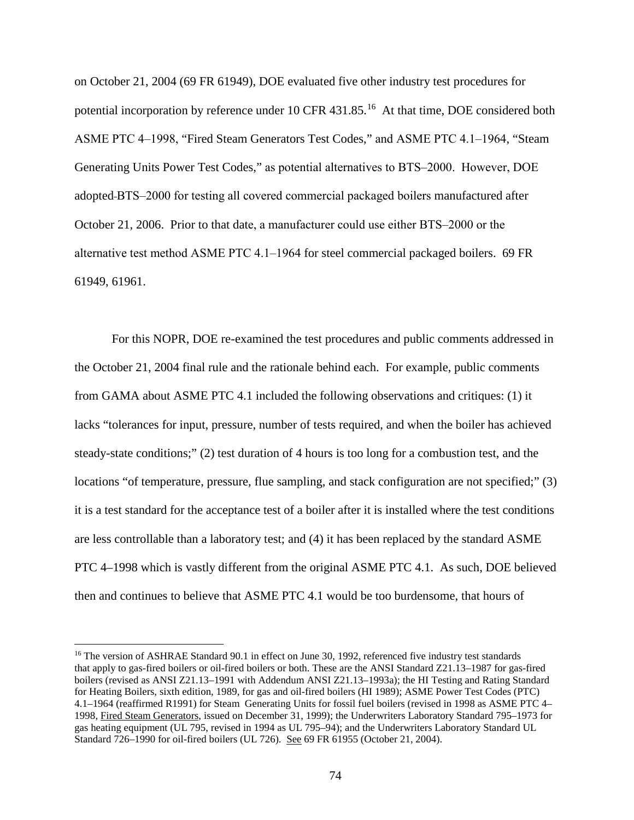on October 21, 2004 (69 FR 61949), DOE evaluated five other industry test procedures for potential incorporation by reference under 10 CFR 431.85.<sup>[16](#page-74-0)</sup> At that time, DOE considered both ASME PTC 4–1998, "Fired Steam Generators Test Codes," and ASME PTC 4.1–1964, "Steam Generating Units Power Test Codes," as potential alternatives to BTS‒2000. However, DOE adopted BTS‒2000 for testing all covered commercial packaged boilers manufactured after October 21, 2006. Prior to that date, a manufacturer could use either BTS‒2000 or the alternative test method ASME PTC 4.1‒1964 for steel commercial packaged boilers. 69 FR 61949, 61961.

For this NOPR, DOE re-examined the test procedures and public comments addressed in the October 21, 2004 final rule and the rationale behind each. For example, public comments from GAMA about ASME PTC 4.1 included the following observations and critiques: (1) it lacks "tolerances for input, pressure, number of tests required, and when the boiler has achieved steady-state conditions;" (2) test duration of 4 hours is too long for a combustion test, and the locations "of temperature, pressure, flue sampling, and stack configuration are not specified;" (3) it is a test standard for the acceptance test of a boiler after it is installed where the test conditions are less controllable than a laboratory test; and (4) it has been replaced by the standard ASME PTC 4–1998 which is vastly different from the original ASME PTC 4.1. As such, DOE believed then and continues to believe that ASME PTC 4.1 would be too burdensome, that hours of

<span id="page-74-0"></span><sup>&</sup>lt;sup>16</sup> The version of ASHRAE Standard 90.1 in effect on June 30, 1992, referenced five industry test standards that apply to gas-fired boilers or oil-fired boilers or both. These are the ANSI Standard Z21.13–1987 for gas-fired boilers (revised as ANSI Z21.13–1991 with Addendum ANSI Z21.13–1993a); the HI Testing and Rating Standard for Heating Boilers, sixth edition, 1989, for gas and oil-fired boilers (HI 1989); ASME Power Test Codes (PTC) 4.1–1964 (reaffirmed R1991) for Steam Generating Units for fossil fuel boilers (revised in 1998 as ASME PTC 4– 1998, Fired Steam Generators, issued on December 31, 1999); the Underwriters Laboratory Standard 795–1973 for gas heating equipment (UL 795, revised in 1994 as UL 795–94); and the Underwriters Laboratory Standard UL Standard 726–1990 for oil-fired boilers (UL 726). See 69 FR 61955 (October 21, 2004).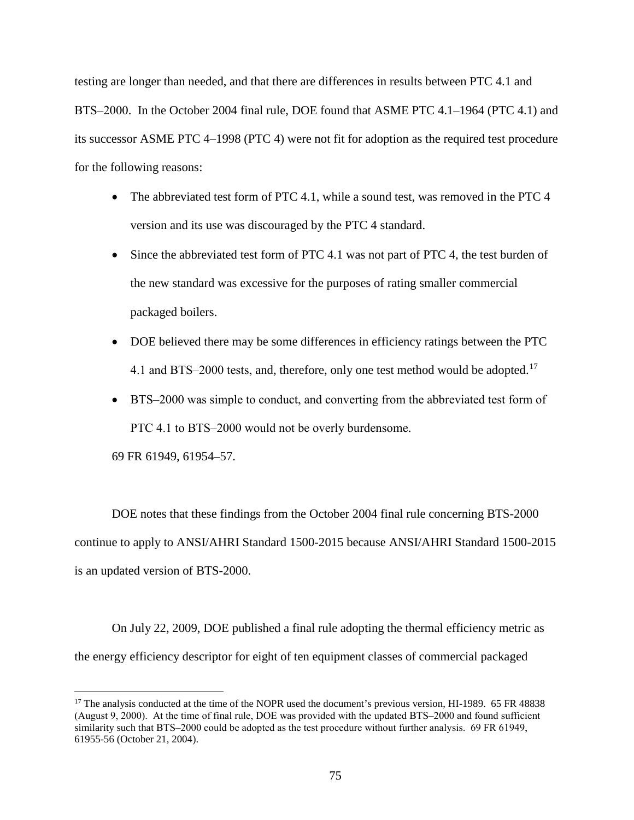testing are longer than needed, and that there are differences in results between PTC 4.1 and BTS–2000. In the October 2004 final rule, DOE found that ASME PTC 4.1–1964 (PTC 4.1) and its successor ASME PTC 4‒1998 (PTC 4) were not fit for adoption as the required test procedure for the following reasons:

- The abbreviated test form of PTC 4.1, while a sound test, was removed in the PTC 4 version and its use was discouraged by the PTC 4 standard.
- Since the abbreviated test form of PTC 4.1 was not part of PTC 4, the test burden of the new standard was excessive for the purposes of rating smaller commercial packaged boilers.
- DOE believed there may be some differences in efficiency ratings between the PTC 4.1 and BTS-2000 tests, and, therefore, only one test method would be adopted.<sup>[17](#page-75-0)</sup>
- BTS–2000 was simple to conduct, and converting from the abbreviated test form of PTC 4.1 to BTS-2000 would not be overly burdensome.

69 FR 61949, 61954–57.

DOE notes that these findings from the October 2004 final rule concerning BTS-2000 continue to apply to ANSI/AHRI Standard 1500-2015 because ANSI/AHRI Standard 1500-2015 is an updated version of BTS-2000.

On July 22, 2009, DOE published a final rule adopting the thermal efficiency metric as the energy efficiency descriptor for eight of ten equipment classes of commercial packaged

<span id="page-75-0"></span><sup>&</sup>lt;sup>17</sup> The analysis conducted at the time of the NOPR used the document's previous version, HI-1989. 65 FR 48838 (August 9, 2000). At the time of final rule, DOE was provided with the updated BTS–2000 and found sufficient similarity such that BTS–2000 could be adopted as the test procedure without further analysis. 69 FR 61949, 61955-56 (October 21, 2004).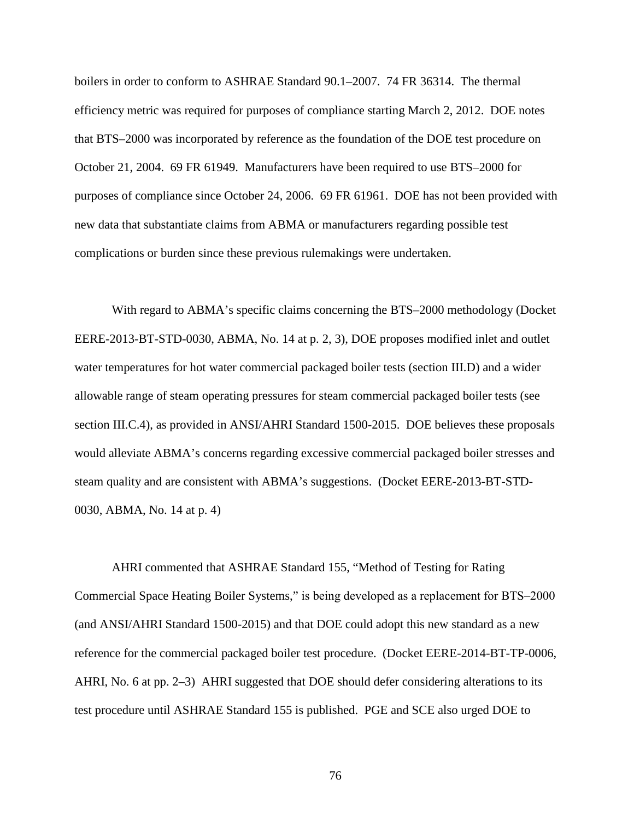boilers in order to conform to ASHRAE Standard 90.1–2007. 74 FR 36314. The thermal efficiency metric was required for purposes of compliance starting March 2, 2012. DOE notes that BTS–2000 was incorporated by reference as the foundation of the DOE test procedure on October 21, 2004. 69 FR 61949. Manufacturers have been required to use BTS–2000 for purposes of compliance since October 24, 2006. 69 FR 61961. DOE has not been provided with new data that substantiate claims from ABMA or manufacturers regarding possible test complications or burden since these previous rulemakings were undertaken.

With regard to ABMA's specific claims concerning the BTS–2000 methodology (Docket EERE-2013-BT-STD-0030, ABMA, No. 14 at p. 2, 3), DOE proposes modified inlet and outlet water temperatures for hot water commercial packaged boiler tests (section [III.D\)](#page-33-0) and a wider allowable range of steam operating pressures for steam commercial packaged boiler tests (see section [III.C.4\)](#page-30-0), as provided in ANSI/AHRI Standard 1500-2015. DOE believes these proposals would alleviate ABMA's concerns regarding excessive commercial packaged boiler stresses and steam quality and are consistent with ABMA's suggestions. (Docket EERE-2013-BT-STD-0030, ABMA, No. 14 at p. 4)

AHRI commented that ASHRAE Standard 155, "Method of Testing for Rating Commercial Space Heating Boiler Systems," is being developed as a replacement for BTS–2000 (and ANSI/AHRI Standard 1500-2015) and that DOE could adopt this new standard as a new reference for the commercial packaged boiler test procedure. (Docket EERE-2014-BT-TP-0006, AHRI, No. 6 at pp. 2–3) AHRI suggested that DOE should defer considering alterations to its test procedure until ASHRAE Standard 155 is published. PGE and SCE also urged DOE to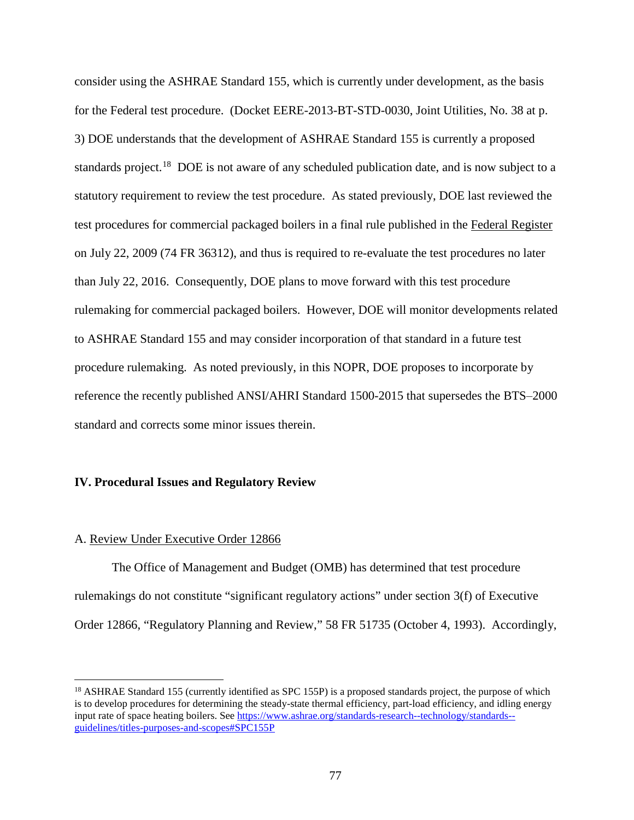consider using the ASHRAE Standard 155, which is currently under development, as the basis for the Federal test procedure. (Docket EERE-2013-BT-STD-0030, Joint Utilities, No. 38 at p. 3) DOE understands that the development of ASHRAE Standard 155 is currently a proposed standards project.<sup>[18](#page-77-0)</sup> DOE is not aware of any scheduled publication date, and is now subject to a statutory requirement to review the test procedure. As stated previously, DOE last reviewed the test procedures for commercial packaged boilers in a final rule published in the Federal Register on July 22, 2009 (74 FR 36312), and thus is required to re-evaluate the test procedures no later than July 22, 2016. Consequently, DOE plans to move forward with this test procedure rulemaking for commercial packaged boilers. However, DOE will monitor developments related to ASHRAE Standard 155 and may consider incorporation of that standard in a future test procedure rulemaking. As noted previously, in this NOPR, DOE proposes to incorporate by reference the recently published ANSI/AHRI Standard 1500-2015 that supersedes the BTS-2000 standard and corrects some minor issues therein.

## **IV. Procedural Issues and Regulatory Review**

#### A. Review Under Executive Order 12866

The Office of Management and Budget (OMB) has determined that test procedure rulemakings do not constitute "significant regulatory actions" under section 3(f) of Executive Order 12866, "Regulatory Planning and Review," 58 FR 51735 (October 4, 1993). Accordingly,

<span id="page-77-0"></span><sup>&</sup>lt;sup>18</sup> ASHRAE Standard 155 (currently identified as SPC 155P) is a proposed standards project, the purpose of which is to develop procedures for determining the steady-state thermal efficiency, part-load efficiency, and idling energy input rate of space heating boilers. See [https://www.ashrae.org/standards-research--technology/standards-](https://www.ashrae.org/standards-research--technology/standards--guidelines/titles-purposes-and-scopes#SPC155P) [guidelines/titles-purposes-and-scopes#SPC155P](https://www.ashrae.org/standards-research--technology/standards--guidelines/titles-purposes-and-scopes#SPC155P)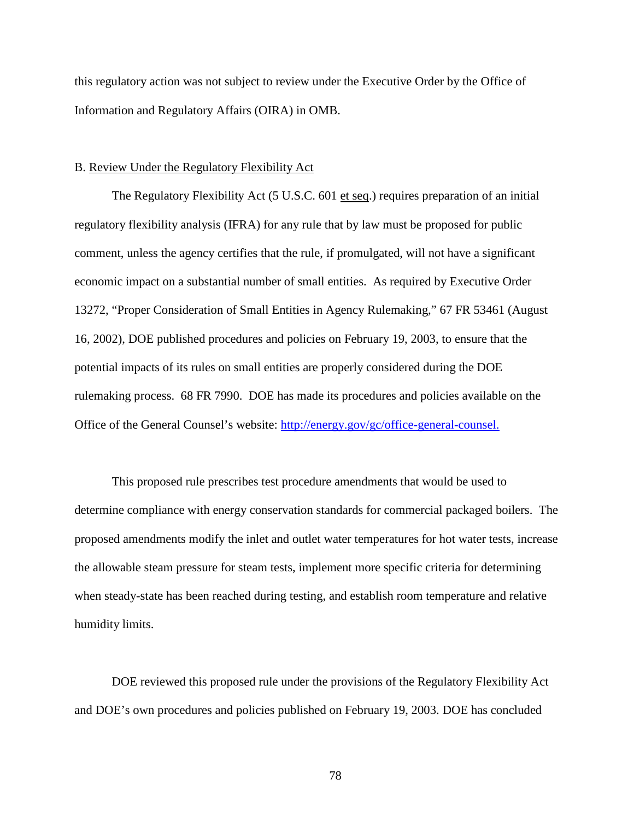this regulatory action was not subject to review under the Executive Order by the Office of Information and Regulatory Affairs (OIRA) in OMB.

## <span id="page-78-0"></span>B. Review Under the Regulatory Flexibility Act

The Regulatory Flexibility Act (5 U.S.C. 601 et seq.) requires preparation of an initial regulatory flexibility analysis (IFRA) for any rule that by law must be proposed for public comment, unless the agency certifies that the rule, if promulgated, will not have a significant economic impact on a substantial number of small entities. As required by Executive Order 13272, "Proper Consideration of Small Entities in Agency Rulemaking," 67 FR 53461 (August 16, 2002), DOE published procedures and policies on February 19, 2003, to ensure that the potential impacts of its rules on small entities are properly considered during the DOE rulemaking process. 68 FR 7990. DOE has made its procedures and policies available on the Office of the General Counsel's website: [http://energy.gov/gc/office-general-counsel.](http://energy.gov/gc/office-general-counsel)

This proposed rule prescribes test procedure amendments that would be used to determine compliance with energy conservation standards for commercial packaged boilers. The proposed amendments modify the inlet and outlet water temperatures for hot water tests, increase the allowable steam pressure for steam tests, implement more specific criteria for determining when steady-state has been reached during testing, and establish room temperature and relative humidity limits.

DOE reviewed this proposed rule under the provisions of the Regulatory Flexibility Act and DOE's own procedures and policies published on February 19, 2003. DOE has concluded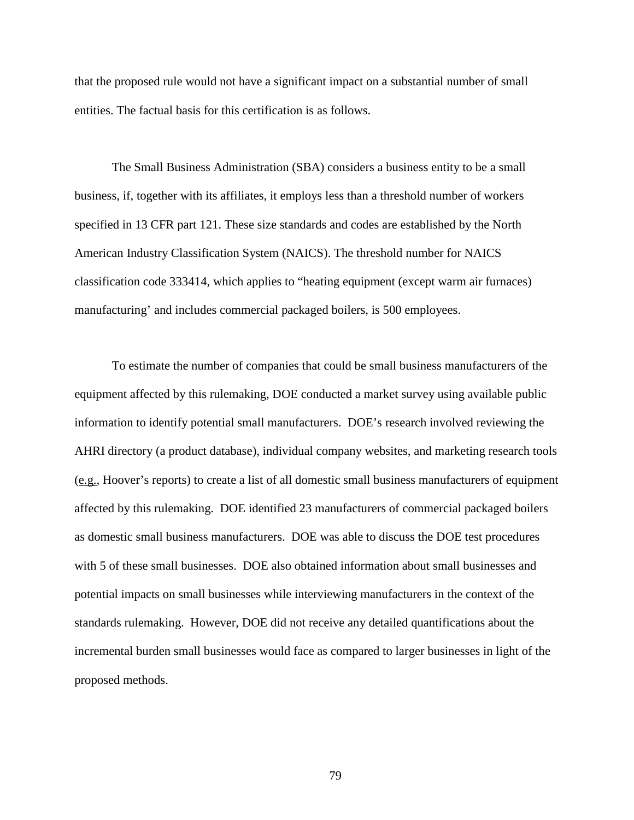that the proposed rule would not have a significant impact on a substantial number of small entities. The factual basis for this certification is as follows.

The Small Business Administration (SBA) considers a business entity to be a small business, if, together with its affiliates, it employs less than a threshold number of workers specified in 13 CFR part 121. These size standards and codes are established by the North American Industry Classification System (NAICS). The threshold number for NAICS classification code 333414, which applies to "heating equipment (except warm air furnaces) manufacturing' and includes commercial packaged boilers, is 500 employees.

To estimate the number of companies that could be small business manufacturers of the equipment affected by this rulemaking, DOE conducted a market survey using available public information to identify potential small manufacturers. DOE's research involved reviewing the AHRI directory (a product database), individual company websites, and marketing research tools (e.g., Hoover's reports) to create a list of all domestic small business manufacturers of equipment affected by this rulemaking. DOE identified 23 manufacturers of commercial packaged boilers as domestic small business manufacturers. DOE was able to discuss the DOE test procedures with 5 of these small businesses. DOE also obtained information about small businesses and potential impacts on small businesses while interviewing manufacturers in the context of the standards rulemaking. However, DOE did not receive any detailed quantifications about the incremental burden small businesses would face as compared to larger businesses in light of the proposed methods.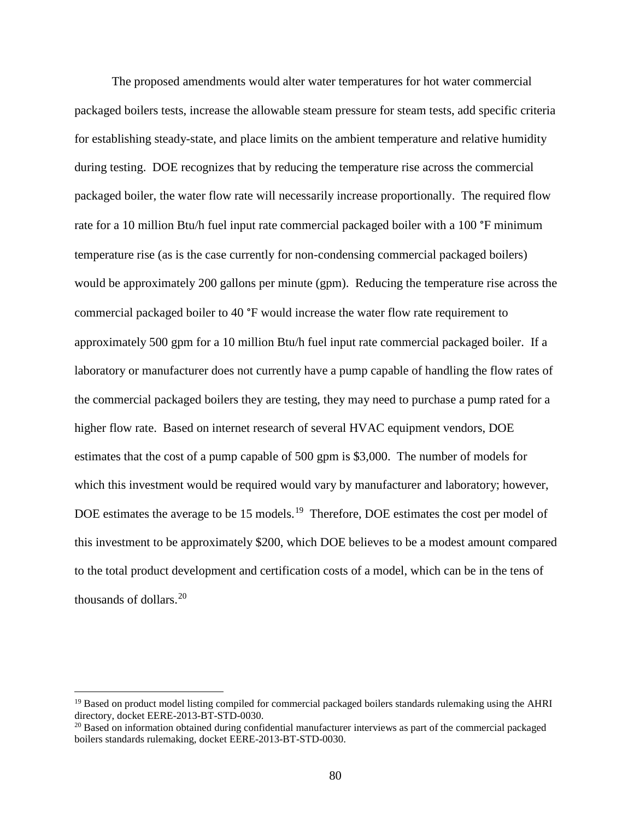The proposed amendments would alter water temperatures for hot water commercial packaged boilers tests, increase the allowable steam pressure for steam tests, add specific criteria for establishing steady-state, and place limits on the ambient temperature and relative humidity during testing. DOE recognizes that by reducing the temperature rise across the commercial packaged boiler, the water flow rate will necessarily increase proportionally. The required flow rate for a 10 million Btu/h fuel input rate commercial packaged boiler with a 100 °F minimum temperature rise (as is the case currently for non-condensing commercial packaged boilers) would be approximately 200 gallons per minute (gpm). Reducing the temperature rise across the commercial packaged boiler to 40 °F would increase the water flow rate requirement to approximately 500 gpm for a 10 million Btu/h fuel input rate commercial packaged boiler. If a laboratory or manufacturer does not currently have a pump capable of handling the flow rates of the commercial packaged boilers they are testing, they may need to purchase a pump rated for a higher flow rate. Based on internet research of several HVAC equipment vendors, DOE estimates that the cost of a pump capable of 500 gpm is \$3,000. The number of models for which this investment would be required would vary by manufacturer and laboratory; however, DOE estimates the average to be 15 models.<sup>[19](#page-80-0)</sup> Therefore, DOE estimates the cost per model of this investment to be approximately \$200, which DOE believes to be a modest amount compared to the total product development and certification costs of a model, which can be in the tens of thousands of dollars. $20$ 

<span id="page-80-0"></span><sup>&</sup>lt;sup>19</sup> Based on product model listing compiled for commercial packaged boilers standards rulemaking using the AHRI directory, docket EERE-2013-BT-STD-0030.

<span id="page-80-1"></span> $^{20}$  Based on information obtained during confidential manufacturer interviews as part of the commercial packaged boilers standards rulemaking, docket EERE-2013-BT-STD-0030.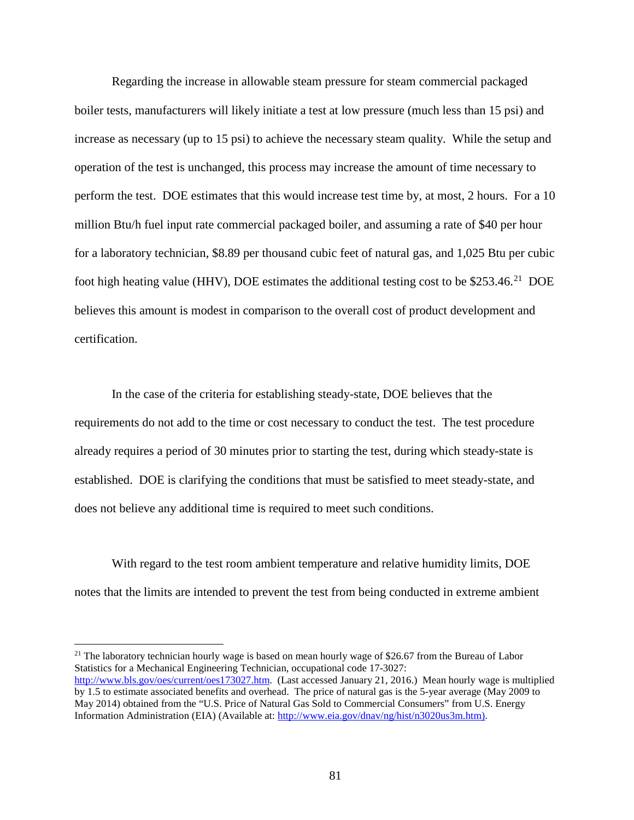Regarding the increase in allowable steam pressure for steam commercial packaged boiler tests, manufacturers will likely initiate a test at low pressure (much less than 15 psi) and increase as necessary (up to 15 psi) to achieve the necessary steam quality. While the setup and operation of the test is unchanged, this process may increase the amount of time necessary to perform the test. DOE estimates that this would increase test time by, at most, 2 hours. For a 10 million Btu/h fuel input rate commercial packaged boiler, and assuming a rate of \$40 per hour for a laboratory technician, \$8.89 per thousand cubic feet of natural gas, and 1,025 Btu per cubic foot high heating value (HHV), DOE estimates the additional testing cost to be \$253.46.<sup>21</sup> DOE believes this amount is modest in comparison to the overall cost of product development and certification.

In the case of the criteria for establishing steady-state, DOE believes that the requirements do not add to the time or cost necessary to conduct the test. The test procedure already requires a period of 30 minutes prior to starting the test, during which steady-state is established. DOE is clarifying the conditions that must be satisfied to meet steady-state, and does not believe any additional time is required to meet such conditions.

With regard to the test room ambient temperature and relative humidity limits, DOE notes that the limits are intended to prevent the test from being conducted in extreme ambient

<span id="page-81-0"></span><sup>21</sup> The laboratory technician hourly wage is based on mean hourly wage of \$26.67 from the Bureau of Labor Statistics for a Mechanical Engineering Technician, occupational code 17-3027: [http://www.bls.gov/oes/current/oes173027.htm.](http://www.bls.gov/oes/current/oes173027.htm) (Last accessed January 21, 2016.) Mean hourly wage is multiplied

by 1.5 to estimate associated benefits and overhead. The price of natural gas is the 5-year average (May 2009 to May 2014) obtained from the "U.S. Price of Natural Gas Sold to Commercial Consumers" from U.S. Energy Information Administration (EIA) (Available at: [http://www.eia.gov/dnav/ng/hist/n3020us3m.htm\)](http://www.eia.gov/dnav/ng/hist/n3020us3m.htm).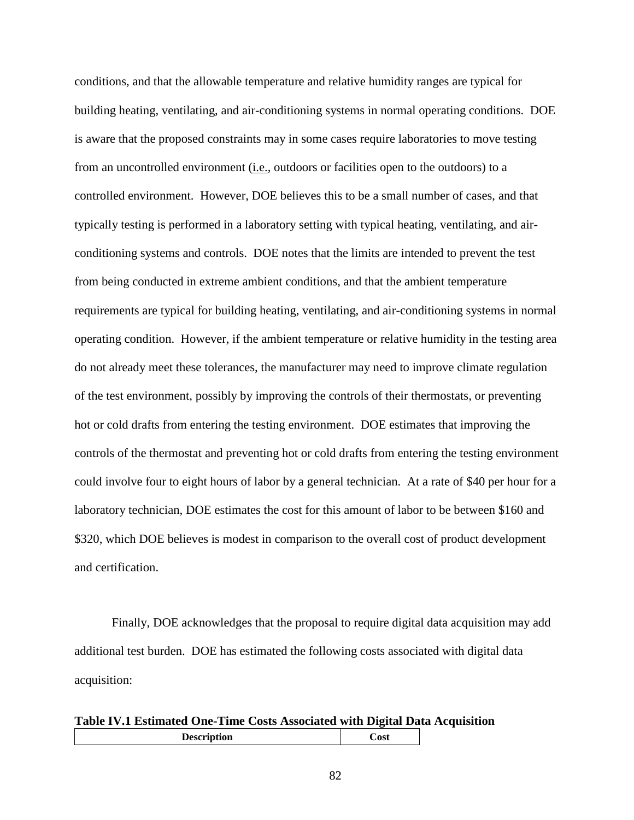conditions, and that the allowable temperature and relative humidity ranges are typical for building heating, ventilating, and air-conditioning systems in normal operating conditions. DOE is aware that the proposed constraints may in some cases require laboratories to move testing from an uncontrolled environment (i.e., outdoors or facilities open to the outdoors) to a controlled environment. However, DOE believes this to be a small number of cases, and that typically testing is performed in a laboratory setting with typical heating, ventilating, and airconditioning systems and controls. DOE notes that the limits are intended to prevent the test from being conducted in extreme ambient conditions, and that the ambient temperature requirements are typical for building heating, ventilating, and air-conditioning systems in normal operating condition. However, if the ambient temperature or relative humidity in the testing area do not already meet these tolerances, the manufacturer may need to improve climate regulation of the test environment, possibly by improving the controls of their thermostats, or preventing hot or cold drafts from entering the testing environment. DOE estimates that improving the controls of the thermostat and preventing hot or cold drafts from entering the testing environment could involve four to eight hours of labor by a general technician. At a rate of \$40 per hour for a laboratory technician, DOE estimates the cost for this amount of labor to be between \$160 and \$320, which DOE believes is modest in comparison to the overall cost of product development and certification.

Finally, DOE acknowledges that the proposal to require digital data acquisition may add additional test burden. DOE has estimated the following costs associated with digital data acquisition:

## **Table IV.1 Estimated One-Time Costs Associated with Digital Data Acquisition Description Cost**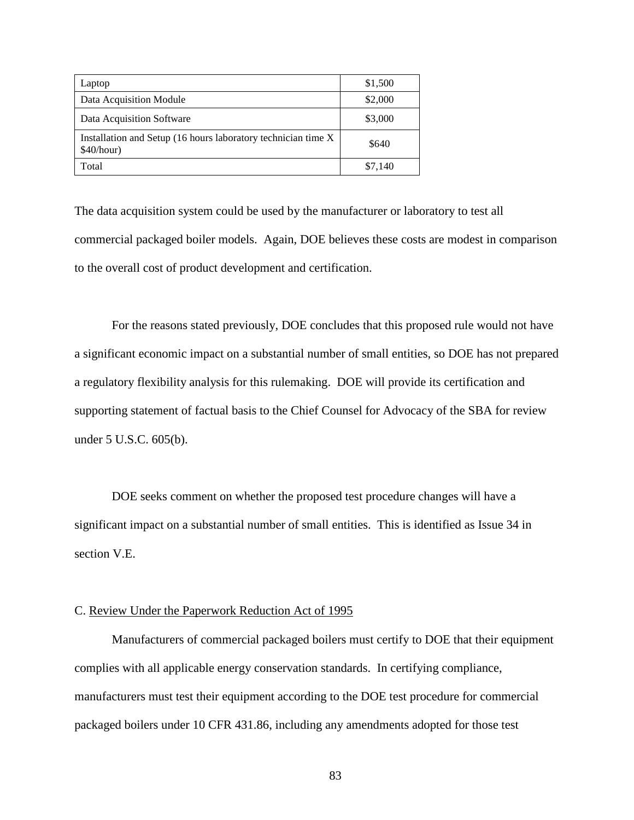| Laptop                                                                       | \$1,500 |
|------------------------------------------------------------------------------|---------|
| Data Acquisition Module                                                      | \$2,000 |
| Data Acquisition Software                                                    | \$3,000 |
| Installation and Setup (16 hours laboratory technician time X)<br>\$40/hour) | \$640   |
| Total                                                                        | \$7.140 |

The data acquisition system could be used by the manufacturer or laboratory to test all commercial packaged boiler models. Again, DOE believes these costs are modest in comparison to the overall cost of product development and certification.

For the reasons stated previously, DOE concludes that this proposed rule would not have a significant economic impact on a substantial number of small entities, so DOE has not prepared a regulatory flexibility analysis for this rulemaking. DOE will provide its certification and supporting statement of factual basis to the Chief Counsel for Advocacy of the SBA for review under 5 U.S.C. 605(b).

DOE seeks comment on whether the proposed test procedure changes will have a significant impact on a substantial number of small entities. This is identified as Issue [34](#page-102-1) in section [V.E.](#page-98-0)

## C. Review Under the Paperwork Reduction Act of 1995

Manufacturers of commercial packaged boilers must certify to DOE that their equipment complies with all applicable energy conservation standards. In certifying compliance, manufacturers must test their equipment according to the DOE test procedure for commercial packaged boilers under 10 CFR 431.86, including any amendments adopted for those test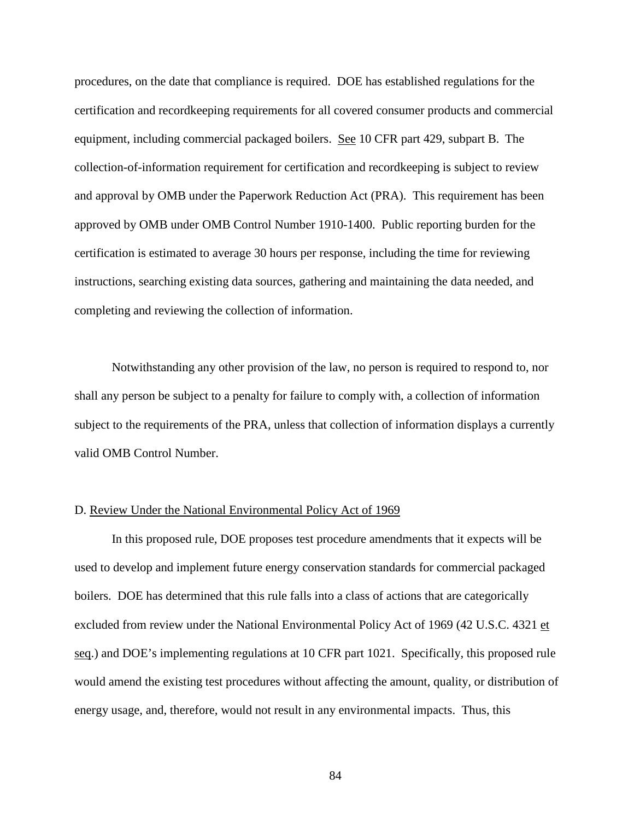procedures, on the date that compliance is required. DOE has established regulations for the certification and recordkeeping requirements for all covered consumer products and commercial equipment, including commercial packaged boilers. See 10 CFR part 429, subpart B. The collection-of-information requirement for certification and recordkeeping is subject to review and approval by OMB under the Paperwork Reduction Act (PRA). This requirement has been approved by OMB under OMB Control Number 1910-1400. Public reporting burden for the certification is estimated to average 30 hours per response, including the time for reviewing instructions, searching existing data sources, gathering and maintaining the data needed, and completing and reviewing the collection of information.

Notwithstanding any other provision of the law, no person is required to respond to, nor shall any person be subject to a penalty for failure to comply with, a collection of information subject to the requirements of the PRA, unless that collection of information displays a currently valid OMB Control Number.

## D. Review Under the National Environmental Policy Act of 1969

In this proposed rule, DOE proposes test procedure amendments that it expects will be used to develop and implement future energy conservation standards for commercial packaged boilers. DOE has determined that this rule falls into a class of actions that are categorically excluded from review under the National Environmental Policy Act of 1969 (42 U.S.C. 4321 et seq.) and DOE's implementing regulations at 10 CFR part 1021. Specifically, this proposed rule would amend the existing test procedures without affecting the amount, quality, or distribution of energy usage, and, therefore, would not result in any environmental impacts. Thus, this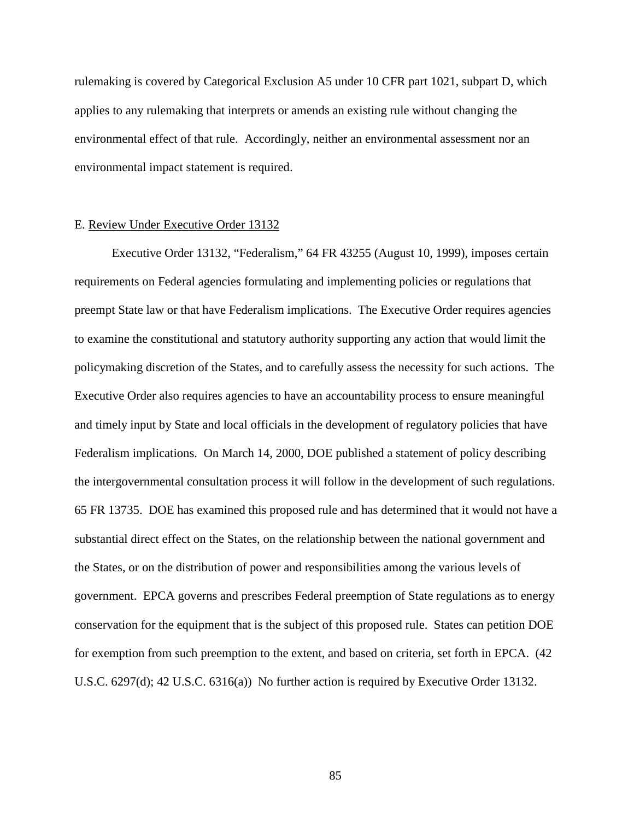rulemaking is covered by Categorical Exclusion A5 under 10 CFR part 1021, subpart D, which applies to any rulemaking that interprets or amends an existing rule without changing the environmental effect of that rule. Accordingly, neither an environmental assessment nor an environmental impact statement is required.

## E. Review Under Executive Order 13132

Executive Order 13132, "Federalism," 64 FR 43255 (August 10, 1999), imposes certain requirements on Federal agencies formulating and implementing policies or regulations that preempt State law or that have Federalism implications. The Executive Order requires agencies to examine the constitutional and statutory authority supporting any action that would limit the policymaking discretion of the States, and to carefully assess the necessity for such actions. The Executive Order also requires agencies to have an accountability process to ensure meaningful and timely input by State and local officials in the development of regulatory policies that have Federalism implications. On March 14, 2000, DOE published a statement of policy describing the intergovernmental consultation process it will follow in the development of such regulations. 65 FR 13735. DOE has examined this proposed rule and has determined that it would not have a substantial direct effect on the States, on the relationship between the national government and the States, or on the distribution of power and responsibilities among the various levels of government. EPCA governs and prescribes Federal preemption of State regulations as to energy conservation for the equipment that is the subject of this proposed rule. States can petition DOE for exemption from such preemption to the extent, and based on criteria, set forth in EPCA. (42 U.S.C. 6297(d); 42 U.S.C. 6316(a)) No further action is required by Executive Order 13132.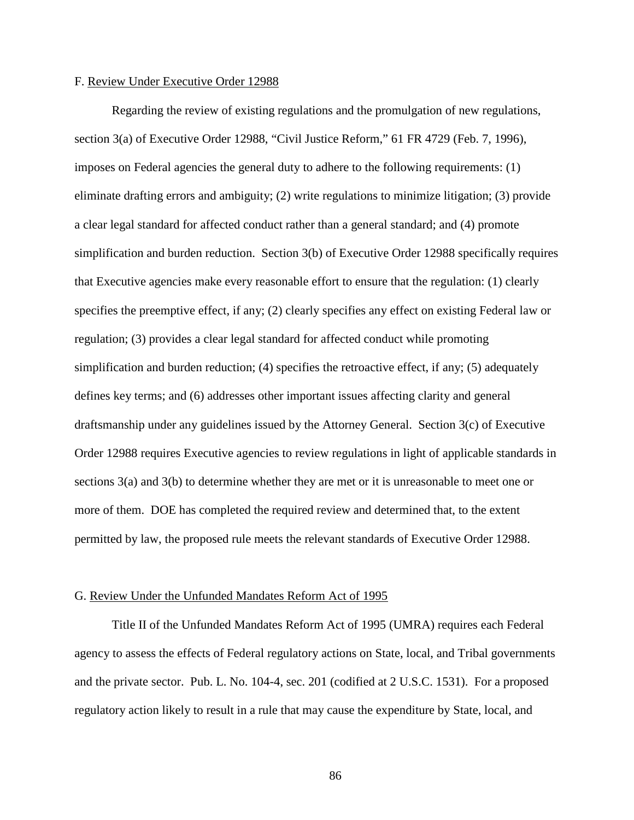## F. Review Under Executive Order 12988

Regarding the review of existing regulations and the promulgation of new regulations, section 3(a) of Executive Order 12988, "Civil Justice Reform," 61 FR 4729 (Feb. 7, 1996), imposes on Federal agencies the general duty to adhere to the following requirements: (1) eliminate drafting errors and ambiguity; (2) write regulations to minimize litigation; (3) provide a clear legal standard for affected conduct rather than a general standard; and (4) promote simplification and burden reduction. Section 3(b) of Executive Order 12988 specifically requires that Executive agencies make every reasonable effort to ensure that the regulation: (1) clearly specifies the preemptive effect, if any; (2) clearly specifies any effect on existing Federal law or regulation; (3) provides a clear legal standard for affected conduct while promoting simplification and burden reduction; (4) specifies the retroactive effect, if any; (5) adequately defines key terms; and (6) addresses other important issues affecting clarity and general draftsmanship under any guidelines issued by the Attorney General. Section 3(c) of Executive Order 12988 requires Executive agencies to review regulations in light of applicable standards in sections 3(a) and 3(b) to determine whether they are met or it is unreasonable to meet one or more of them. DOE has completed the required review and determined that, to the extent permitted by law, the proposed rule meets the relevant standards of Executive Order 12988.

#### G. Review Under the Unfunded Mandates Reform Act of 1995

Title II of the Unfunded Mandates Reform Act of 1995 (UMRA) requires each Federal agency to assess the effects of Federal regulatory actions on State, local, and Tribal governments and the private sector. Pub. L. No. 104-4, sec. 201 (codified at 2 U.S.C. 1531). For a proposed regulatory action likely to result in a rule that may cause the expenditure by State, local, and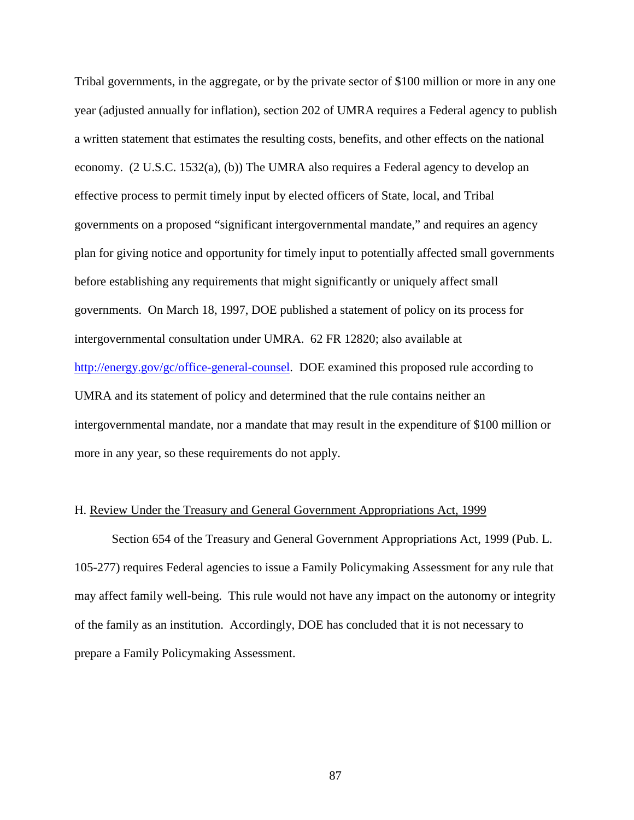Tribal governments, in the aggregate, or by the private sector of \$100 million or more in any one year (adjusted annually for inflation), section 202 of UMRA requires a Federal agency to publish a written statement that estimates the resulting costs, benefits, and other effects on the national economy. (2 U.S.C. 1532(a), (b)) The UMRA also requires a Federal agency to develop an effective process to permit timely input by elected officers of State, local, and Tribal governments on a proposed "significant intergovernmental mandate," and requires an agency plan for giving notice and opportunity for timely input to potentially affected small governments before establishing any requirements that might significantly or uniquely affect small governments. On March 18, 1997, DOE published a statement of policy on its process for intergovernmental consultation under UMRA. 62 FR 12820; also available at [http://energy.gov/gc/office-general-counsel.](http://energy.gov/gc/office-general-counsel) DOE examined this proposed rule according to UMRA and its statement of policy and determined that the rule contains neither an intergovernmental mandate, nor a mandate that may result in the expenditure of \$100 million or more in any year, so these requirements do not apply.

## H. Review Under the Treasury and General Government Appropriations Act, 1999

Section 654 of the Treasury and General Government Appropriations Act, 1999 (Pub. L. 105-277) requires Federal agencies to issue a Family Policymaking Assessment for any rule that may affect family well-being. This rule would not have any impact on the autonomy or integrity of the family as an institution. Accordingly, DOE has concluded that it is not necessary to prepare a Family Policymaking Assessment.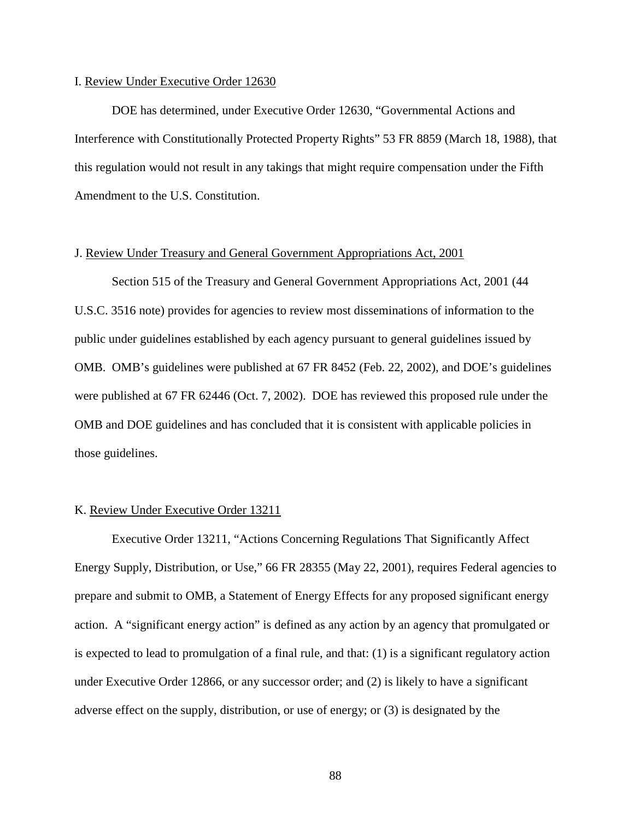## I. Review Under Executive Order 12630

DOE has determined, under Executive Order 12630, "Governmental Actions and Interference with Constitutionally Protected Property Rights" 53 FR 8859 (March 18, 1988), that this regulation would not result in any takings that might require compensation under the Fifth Amendment to the U.S. Constitution.

## J. Review Under Treasury and General Government Appropriations Act, 2001

Section 515 of the Treasury and General Government Appropriations Act, 2001 (44 U.S.C. 3516 note) provides for agencies to review most disseminations of information to the public under guidelines established by each agency pursuant to general guidelines issued by OMB. OMB's guidelines were published at 67 FR 8452 (Feb. 22, 2002), and DOE's guidelines were published at 67 FR 62446 (Oct. 7, 2002). DOE has reviewed this proposed rule under the OMB and DOE guidelines and has concluded that it is consistent with applicable policies in those guidelines.

## K. Review Under Executive Order 13211

Executive Order 13211, "Actions Concerning Regulations That Significantly Affect Energy Supply, Distribution, or Use," 66 FR 28355 (May 22, 2001), requires Federal agencies to prepare and submit to OMB, a Statement of Energy Effects for any proposed significant energy action. A "significant energy action" is defined as any action by an agency that promulgated or is expected to lead to promulgation of a final rule, and that: (1) is a significant regulatory action under Executive Order 12866, or any successor order; and (2) is likely to have a significant adverse effect on the supply, distribution, or use of energy; or (3) is designated by the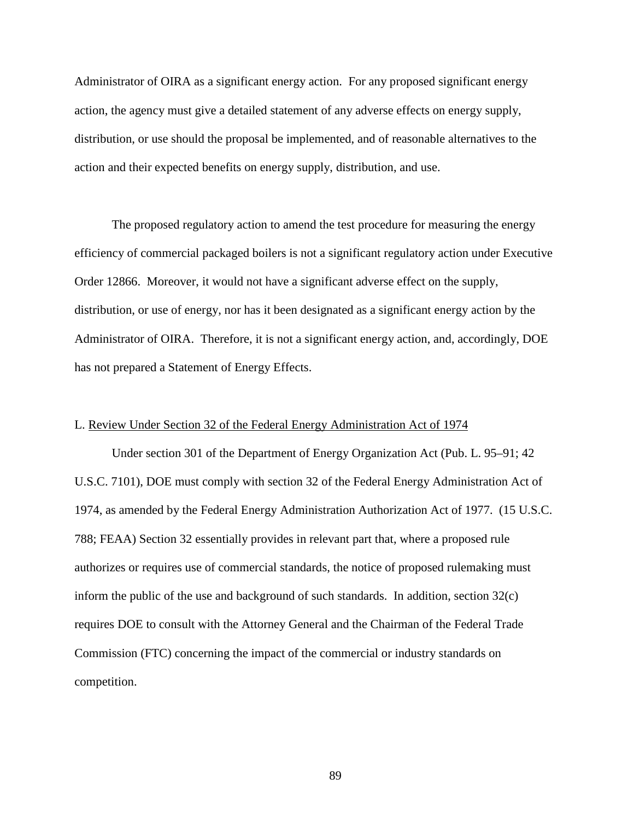Administrator of OIRA as a significant energy action. For any proposed significant energy action, the agency must give a detailed statement of any adverse effects on energy supply, distribution, or use should the proposal be implemented, and of reasonable alternatives to the action and their expected benefits on energy supply, distribution, and use.

The proposed regulatory action to amend the test procedure for measuring the energy efficiency of commercial packaged boilers is not a significant regulatory action under Executive Order 12866. Moreover, it would not have a significant adverse effect on the supply, distribution, or use of energy, nor has it been designated as a significant energy action by the Administrator of OIRA. Therefore, it is not a significant energy action, and, accordingly, DOE has not prepared a Statement of Energy Effects.

## L. Review Under Section 32 of the Federal Energy Administration Act of 1974

Under section 301 of the Department of Energy Organization Act (Pub. L. 95–91; 42 U.S.C. 7101), DOE must comply with section 32 of the Federal Energy Administration Act of 1974, as amended by the Federal Energy Administration Authorization Act of 1977. (15 U.S.C. 788; FEAA) Section 32 essentially provides in relevant part that, where a proposed rule authorizes or requires use of commercial standards, the notice of proposed rulemaking must inform the public of the use and background of such standards. In addition, section 32(c) requires DOE to consult with the Attorney General and the Chairman of the Federal Trade Commission (FTC) concerning the impact of the commercial or industry standards on competition.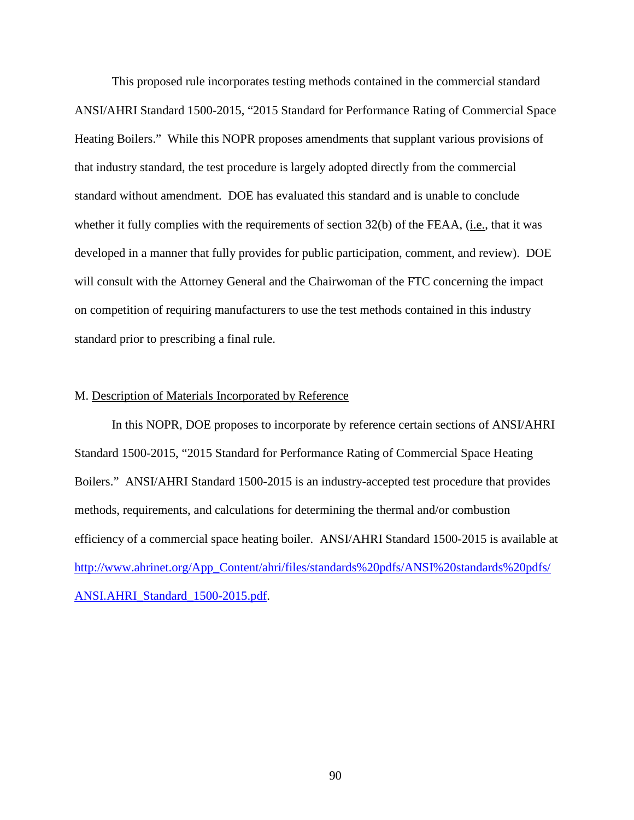This proposed rule incorporates testing methods contained in the commercial standard ANSI/AHRI Standard 1500-2015, "2015 Standard for Performance Rating of Commercial Space Heating Boilers." While this NOPR proposes amendments that supplant various provisions of that industry standard, the test procedure is largely adopted directly from the commercial standard without amendment. DOE has evaluated this standard and is unable to conclude whether it fully complies with the requirements of section 32(b) of the FEAA, (i.e., that it was developed in a manner that fully provides for public participation, comment, and review). DOE will consult with the Attorney General and the Chairwoman of the FTC concerning the impact on competition of requiring manufacturers to use the test methods contained in this industry standard prior to prescribing a final rule.

#### M. Description of Materials Incorporated by Reference

In this NOPR, DOE proposes to incorporate by reference certain sections of ANSI/AHRI Standard 1500-2015, "2015 Standard for Performance Rating of Commercial Space Heating Boilers." ANSI/AHRI Standard 1500-2015 is an industry-accepted test procedure that provides methods, requirements, and calculations for determining the thermal and/or combustion efficiency of a commercial space heating boiler. ANSI/AHRI Standard 1500-2015 is available at [http://www.ahrinet.org/App\\_Content/ahri/files/standards%20pdfs/ANSI%20standards%20pdfs/](http://www.ahrinet.org/App_Content/ahri/files/standards%20pdfs/ANSI%20standards%20pdfs/ANSI.AHRI_Standard_1500-2015.pdf) [ANSI.AHRI\\_Standard\\_1500-2015.pdf.](http://www.ahrinet.org/App_Content/ahri/files/standards%20pdfs/ANSI%20standards%20pdfs/ANSI.AHRI_Standard_1500-2015.pdf)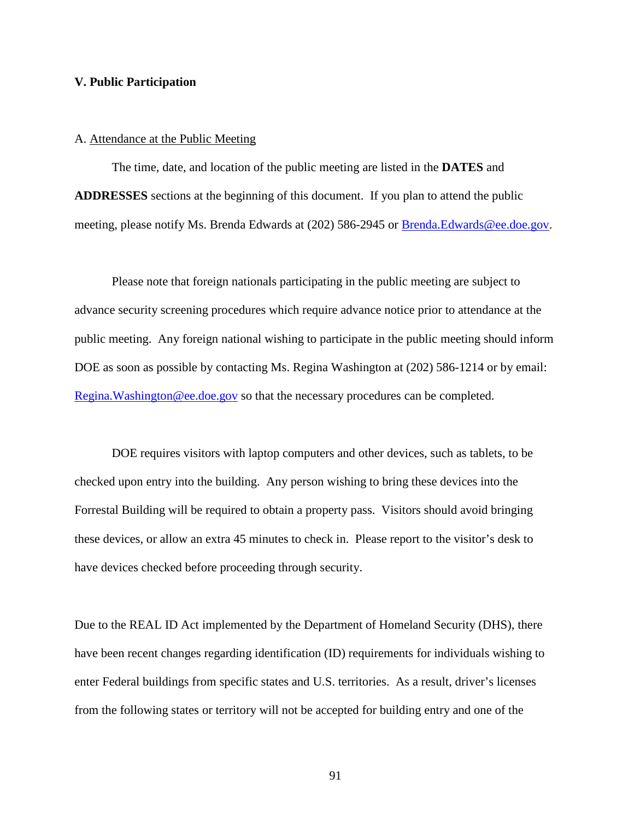## **V. Public Participation**

#### A. Attendance at the Public Meeting

The time, date, and location of the public meeting are listed in the **DATES** and **ADDRESSES** sections at the beginning of this document. If you plan to attend the public meeting, please notify Ms. Brenda Edwards at (202) 586-2945 or [Brenda.Edwards@ee.doe.gov.](mailto:Brenda.Edwards@ee.doe.gov)

Please note that foreign nationals participating in the public meeting are subject to advance security screening procedures which require advance notice prior to attendance at the public meeting. Any foreign national wishing to participate in the public meeting should inform DOE as soon as possible by contacting Ms. Regina Washington at (202) 586-1214 or by email: [Regina.Washington@ee.doe.gov](mailto:Regina.Washington@ee.doe.gov) so that the necessary procedures can be completed.

DOE requires visitors with laptop computers and other devices, such as tablets, to be checked upon entry into the building. Any person wishing to bring these devices into the Forrestal Building will be required to obtain a property pass. Visitors should avoid bringing these devices, or allow an extra 45 minutes to check in. Please report to the visitor's desk to have devices checked before proceeding through security.

Due to the REAL ID Act implemented by the Department of Homeland Security (DHS), there have been recent changes regarding identification (ID) requirements for individuals wishing to enter Federal buildings from specific states and U.S. territories. As a result, driver's licenses from the following states or territory will not be accepted for building entry and one of the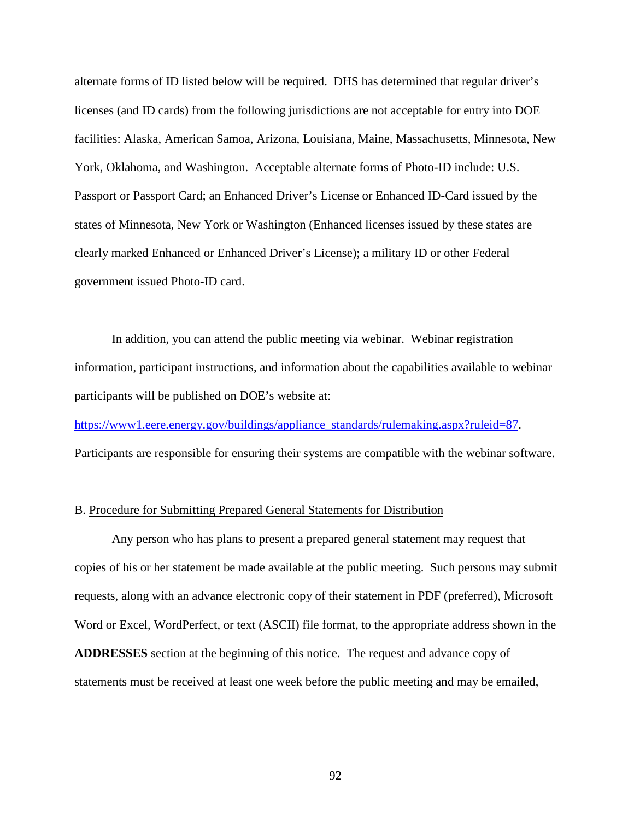alternate forms of ID listed below will be required. DHS has determined that regular driver's licenses (and ID cards) from the following jurisdictions are not acceptable for entry into DOE facilities: Alaska, American Samoa, Arizona, Louisiana, Maine, Massachusetts, Minnesota, New York, Oklahoma, and Washington. Acceptable alternate forms of Photo-ID include: U.S. Passport or Passport Card; an Enhanced Driver's License or Enhanced ID-Card issued by the states of Minnesota, New York or Washington (Enhanced licenses issued by these states are clearly marked Enhanced or Enhanced Driver's License); a military ID or other Federal government issued Photo-ID card.

In addition, you can attend the public meeting via webinar. Webinar registration information, participant instructions, and information about the capabilities available to webinar participants will be published on DOE's website at:

[https://www1.eere.energy.gov/buildings/appliance\\_standards/rulemaking.aspx?ruleid=87.](https://www1.eere.energy.gov/buildings/appliance_standards/rulemaking.aspx?ruleid=87) Participants are responsible for ensuring their systems are compatible with the webinar software.

## B. Procedure for Submitting Prepared General Statements for Distribution

Any person who has plans to present a prepared general statement may request that copies of his or her statement be made available at the public meeting. Such persons may submit requests, along with an advance electronic copy of their statement in PDF (preferred), Microsoft Word or Excel, WordPerfect, or text (ASCII) file format, to the appropriate address shown in the **ADDRESSES** section at the beginning of this notice. The request and advance copy of statements must be received at least one week before the public meeting and may be emailed,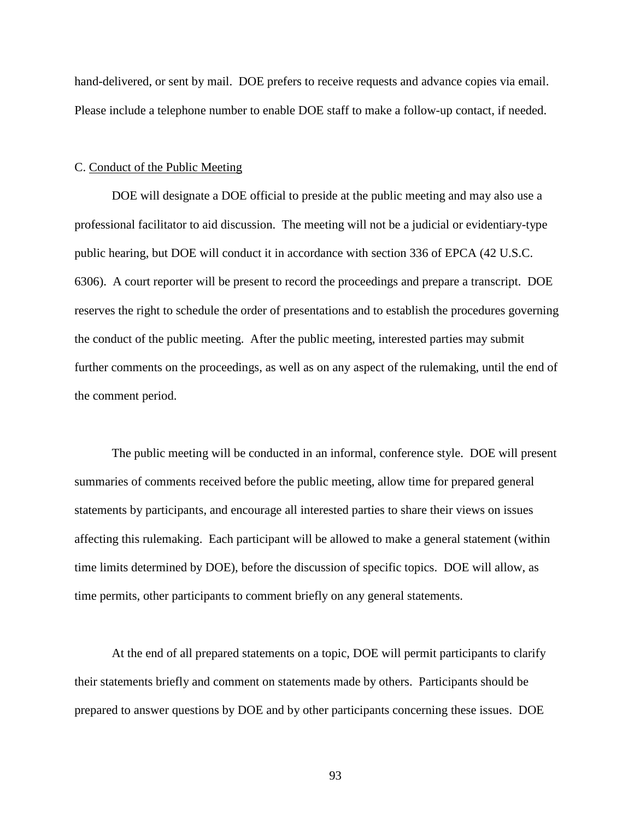hand-delivered, or sent by mail. DOE prefers to receive requests and advance copies via email. Please include a telephone number to enable DOE staff to make a follow-up contact, if needed.

## C. Conduct of the Public Meeting

DOE will designate a DOE official to preside at the public meeting and may also use a professional facilitator to aid discussion. The meeting will not be a judicial or evidentiary-type public hearing, but DOE will conduct it in accordance with section 336 of EPCA (42 U.S.C. 6306). A court reporter will be present to record the proceedings and prepare a transcript. DOE reserves the right to schedule the order of presentations and to establish the procedures governing the conduct of the public meeting. After the public meeting, interested parties may submit further comments on the proceedings, as well as on any aspect of the rulemaking, until the end of the comment period.

The public meeting will be conducted in an informal, conference style. DOE will present summaries of comments received before the public meeting, allow time for prepared general statements by participants, and encourage all interested parties to share their views on issues affecting this rulemaking. Each participant will be allowed to make a general statement (within time limits determined by DOE), before the discussion of specific topics. DOE will allow, as time permits, other participants to comment briefly on any general statements.

At the end of all prepared statements on a topic, DOE will permit participants to clarify their statements briefly and comment on statements made by others. Participants should be prepared to answer questions by DOE and by other participants concerning these issues. DOE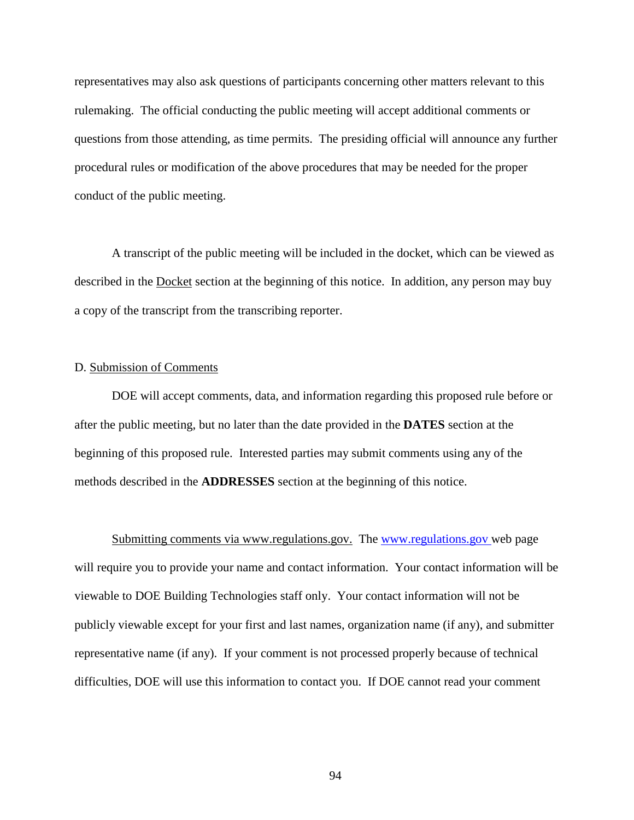representatives may also ask questions of participants concerning other matters relevant to this rulemaking. The official conducting the public meeting will accept additional comments or questions from those attending, as time permits. The presiding official will announce any further procedural rules or modification of the above procedures that may be needed for the proper conduct of the public meeting.

A transcript of the public meeting will be included in the docket, which can be viewed as described in the Docket section at the beginning of this notice. In addition, any person may buy a copy of the transcript from the transcribing reporter.

## D. Submission of Comments

DOE will accept comments, data, and information regarding this proposed rule before or after the public meeting, but no later than the date provided in the **DATES** section at the beginning of this proposed rule. Interested parties may submit comments using any of the methods described in the **ADDRESSES** section at the beginning of this notice.

Submitting comments via www.regulations.gov. The [www.regulations.gov](http://www.regulations.gov/) web page will require you to provide your name and contact information. Your contact information will be viewable to DOE Building Technologies staff only. Your contact information will not be publicly viewable except for your first and last names, organization name (if any), and submitter representative name (if any). If your comment is not processed properly because of technical difficulties, DOE will use this information to contact you. If DOE cannot read your comment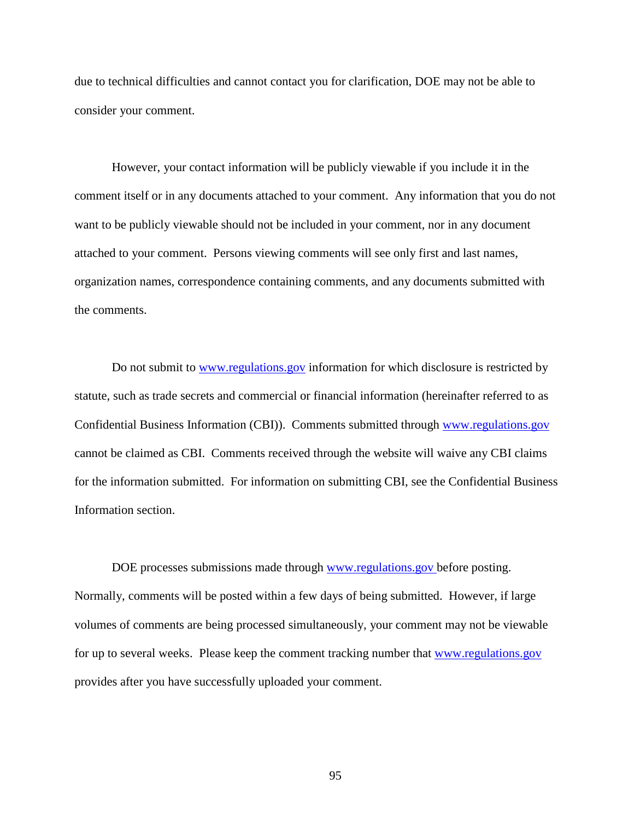due to technical difficulties and cannot contact you for clarification, DOE may not be able to consider your comment.

However, your contact information will be publicly viewable if you include it in the comment itself or in any documents attached to your comment. Any information that you do not want to be publicly viewable should not be included in your comment, nor in any document attached to your comment. Persons viewing comments will see only first and last names, organization names, correspondence containing comments, and any documents submitted with the comments.

Do not submit to [www.regulations.gov](http://www.regulations.gov/) information for which disclosure is restricted by statute, such as trade secrets and commercial or financial information (hereinafter referred to as Confidential Business Information (CBI)). Comments submitted through [www.regulations.gov](http://www.regulations.gov/) cannot be claimed as CBI. Comments received through the website will waive any CBI claims for the information submitted. For information on submitting CBI, see the Confidential Business Information section.

DOE processes submissions made through [www.regulations.gov](http://www.regulations.gov/) before posting. Normally, comments will be posted within a few days of being submitted. However, if large volumes of comments are being processed simultaneously, your comment may not be viewable for up to several weeks. Please keep the comment tracking number that [www.regulations.gov](http://www.regulations.gov/) provides after you have successfully uploaded your comment.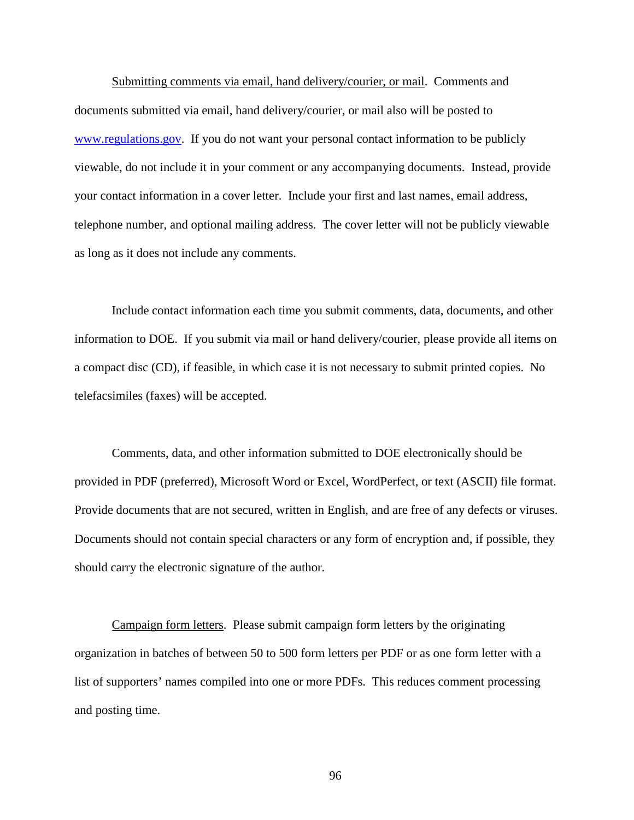Submitting comments via email, hand delivery/courier, or mail. Comments and documents submitted via email, hand delivery/courier, or mail also will be posted to [www.regulations.gov.](http://www.regulations.gov/) If you do not want your personal contact information to be publicly viewable, do not include it in your comment or any accompanying documents. Instead, provide your contact information in a cover letter. Include your first and last names, email address, telephone number, and optional mailing address. The cover letter will not be publicly viewable as long as it does not include any comments.

Include contact information each time you submit comments, data, documents, and other information to DOE. If you submit via mail or hand delivery/courier, please provide all items on a compact disc (CD), if feasible, in which case it is not necessary to submit printed copies. No telefacsimiles (faxes) will be accepted.

Comments, data, and other information submitted to DOE electronically should be provided in PDF (preferred), Microsoft Word or Excel, WordPerfect, or text (ASCII) file format. Provide documents that are not secured, written in English, and are free of any defects or viruses. Documents should not contain special characters or any form of encryption and, if possible, they should carry the electronic signature of the author.

Campaign form letters. Please submit campaign form letters by the originating organization in batches of between 50 to 500 form letters per PDF or as one form letter with a list of supporters' names compiled into one or more PDFs. This reduces comment processing and posting time.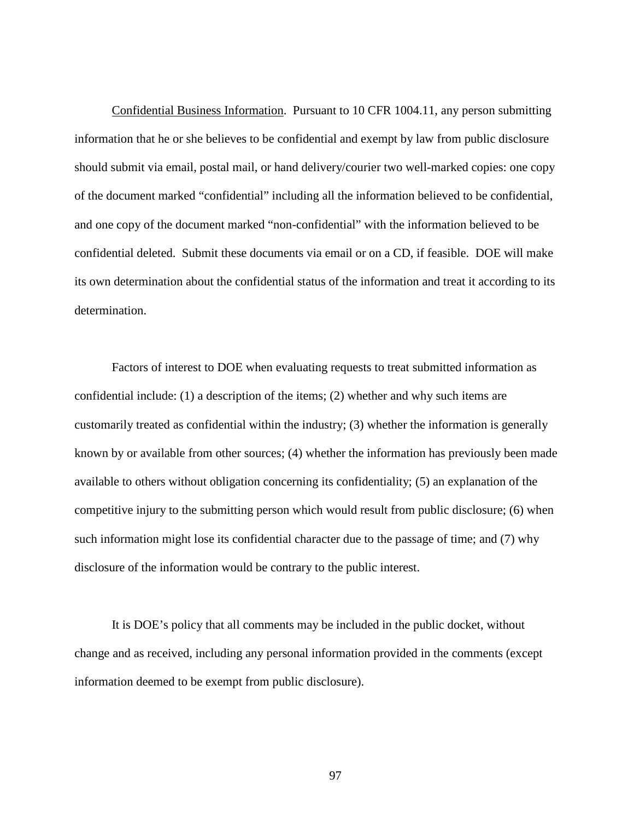Confidential Business Information. Pursuant to 10 CFR 1004.11, any person submitting information that he or she believes to be confidential and exempt by law from public disclosure should submit via email, postal mail, or hand delivery/courier two well-marked copies: one copy of the document marked "confidential" including all the information believed to be confidential, and one copy of the document marked "non-confidential" with the information believed to be confidential deleted. Submit these documents via email or on a CD, if feasible. DOE will make its own determination about the confidential status of the information and treat it according to its determination.

Factors of interest to DOE when evaluating requests to treat submitted information as confidential include: (1) a description of the items; (2) whether and why such items are customarily treated as confidential within the industry; (3) whether the information is generally known by or available from other sources; (4) whether the information has previously been made available to others without obligation concerning its confidentiality; (5) an explanation of the competitive injury to the submitting person which would result from public disclosure; (6) when such information might lose its confidential character due to the passage of time; and (7) why disclosure of the information would be contrary to the public interest.

It is DOE's policy that all comments may be included in the public docket, without change and as received, including any personal information provided in the comments (except information deemed to be exempt from public disclosure).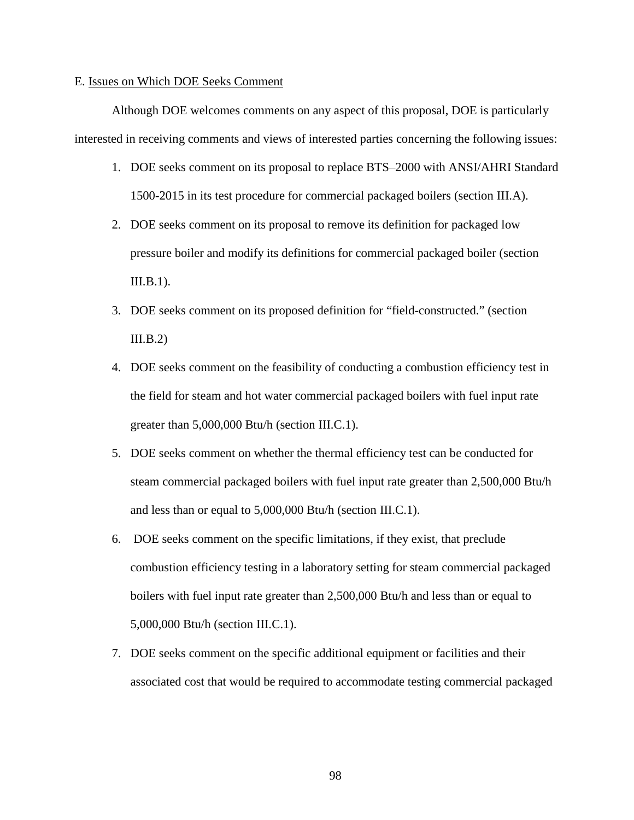#### <span id="page-98-0"></span>E. Issues on Which DOE Seeks Comment

Although DOE welcomes comments on any aspect of this proposal, DOE is particularly interested in receiving comments and views of interested parties concerning the following issues:

- 1. DOE seeks comment on its proposal to replace BTS–2000 with ANSI/AHRI Standard 1500-2015 in its test procedure for commercial packaged boilers (section [III.A\)](#page-14-0).
- 2. DOE seeks comment on its proposal to remove its definition for packaged low pressure boiler and modify its definitions for commercial packaged boiler (section  $III.B.1$ ).
- 3. DOE seeks comment on its proposed definition for "field-constructed." (section  $III.B.2)$
- 4. DOE seeks comment on the feasibility of conducting a combustion efficiency test in the field for steam and hot water commercial packaged boilers with fuel input rate greater than 5,000,000 Btu/h (section [III.C.1\)](#page-22-0).
- 5. DOE seeks comment on whether the thermal efficiency test can be conducted for steam commercial packaged boilers with fuel input rate greater than 2,500,000 Btu/h and less than or equal to 5,000,000 Btu/h (section [III.C.1\)](#page-22-0).
- 6. DOE seeks comment on the specific limitations, if they exist, that preclude combustion efficiency testing in a laboratory setting for steam commercial packaged boilers with fuel input rate greater than 2,500,000 Btu/h and less than or equal to 5,000,000 Btu/h (section [III.C.1\)](#page-22-0).
- 7. DOE seeks comment on the specific additional equipment or facilities and their associated cost that would be required to accommodate testing commercial packaged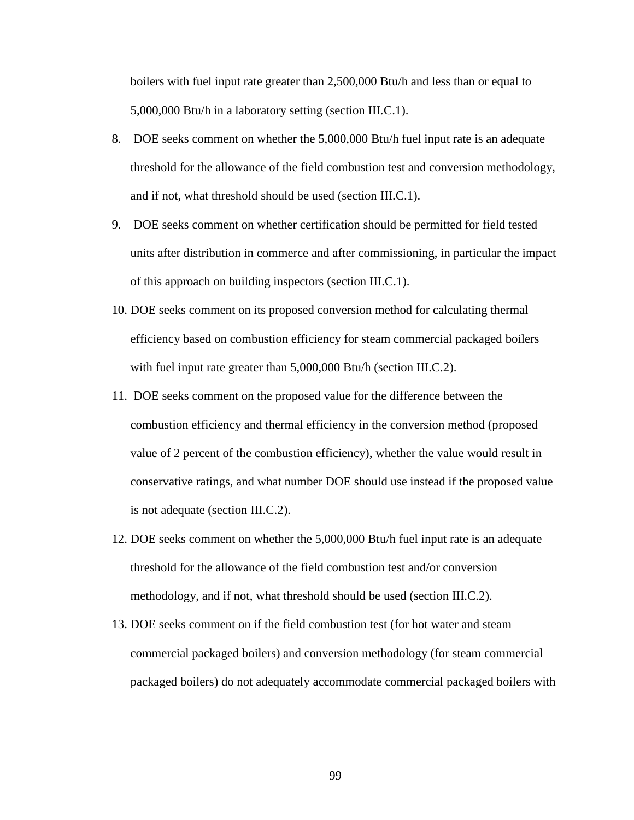boilers with fuel input rate greater than 2,500,000 Btu/h and less than or equal to 5,000,000 Btu/h in a laboratory setting (section [III.C.1\)](#page-22-0).

- 8. DOE seeks comment on whether the 5,000,000 Btu/h fuel input rate is an adequate threshold for the allowance of the field combustion test and conversion methodology, and if not, what threshold should be used (section [III.C.1\)](#page-22-0).
- 9. DOE seeks comment on whether certification should be permitted for field tested units after distribution in commerce and after commissioning, in particular the impact of this approach on building inspectors (section [III.C.1\)](#page-22-0).
- 10. DOE seeks comment on its proposed conversion method for calculating thermal efficiency based on combustion efficiency for steam commercial packaged boilers with fuel input rate greater than 5,000,000 Btu/h (section [III.C.2\)](#page-26-0).
- 11. DOE seeks comment on the proposed value for the difference between the combustion efficiency and thermal efficiency in the conversion method (proposed value of 2 percent of the combustion efficiency), whether the value would result in conservative ratings, and what number DOE should use instead if the proposed value is not adequate (section [III.C.2\)](#page-26-0).
- 12. DOE seeks comment on whether the 5,000,000 Btu/h fuel input rate is an adequate threshold for the allowance of the field combustion test and/or conversion methodology, and if not, what threshold should be used (section [III.C.2\)](#page-26-0).
- 13. DOE seeks comment on if the field combustion test (for hot water and steam commercial packaged boilers) and conversion methodology (for steam commercial packaged boilers) do not adequately accommodate commercial packaged boilers with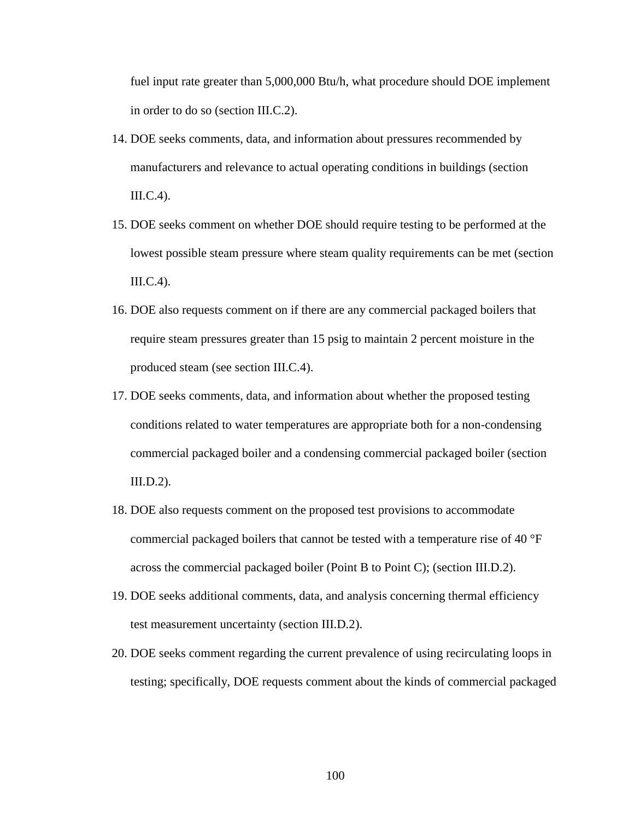fuel input rate greater than 5,000,000 Btu/h, what procedure should DOE implement in order to do so (section [III.C.2\)](#page-26-0).

- 14. DOE seeks comments, data, and information about pressures recommended by manufacturers and relevance to actual operating conditions in buildings (section [III.C.4\)](#page-30-0).
- 15. DOE seeks comment on whether DOE should require testing to be performed at the lowest possible steam pressure where steam quality requirements can be met (section [III.C.4\)](#page-30-0).
- 16. DOE also requests comment on if there are any commercial packaged boilers that require steam pressures greater than 15 psig to maintain 2 percent moisture in the produced steam (see section [III.C.4\)](#page-30-0).
- 17. DOE seeks comments, data, and information about whether the proposed testing conditions related to water temperatures are appropriate both for a non-condensing commercial packaged boiler and a condensing commercial packaged boiler (section [III.D.2\)](#page-37-0).
- 18. DOE also requests comment on the proposed test provisions to accommodate commercial packaged boilers that cannot be tested with a temperature rise of 40 °F across the commercial packaged boiler (Point B to Point C); (section [III.D.2\)](#page-37-0).
- 19. DOE seeks additional comments, data, and analysis concerning thermal efficiency test measurement uncertainty (section [III.D.2\)](#page-37-0).
- 20. DOE seeks comment regarding the current prevalence of using recirculating loops in testing; specifically, DOE requests comment about the kinds of commercial packaged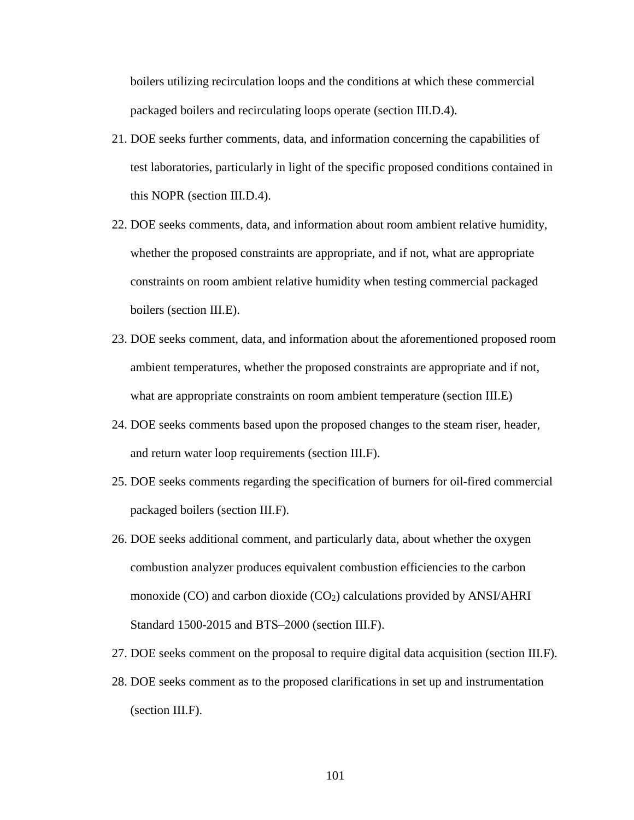boilers utilizing recirculation loops and the conditions at which these commercial packaged boilers and recirculating loops operate (section [III.D.4\)](#page-47-0).

- 21. DOE seeks further comments, data, and information concerning the capabilities of test laboratories, particularly in light of the specific proposed conditions contained in this NOPR (section [III.D.4\)](#page-47-0).
- 22. DOE seeks comments, data, and information about room ambient relative humidity, whether the proposed constraints are appropriate, and if not, what are appropriate constraints on room ambient relative humidity when testing commercial packaged boilers (section [III.E\)](#page-50-0).
- 23. DOE seeks comment, data, and information about the aforementioned proposed room ambient temperatures, whether the proposed constraints are appropriate and if not, what are appropriate constraints on room ambient temperature (section [III.E\)](#page-50-0)
- 24. DOE seeks comments based upon the proposed changes to the steam riser, header, and return water loop requirements (section [III.F\)](#page-53-0).
- 25. DOE seeks comments regarding the specification of burners for oil-fired commercial packaged boilers (section [III.F\)](#page-53-1).
- 26. DOE seeks additional comment, and particularly data, about whether the oxygen combustion analyzer produces equivalent combustion efficiencies to the carbon monoxide (CO) and carbon dioxide (CO<sub>2</sub>) calculations provided by ANSI/AHRI Standard 1500-2015 and BTS-2000 (section [III.F\)](#page-53-0).
- 27. DOE seeks comment on the proposal to require digital data acquisition (section [III.F\)](#page-53-0).
- 28. DOE seeks comment as to the proposed clarifications in set up and instrumentation (section [III.F\)](#page-53-0).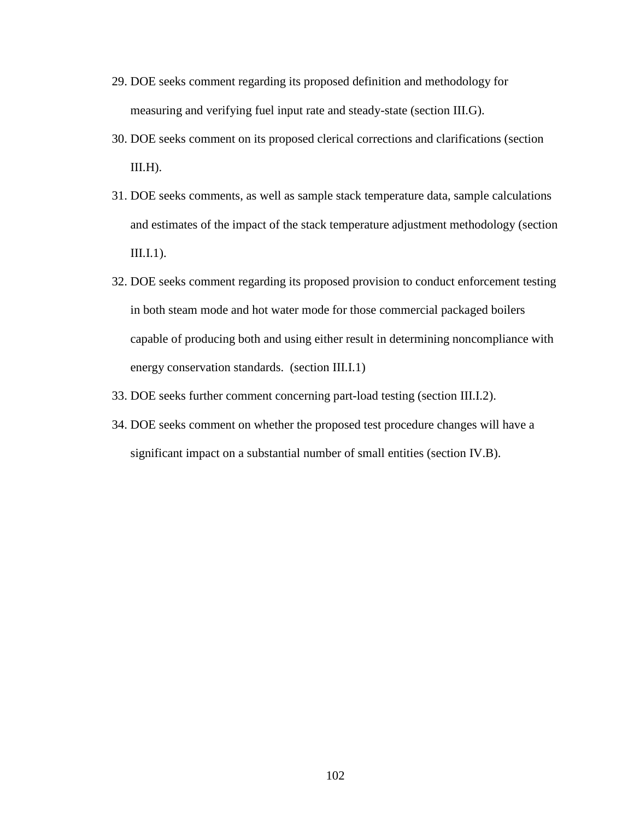- 29. DOE seeks comment regarding its proposed definition and methodology for measuring and verifying fuel input rate and steady-state (section [III.G\)](#page-60-0).
- 30. DOE seeks comment on its proposed clerical corrections and clarifications (section  $III.H$ ).
- 31. DOE seeks comments, as well as sample stack temperature data, sample calculations and estimates of the impact of the stack temperature adjustment methodology (section  $III.I.1$ ).
- 32. DOE seeks comment regarding its proposed provision to conduct enforcement testing in both steam mode and hot water mode for those commercial packaged boilers capable of producing both and using either result in determining noncompliance with energy conservation standards. (section [III.I.1\)](#page-69-0)
- <span id="page-102-0"></span>33. DOE seeks further comment concerning part-load testing (section [III.I.2\)](#page-70-0).
- <span id="page-102-1"></span>34. DOE seeks comment on whether the proposed test procedure changes will have a significant impact on a substantial number of small entities (section [IV.B\)](#page-78-0).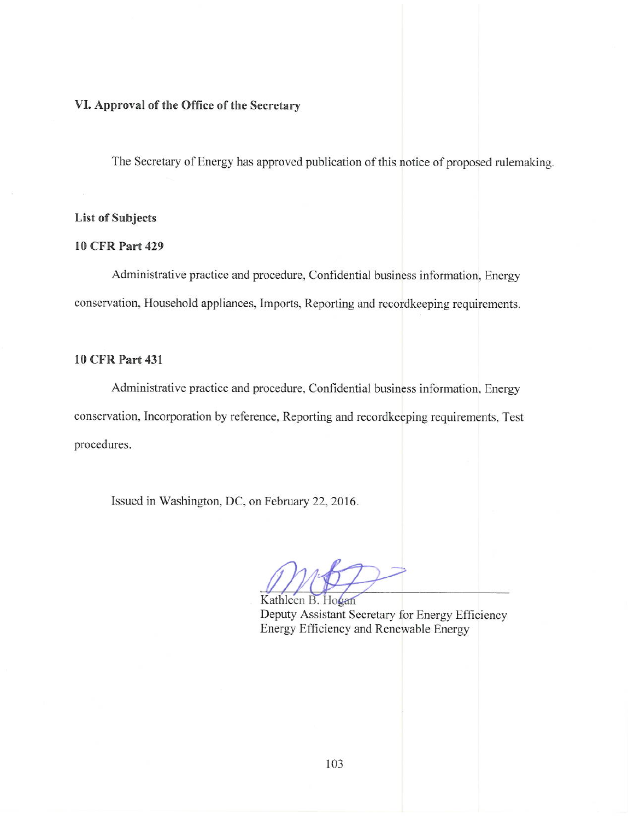## VI. Approval of the Office of the Secretary

The Secretary of Energy has approved publication of this notice of proposed rulemaking.

## **List of Subjects**

## **10 CFR Part 429**

Administrative practice and procedure, Confidential business information, Energy conservation, Household appliances, Imports, Reporting and recordkeeping requirements.

## **10 CFR Part 431**

Administrative practice and procedure, Confidential business information, Energy conservation, Incorporation by reference, Reporting and recordkeeping requirements, Test procedures.

Issued in Washington, DC, on February 22, 2016.

Kathleen B. Hogan Deputy Assistant Secretary for Energy Efficiency Energy Efficiency and Renewable Energy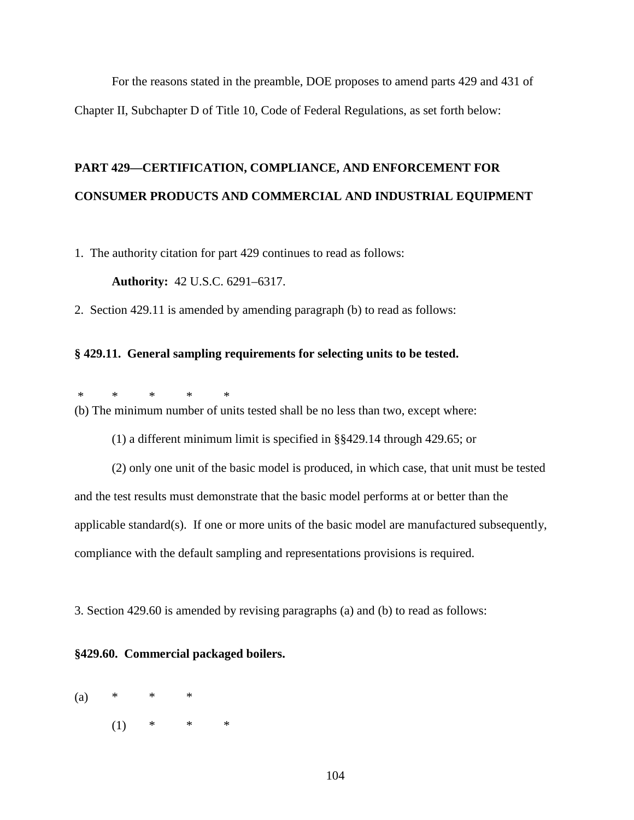For the reasons stated in the preamble, DOE proposes to amend parts 429 and 431 of Chapter II, Subchapter D of Title 10, Code of Federal Regulations, as set forth below:

# **PART 429—CERTIFICATION, COMPLIANCE, AND ENFORCEMENT FOR CONSUMER PRODUCTS AND COMMERCIAL AND INDUSTRIAL EQUIPMENT**

1. The authority citation for part 429 continues to read as follows:

**Authority:** 42 U.S.C. 6291–6317.

2. Section 429.11 is amended by amending paragraph (b) to read as follows:

## **§ 429.11. General sampling requirements for selecting units to be tested.**

\* \* \* \* \* (b) The minimum number of units tested shall be no less than two, except where:

(1) a different minimum limit is specified in §§429.14 through 429.65; or

(2) only one unit of the basic model is produced, in which case, that unit must be tested and the test results must demonstrate that the basic model performs at or better than the applicable standard(s). If one or more units of the basic model are manufactured subsequently, compliance with the default sampling and representations provisions is required.

3. Section 429.60 is amended by revising paragraphs (a) and (b) to read as follows:

## **§429.60. Commercial packaged boilers.**

(a)  $*$   $*$   $*$  $(1)$  \* \* \*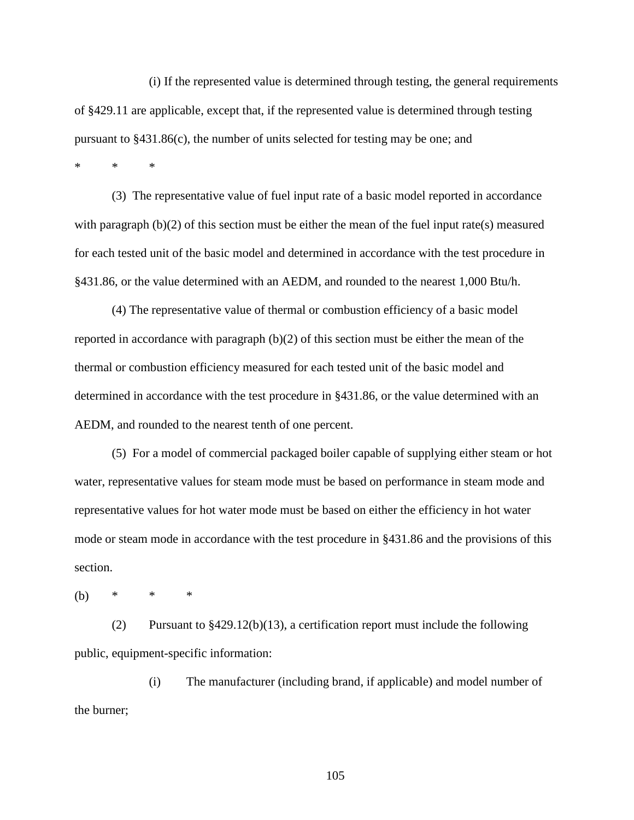(i) If the represented value is determined through testing, the general requirements of §429.11 are applicable, except that, if the represented value is determined through testing pursuant to §431.86(c), the number of units selected for testing may be one; and

\* \* \*

(3) The representative value of fuel input rate of a basic model reported in accordance with paragraph (b)(2) of this section must be either the mean of the fuel input rate(s) measured for each tested unit of the basic model and determined in accordance with the test procedure in §431.86, or the value determined with an AEDM, and rounded to the nearest 1,000 Btu/h.

(4) The representative value of thermal or combustion efficiency of a basic model reported in accordance with paragraph (b)(2) of this section must be either the mean of the thermal or combustion efficiency measured for each tested unit of the basic model and determined in accordance with the test procedure in §431.86, or the value determined with an AEDM, and rounded to the nearest tenth of one percent.

(5) For a model of commercial packaged boiler capable of supplying either steam or hot water, representative values for steam mode must be based on performance in steam mode and representative values for hot water mode must be based on either the efficiency in hot water mode or steam mode in accordance with the test procedure in §431.86 and the provisions of this section.

(b) \* \* \*

(2) Pursuant to §429.12(b)(13), a certification report must include the following public, equipment-specific information:

(i) The manufacturer (including brand, if applicable) and model number of the burner;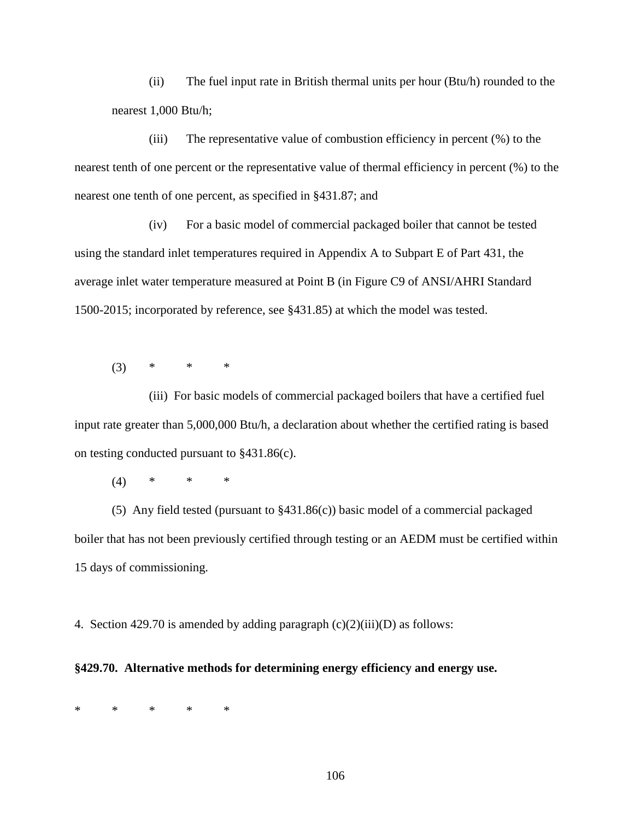(ii) The fuel input rate in British thermal units per hour (Btu/h) rounded to the nearest 1,000 Btu/h;

(iii) The representative value of combustion efficiency in percent (%) to the nearest tenth of one percent or the representative value of thermal efficiency in percent (%) to the nearest one tenth of one percent, as specified in §431.87; and

(iv) For a basic model of commercial packaged boiler that cannot be tested using the standard inlet temperatures required in Appendix A to Subpart E of Part 431, the average inlet water temperature measured at Point B (in Figure C9 of ANSI/AHRI Standard 1500-2015; incorporated by reference, see §431.85) at which the model was tested.

 $(3)$  \* \* \*

(iii) For basic models of commercial packaged boilers that have a certified fuel input rate greater than 5,000,000 Btu/h, a declaration about whether the certified rating is based on testing conducted pursuant to §431.86(c).

(4) \* \* \*

(5) Any field tested (pursuant to §431.86(c)) basic model of a commercial packaged boiler that has not been previously certified through testing or an AEDM must be certified within 15 days of commissioning.

4. Section 429.70 is amended by adding paragraph  $(c)(2)(iii)(D)$  as follows:

## **§429.70. Alternative methods for determining energy efficiency and energy use.**

\* \* \* \* \*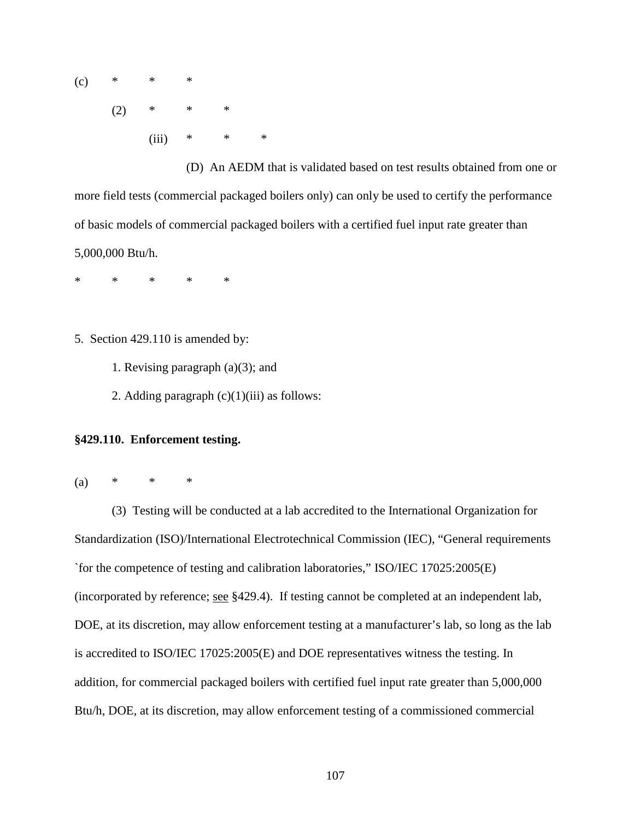$(c)$  \* \* \*  $(2)$  \* \* \* (iii)  $* \t * \t *$ 

(D) An AEDM that is validated based on test results obtained from one or more field tests (commercial packaged boilers only) can only be used to certify the performance of basic models of commercial packaged boilers with a certified fuel input rate greater than 5,000,000 Btu/h.

\* \* \* \* \*

- 5. Section 429.110 is amended by:
	- 1. Revising paragraph (a)(3); and
	- 2. Adding paragraph  $(c)(1)(iii)$  as follows:

## **§429.110. Enforcement testing.**

(a)  $*$   $*$   $*$ 

(3) Testing will be conducted at a lab accredited to the International Organization for Standardization (ISO)/International Electrotechnical Commission (IEC), "General requirements `for the competence of testing and calibration laboratories," ISO/IEC 17025:2005(E) (incorporated by reference; see §429.4). If testing cannot be completed at an independent lab, DOE, at its discretion, may allow enforcement testing at a manufacturer's lab, so long as the lab is accredited to ISO/IEC 17025:2005(E) and DOE representatives witness the testing. In addition, for commercial packaged boilers with certified fuel input rate greater than 5,000,000 Btu/h, DOE, at its discretion, may allow enforcement testing of a commissioned commercial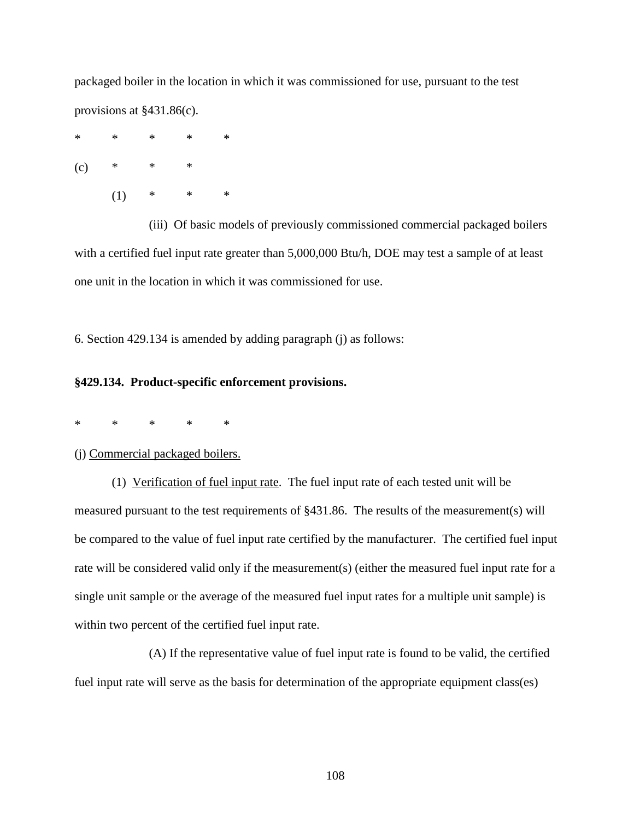packaged boiler in the location in which it was commissioned for use, pursuant to the test provisions at §431.86(c).

\* \* \* \* \*  $(c)$  \* \* \*  $(1)$  \* \* \*

(iii) Of basic models of previously commissioned commercial packaged boilers with a certified fuel input rate greater than 5,000,000 Btu/h, DOE may test a sample of at least one unit in the location in which it was commissioned for use.

6. Section 429.134 is amended by adding paragraph (j) as follows:

## **§429.134. Product-specific enforcement provisions.**

\* \* \* \* \*

#### (j) Commercial packaged boilers.

(1) Verification of fuel input rate. The fuel input rate of each tested unit will be measured pursuant to the test requirements of §431.86. The results of the measurement(s) will be compared to the value of fuel input rate certified by the manufacturer. The certified fuel input rate will be considered valid only if the measurement(s) (either the measured fuel input rate for a single unit sample or the average of the measured fuel input rates for a multiple unit sample) is within two percent of the certified fuel input rate.

(A) If the representative value of fuel input rate is found to be valid, the certified fuel input rate will serve as the basis for determination of the appropriate equipment class(es)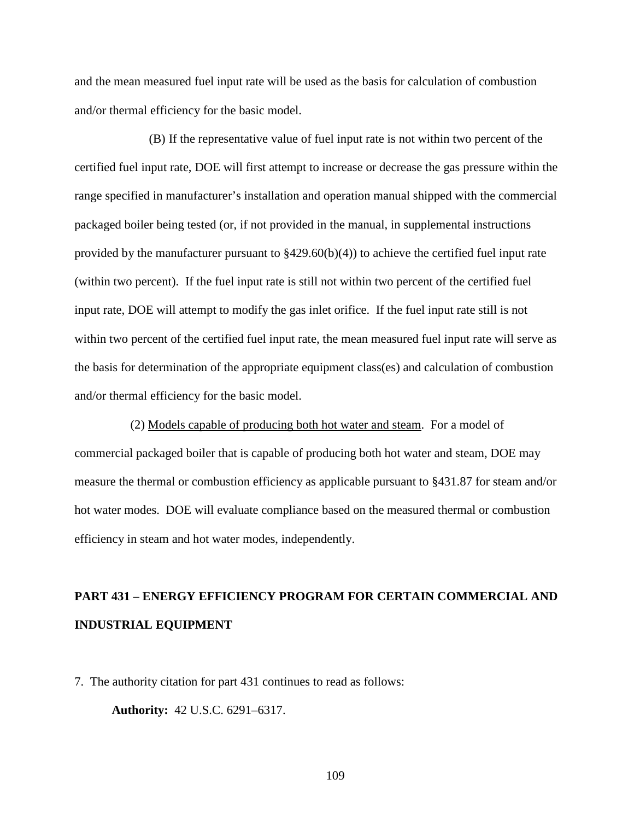and the mean measured fuel input rate will be used as the basis for calculation of combustion and/or thermal efficiency for the basic model.

(B) If the representative value of fuel input rate is not within two percent of the certified fuel input rate, DOE will first attempt to increase or decrease the gas pressure within the range specified in manufacturer's installation and operation manual shipped with the commercial packaged boiler being tested (or, if not provided in the manual, in supplemental instructions provided by the manufacturer pursuant to §429.60(b)(4)) to achieve the certified fuel input rate (within two percent). If the fuel input rate is still not within two percent of the certified fuel input rate, DOE will attempt to modify the gas inlet orifice. If the fuel input rate still is not within two percent of the certified fuel input rate, the mean measured fuel input rate will serve as the basis for determination of the appropriate equipment class(es) and calculation of combustion and/or thermal efficiency for the basic model.

(2) Models capable of producing both hot water and steam. For a model of commercial packaged boiler that is capable of producing both hot water and steam, DOE may measure the thermal or combustion efficiency as applicable pursuant to §431.87 for steam and/or hot water modes. DOE will evaluate compliance based on the measured thermal or combustion efficiency in steam and hot water modes, independently.

# **PART 431 – ENERGY EFFICIENCY PROGRAM FOR CERTAIN COMMERCIAL AND INDUSTRIAL EQUIPMENT**

7. The authority citation for part 431 continues to read as follows:

**Authority:** 42 U.S.C. 6291–6317.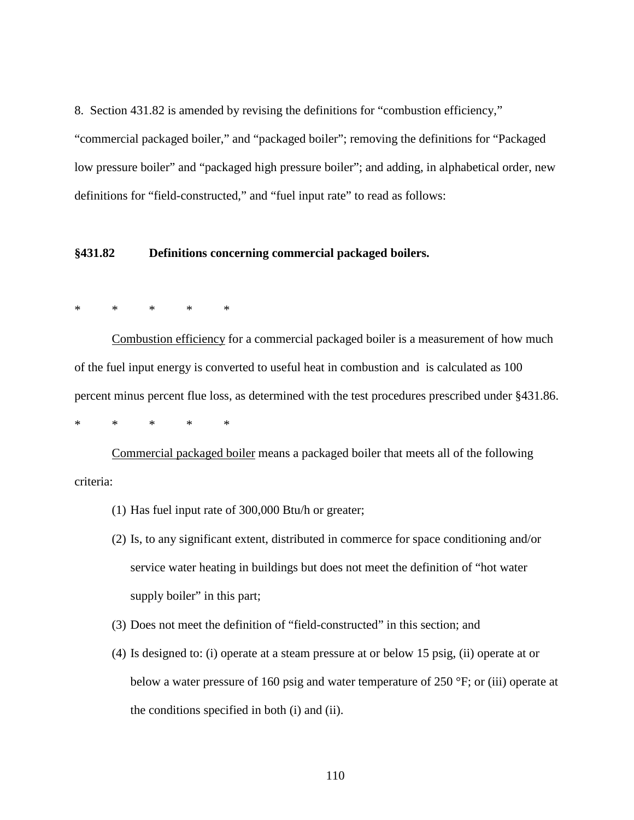8. Section 431.82 is amended by revising the definitions for "combustion efficiency," "commercial packaged boiler," and "packaged boiler"; removing the definitions for "Packaged low pressure boiler" and "packaged high pressure boiler"; and adding, in alphabetical order, new definitions for "field-constructed," and "fuel input rate" to read as follows:

#### **§431.82 Definitions concerning commercial packaged boilers.**

## \* \* \* \* \*

Combustion efficiency for a commercial packaged boiler is a measurement of how much of the fuel input energy is converted to useful heat in combustion and is calculated as 100 percent minus percent flue loss, as determined with the test procedures prescribed under §431.86.

\* \* \* \* \*

Commercial packaged boiler means a packaged boiler that meets all of the following criteria:

- (1) Has fuel input rate of 300,000 Btu/h or greater;
- (2) Is, to any significant extent, distributed in commerce for space conditioning and/or service water heating in buildings but does not meet the definition of "hot water supply boiler" in this part;
- (3) Does not meet the definition of "field-constructed" in this section; and
- (4) Is designed to: (i) operate at a steam pressure at or below 15 psig, (ii) operate at or below a water pressure of 160 psig and water temperature of 250 °F; or (iii) operate at the conditions specified in both (i) and (ii).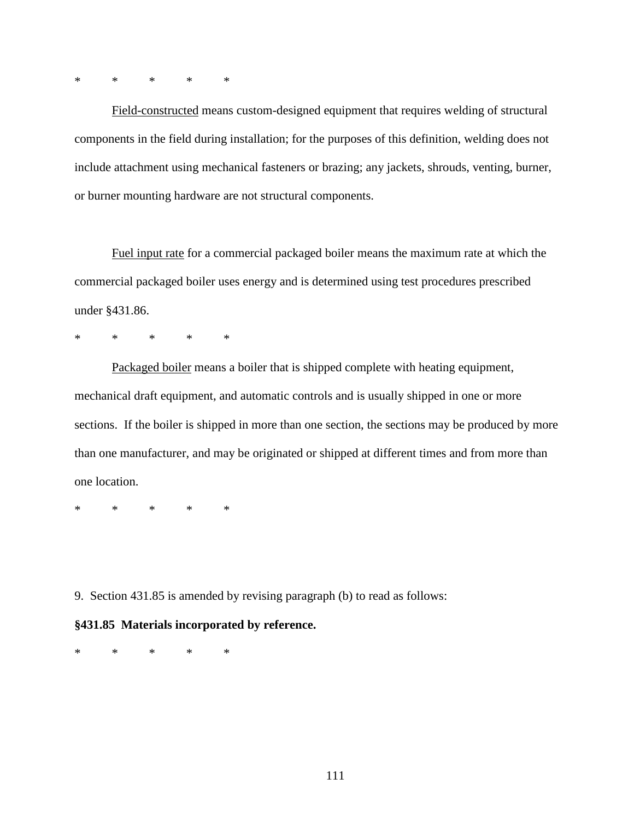\* \* \* \* \*

Field-constructed means custom-designed equipment that requires welding of structural components in the field during installation; for the purposes of this definition, welding does not include attachment using mechanical fasteners or brazing; any jackets, shrouds, venting, burner, or burner mounting hardware are not structural components.

Fuel input rate for a commercial packaged boiler means the maximum rate at which the commercial packaged boiler uses energy and is determined using test procedures prescribed under §431.86.

\* \* \* \* \*

Packaged boiler means a boiler that is shipped complete with heating equipment, mechanical draft equipment, and automatic controls and is usually shipped in one or more sections. If the boiler is shipped in more than one section, the sections may be produced by more than one manufacturer, and may be originated or shipped at different times and from more than one location.

\* \* \* \* \*

9. Section 431.85 is amended by revising paragraph (b) to read as follows:

#### **§431.85 Materials incorporated by reference.**

\* \* \* \* \*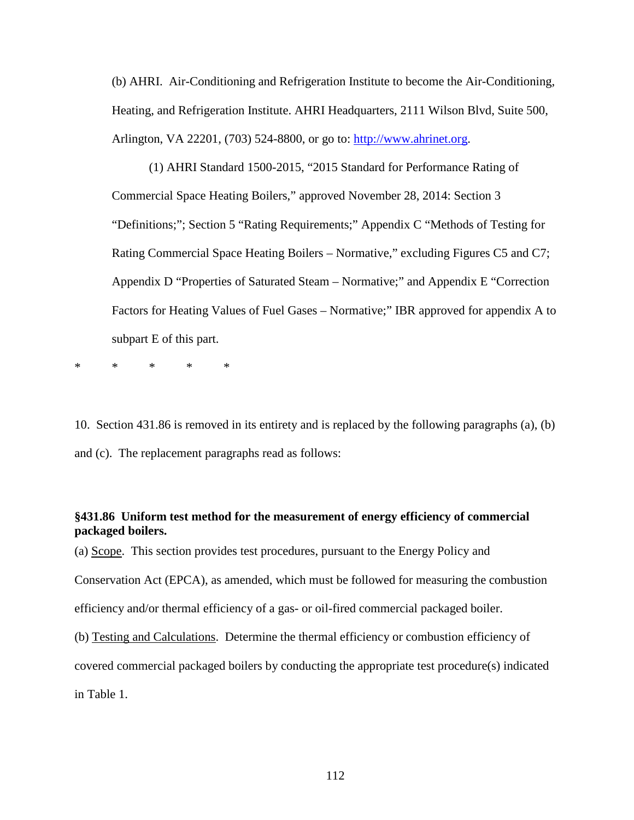(b) AHRI. Air-Conditioning and Refrigeration Institute to become the Air-Conditioning, Heating, and Refrigeration Institute. AHRI Headquarters, 2111 Wilson Blvd, Suite 500, Arlington, VA 22201, (703) 524-8800, or go to: [http://www.ahrinet.org.](http://www.ahrinet.org/)

(1) AHRI Standard 1500-2015, "2015 Standard for Performance Rating of Commercial Space Heating Boilers," approved November 28, 2014: Section 3 "Definitions;"; Section 5 "Rating Requirements;" Appendix C "Methods of Testing for Rating Commercial Space Heating Boilers – Normative," excluding Figures C5 and C7; Appendix D "Properties of Saturated Steam – Normative;" and Appendix E "Correction Factors for Heating Values of Fuel Gases – Normative;" IBR approved for appendix A to subpart E of this part.

\* \* \* \* \*

10. Section 431.86 is removed in its entirety and is replaced by the following paragraphs (a), (b) and (c). The replacement paragraphs read as follows:

## **§431.86 Uniform test method for the measurement of energy efficiency of commercial packaged boilers.**

(a) Scope. This section provides test procedures, pursuant to the Energy Policy and Conservation Act (EPCA), as amended, which must be followed for measuring the combustion efficiency and/or thermal efficiency of a gas- or oil-fired commercial packaged boiler. (b) Testing and Calculations. Determine the thermal efficiency or combustion efficiency of covered commercial packaged boilers by conducting the appropriate test procedure(s) indicated in Table 1.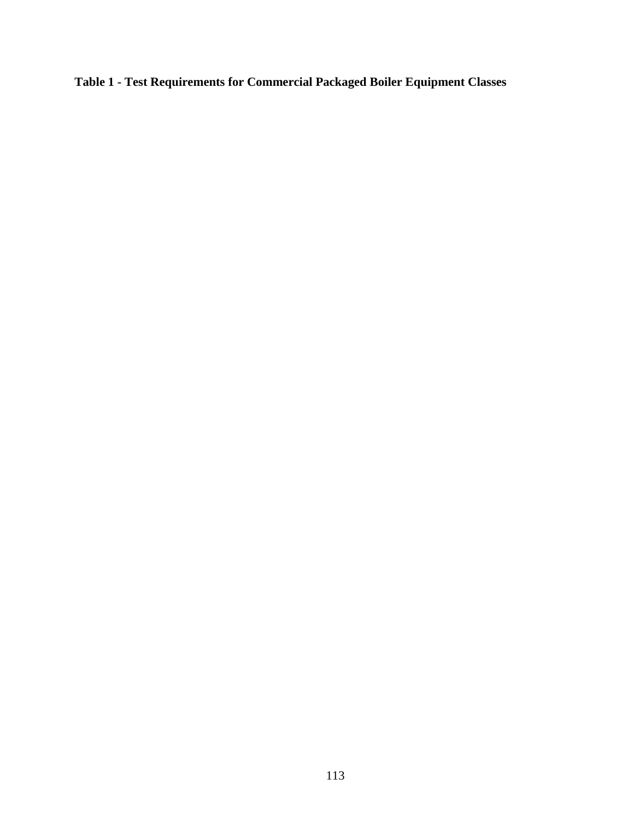**Table 1 - Test Requirements for Commercial Packaged Boiler Equipment Classes**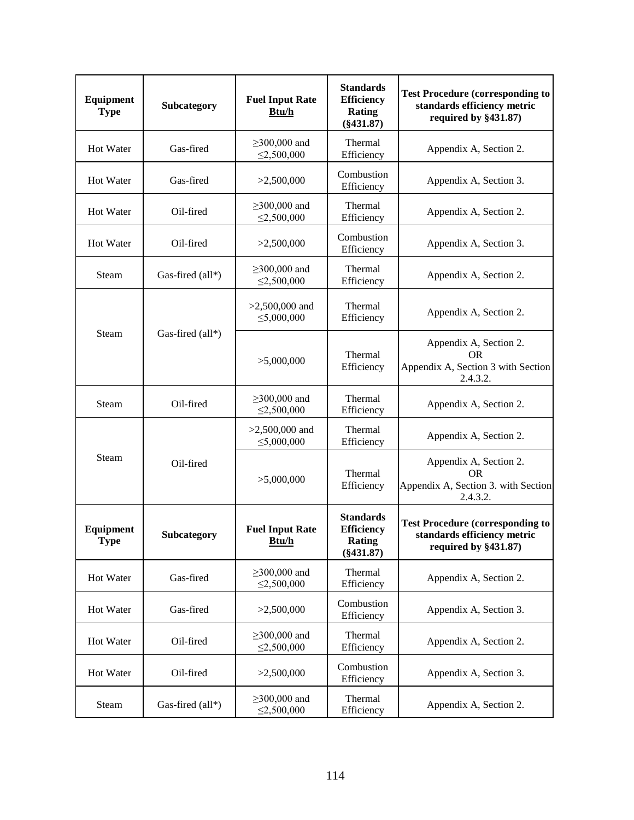| Equipment<br><b>Type</b>  | Subcategory      | <b>Fuel Input Rate</b><br>Btu/h        | <b>Standards</b><br><b>Efficiency</b><br><b>Rating</b><br>$(\$431.87)$ | <b>Test Procedure (corresponding to</b><br>standards efficiency metric<br>required by §431.87) |
|---------------------------|------------------|----------------------------------------|------------------------------------------------------------------------|------------------------------------------------------------------------------------------------|
| Hot Water                 | Gas-fired        | $\geq$ 300,000 and<br>$\leq$ 2,500,000 | Thermal<br>Efficiency                                                  | Appendix A, Section 2.                                                                         |
| Hot Water                 | Gas-fired        | >2,500,000                             | Combustion<br>Efficiency                                               | Appendix A, Section 3.                                                                         |
| <b>Hot Water</b>          | Oil-fired        | $\geq$ 300,000 and<br>$\leq$ 2,500,000 | Thermal<br>Efficiency                                                  | Appendix A, Section 2.                                                                         |
| Hot Water                 | Oil-fired        | >2,500,000                             | Combustion<br>Efficiency                                               | Appendix A, Section 3.                                                                         |
| Steam                     | Gas-fired (all*) | $\geq$ 300,000 and<br>$\leq$ 2,500,000 | Thermal<br>Efficiency                                                  | Appendix A, Section 2.                                                                         |
|                           |                  | $>2,500,000$ and<br>$\leq 5,000,000$   | Thermal<br>Efficiency                                                  | Appendix A, Section 2.                                                                         |
| Steam<br>Gas-fired (all*) |                  | >5,000,000                             | Thermal<br>Efficiency                                                  | Appendix A, Section 2.<br>OR.<br>Appendix A, Section 3 with Section<br>2.4.3.2.                |
| Steam                     | Oil-fired        | $\geq$ 300,000 and<br>$\leq 2,500,000$ | Thermal<br>Efficiency                                                  | Appendix A, Section 2.                                                                         |
|                           |                  | $>2,500,000$ and<br>$\leq 5,000,000$   | Thermal<br>Efficiency                                                  | Appendix A, Section 2.                                                                         |
| Steam                     | Oil-fired        | >5,000,000                             | Thermal<br>Efficiency                                                  | Appendix A, Section 2.<br><b>OR</b><br>Appendix A, Section 3. with Section<br>2.4.3.2.         |
| Equipment<br>Type         | Subcategory      | <b>Fuel Input Rate</b><br>Btu/h        | <b>Standards</b><br><b>Efficiency</b><br>Rating<br>$(\$431.87)$        | <b>Test Procedure (corresponding to</b><br>standards efficiency metric<br>required by §431.87) |
| Hot Water                 | Gas-fired        | $\geq$ 300,000 and<br>$\leq 2,500,000$ | Thermal<br>Efficiency                                                  | Appendix A, Section 2.                                                                         |
| Hot Water                 | Gas-fired        | >2,500,000                             | Combustion<br>Efficiency                                               | Appendix A, Section 3.                                                                         |
| Hot Water                 | Oil-fired        | $\geq$ 300,000 and<br>$\leq$ 2,500,000 | Thermal<br>Efficiency                                                  | Appendix A, Section 2.                                                                         |
| Hot Water                 | Oil-fired        | >2,500,000                             | Combustion<br>Efficiency                                               | Appendix A, Section 3.                                                                         |
| Steam                     | Gas-fired (all*) | $\geq$ 300,000 and<br>$\leq$ 2,500,000 | Thermal<br>Efficiency                                                  | Appendix A, Section 2.                                                                         |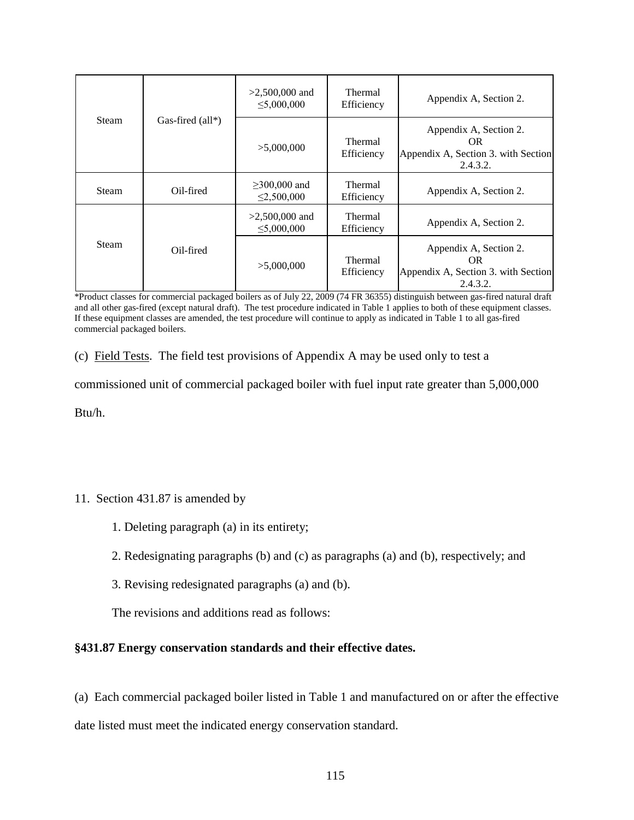|  |       | $>2,500,000$ and<br>$\leq 5,000,000$ | <b>Thermal</b><br>Efficiency           | Appendix A, Section 2.       |                                                                                        |
|--|-------|--------------------------------------|----------------------------------------|------------------------------|----------------------------------------------------------------------------------------|
|  | Steam | Gas-fired $(\text{all*})$            | >5,000,000                             | Thermal<br>Efficiency        | Appendix A, Section 2.<br>OR.<br>Appendix A, Section 3. with Section<br>2.4.3.2.       |
|  | Steam | Oil-fired                            | $\geq$ 300,000 and<br>$\leq 2,500,000$ | <b>Thermal</b><br>Efficiency | Appendix A, Section 2.                                                                 |
|  |       |                                      | $>2,500,000$ and<br>$\leq 5,000,000$   | <b>Thermal</b><br>Efficiency | Appendix A, Section 2.                                                                 |
|  | Steam | Oil-fired                            | >5,000,000                             | <b>Thermal</b><br>Efficiency | Appendix A, Section 2.<br><b>OR</b><br>Appendix A, Section 3. with Section<br>2.4.3.2. |

\*Product classes for commercial packaged boilers as of July 22, 2009 (74 FR 36355) distinguish between gas-fired natural draft and all other gas-fired (except natural draft). The test procedure indicated in Table 1 applies to both of these equipment classes. If these equipment classes are amended, the test procedure will continue to apply as indicated in Table 1 to all gas-fired commercial packaged boilers.

(c) Field Tests. The field test provisions of Appendix A may be used only to test a

commissioned unit of commercial packaged boiler with fuel input rate greater than 5,000,000

Btu/h.

## 11. Section 431.87 is amended by

- 1. Deleting paragraph (a) in its entirety;
- 2. Redesignating paragraphs (b) and (c) as paragraphs (a) and (b), respectively; and
- 3. Revising redesignated paragraphs (a) and (b).

The revisions and additions read as follows:

## **§431.87 Energy conservation standards and their effective dates.**

(a) Each commercial packaged boiler listed in Table 1 and manufactured on or after the effective date listed must meet the indicated energy conservation standard.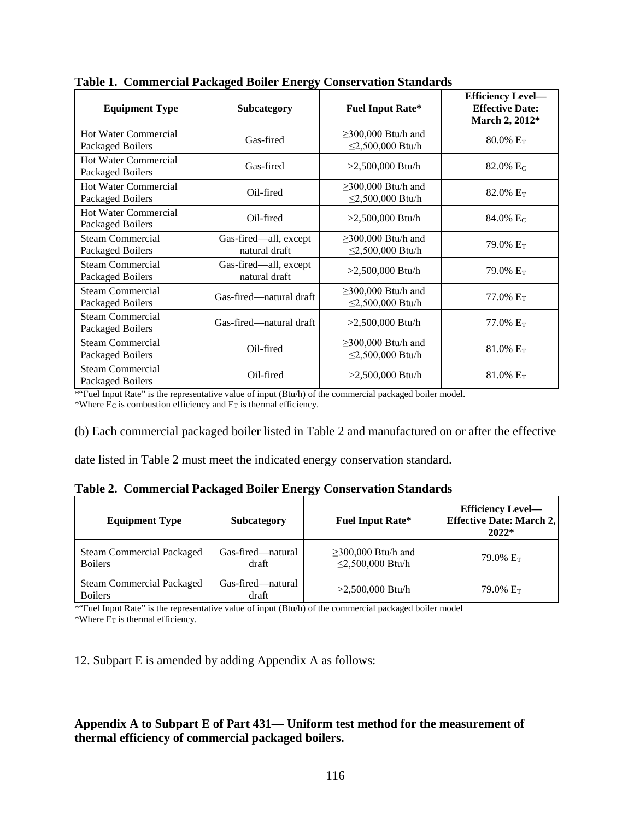| <b>Equipment Type</b>                           | Subcategory                            |                                              | <b>Efficiency Level-</b><br><b>Effective Date:</b><br>March 2, 2012* |
|-------------------------------------------------|----------------------------------------|----------------------------------------------|----------------------------------------------------------------------|
| <b>Hot Water Commercial</b><br>Packaged Boilers | Gas-fired                              | $\geq$ 300,000 Btu/h and<br>≤2,500,000 Btu/h | $80.0\%$ E <sub>T</sub>                                              |
| <b>Hot Water Commercial</b><br>Packaged Boilers | Gas-fired                              | $>2,500,000$ Btu/h                           | 82.0% $E_C$                                                          |
| <b>Hot Water Commercial</b><br>Packaged Boilers | Oil-fired                              | $\geq$ 300,000 Btu/h and<br>≤2,500,000 Btu/h | 82.0% $E_T$                                                          |
| <b>Hot Water Commercial</b><br>Packaged Boilers | Oil-fired                              | $>2,500,000$ Btu/h                           | 84.0% Ec                                                             |
| Steam Commercial<br>Packaged Boilers            | Gas-fired—all, except<br>natural draft | $\geq$ 300,000 Btu/h and<br>≤2,500,000 Btu/h | 79.0% E <sub>T</sub>                                                 |
| <b>Steam Commercial</b><br>Packaged Boilers     | Gas-fired—all, except<br>natural draft | $>2,500,000$ Btu/h                           | $79.0\%$ E <sub>T</sub>                                              |
| Steam Commercial<br>Packaged Boilers            | Gas-fired-natural draft                | $\geq$ 300,000 Btu/h and<br>≤2,500,000 Btu/h | 77.0% $E_T$                                                          |
| Steam Commercial<br>Packaged Boilers            | Gas-fired—natural draft                | $>2,500,000$ Btu/h                           | $77.0\%$ E <sub>T</sub>                                              |
| <b>Steam Commercial</b><br>Packaged Boilers     | Oil-fired                              | $\geq$ 300,000 Btu/h and<br>≤2,500,000 Btu/h | $81.0\%$ E <sub>T</sub>                                              |
| <b>Steam Commercial</b><br>Packaged Boilers     | Oil-fired                              | $>2,500,000$ Btu/h                           | $81.0\%$ E <sub>T</sub>                                              |

**Table 1. Commercial Packaged Boiler Energy Conservation Standards**

\*"Fuel Input Rate" is the representative value of input (Btu/h) of the commercial packaged boiler model.

\*Where  $\overrightarrow{E}$  is combustion efficiency and  $E_T$  is thermal efficiency.

(b) Each commercial packaged boiler listed in Table 2 and manufactured on or after the effective

date listed in Table 2 must meet the indicated energy conservation standard.

|  |  |  |  |  | Table 2. Commercial Packaged Boiler Energy Conservation Standards |  |
|--|--|--|--|--|-------------------------------------------------------------------|--|
|--|--|--|--|--|-------------------------------------------------------------------|--|

| <b>Equipment Type</b>                              | <b>Subcategory</b>         | <b>Fuel Input Rate*</b>                      | <b>Efficiency Level-</b><br><b>Effective Date: March 2,</b><br>$2022*$ |
|----------------------------------------------------|----------------------------|----------------------------------------------|------------------------------------------------------------------------|
| <b>Steam Commercial Packaged</b><br><b>Boilers</b> | Gas-fired—natural<br>draft | $\geq$ 300,000 Btu/h and<br>≤2,500,000 Btu/h | 79.0% E <sub>T</sub>                                                   |
| <b>Steam Commercial Packaged</b><br><b>Boilers</b> | Gas-fired—natural<br>draft | $>2,500,000$ Btu/h                           | 79.0% $E_T$                                                            |

\*"Fuel Input Rate" is the representative value of input (Btu/h) of the commercial packaged boiler model \*Where  $\overline{E_T}$  is thermal efficiency.

12. Subpart E is amended by adding Appendix A as follows:

## **Appendix A to Subpart E of Part 431— Uniform test method for the measurement of thermal efficiency of commercial packaged boilers.**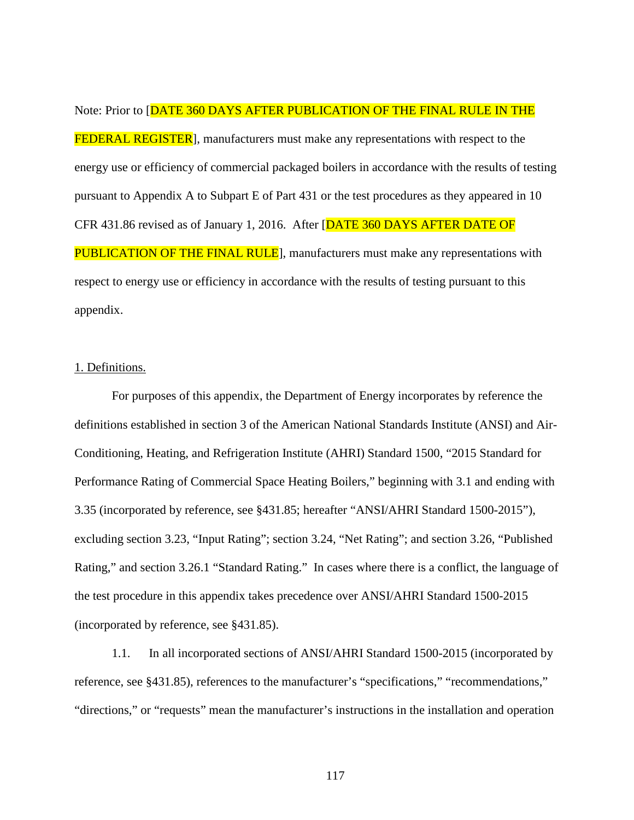Note: Prior to [DATE 360 DAYS AFTER PUBLICATION OF THE FINAL RULE IN THE FEDERAL REGISTER], manufacturers must make any representations with respect to the energy use or efficiency of commercial packaged boilers in accordance with the results of testing pursuant to Appendix A to Subpart E of Part 431 or the test procedures as they appeared in 10 CFR 431.86 revised as of January 1, 2016. After [DATE 360 DAYS AFTER DATE OF **PUBLICATION OF THE FINAL RULE**, manufacturers must make any representations with respect to energy use or efficiency in accordance with the results of testing pursuant to this appendix.

## 1. Definitions.

For purposes of this appendix, the Department of Energy incorporates by reference the definitions established in section 3 of the American National Standards Institute (ANSI) and Air-Conditioning, Heating, and Refrigeration Institute (AHRI) Standard 1500, "2015 Standard for Performance Rating of Commercial Space Heating Boilers," beginning with 3.1 and ending with 3.35 (incorporated by reference, see §431.85; hereafter "ANSI/AHRI Standard 1500-2015"), excluding section 3.23, "Input Rating"; section 3.24, "Net Rating"; and section 3.26, "Published Rating," and section 3.26.1 "Standard Rating." In cases where there is a conflict, the language of the test procedure in this appendix takes precedence over ANSI/AHRI Standard 1500-2015 (incorporated by reference, see §431.85).

1.1. In all incorporated sections of ANSI/AHRI Standard 1500-2015 (incorporated by reference, see §431.85), references to the manufacturer's "specifications," "recommendations," "directions," or "requests" mean the manufacturer's instructions in the installation and operation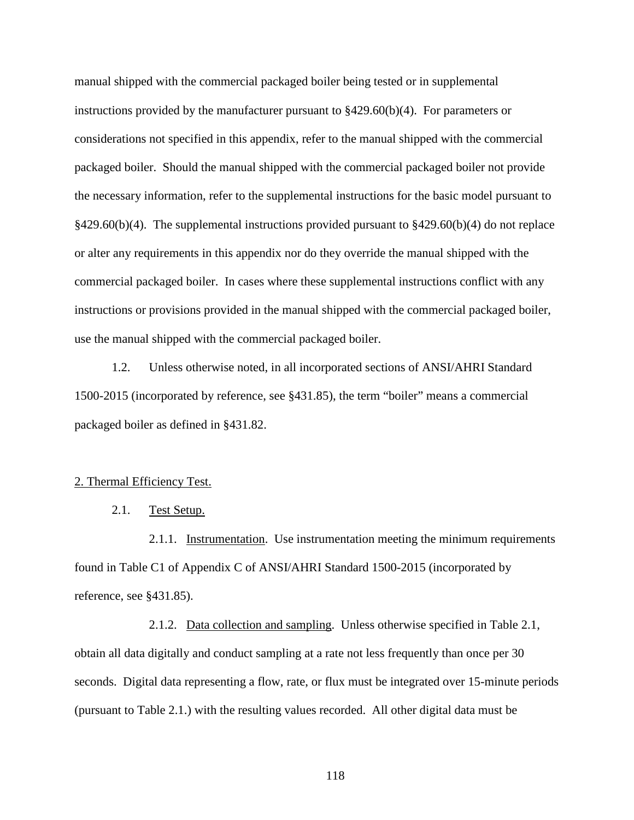manual shipped with the commercial packaged boiler being tested or in supplemental instructions provided by the manufacturer pursuant to §429.60(b)(4). For parameters or considerations not specified in this appendix, refer to the manual shipped with the commercial packaged boiler. Should the manual shipped with the commercial packaged boiler not provide the necessary information, refer to the supplemental instructions for the basic model pursuant to  $§429.60(b)(4)$ . The supplemental instructions provided pursuant to  $§429.60(b)(4)$  do not replace or alter any requirements in this appendix nor do they override the manual shipped with the commercial packaged boiler. In cases where these supplemental instructions conflict with any instructions or provisions provided in the manual shipped with the commercial packaged boiler, use the manual shipped with the commercial packaged boiler.

1.2. Unless otherwise noted, in all incorporated sections of ANSI/AHRI Standard 1500-2015 (incorporated by reference, see §431.85), the term "boiler" means a commercial packaged boiler as defined in §431.82.

#### 2. Thermal Efficiency Test.

## 2.1. Test Setup.

2.1.1. Instrumentation. Use instrumentation meeting the minimum requirements found in Table C1 of Appendix C of ANSI/AHRI Standard 1500-2015 (incorporated by reference, see §431.85).

2.1.2. Data collection and sampling. Unless otherwise specified in Table 2.1, obtain all data digitally and conduct sampling at a rate not less frequently than once per 30 seconds. Digital data representing a flow, rate, or flux must be integrated over 15-minute periods (pursuant to Table 2.1.) with the resulting values recorded. All other digital data must be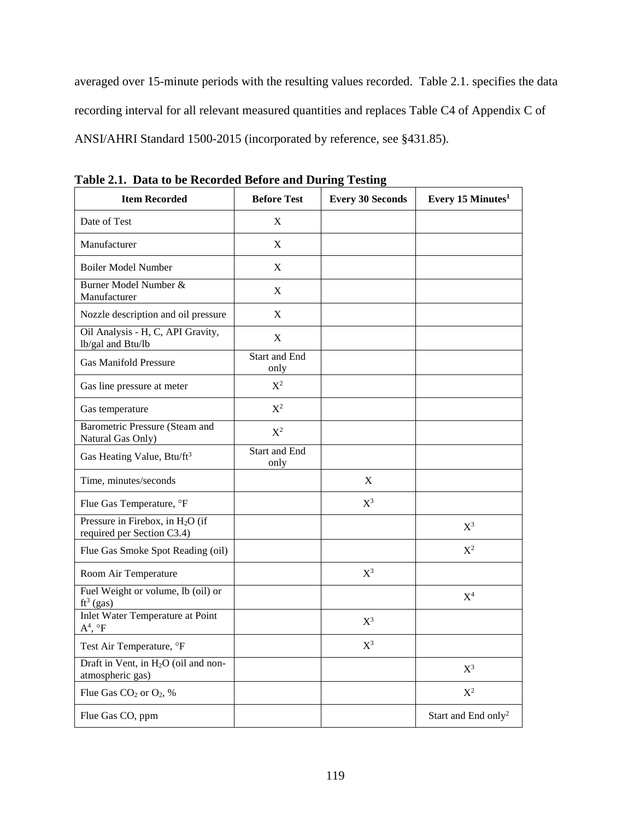averaged over 15-minute periods with the resulting values recorded. Table 2.1. specifies the data recording interval for all relevant measured quantities and replaces Table C4 of Appendix C of ANSI/AHRI Standard 1500-2015 (incorporated by reference, see §431.85).

| Data to be recorded before and Daring Testing<br><b>Item Recorded</b> | <b>Before Test</b>    | <b>Every 30 Seconds</b> | Every 15 Minutes <sup>1</sup>   |
|-----------------------------------------------------------------------|-----------------------|-------------------------|---------------------------------|
| Date of Test                                                          | X                     |                         |                                 |
| Manufacturer                                                          | $\mathbf X$           |                         |                                 |
| <b>Boiler Model Number</b>                                            | X                     |                         |                                 |
| Burner Model Number &<br>Manufacturer                                 | X                     |                         |                                 |
| Nozzle description and oil pressure                                   | X                     |                         |                                 |
| Oil Analysis - H, C, API Gravity,<br>lb/gal and Btu/lb                | $\mathbf X$           |                         |                                 |
| <b>Gas Manifold Pressure</b>                                          | Start and End<br>only |                         |                                 |
| Gas line pressure at meter                                            | $X^2$                 |                         |                                 |
| Gas temperature                                                       | $X^2$                 |                         |                                 |
| Barometric Pressure (Steam and<br>Natural Gas Only)                   | $X^2$                 |                         |                                 |
| Gas Heating Value, Btu/ft <sup>3</sup>                                | Start and End<br>only |                         |                                 |
| Time, minutes/seconds                                                 |                       | X                       |                                 |
| Flue Gas Temperature, °F                                              |                       | $X^3$                   |                                 |
| Pressure in Firebox, in $H_2O$ (if<br>required per Section C3.4)      |                       |                         | $X^3$                           |
| Flue Gas Smoke Spot Reading (oil)                                     |                       |                         | $X^2$                           |
| Room Air Temperature                                                  |                       | $X^3$                   |                                 |
| Fuel Weight or volume, lb (oil) or<br>$ft^3$ (gas)                    |                       |                         | $X^4$                           |
| Inlet Water Temperature at Point<br>$A^4$ , $\circ F$                 |                       | $X^3$                   |                                 |
| Test Air Temperature, °F                                              |                       | $X^3$                   |                                 |
| Draft in Vent, in H <sub>2</sub> O (oil and non-<br>atmospheric gas)  |                       |                         | $X^3$                           |
| Flue Gas CO <sub>2</sub> or O <sub>2</sub> , %                        |                       |                         | $\mathbf{X}^2$                  |
| Flue Gas CO, ppm                                                      |                       |                         | Start and End only <sup>2</sup> |

**Table 2.1. Data to be Recorded Before and During Testing**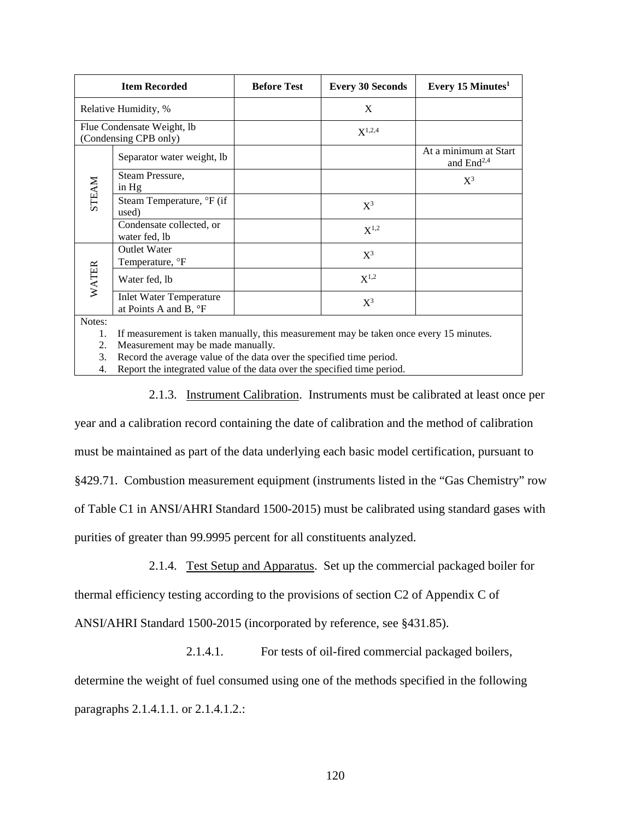|                      | <b>Item Recorded</b>                                                                                                       | <b>Before Test</b> | <b>Every 30 Seconds</b> | Every 15 Minutes $1$                            |
|----------------------|----------------------------------------------------------------------------------------------------------------------------|--------------------|-------------------------|-------------------------------------------------|
| Relative Humidity, % |                                                                                                                            |                    | X                       |                                                 |
|                      | Flue Condensate Weight, lb<br>(Condensing CPB only)                                                                        |                    | $X^{1,2,4}$             |                                                 |
|                      | Separator water weight, lb                                                                                                 |                    |                         | At a minimum at Start<br>and End <sup>2,4</sup> |
|                      | Steam Pressure,<br>in Hg                                                                                                   |                    |                         | $X^3$                                           |
| <b>STEAM</b>         | Steam Temperature, °F (if<br>used)                                                                                         |                    | $X^3$                   |                                                 |
|                      | Condensate collected, or<br>water fed, lb                                                                                  |                    | $X^{1,2}$               |                                                 |
|                      | <b>Outlet Water</b><br>Temperature, <sup>o</sup> F                                                                         |                    | $X^3$                   |                                                 |
| <b>WATER</b>         | Water fed, lb                                                                                                              |                    | $X^{1,2}$               |                                                 |
|                      | <b>Inlet Water Temperature</b><br>at Points A and B, °F                                                                    |                    | $X^3$                   |                                                 |
| Notes:<br>ി          | If measurement is taken manually, this measurement may be taken once every 15 minutes.<br>Moogurament may be made manually |                    |                         |                                                 |

2. Measurement may be made manually.

3. Record the average value of the data over the specified time period.

4. Report the integrated value of the data over the specified time period.

2.1.3. Instrument Calibration. Instruments must be calibrated at least once per

year and a calibration record containing the date of calibration and the method of calibration must be maintained as part of the data underlying each basic model certification, pursuant to §429.71. Combustion measurement equipment (instruments listed in the "Gas Chemistry" row of Table C1 in ANSI/AHRI Standard 1500-2015) must be calibrated using standard gases with purities of greater than 99.9995 percent for all constituents analyzed.

2.1.4. Test Setup and Apparatus. Set up the commercial packaged boiler for

thermal efficiency testing according to the provisions of section C2 of Appendix C of

ANSI/AHRI Standard 1500-2015 (incorporated by reference, see §431.85).

2.1.4.1. For tests of oil-fired commercial packaged boilers,

determine the weight of fuel consumed using one of the methods specified in the following paragraphs 2.1.4.1.1. or 2.1.4.1.2.: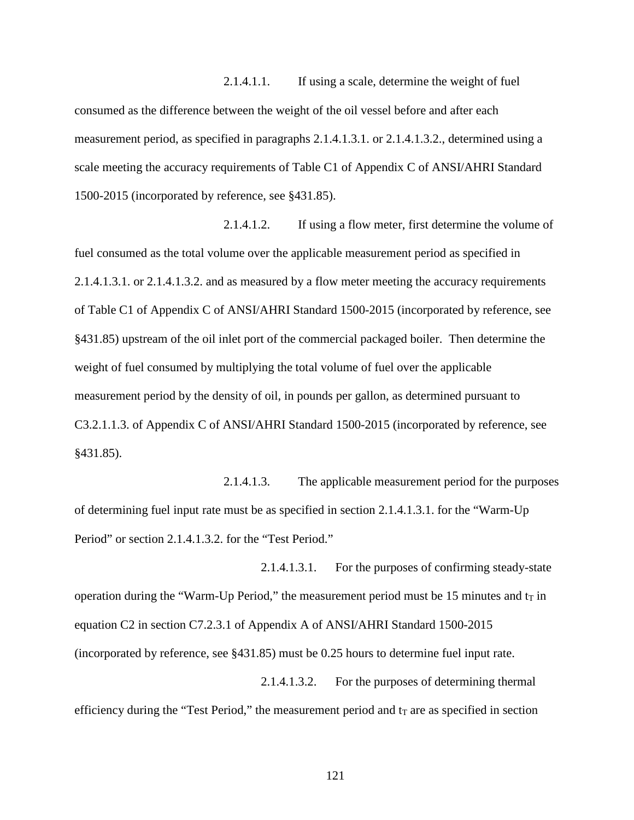2.1.4.1.1. If using a scale, determine the weight of fuel consumed as the difference between the weight of the oil vessel before and after each measurement period, as specified in paragraphs 2.1.4.1.3.1. or 2.1.4.1.3.2., determined using a scale meeting the accuracy requirements of Table C1 of Appendix C of ANSI/AHRI Standard 1500-2015 (incorporated by reference, see §431.85).

2.1.4.1.2. If using a flow meter, first determine the volume of fuel consumed as the total volume over the applicable measurement period as specified in 2.1.4.1.3.1. or 2.1.4.1.3.2. and as measured by a flow meter meeting the accuracy requirements of Table C1 of Appendix C of ANSI/AHRI Standard 1500-2015 (incorporated by reference, see §431.85) upstream of the oil inlet port of the commercial packaged boiler. Then determine the weight of fuel consumed by multiplying the total volume of fuel over the applicable measurement period by the density of oil, in pounds per gallon, as determined pursuant to C3.2.1.1.3. of Appendix C of ANSI/AHRI Standard 1500-2015 (incorporated by reference, see §431.85).

2.1.4.1.3. The applicable measurement period for the purposes of determining fuel input rate must be as specified in section 2.1.4.1.3.1. for the "Warm-Up Period" or section 2.1.4.1.3.2. for the "Test Period."

2.1.4.1.3.1. For the purposes of confirming steady-state operation during the "Warm-Up Period," the measurement period must be 15 minutes and  $t<sub>T</sub>$  in equation C2 in section C7.2.3.1 of Appendix A of ANSI/AHRI Standard 1500-2015 (incorporated by reference, see §431.85) must be 0.25 hours to determine fuel input rate.

2.1.4.1.3.2. For the purposes of determining thermal efficiency during the "Test Period," the measurement period and  $t_T$  are as specified in section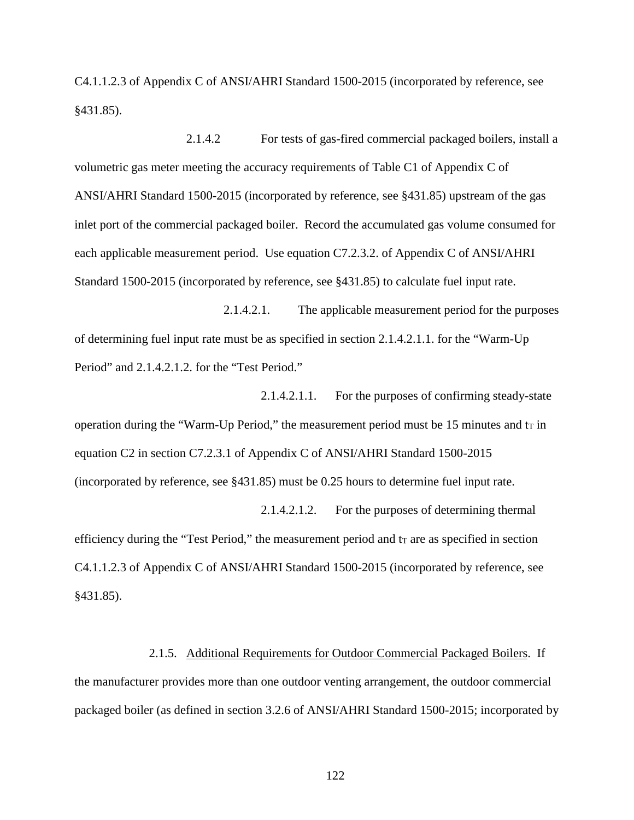C4.1.1.2.3 of Appendix C of ANSI/AHRI Standard 1500-2015 (incorporated by reference, see §431.85).

2.1.4.2 For tests of gas-fired commercial packaged boilers, install a volumetric gas meter meeting the accuracy requirements of Table C1 of Appendix C of ANSI/AHRI Standard 1500-2015 (incorporated by reference, see §431.85) upstream of the gas inlet port of the commercial packaged boiler. Record the accumulated gas volume consumed for each applicable measurement period. Use equation C7.2.3.2. of Appendix C of ANSI/AHRI Standard 1500-2015 (incorporated by reference, see §431.85) to calculate fuel input rate.

2.1.4.2.1. The applicable measurement period for the purposes of determining fuel input rate must be as specified in section 2.1.4.2.1.1. for the "Warm-Up Period" and 2.1.4.2.1.2. for the "Test Period."

2.1.4.2.1.1. For the purposes of confirming steady-state operation during the "Warm-Up Period," the measurement period must be 15 minutes and  $t_T$  in equation C2 in section C7.2.3.1 of Appendix C of ANSI/AHRI Standard 1500-2015 (incorporated by reference, see §431.85) must be 0.25 hours to determine fuel input rate.

2.1.4.2.1.2. For the purposes of determining thermal efficiency during the "Test Period," the measurement period and  $t<sub>T</sub>$  are as specified in section C4.1.1.2.3 of Appendix C of ANSI/AHRI Standard 1500-2015 (incorporated by reference, see §431.85).

#### 2.1.5. Additional Requirements for Outdoor Commercial Packaged Boilers. If

the manufacturer provides more than one outdoor venting arrangement, the outdoor commercial packaged boiler (as defined in section 3.2.6 of ANSI/AHRI Standard 1500-2015; incorporated by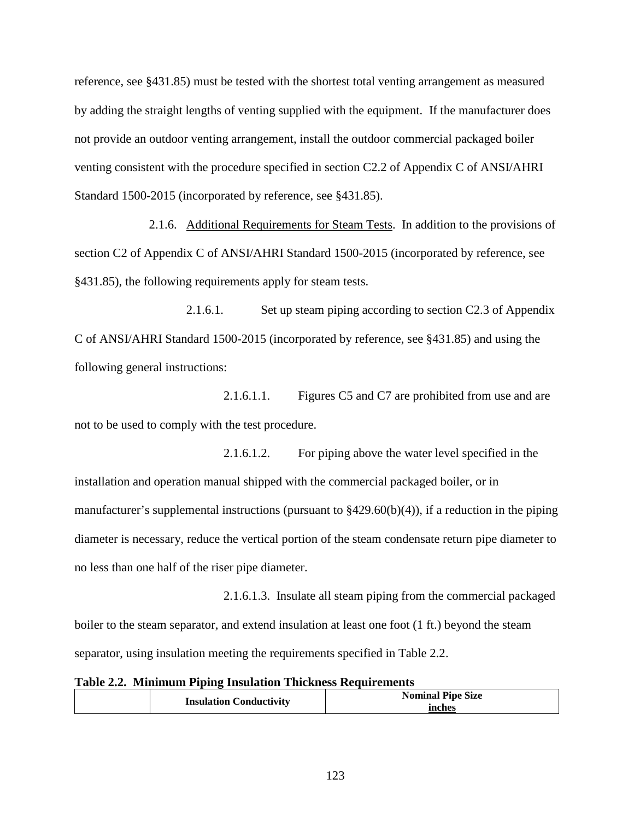reference, see §431.85) must be tested with the shortest total venting arrangement as measured by adding the straight lengths of venting supplied with the equipment. If the manufacturer does not provide an outdoor venting arrangement, install the outdoor commercial packaged boiler venting consistent with the procedure specified in section C2.2 of Appendix C of ANSI/AHRI Standard 1500-2015 (incorporated by reference, see §431.85).

2.1.6. Additional Requirements for Steam Tests. In addition to the provisions of section C2 of Appendix C of ANSI/AHRI Standard 1500-2015 (incorporated by reference, see §431.85), the following requirements apply for steam tests.

2.1.6.1. Set up steam piping according to section C2.3 of Appendix C of ANSI/AHRI Standard 1500-2015 (incorporated by reference, see §431.85) and using the following general instructions:

2.1.6.1.1. Figures C5 and C7 are prohibited from use and are not to be used to comply with the test procedure.

2.1.6.1.2. For piping above the water level specified in the installation and operation manual shipped with the commercial packaged boiler, or in manufacturer's supplemental instructions (pursuant to  $\frac{8429.60(b)(4)}{6}$ , if a reduction in the piping diameter is necessary, reduce the vertical portion of the steam condensate return pipe diameter to no less than one half of the riser pipe diameter.

2.1.6.1.3. Insulate all steam piping from the commercial packaged boiler to the steam separator, and extend insulation at least one foot (1 ft.) beyond the steam separator, using insulation meeting the requirements specified in Table 2.2.

**Table 2.2. Minimum Piping Insulation Thickness Requirements**

| <b>Insulation Conductivity</b> | <b>Nominal Pipe Size</b><br>inches |
|--------------------------------|------------------------------------|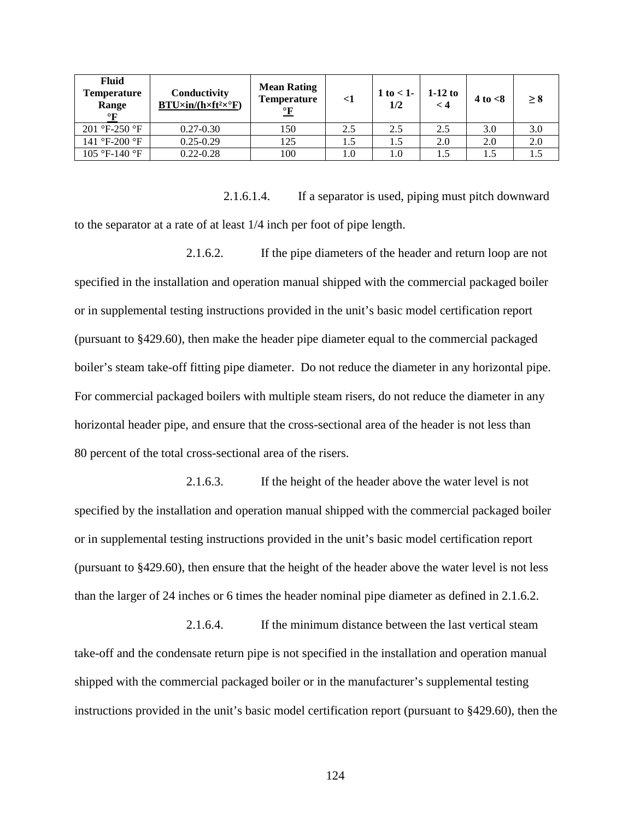| <b>Fluid</b><br>Temperature<br>Range<br>$\circ$ F | Conductivity<br>$BTU\times in/(h\times ft^2\times^{\circ}F)$ | <b>Mean Rating</b><br><b>Temperature</b><br>$\frac{\circ}{\mathbf{F}}$ | $\leq$ 1 | 1 to $<$ 1-<br>1/2 | $1-12$ to<br>$\lt 4$ | $4$ to $< 8$ | > 8 |
|---------------------------------------------------|--------------------------------------------------------------|------------------------------------------------------------------------|----------|--------------------|----------------------|--------------|-----|
| $201$ °F-250 °F                                   | $0.27 - 0.30$                                                | 150                                                                    | 2.5      | 2.5                | 2.5                  | 3.0          | 3.0 |
| 141 °F-200 °F                                     | $0.25 - 0.29$                                                | 125                                                                    | 1.5      | 1.5                | 2.0                  | 2.0          | 2.0 |
| 105 °F-140 °F                                     | $0.22 - 0.28$                                                | 100                                                                    | 1.0      | 1.0                |                      | 1.5          |     |

2.1.6.1.4. If a separator is used, piping must pitch downward to the separator at a rate of at least 1/4 inch per foot of pipe length.

2.1.6.2. If the pipe diameters of the header and return loop are not specified in the installation and operation manual shipped with the commercial packaged boiler or in supplemental testing instructions provided in the unit's basic model certification report (pursuant to §429.60), then make the header pipe diameter equal to the commercial packaged boiler's steam take-off fitting pipe diameter. Do not reduce the diameter in any horizontal pipe. For commercial packaged boilers with multiple steam risers, do not reduce the diameter in any horizontal header pipe, and ensure that the cross-sectional area of the header is not less than 80 percent of the total cross-sectional area of the risers.

2.1.6.3. If the height of the header above the water level is not specified by the installation and operation manual shipped with the commercial packaged boiler or in supplemental testing instructions provided in the unit's basic model certification report (pursuant to §429.60), then ensure that the height of the header above the water level is not less than the larger of 24 inches or 6 times the header nominal pipe diameter as defined in 2.1.6.2.

2.1.6.4. If the minimum distance between the last vertical steam take-off and the condensate return pipe is not specified in the installation and operation manual shipped with the commercial packaged boiler or in the manufacturer's supplemental testing instructions provided in the unit's basic model certification report (pursuant to §429.60), then the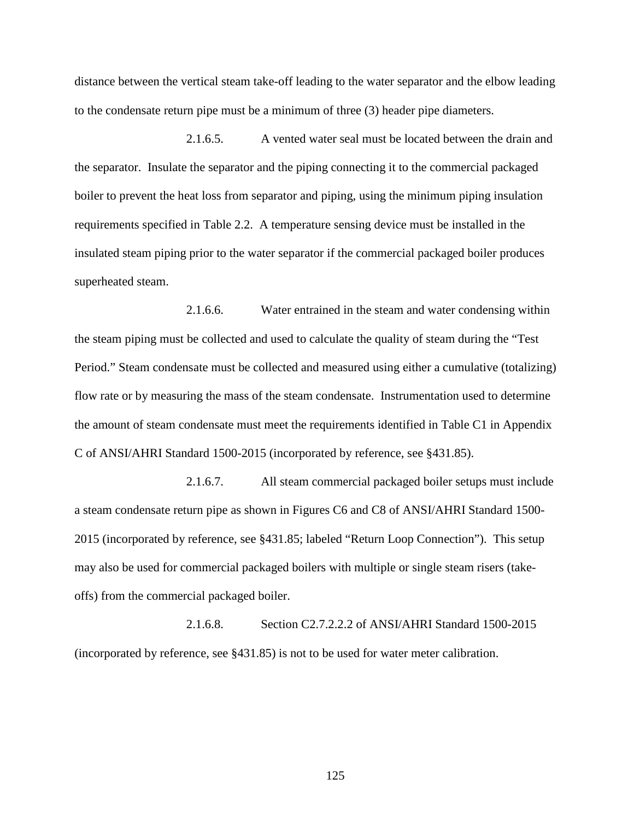distance between the vertical steam take-off leading to the water separator and the elbow leading to the condensate return pipe must be a minimum of three (3) header pipe diameters.

2.1.6.5. A vented water seal must be located between the drain and the separator. Insulate the separator and the piping connecting it to the commercial packaged boiler to prevent the heat loss from separator and piping, using the minimum piping insulation requirements specified in Table 2.2. A temperature sensing device must be installed in the insulated steam piping prior to the water separator if the commercial packaged boiler produces superheated steam.

2.1.6.6. Water entrained in the steam and water condensing within the steam piping must be collected and used to calculate the quality of steam during the "Test Period." Steam condensate must be collected and measured using either a cumulative (totalizing) flow rate or by measuring the mass of the steam condensate. Instrumentation used to determine the amount of steam condensate must meet the requirements identified in Table C1 in Appendix C of ANSI/AHRI Standard 1500-2015 (incorporated by reference, see §431.85).

2.1.6.7. All steam commercial packaged boiler setups must include a steam condensate return pipe as shown in Figures C6 and C8 of ANSI/AHRI Standard 1500- 2015 (incorporated by reference, see §431.85; labeled "Return Loop Connection"). This setup may also be used for commercial packaged boilers with multiple or single steam risers (takeoffs) from the commercial packaged boiler.

2.1.6.8. Section C2.7.2.2.2 of ANSI/AHRI Standard 1500-2015 (incorporated by reference, see §431.85) is not to be used for water meter calibration.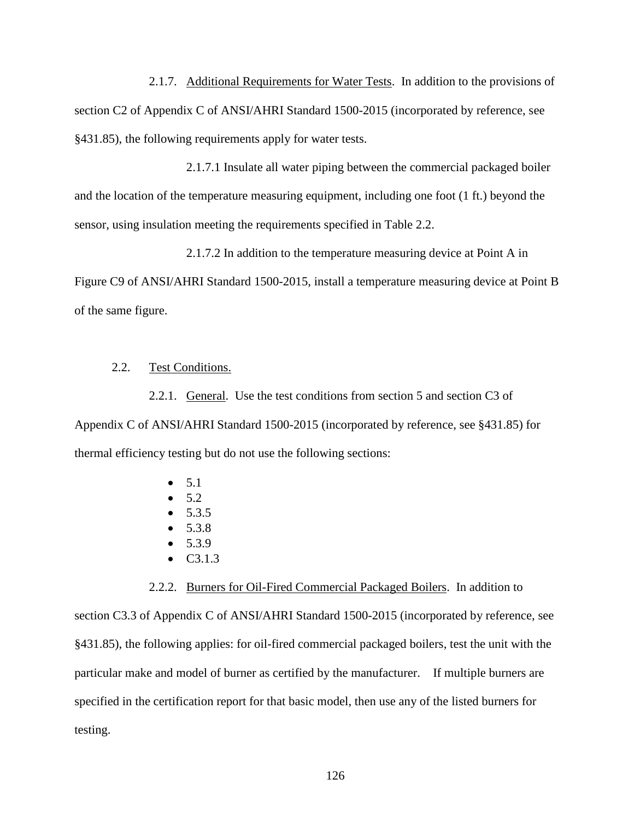2.1.7. Additional Requirements for Water Tests. In addition to the provisions of section C2 of Appendix C of ANSI/AHRI Standard 1500-2015 (incorporated by reference, see §431.85), the following requirements apply for water tests.

2.1.7.1 Insulate all water piping between the commercial packaged boiler and the location of the temperature measuring equipment, including one foot (1 ft.) beyond the sensor, using insulation meeting the requirements specified in Table 2.2.

2.1.7.2 In addition to the temperature measuring device at Point A in

Figure C9 of ANSI/AHRI Standard 1500-2015, install a temperature measuring device at Point B of the same figure.

## 2.2. Test Conditions.

2.2.1. General. Use the test conditions from section 5 and section C3 of Appendix C of ANSI/AHRI Standard 1500-2015 (incorporated by reference, see §431.85) for thermal efficiency testing but do not use the following sections:

- $5.1$
- $5.2$
- $5.3.5$
- $5.3.8$
- $5.3.9$
- C3.1.3

#### 2.2.2. Burners for Oil-Fired Commercial Packaged Boilers. In addition to

section C3.3 of Appendix C of ANSI/AHRI Standard 1500-2015 (incorporated by reference, see §431.85), the following applies: for oil-fired commercial packaged boilers, test the unit with the particular make and model of burner as certified by the manufacturer. If multiple burners are specified in the certification report for that basic model, then use any of the listed burners for testing.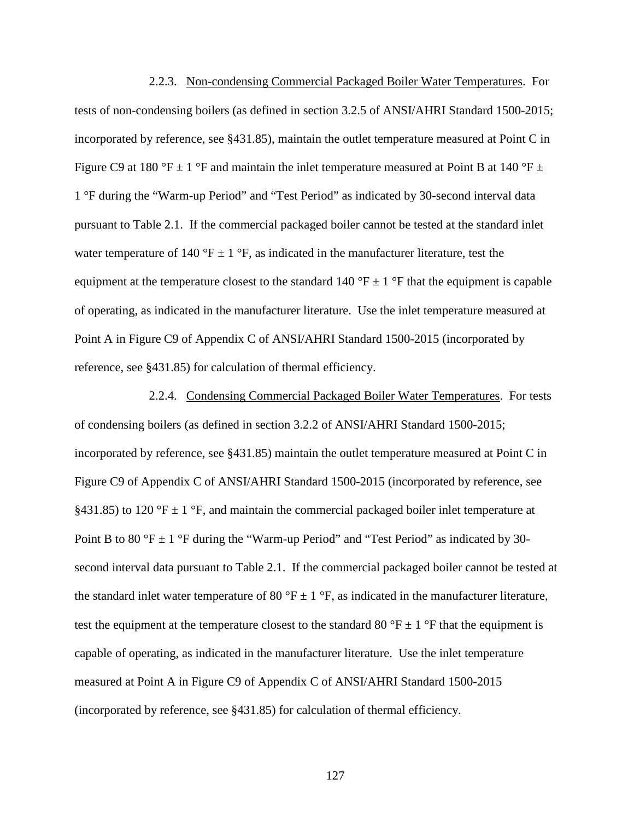2.2.3. Non-condensing Commercial Packaged Boiler Water Temperatures. For tests of non-condensing boilers (as defined in section 3.2.5 of ANSI/AHRI Standard 1500-2015; incorporated by reference, see §431.85), maintain the outlet temperature measured at Point C in Figure C9 at 180 °F  $\pm$  1 °F and maintain the inlet temperature measured at Point B at 140 °F  $\pm$ 1 °F during the "Warm-up Period" and "Test Period" as indicated by 30-second interval data pursuant to Table 2.1. If the commercial packaged boiler cannot be tested at the standard inlet water temperature of 140 °F  $\pm$  1 °F, as indicated in the manufacturer literature, test the equipment at the temperature closest to the standard 140  $\degree$ F  $\pm$  1  $\degree$ F that the equipment is capable of operating, as indicated in the manufacturer literature. Use the inlet temperature measured at Point A in Figure C9 of Appendix C of ANSI/AHRI Standard 1500-2015 (incorporated by reference, see §431.85) for calculation of thermal efficiency.

2.2.4. Condensing Commercial Packaged Boiler Water Temperatures. For tests of condensing boilers (as defined in section 3.2.2 of ANSI/AHRI Standard 1500-2015; incorporated by reference, see §431.85) maintain the outlet temperature measured at Point C in Figure C9 of Appendix C of ANSI/AHRI Standard 1500-2015 (incorporated by reference, see §431.85) to 120 °F  $\pm$  1 °F, and maintain the commercial packaged boiler inlet temperature at Point B to 80 °F  $\pm$  1 °F during the "Warm-up Period" and "Test Period" as indicated by 30second interval data pursuant to Table 2.1. If the commercial packaged boiler cannot be tested at the standard inlet water temperature of 80 °F  $\pm$  1 °F, as indicated in the manufacturer literature, test the equipment at the temperature closest to the standard 80  $\degree$ F  $\pm$  1  $\degree$ F that the equipment is capable of operating, as indicated in the manufacturer literature. Use the inlet temperature measured at Point A in Figure C9 of Appendix C of ANSI/AHRI Standard 1500-2015 (incorporated by reference, see §431.85) for calculation of thermal efficiency.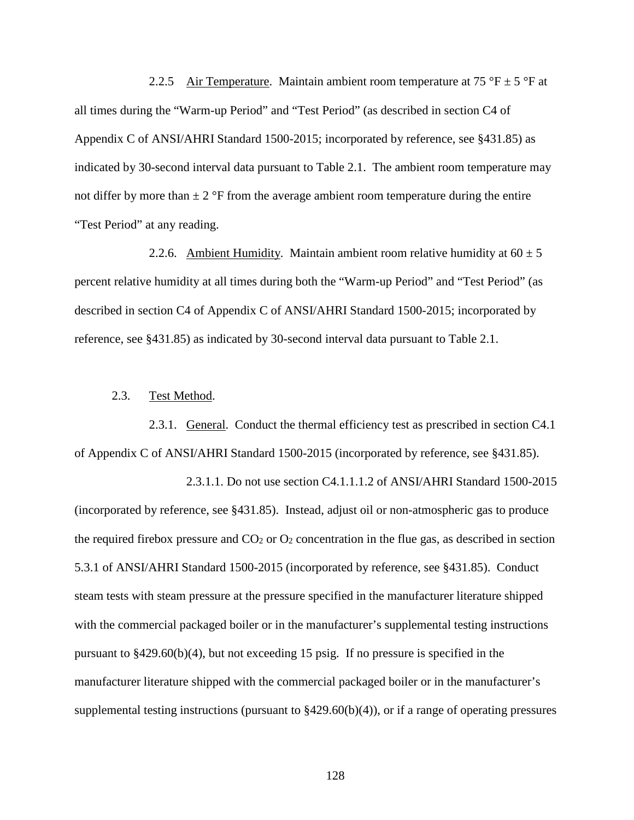2.2.5 Air Temperature. Maintain ambient room temperature at 75 °F  $\pm$  5 °F at all times during the "Warm-up Period" and "Test Period" (as described in section C4 of Appendix C of ANSI/AHRI Standard 1500-2015; incorporated by reference, see §431.85) as indicated by 30-second interval data pursuant to Table 2.1. The ambient room temperature may not differ by more than  $\pm 2$  °F from the average ambient room temperature during the entire "Test Period" at any reading.

2.2.6. Ambient Humidity. Maintain ambient room relative humidity at  $60 \pm 5$ percent relative humidity at all times during both the "Warm-up Period" and "Test Period" (as described in section C4 of Appendix C of ANSI/AHRI Standard 1500-2015; incorporated by reference, see §431.85) as indicated by 30-second interval data pursuant to Table 2.1.

#### 2.3. Test Method.

2.3.1. General. Conduct the thermal efficiency test as prescribed in section C4.1 of Appendix C of ANSI/AHRI Standard 1500-2015 (incorporated by reference, see §431.85).

2.3.1.1. Do not use section C4.1.1.1.2 of ANSI/AHRI Standard 1500-2015 (incorporated by reference, see §431.85). Instead, adjust oil or non-atmospheric gas to produce the required firebox pressure and  $CO<sub>2</sub>$  or  $O<sub>2</sub>$  concentration in the flue gas, as described in section 5.3.1 of ANSI/AHRI Standard 1500-2015 (incorporated by reference, see §431.85). Conduct steam tests with steam pressure at the pressure specified in the manufacturer literature shipped with the commercial packaged boiler or in the manufacturer's supplemental testing instructions pursuant to §429.60(b)(4), but not exceeding 15 psig. If no pressure is specified in the manufacturer literature shipped with the commercial packaged boiler or in the manufacturer's supplemental testing instructions (pursuant to  $\frac{2429.60(b)(4)}{2}$ , or if a range of operating pressures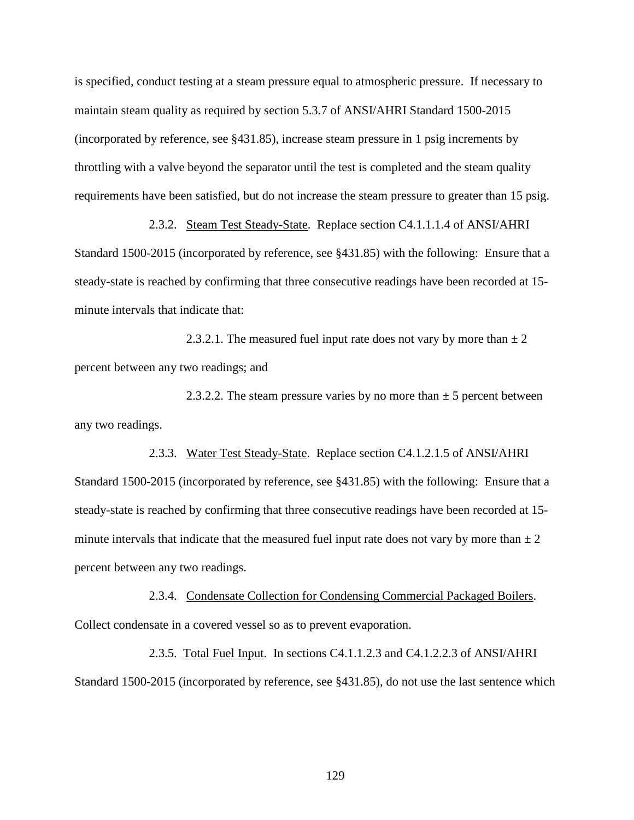is specified, conduct testing at a steam pressure equal to atmospheric pressure. If necessary to maintain steam quality as required by section 5.3.7 of ANSI/AHRI Standard 1500-2015 (incorporated by reference, see §431.85), increase steam pressure in 1 psig increments by throttling with a valve beyond the separator until the test is completed and the steam quality requirements have been satisfied, but do not increase the steam pressure to greater than 15 psig.

2.3.2. Steam Test Steady-State. Replace section C4.1.1.1.4 of ANSI/AHRI Standard 1500-2015 (incorporated by reference, see §431.85) with the following: Ensure that a steady-state is reached by confirming that three consecutive readings have been recorded at 15 minute intervals that indicate that:

2.3.2.1. The measured fuel input rate does not vary by more than  $\pm 2$ percent between any two readings; and

2.3.2.2. The steam pressure varies by no more than  $\pm$  5 percent between any two readings.

2.3.3. Water Test Steady-State. Replace section C4.1.2.1.5 of ANSI/AHRI Standard 1500-2015 (incorporated by reference, see §431.85) with the following: Ensure that a steady-state is reached by confirming that three consecutive readings have been recorded at 15 minute intervals that indicate that the measured fuel input rate does not vary by more than  $\pm 2$ percent between any two readings.

2.3.4. Condensate Collection for Condensing Commercial Packaged Boilers. Collect condensate in a covered vessel so as to prevent evaporation.

2.3.5. Total Fuel Input. In sections C4.1.1.2.3 and C4.1.2.2.3 of ANSI/AHRI Standard 1500-2015 (incorporated by reference, see §431.85), do not use the last sentence which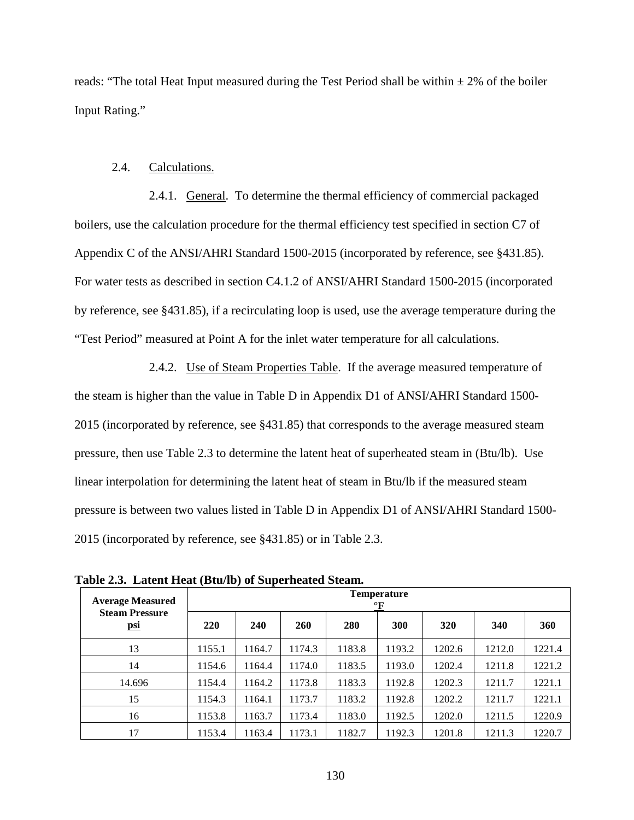reads: "The total Heat Input measured during the Test Period shall be within  $\pm 2\%$  of the boiler Input Rating."

## 2.4. Calculations.

2.4.1. General. To determine the thermal efficiency of commercial packaged boilers, use the calculation procedure for the thermal efficiency test specified in section C7 of Appendix C of the ANSI/AHRI Standard 1500-2015 (incorporated by reference, see §431.85). For water tests as described in section C4.1.2 of ANSI/AHRI Standard 1500-2015 (incorporated by reference, see §431.85), if a recirculating loop is used, use the average temperature during the "Test Period" measured at Point A for the inlet water temperature for all calculations.

2.4.2. Use of Steam Properties Table. If the average measured temperature of the steam is higher than the value in Table D in Appendix D1 of ANSI/AHRI Standard 1500- 2015 (incorporated by reference, see §431.85) that corresponds to the average measured steam pressure, then use Table 2.3 to determine the latent heat of superheated steam in (Btu/lb). Use linear interpolation for determining the latent heat of steam in Btu/lb if the measured steam pressure is between two values listed in Table D in Appendix D1 of ANSI/AHRI Standard 1500- 2015 (incorporated by reference, see §431.85) or in Table 2.3.

| <b>Average Measured</b>             |            | <b>Temperature</b><br>$\mathbf{F}$ |            |        |        |        |        |        |  |  |  |  |
|-------------------------------------|------------|------------------------------------|------------|--------|--------|--------|--------|--------|--|--|--|--|
| <b>Steam Pressure</b><br><u>psi</u> | <b>220</b> | 240                                | <b>260</b> | 280    | 300    | 320    | 340    | 360    |  |  |  |  |
| 13                                  | 1155.1     | 1164.7                             | 1174.3     | 1183.8 | 1193.2 | 1202.6 | 1212.0 | 1221.4 |  |  |  |  |
| 14                                  | 1154.6     | 1164.4                             | 1174.0     | 1183.5 | 1193.0 | 1202.4 | 1211.8 | 1221.2 |  |  |  |  |
| 14.696                              | 1154.4     | 1164.2                             | 1173.8     | 1183.3 | 1192.8 | 1202.3 | 1211.7 | 1221.1 |  |  |  |  |
| 15                                  | 1154.3     | 1164.1                             | 1173.7     | 1183.2 | 1192.8 | 1202.2 | 1211.7 | 1221.1 |  |  |  |  |
| 16                                  | 1153.8     | 1163.7                             | 1173.4     | 1183.0 | 1192.5 | 1202.0 | 1211.5 | 1220.9 |  |  |  |  |
| 17                                  | 1153.4     | 1163.4                             | 1173.1     | 1182.7 | 1192.3 | 1201.8 | 1211.3 | 1220.7 |  |  |  |  |

**Table 2.3. Latent Heat (Btu/lb) of Superheated Steam.**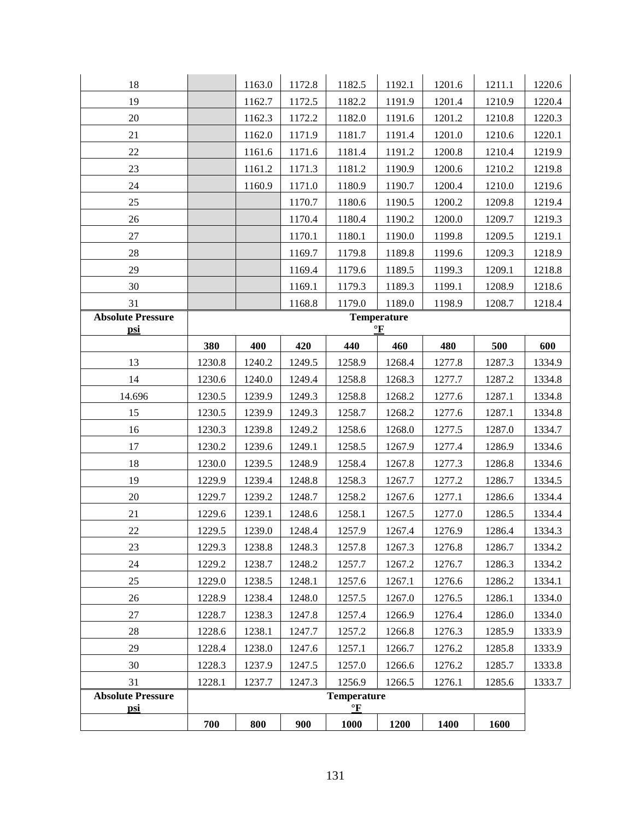| 18                       |        | 1163.0 | 1172.8 | 1182.5                             | 1192.1                          | 1201.6 | 1211.1 | 1220.6 |
|--------------------------|--------|--------|--------|------------------------------------|---------------------------------|--------|--------|--------|
| 19                       |        | 1162.7 | 1172.5 | 1182.2                             | 1191.9                          | 1201.4 | 1210.9 | 1220.4 |
| 20                       |        | 1162.3 | 1172.2 | 1182.0                             | 1191.6                          | 1201.2 | 1210.8 | 1220.3 |
| 21                       |        | 1162.0 | 1171.9 | 1181.7                             | 1191.4                          | 1201.0 | 1210.6 | 1220.1 |
| 22                       |        | 1161.6 | 1171.6 | 1181.4                             | 1191.2                          | 1200.8 | 1210.4 | 1219.9 |
| 23                       |        | 1161.2 | 1171.3 | 1181.2                             | 1190.9                          | 1200.6 | 1210.2 | 1219.8 |
| 24                       |        | 1160.9 | 1171.0 | 1180.9                             | 1190.7                          | 1200.4 | 1210.0 | 1219.6 |
| 25                       |        |        | 1170.7 | 1180.6                             | 1190.5                          | 1200.2 | 1209.8 | 1219.4 |
| 26                       |        |        | 1170.4 | 1180.4                             | 1190.2                          | 1200.0 | 1209.7 | 1219.3 |
| 27                       |        |        | 1170.1 | 1180.1                             | 1190.0                          | 1199.8 | 1209.5 | 1219.1 |
| 28                       |        |        | 1169.7 | 1179.8                             | 1189.8                          | 1199.6 | 1209.3 | 1218.9 |
| 29                       |        |        | 1169.4 | 1179.6                             | 1189.5                          | 1199.3 | 1209.1 | 1218.8 |
| 30                       |        |        | 1169.1 | 1179.3                             | 1189.3                          | 1199.1 | 1208.9 | 1218.6 |
| 31                       |        |        | 1168.8 | 1179.0                             | 1189.0                          | 1198.9 | 1208.7 | 1218.4 |
| <b>Absolute Pressure</b> |        |        |        |                                    | <b>Temperature</b><br>$\circ$ F |        |        |        |
| <u>psi</u>               | 380    | 400    | 420    | 440                                | 460                             | 480    | 500    | 600    |
| 13                       | 1230.8 | 1240.2 | 1249.5 | 1258.9                             | 1268.4                          | 1277.8 | 1287.3 | 1334.9 |
| 14                       | 1230.6 | 1240.0 | 1249.4 | 1258.8                             | 1268.3                          | 1277.7 | 1287.2 | 1334.8 |
| 14.696                   | 1230.5 | 1239.9 | 1249.3 | 1258.8                             | 1268.2                          | 1277.6 | 1287.1 | 1334.8 |
| 15                       | 1230.5 | 1239.9 | 1249.3 | 1258.7                             | 1268.2                          | 1277.6 | 1287.1 | 1334.8 |
| 16                       | 1230.3 | 1239.8 | 1249.2 | 1258.6                             | 1268.0                          | 1277.5 | 1287.0 | 1334.7 |
| 17                       | 1230.2 | 1239.6 | 1249.1 | 1258.5                             | 1267.9                          | 1277.4 | 1286.9 | 1334.6 |
| 18                       | 1230.0 | 1239.5 | 1248.9 | 1258.4                             | 1267.8                          | 1277.3 | 1286.8 | 1334.6 |
| 19                       | 1229.9 | 1239.4 | 1248.8 | 1258.3                             | 1267.7                          | 1277.2 | 1286.7 | 1334.5 |
| 20                       | 1229.7 | 1239.2 | 1248.7 | 1258.2                             | 1267.6                          | 1277.1 | 1286.6 | 1334.4 |
| 21                       | 1229.6 | 1239.1 | 1248.6 | 1258.1                             | 1267.5                          | 1277.0 | 1286.5 | 1334.4 |
| 22                       | 1229.5 | 1239.0 | 1248.4 | 1257.9                             | 1267.4                          | 1276.9 | 1286.4 | 1334.3 |
| 23                       | 1229.3 | 1238.8 | 1248.3 | 1257.8                             | 1267.3                          | 1276.8 | 1286.7 | 1334.2 |
| 24                       | 1229.2 | 1238.7 | 1248.2 | 1257.7                             | 1267.2                          | 1276.7 | 1286.3 | 1334.2 |
| 25                       | 1229.0 | 1238.5 | 1248.1 | 1257.6                             | 1267.1                          | 1276.6 | 1286.2 | 1334.1 |
| 26                       | 1228.9 | 1238.4 | 1248.0 | 1257.5                             | 1267.0                          | 1276.5 | 1286.1 | 1334.0 |
| 27                       | 1228.7 | 1238.3 | 1247.8 | 1257.4                             | 1266.9                          | 1276.4 | 1286.0 | 1334.0 |
| 28                       | 1228.6 | 1238.1 | 1247.7 | 1257.2                             | 1266.8                          | 1276.3 | 1285.9 | 1333.9 |
| 29                       | 1228.4 | 1238.0 | 1247.6 | 1257.1                             | 1266.7                          | 1276.2 | 1285.8 | 1333.9 |
| 30                       | 1228.3 | 1237.9 | 1247.5 | 1257.0                             | 1266.6                          | 1276.2 | 1285.7 | 1333.8 |
| 31                       | 1228.1 | 1237.7 | 1247.3 | 1256.9                             | 1266.5                          | 1276.1 | 1285.6 | 1333.7 |
| <b>Absolute Pressure</b> |        |        |        | <b>Temperature</b>                 |                                 |        |        |        |
| psi                      | 700    | 800    | 900    | $\frac{\circ}{\mathbf{F}}$<br>1000 | 1200                            | 1400   | 1600   |        |
|                          |        |        |        |                                    |                                 |        |        |        |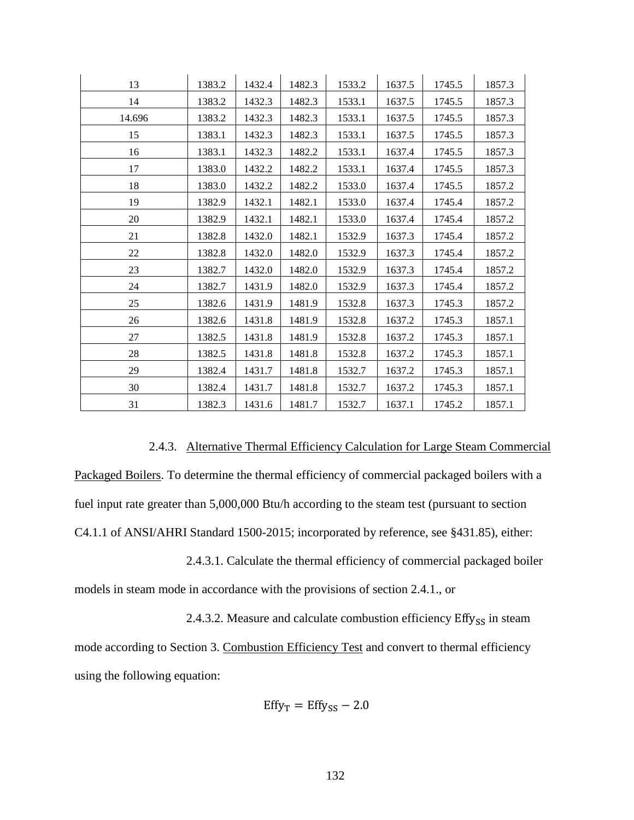| 13     | 1383.2 | 1432.4 | 1482.3 | 1533.2 | 1637.5 | 1745.5 | 1857.3 |
|--------|--------|--------|--------|--------|--------|--------|--------|
| 14     | 1383.2 | 1432.3 | 1482.3 | 1533.1 | 1637.5 | 1745.5 | 1857.3 |
| 14.696 | 1383.2 | 1432.3 | 1482.3 | 1533.1 | 1637.5 | 1745.5 | 1857.3 |
| 15     | 1383.1 | 1432.3 | 1482.3 | 1533.1 | 1637.5 | 1745.5 | 1857.3 |
| 16     | 1383.1 | 1432.3 | 1482.2 | 1533.1 | 1637.4 | 1745.5 | 1857.3 |
| 17     | 1383.0 | 1432.2 | 1482.2 | 1533.1 | 1637.4 | 1745.5 | 1857.3 |
| 18     | 1383.0 | 1432.2 | 1482.2 | 1533.0 | 1637.4 | 1745.5 | 1857.2 |
| 19     | 1382.9 | 1432.1 | 1482.1 | 1533.0 | 1637.4 | 1745.4 | 1857.2 |
| 20     | 1382.9 | 1432.1 | 1482.1 | 1533.0 | 1637.4 | 1745.4 | 1857.2 |
| 21     | 1382.8 | 1432.0 | 1482.1 | 1532.9 | 1637.3 | 1745.4 | 1857.2 |
| 22     | 1382.8 | 1432.0 | 1482.0 | 1532.9 | 1637.3 | 1745.4 | 1857.2 |
| 23     | 1382.7 | 1432.0 | 1482.0 | 1532.9 | 1637.3 | 1745.4 | 1857.2 |
| 24     | 1382.7 | 1431.9 | 1482.0 | 1532.9 | 1637.3 | 1745.4 | 1857.2 |
| 25     | 1382.6 | 1431.9 | 1481.9 | 1532.8 | 1637.3 | 1745.3 | 1857.2 |
| 26     | 1382.6 | 1431.8 | 1481.9 | 1532.8 | 1637.2 | 1745.3 | 1857.1 |
| 27     | 1382.5 | 1431.8 | 1481.9 | 1532.8 | 1637.2 | 1745.3 | 1857.1 |
| 28     | 1382.5 | 1431.8 | 1481.8 | 1532.8 | 1637.2 | 1745.3 | 1857.1 |
| 29     | 1382.4 | 1431.7 | 1481.8 | 1532.7 | 1637.2 | 1745.3 | 1857.1 |
| 30     | 1382.4 | 1431.7 | 1481.8 | 1532.7 | 1637.2 | 1745.3 | 1857.1 |
| 31     | 1382.3 | 1431.6 | 1481.7 | 1532.7 | 1637.1 | 1745.2 | 1857.1 |

## 2.4.3. Alternative Thermal Efficiency Calculation for Large Steam Commercial

Packaged Boilers. To determine the thermal efficiency of commercial packaged boilers with a fuel input rate greater than 5,000,000 Btu/h according to the steam test (pursuant to section C4.1.1 of ANSI/AHRI Standard 1500-2015; incorporated by reference, see §431.85), either:

2.4.3.1. Calculate the thermal efficiency of commercial packaged boiler

models in steam mode in accordance with the provisions of section 2.4.1., or

2.4.3.2. Measure and calculate combustion efficiency  $Effy_{SS}$  in steam mode according to Section 3. Combustion Efficiency Test and convert to thermal efficiency using the following equation:

$$
Effy_T = Effy_{SS} - 2.0
$$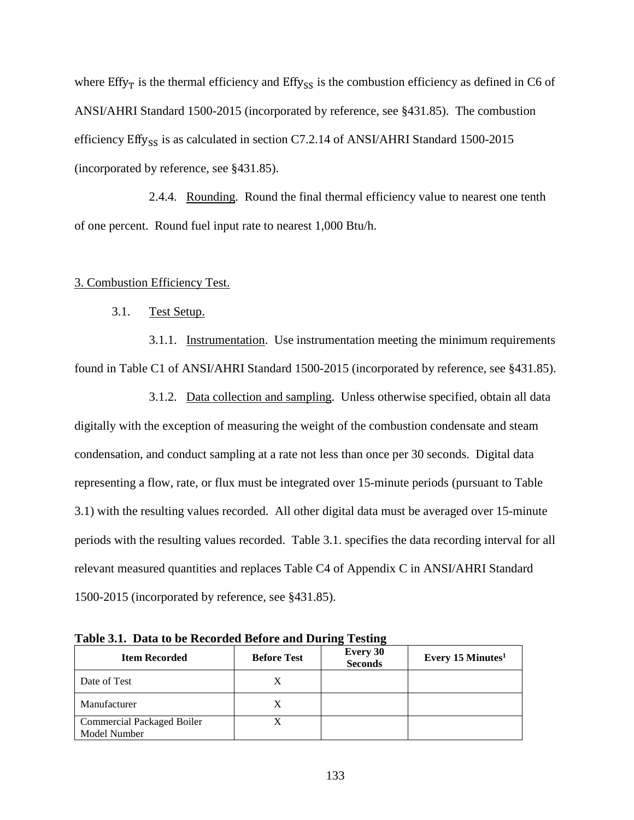where  $Effy<sub>T</sub>$  is the thermal efficiency and  $Effy<sub>SS</sub>$  is the combustion efficiency as defined in C6 of ANSI/AHRI Standard 1500-2015 (incorporated by reference, see §431.85). The combustion efficiency Effy<sub>SS</sub> is as calculated in section C7.2.14 of ANSI/AHRI Standard 1500-2015 (incorporated by reference, see §431.85).

2.4.4. Rounding. Round the final thermal efficiency value to nearest one tenth of one percent. Round fuel input rate to nearest 1,000 Btu/h.

#### 3. Combustion Efficiency Test.

## 3.1. Test Setup.

3.1.1. Instrumentation. Use instrumentation meeting the minimum requirements found in Table C1 of ANSI/AHRI Standard 1500-2015 (incorporated by reference, see §431.85).

3.1.2. Data collection and sampling. Unless otherwise specified, obtain all data digitally with the exception of measuring the weight of the combustion condensate and steam condensation, and conduct sampling at a rate not less than once per 30 seconds. Digital data representing a flow, rate, or flux must be integrated over 15-minute periods (pursuant to Table 3.1) with the resulting values recorded. All other digital data must be averaged over 15-minute periods with the resulting values recorded. Table 3.1. specifies the data recording interval for all relevant measured quantities and replaces Table C4 of Appendix C in ANSI/AHRI Standard 1500-2015 (incorporated by reference, see §431.85).

| <b>Item Recorded</b>                              | <b>Before Test</b> | 0<br>0<br><b>Every 30</b><br><b>Seconds</b> | Every 15 Minutes <sup>1</sup> |
|---------------------------------------------------|--------------------|---------------------------------------------|-------------------------------|
| Date of Test                                      |                    |                                             |                               |
| Manufacturer                                      |                    |                                             |                               |
| <b>Commercial Packaged Boiler</b><br>Model Number |                    |                                             |                               |

**Table 3.1. Data to be Recorded Before and During Testing**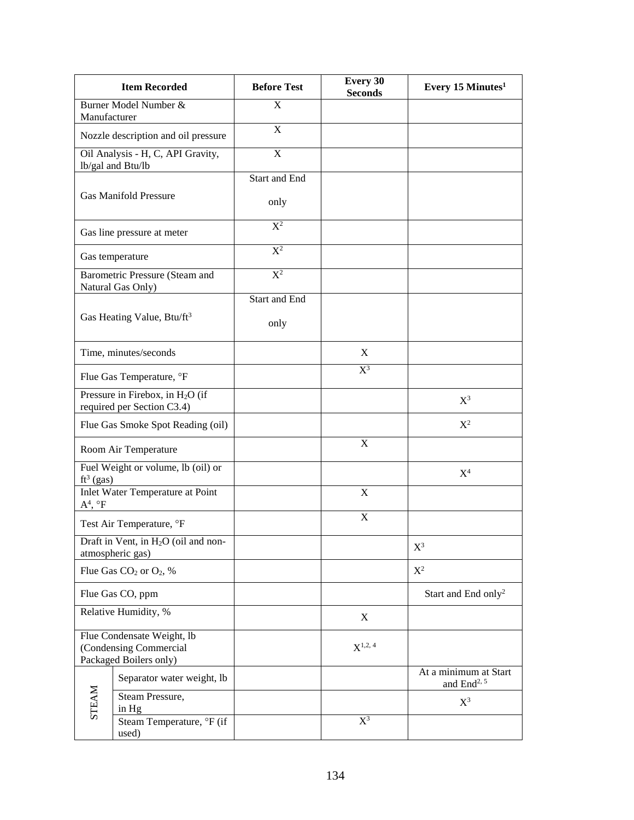|                   | <b>Item Recorded</b>                                                           | <b>Before Test</b>      | <b>Every 30</b><br><b>Seconds</b> | Every 15 Minutes <sup>1</sup>                    |
|-------------------|--------------------------------------------------------------------------------|-------------------------|-----------------------------------|--------------------------------------------------|
| Manufacturer      | Burner Model Number &                                                          | $\overline{\mathrm{X}}$ |                                   |                                                  |
|                   | Nozzle description and oil pressure                                            | $\mathbf X$             |                                   |                                                  |
|                   | Oil Analysis - H, C, API Gravity,<br>lb/gal and Btu/lb                         | X                       |                                   |                                                  |
|                   | <b>Gas Manifold Pressure</b>                                                   | Start and End<br>only   |                                   |                                                  |
|                   | Gas line pressure at meter                                                     | $\overline{X^2}$        |                                   |                                                  |
|                   | Gas temperature                                                                | $X^2$                   |                                   |                                                  |
|                   | Barometric Pressure (Steam and<br>Natural Gas Only)                            | $\overline{X^2}$        |                                   |                                                  |
|                   | Gas Heating Value, Btu/ft <sup>3</sup>                                         | Start and End<br>only   |                                   |                                                  |
|                   | Time, minutes/seconds                                                          |                         | X                                 |                                                  |
|                   | Flue Gas Temperature, °F                                                       |                         | $\overline{X^3}$                  |                                                  |
|                   | Pressure in Firebox, in $H_2O$ (if<br>required per Section C3.4)               |                         |                                   | $X^3$                                            |
|                   | Flue Gas Smoke Spot Reading (oil)                                              |                         |                                   | $X^2$                                            |
|                   | Room Air Temperature                                                           |                         | $\mathbf X$                       |                                                  |
| $ft^3$ (gas)      | Fuel Weight or volume, lb (oil) or                                             |                         |                                   | $X^4$                                            |
| $A^4$ , $\circ F$ | <b>Inlet Water Temperature at Point</b>                                        |                         | X                                 |                                                  |
|                   | Test Air Temperature, °F                                                       |                         | $\boldsymbol{\mathrm{X}}$         |                                                  |
|                   | Draft in Vent, in H <sub>2</sub> O (oil and non-<br>atmospheric gas)           |                         |                                   | $X^3$                                            |
|                   | Flue Gas $CO2$ or $O2$ , %                                                     |                         |                                   | $X^2$                                            |
|                   | Flue Gas CO, ppm                                                               |                         |                                   | Start and End only <sup>2</sup>                  |
|                   | Relative Humidity, %                                                           |                         | X                                 |                                                  |
|                   | Flue Condensate Weight, lb<br>(Condensing Commercial<br>Packaged Boilers only) |                         | $X^{1,2, 4}$                      |                                                  |
| <b>STEAM</b>      | Separator water weight, lb                                                     |                         |                                   | At a minimum at Start<br>and $\text{End}^{2, 5}$ |
|                   | Steam Pressure,<br>in Hg                                                       |                         |                                   | $X^3$                                            |
|                   | Steam Temperature, °F (if<br>used)                                             |                         | $X^3$                             |                                                  |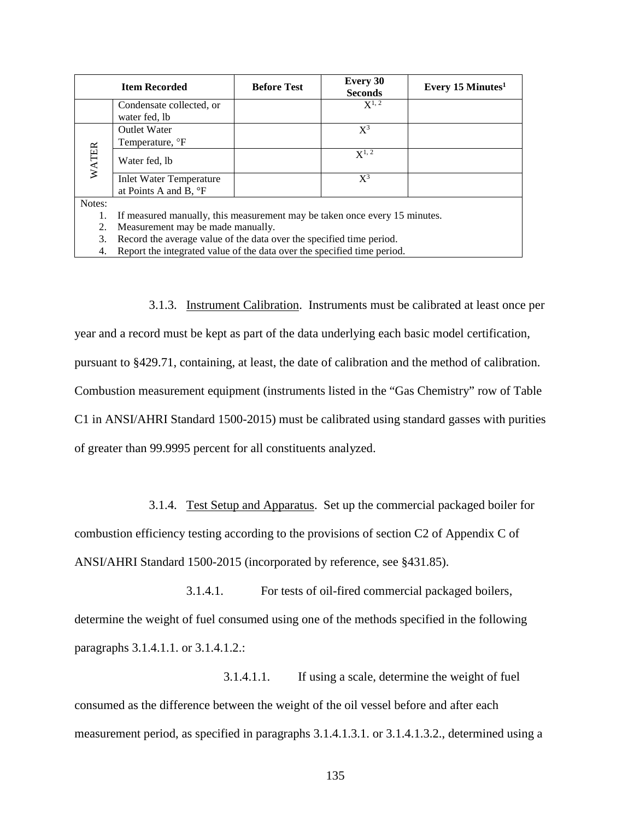|              | <b>Item Recorded</b>                                                       | <b>Before Test</b> | <b>Every 30</b><br><b>Seconds</b> | Every 15 Minutes <sup>1</sup> |  |
|--------------|----------------------------------------------------------------------------|--------------------|-----------------------------------|-------------------------------|--|
|              | Condensate collected, or                                                   |                    | $X^{1, 2}$                        |                               |  |
|              | water fed, lb                                                              |                    |                                   |                               |  |
| <b>WATER</b> | <b>Outlet Water</b>                                                        |                    | $X^3$                             |                               |  |
|              | Temperature, <sup>o</sup> F                                                |                    |                                   |                               |  |
|              | Water fed, lb                                                              |                    | $X^{1,2}$                         |                               |  |
|              | <b>Inlet Water Temperature</b>                                             |                    | $X^3$                             |                               |  |
|              | at Points A and B, $\degree$ F                                             |                    |                                   |                               |  |
| Notes:       |                                                                            |                    |                                   |                               |  |
| 1.           | If measured manually, this measurement may be taken once every 15 minutes. |                    |                                   |                               |  |
| 2.           | Measurement may be made manually.                                          |                    |                                   |                               |  |
| 3.           | Record the average value of the data over the specified time period.       |                    |                                   |                               |  |
| 4.           | Report the integrated value of the data over the specified time period.    |                    |                                   |                               |  |

3.1.3. Instrument Calibration. Instruments must be calibrated at least once per year and a record must be kept as part of the data underlying each basic model certification, pursuant to §429.71, containing, at least, the date of calibration and the method of calibration. Combustion measurement equipment (instruments listed in the "Gas Chemistry" row of Table C1 in ANSI/AHRI Standard 1500-2015) must be calibrated using standard gasses with purities of greater than 99.9995 percent for all constituents analyzed.

3.1.4. Test Setup and Apparatus. Set up the commercial packaged boiler for combustion efficiency testing according to the provisions of section C2 of Appendix C of ANSI/AHRI Standard 1500-2015 (incorporated by reference, see §431.85).

3.1.4.1. For tests of oil-fired commercial packaged boilers, determine the weight of fuel consumed using one of the methods specified in the following paragraphs 3.1.4.1.1. or 3.1.4.1.2.:

3.1.4.1.1. If using a scale, determine the weight of fuel consumed as the difference between the weight of the oil vessel before and after each measurement period, as specified in paragraphs 3.1.4.1.3.1. or 3.1.4.1.3.2., determined using a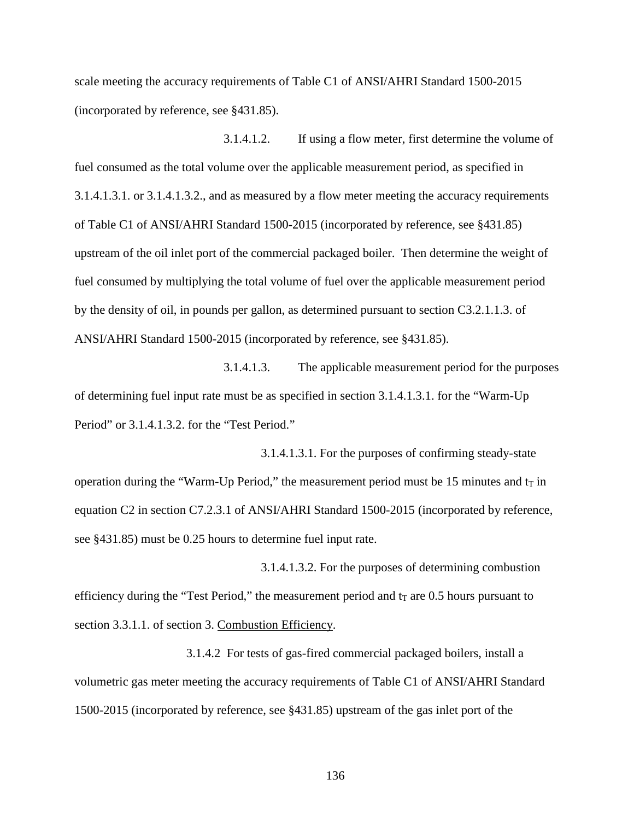scale meeting the accuracy requirements of Table C1 of ANSI/AHRI Standard 1500-2015 (incorporated by reference, see §431.85).

3.1.4.1.2. If using a flow meter, first determine the volume of fuel consumed as the total volume over the applicable measurement period, as specified in 3.1.4.1.3.1. or 3.1.4.1.3.2., and as measured by a flow meter meeting the accuracy requirements of Table C1 of ANSI/AHRI Standard 1500-2015 (incorporated by reference, see §431.85) upstream of the oil inlet port of the commercial packaged boiler. Then determine the weight of fuel consumed by multiplying the total volume of fuel over the applicable measurement period by the density of oil, in pounds per gallon, as determined pursuant to section C3.2.1.1.3. of ANSI/AHRI Standard 1500-2015 (incorporated by reference, see §431.85).

3.1.4.1.3. The applicable measurement period for the purposes of determining fuel input rate must be as specified in section 3.1.4.1.3.1. for the "Warm-Up Period" or 3.1.4.1.3.2. for the "Test Period."

3.1.4.1.3.1. For the purposes of confirming steady-state operation during the "Warm-Up Period," the measurement period must be 15 minutes and  $t_T$  in equation C2 in section C7.2.3.1 of ANSI/AHRI Standard 1500-2015 (incorporated by reference, see §431.85) must be 0.25 hours to determine fuel input rate.

3.1.4.1.3.2. For the purposes of determining combustion efficiency during the "Test Period," the measurement period and  $t<sub>T</sub>$  are 0.5 hours pursuant to section 3.3.1.1. of section 3. Combustion Efficiency.

3.1.4.2 For tests of gas-fired commercial packaged boilers, install a volumetric gas meter meeting the accuracy requirements of Table C1 of ANSI/AHRI Standard 1500-2015 (incorporated by reference, see §431.85) upstream of the gas inlet port of the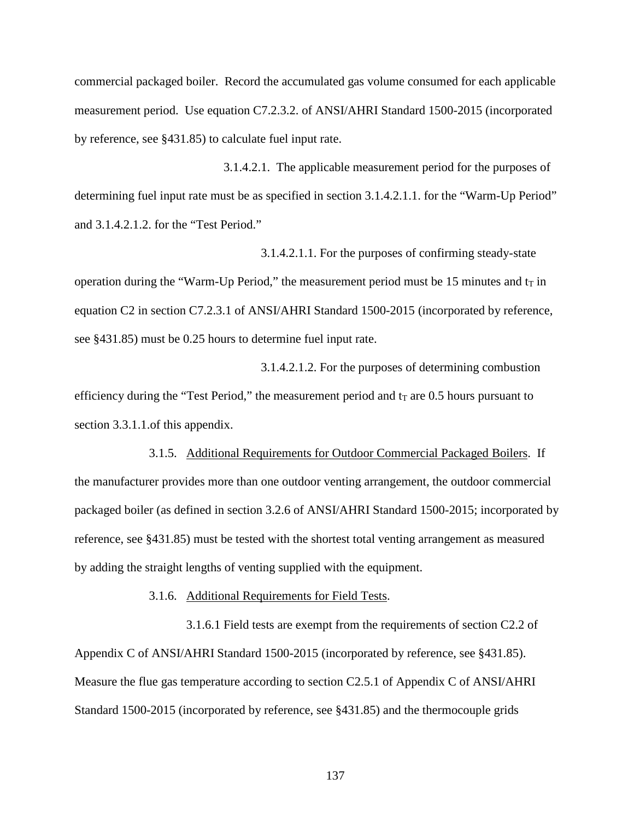commercial packaged boiler. Record the accumulated gas volume consumed for each applicable measurement period. Use equation C7.2.3.2. of ANSI/AHRI Standard 1500-2015 (incorporated by reference, see §431.85) to calculate fuel input rate.

3.1.4.2.1. The applicable measurement period for the purposes of determining fuel input rate must be as specified in section 3.1.4.2.1.1. for the "Warm-Up Period" and 3.1.4.2.1.2. for the "Test Period."

3.1.4.2.1.1. For the purposes of confirming steady-state operation during the "Warm-Up Period," the measurement period must be 15 minutes and  $t<sub>T</sub>$  in equation C2 in section C7.2.3.1 of ANSI/AHRI Standard 1500-2015 (incorporated by reference, see §431.85) must be 0.25 hours to determine fuel input rate.

3.1.4.2.1.2. For the purposes of determining combustion efficiency during the "Test Period," the measurement period and  $t<sub>T</sub>$  are 0.5 hours pursuant to section 3.3.1.1.of this appendix.

3.1.5. Additional Requirements for Outdoor Commercial Packaged Boilers. If the manufacturer provides more than one outdoor venting arrangement, the outdoor commercial packaged boiler (as defined in section 3.2.6 of ANSI/AHRI Standard 1500-2015; incorporated by reference, see §431.85) must be tested with the shortest total venting arrangement as measured by adding the straight lengths of venting supplied with the equipment.

3.1.6. Additional Requirements for Field Tests.

3.1.6.1 Field tests are exempt from the requirements of section C2.2 of Appendix C of ANSI/AHRI Standard 1500-2015 (incorporated by reference, see §431.85). Measure the flue gas temperature according to section C2.5.1 of Appendix C of ANSI/AHRI Standard 1500-2015 (incorporated by reference, see §431.85) and the thermocouple grids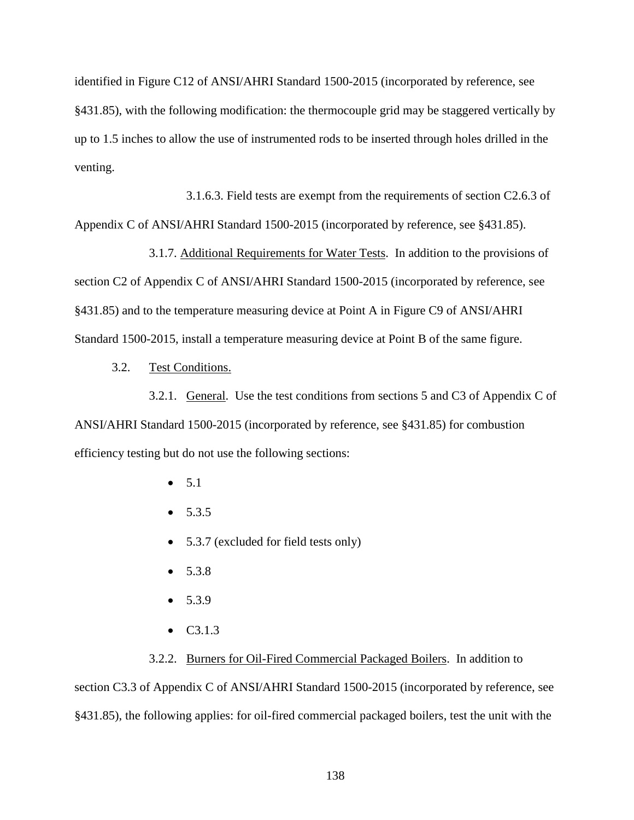identified in Figure C12 of ANSI/AHRI Standard 1500-2015 (incorporated by reference, see §431.85), with the following modification: the thermocouple grid may be staggered vertically by up to 1.5 inches to allow the use of instrumented rods to be inserted through holes drilled in the venting.

3.1.6.3. Field tests are exempt from the requirements of section C2.6.3 of Appendix C of ANSI/AHRI Standard 1500-2015 (incorporated by reference, see §431.85).

3.1.7. Additional Requirements for Water Tests. In addition to the provisions of section C2 of Appendix C of ANSI/AHRI Standard 1500-2015 (incorporated by reference, see §431.85) and to the temperature measuring device at Point A in Figure C9 of ANSI/AHRI Standard 1500-2015, install a temperature measuring device at Point B of the same figure.

3.2. Test Conditions.

3.2.1. General. Use the test conditions from sections 5 and C3 of Appendix C of ANSI/AHRI Standard 1500-2015 (incorporated by reference, see §431.85) for combustion efficiency testing but do not use the following sections:

- $5.1$
- $5.3.5$
- 5.3.7 (excluded for field tests only)
- $5.3.8$
- $5.3.9$
- C3.1.3

3.2.2. Burners for Oil-Fired Commercial Packaged Boilers. In addition to section C3.3 of Appendix C of ANSI/AHRI Standard 1500-2015 (incorporated by reference, see §431.85), the following applies: for oil-fired commercial packaged boilers, test the unit with the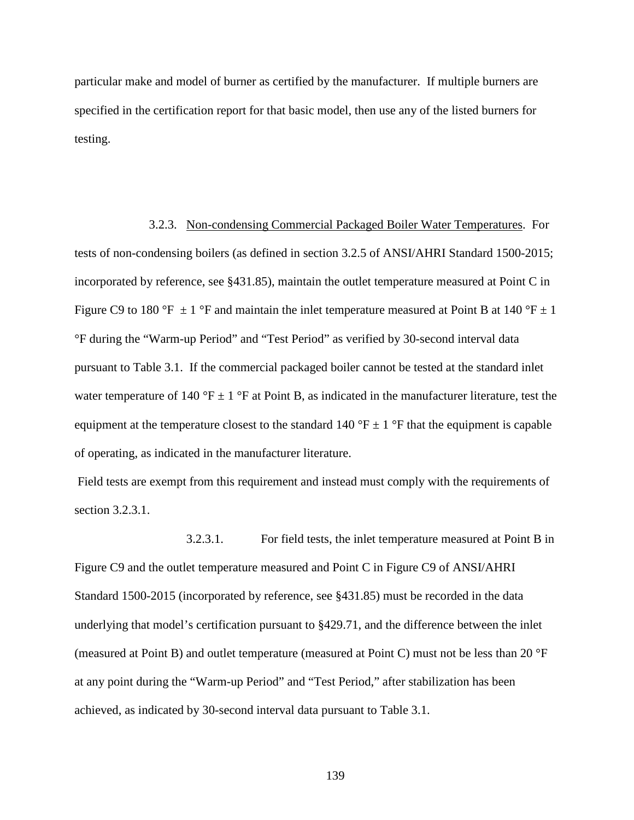particular make and model of burner as certified by the manufacturer. If multiple burners are specified in the certification report for that basic model, then use any of the listed burners for testing.

3.2.3. Non-condensing Commercial Packaged Boiler Water Temperatures. For tests of non-condensing boilers (as defined in section 3.2.5 of ANSI/AHRI Standard 1500-2015; incorporated by reference, see §431.85), maintain the outlet temperature measured at Point C in Figure C9 to 180 °F  $\pm$  1 °F and maintain the inlet temperature measured at Point B at 140 °F  $\pm$  1 °F during the "Warm-up Period" and "Test Period" as verified by 30-second interval data pursuant to Table 3.1. If the commercial packaged boiler cannot be tested at the standard inlet water temperature of 140 °F  $\pm$  1 °F at Point B, as indicated in the manufacturer literature, test the equipment at the temperature closest to the standard 140 °F  $\pm$  1 °F that the equipment is capable of operating, as indicated in the manufacturer literature.

Field tests are exempt from this requirement and instead must comply with the requirements of section 3.2.3.1.

3.2.3.1. For field tests, the inlet temperature measured at Point B in Figure C9 and the outlet temperature measured and Point C in Figure C9 of ANSI/AHRI Standard 1500-2015 (incorporated by reference, see §431.85) must be recorded in the data underlying that model's certification pursuant to §429.71, and the difference between the inlet (measured at Point B) and outlet temperature (measured at Point C) must not be less than 20 °F at any point during the "Warm-up Period" and "Test Period," after stabilization has been achieved, as indicated by 30-second interval data pursuant to Table 3.1.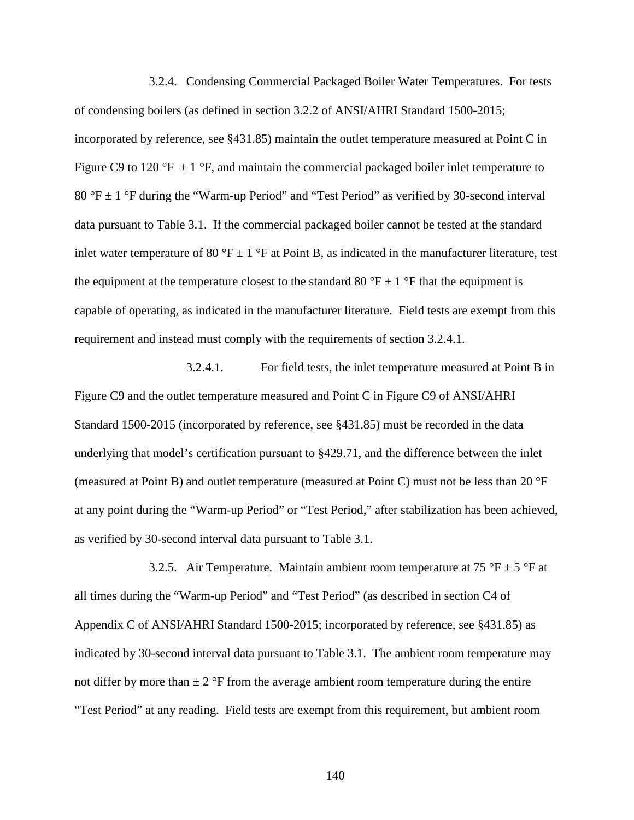3.2.4. Condensing Commercial Packaged Boiler Water Temperatures. For tests of condensing boilers (as defined in section 3.2.2 of ANSI/AHRI Standard 1500-2015; incorporated by reference, see §431.85) maintain the outlet temperature measured at Point C in Figure C9 to 120 °F  $\pm$  1 °F, and maintain the commercial packaged boiler inlet temperature to 80 °F  $\pm$  1 °F during the "Warm-up Period" and "Test Period" as verified by 30-second interval data pursuant to Table 3.1. If the commercial packaged boiler cannot be tested at the standard inlet water temperature of 80 °F  $\pm$  1 °F at Point B, as indicated in the manufacturer literature, test the equipment at the temperature closest to the standard 80  $\degree$ F  $\pm$  1  $\degree$ F that the equipment is capable of operating, as indicated in the manufacturer literature. Field tests are exempt from this requirement and instead must comply with the requirements of section 3.2.4.1.

3.2.4.1. For field tests, the inlet temperature measured at Point B in Figure C9 and the outlet temperature measured and Point C in Figure C9 of ANSI/AHRI Standard 1500-2015 (incorporated by reference, see §431.85) must be recorded in the data underlying that model's certification pursuant to §429.71, and the difference between the inlet (measured at Point B) and outlet temperature (measured at Point C) must not be less than 20 °F at any point during the "Warm-up Period" or "Test Period," after stabilization has been achieved, as verified by 30-second interval data pursuant to Table 3.1.

3.2.5. Air Temperature. Maintain ambient room temperature at 75 °F  $\pm$  5 °F at all times during the "Warm-up Period" and "Test Period" (as described in section C4 of Appendix C of ANSI/AHRI Standard 1500-2015; incorporated by reference, see §431.85) as indicated by 30-second interval data pursuant to Table 3.1. The ambient room temperature may not differ by more than  $\pm 2$  °F from the average ambient room temperature during the entire "Test Period" at any reading. Field tests are exempt from this requirement, but ambient room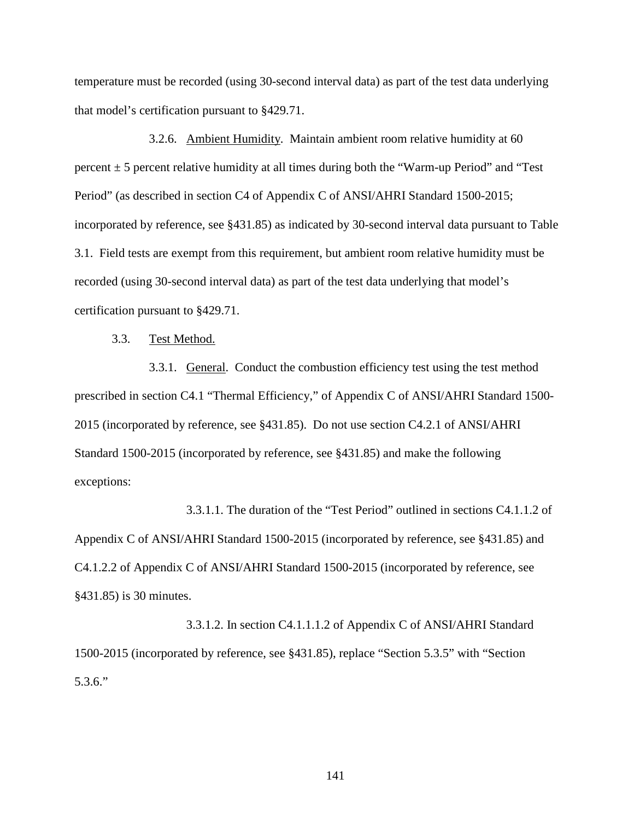temperature must be recorded (using 30-second interval data) as part of the test data underlying that model's certification pursuant to §429.71.

3.2.6. Ambient Humidity. Maintain ambient room relative humidity at 60 percent  $\pm$  5 percent relative humidity at all times during both the "Warm-up Period" and "Test Period" (as described in section C4 of Appendix C of ANSI/AHRI Standard 1500-2015; incorporated by reference, see §431.85) as indicated by 30-second interval data pursuant to Table 3.1. Field tests are exempt from this requirement, but ambient room relative humidity must be recorded (using 30-second interval data) as part of the test data underlying that model's certification pursuant to §429.71.

#### 3.3. Test Method.

3.3.1. General. Conduct the combustion efficiency test using the test method prescribed in section C4.1 "Thermal Efficiency," of Appendix C of ANSI/AHRI Standard 1500- 2015 (incorporated by reference, see §431.85). Do not use section C4.2.1 of ANSI/AHRI Standard 1500-2015 (incorporated by reference, see §431.85) and make the following exceptions:

3.3.1.1. The duration of the "Test Period" outlined in sections C4.1.1.2 of Appendix C of ANSI/AHRI Standard 1500-2015 (incorporated by reference, see §431.85) and C4.1.2.2 of Appendix C of ANSI/AHRI Standard 1500-2015 (incorporated by reference, see §431.85) is 30 minutes.

3.3.1.2. In section C4.1.1.1.2 of Appendix C of ANSI/AHRI Standard 1500-2015 (incorporated by reference, see §431.85), replace "Section 5.3.5" with "Section 5.3.6."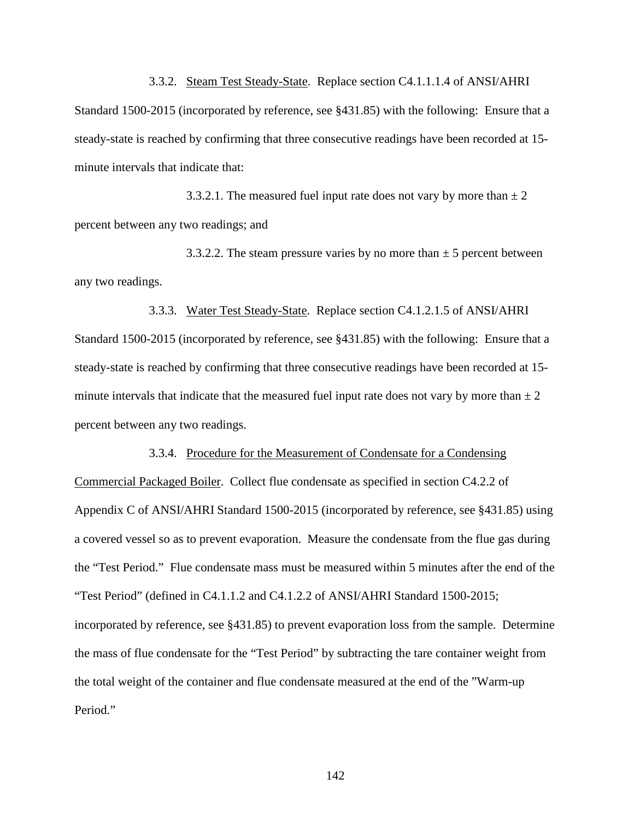3.3.2. Steam Test Steady-State. Replace section C4.1.1.1.4 of ANSI/AHRI Standard 1500-2015 (incorporated by reference, see §431.85) with the following: Ensure that a steady-state is reached by confirming that three consecutive readings have been recorded at 15 minute intervals that indicate that:

3.3.2.1. The measured fuel input rate does not vary by more than  $\pm 2$ percent between any two readings; and

3.3.2.2. The steam pressure varies by no more than  $\pm$  5 percent between any two readings.

3.3.3. Water Test Steady-State. Replace section C4.1.2.1.5 of ANSI/AHRI Standard 1500-2015 (incorporated by reference, see §431.85) with the following: Ensure that a steady-state is reached by confirming that three consecutive readings have been recorded at 15 minute intervals that indicate that the measured fuel input rate does not vary by more than  $\pm 2$ percent between any two readings.

#### 3.3.4. Procedure for the Measurement of Condensate for a Condensing

Commercial Packaged Boiler. Collect flue condensate as specified in section C4.2.2 of Appendix C of ANSI/AHRI Standard 1500-2015 (incorporated by reference, see §431.85) using a covered vessel so as to prevent evaporation. Measure the condensate from the flue gas during the "Test Period." Flue condensate mass must be measured within 5 minutes after the end of the "Test Period" (defined in C4.1.1.2 and C4.1.2.2 of ANSI/AHRI Standard 1500-2015; incorporated by reference, see §431.85) to prevent evaporation loss from the sample. Determine the mass of flue condensate for the "Test Period" by subtracting the tare container weight from the total weight of the container and flue condensate measured at the end of the "Warm-up Period."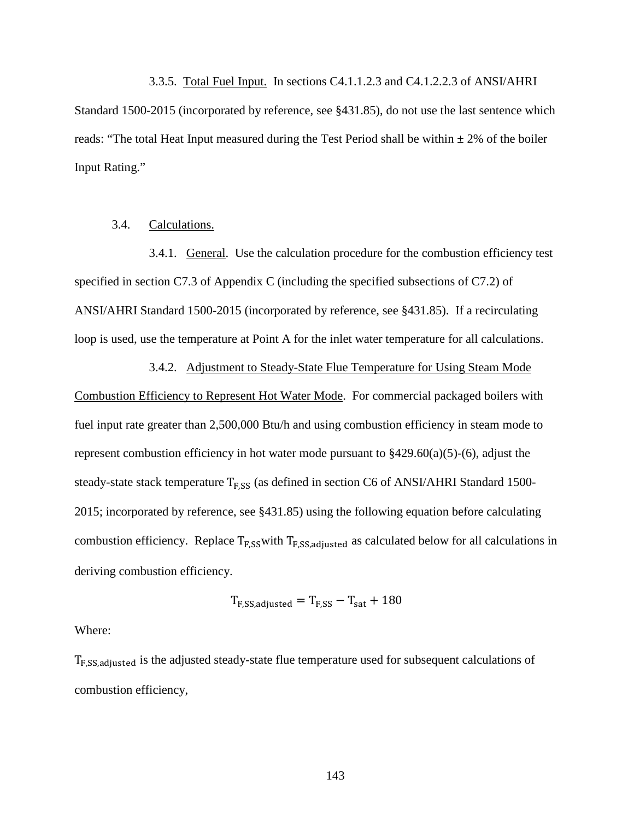3.3.5. Total Fuel Input. In sections C4.1.1.2.3 and C4.1.2.2.3 of ANSI/AHRI Standard 1500-2015 (incorporated by reference, see §431.85), do not use the last sentence which reads: "The total Heat Input measured during the Test Period shall be within  $\pm 2\%$  of the boiler Input Rating."

## 3.4. Calculations.

3.4.1. General. Use the calculation procedure for the combustion efficiency test specified in section C7.3 of Appendix C (including the specified subsections of C7.2) of ANSI/AHRI Standard 1500-2015 (incorporated by reference, see §431.85). If a recirculating loop is used, use the temperature at Point A for the inlet water temperature for all calculations.

3.4.2. Adjustment to Steady-State Flue Temperature for Using Steam Mode

Combustion Efficiency to Represent Hot Water Mode. For commercial packaged boilers with fuel input rate greater than 2,500,000 Btu/h and using combustion efficiency in steam mode to represent combustion efficiency in hot water mode pursuant to  $\S429.60(a)(5)-(6)$ , adjust the steady-state stack temperature  $T_{F,SS}$  (as defined in section C6 of ANSI/AHRI Standard 1500-2015; incorporated by reference, see §431.85) using the following equation before calculating combustion efficiency. Replace  $T_{F,SS}$  with  $T_{F,SS, adjusted}$  as calculated below for all calculations in deriving combustion efficiency.

$$
T_{\rm F, SS, adjusted} = T_{\rm F,SS} - T_{\rm sat} + 180
$$

#### Where:

TF,SS,adjusted is the adjusted steady-state flue temperature used for subsequent calculations of combustion efficiency,